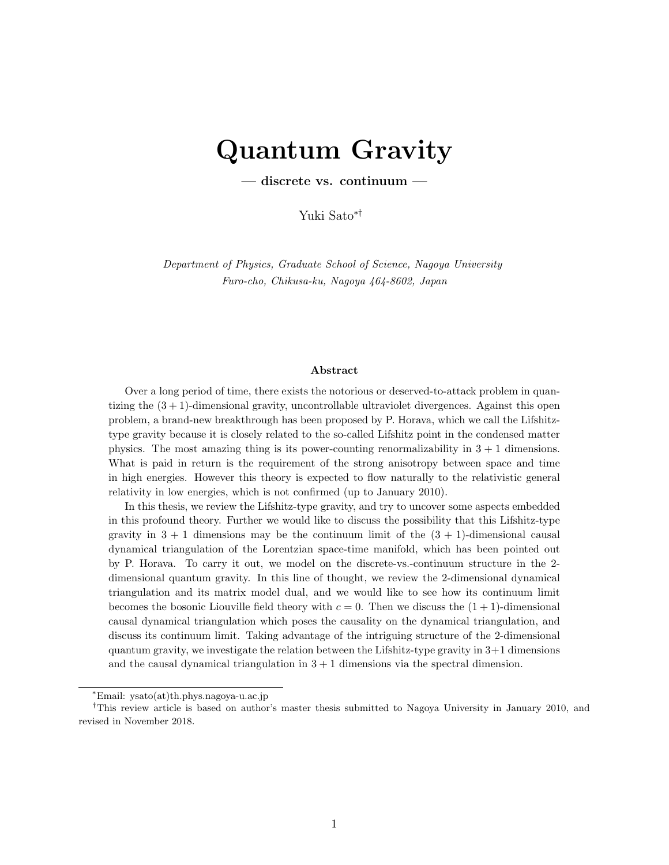# Quantum Gravity

— discrete vs. continuum —

Yuki Sato∗†

Department of Physics, Graduate School of Science, Nagoya University Furo-cho, Chikusa-ku, Nagoya 464-8602, Japan

#### Abstract

Over a long period of time, there exists the notorious or deserved-to-attack problem in quantizing the  $(3 + 1)$ -dimensional gravity, uncontrollable ultraviolet divergences. Against this open problem, a brand-new breakthrough has been proposed by P. Horava, which we call the Lifshitztype gravity because it is closely related to the so-called Lifshitz point in the condensed matter physics. The most amazing thing is its power-counting renormalizability in  $3 + 1$  dimensions. What is paid in return is the requirement of the strong anisotropy between space and time in high energies. However this theory is expected to flow naturally to the relativistic general relativity in low energies, which is not confirmed (up to January 2010).

In this thesis, we review the Lifshitz-type gravity, and try to uncover some aspects embedded in this profound theory. Further we would like to discuss the possibility that this Lifshitz-type gravity in  $3 + 1$  dimensions may be the continuum limit of the  $(3 + 1)$ -dimensional causal dynamical triangulation of the Lorentzian space-time manifold, which has been pointed out by P. Horava. To carry it out, we model on the discrete-vs.-continuum structure in the 2 dimensional quantum gravity. In this line of thought, we review the 2-dimensional dynamical triangulation and its matrix model dual, and we would like to see how its continuum limit becomes the bosonic Liouville field theory with  $c = 0$ . Then we discuss the  $(1 + 1)$ -dimensional causal dynamical triangulation which poses the causality on the dynamical triangulation, and discuss its continuum limit. Taking advantage of the intriguing structure of the 2-dimensional quantum gravity, we investigate the relation between the Lifshitz-type gravity in  $3+1$  dimensions and the causal dynamical triangulation in  $3 + 1$  dimensions via the spectral dimension.

<sup>∗</sup>Email: ysato(at)th.phys.nagoya-u.ac.jp

<sup>†</sup>This review article is based on author's master thesis submitted to Nagoya University in January 2010, and revised in November 2018.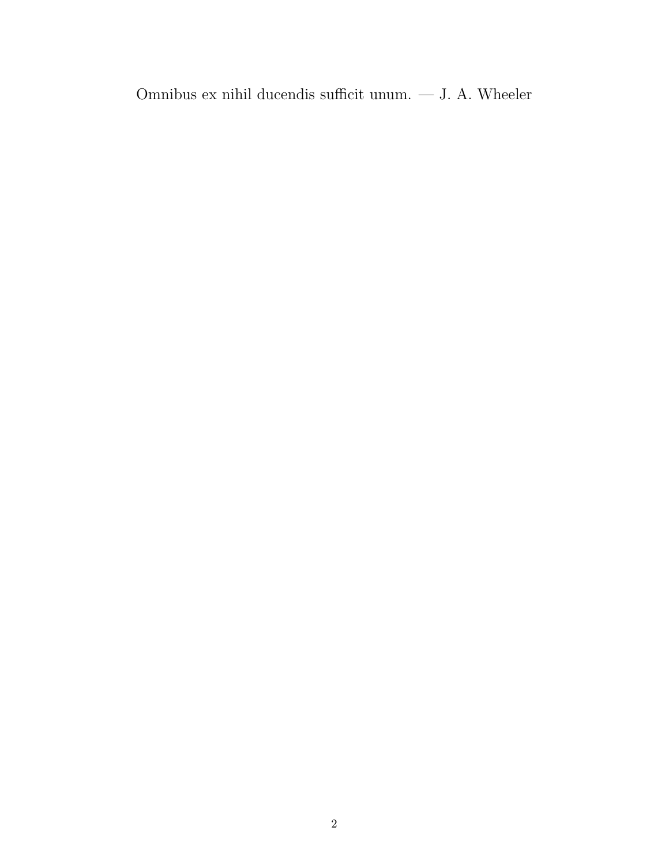Omnibus ex nihil ducendis sufficit unum. — J. A. Wheeler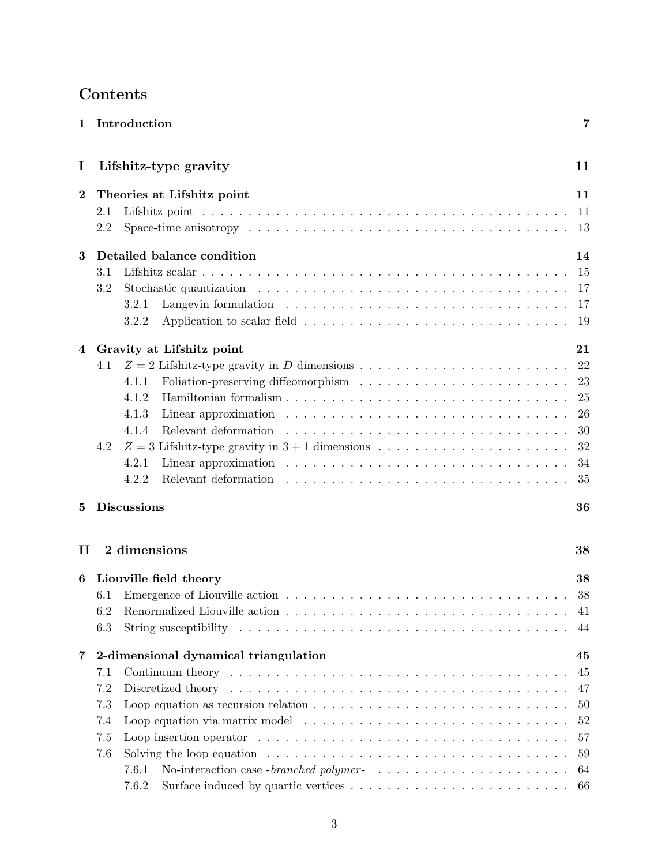## Contents

|                |                                 | 1 Introduction                                                                                                | 7             |  |
|----------------|---------------------------------|---------------------------------------------------------------------------------------------------------------|---------------|--|
| Ι              |                                 | Lifshitz-type gravity                                                                                         | 11            |  |
| $\overline{2}$ |                                 | Theories at Lifshitz point                                                                                    | 11            |  |
|                | 2.1                             |                                                                                                               | -11           |  |
|                | 2.2                             |                                                                                                               | -13           |  |
| 3              |                                 | Detailed balance condition                                                                                    | 14            |  |
|                | 3.1                             |                                                                                                               | 15            |  |
|                | 3.2                             |                                                                                                               | <sup>17</sup> |  |
|                |                                 | 3.2.1                                                                                                         |               |  |
|                |                                 | 3.2.2                                                                                                         |               |  |
| 4              | Gravity at Lifshitz point<br>21 |                                                                                                               |               |  |
|                | 4.1                             |                                                                                                               | 22            |  |
|                |                                 | 4.1.1                                                                                                         |               |  |
|                |                                 | 4.1.2                                                                                                         | 25            |  |
|                |                                 | 4.1.3                                                                                                         | 26            |  |
|                |                                 | Relevant deformation<br>4.1.4                                                                                 | 30            |  |
|                | 4.2                             |                                                                                                               | 32            |  |
|                |                                 | Linear approximation $\ldots \ldots \ldots \ldots \ldots \ldots \ldots \ldots \ldots \ldots$<br>4.2.1         | 34            |  |
|                |                                 | 4.2.2<br>Relevant deformation                                                                                 | 35            |  |
| 5              |                                 | <b>Discussions</b>                                                                                            | 36            |  |
| $\rm II$       |                                 | 2 dimensions                                                                                                  | 38            |  |
| 6              |                                 | Liouville field theory                                                                                        | 38            |  |
|                | 6.1                             |                                                                                                               | 38            |  |
|                | 6.2                             |                                                                                                               | 41            |  |
|                | $6.3\,$                         | String susceptibility $\ldots \ldots \ldots \ldots \ldots \ldots \ldots \ldots \ldots \ldots \ldots$          | -44           |  |
| 7              |                                 | 2-dimensional dynamical triangulation                                                                         | 45            |  |
|                | 7.1                             |                                                                                                               | 45            |  |
|                | 7.2                             |                                                                                                               | 47            |  |
|                | 7.3                             | Loop equation as recursion relation $\dots \dots \dots \dots \dots \dots \dots \dots \dots \dots \dots$       | 50            |  |
|                | 7.4                             |                                                                                                               | 52            |  |
|                | 7.5                             | Loop insertion operator $\dots \dots \dots \dots \dots \dots \dots \dots \dots \dots \dots \dots \dots \dots$ | 57            |  |
|                | 7.6                             | Solving the loop equation $\dots \dots \dots \dots \dots \dots \dots \dots \dots \dots \dots \dots \dots$     | 59            |  |
|                |                                 | 7.6.1                                                                                                         | 64            |  |
|                |                                 | 7.6.2                                                                                                         | 66            |  |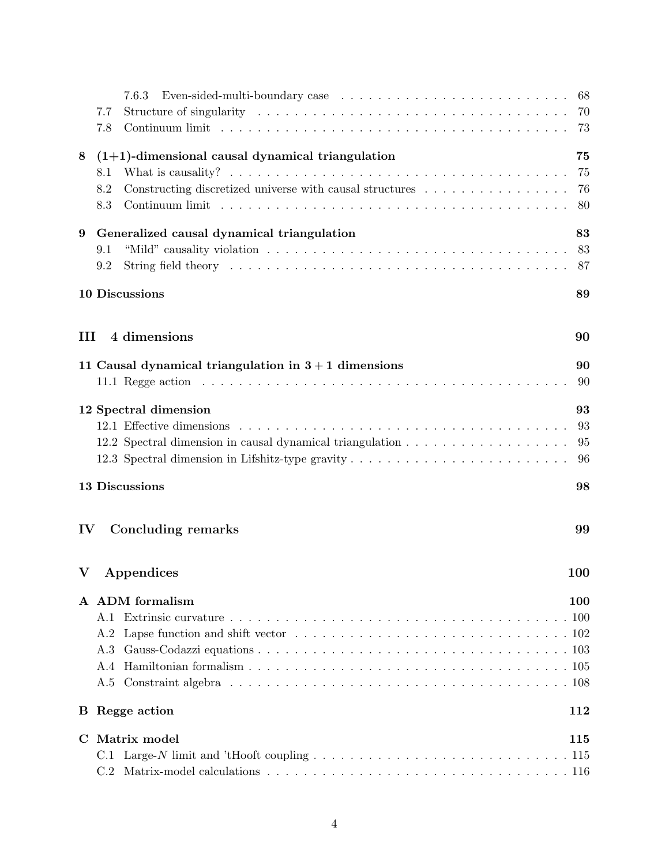| 7.6.3<br>7.7<br>7.8                                                                                                                                                                                                                                                                        | 68<br>70<br>73                                                  |
|--------------------------------------------------------------------------------------------------------------------------------------------------------------------------------------------------------------------------------------------------------------------------------------------|-----------------------------------------------------------------|
| $(1+1)$ -dimensional causal dynamical triangulation<br>8.1<br>Constructing discretized universe with causal structures<br>8.2<br>8.3                                                                                                                                                       | 75<br>75<br>76<br>80                                            |
| Generalized causal dynamical triangulation<br>9.1<br>String field theory enterpreteration of the string of the string field theory enterpreteration of the string field theory of the string field theory of the string field of the string field of the string field of the string<br>9.2 | 83<br>83<br>87                                                  |
|                                                                                                                                                                                                                                                                                            | 89<br>90                                                        |
|                                                                                                                                                                                                                                                                                            |                                                                 |
| 11 Causal dynamical triangulation in $3+1$ dimensions                                                                                                                                                                                                                                      | 90<br>90                                                        |
| 12 Spectral dimension                                                                                                                                                                                                                                                                      | 93                                                              |
|                                                                                                                                                                                                                                                                                            | 93                                                              |
|                                                                                                                                                                                                                                                                                            | 95<br>96                                                        |
| 13 Discussions                                                                                                                                                                                                                                                                             | 98                                                              |
| Concluding remarks<br>IV                                                                                                                                                                                                                                                                   | 99                                                              |
| Appendices                                                                                                                                                                                                                                                                                 | <b>100</b>                                                      |
| A ADM formalism                                                                                                                                                                                                                                                                            | 100                                                             |
| A.1                                                                                                                                                                                                                                                                                        | -100                                                            |
|                                                                                                                                                                                                                                                                                            |                                                                 |
|                                                                                                                                                                                                                                                                                            |                                                                 |
| A.5                                                                                                                                                                                                                                                                                        |                                                                 |
| Regge action                                                                                                                                                                                                                                                                               | 112                                                             |
| Matrix model                                                                                                                                                                                                                                                                               | $115\,$                                                         |
|                                                                                                                                                                                                                                                                                            |                                                                 |
| C.1                                                                                                                                                                                                                                                                                        | 115                                                             |
|                                                                                                                                                                                                                                                                                            | 10 Discussions<br>4 dimensions<br>Ш<br>A.2<br>A.3<br>A.4<br>105 |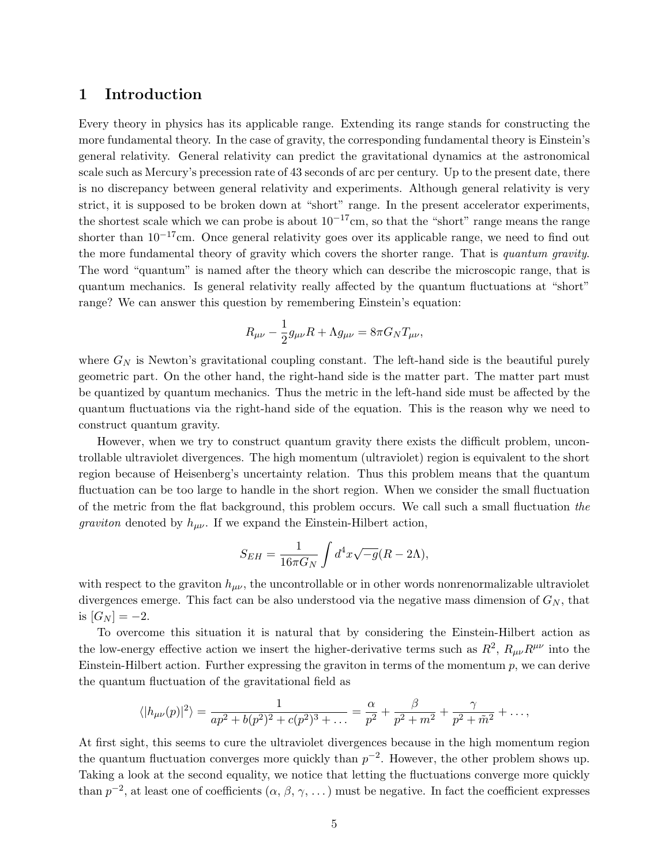### 1 Introduction

Every theory in physics has its applicable range. Extending its range stands for constructing the more fundamental theory. In the case of gravity, the corresponding fundamental theory is Einstein's general relativity. General relativity can predict the gravitational dynamics at the astronomical scale such as Mercury's precession rate of 43 seconds of arc per century. Up to the present date, there is no discrepancy between general relativity and experiments. Although general relativity is very strict, it is supposed to be broken down at "short" range. In the present accelerator experiments, the shortest scale which we can probe is about  $10^{-17}$ cm, so that the "short" range means the range shorter than  $10^{-17}$ cm. Once general relativity goes over its applicable range, we need to find out the more fundamental theory of gravity which covers the shorter range. That is quantum gravity. The word "quantum" is named after the theory which can describe the microscopic range, that is quantum mechanics. Is general relativity really affected by the quantum fluctuations at "short" range? We can answer this question by remembering Einstein's equation:

$$
R_{\mu\nu} - \frac{1}{2}g_{\mu\nu}R + \Lambda g_{\mu\nu} = 8\pi G_N T_{\mu\nu},
$$

where  $G_N$  is Newton's gravitational coupling constant. The left-hand side is the beautiful purely geometric part. On the other hand, the right-hand side is the matter part. The matter part must be quantized by quantum mechanics. Thus the metric in the left-hand side must be affected by the quantum fluctuations via the right-hand side of the equation. This is the reason why we need to construct quantum gravity.

However, when we try to construct quantum gravity there exists the difficult problem, uncontrollable ultraviolet divergences. The high momentum (ultraviolet) region is equivalent to the short region because of Heisenberg's uncertainty relation. Thus this problem means that the quantum fluctuation can be too large to handle in the short region. When we consider the small fluctuation of the metric from the flat background, this problem occurs. We call such a small fluctuation the *graviton* denoted by  $h_{\mu\nu}$ . If we expand the Einstein-Hilbert action,

$$
S_{EH} = \frac{1}{16\pi G_N} \int d^4x \sqrt{-g}(R - 2\Lambda),
$$

with respect to the graviton  $h_{\mu\nu}$ , the uncontrollable or in other words nonrenormalizable ultraviolet divergences emerge. This fact can be also understood via the negative mass dimension of  $G_N$ , that is  $|G_N| = -2$ .

To overcome this situation it is natural that by considering the Einstein-Hilbert action as the low-energy effective action we insert the higher-derivative terms such as  $R^2$ ,  $R_{\mu\nu}R^{\mu\nu}$  into the Einstein-Hilbert action. Further expressing the graviton in terms of the momentum  $p$ , we can derive the quantum fluctuation of the gravitational field as

$$
\langle |h_{\mu\nu}(p)|^2 \rangle = \frac{1}{ap^2 + b(p^2)^2 + c(p^2)^3 + \dots} = \frac{\alpha}{p^2} + \frac{\beta}{p^2 + m^2} + \frac{\gamma}{p^2 + m^2} + \dots,
$$

At first sight, this seems to cure the ultraviolet divergences because in the high momentum region the quantum fluctuation converges more quickly than  $p^{-2}$ . However, the other problem shows up. Taking a look at the second equality, we notice that letting the fluctuations converge more quickly than  $p^{-2}$ , at least one of coefficients  $(\alpha, \beta, \gamma, \dots)$  must be negative. In fact the coefficient expresses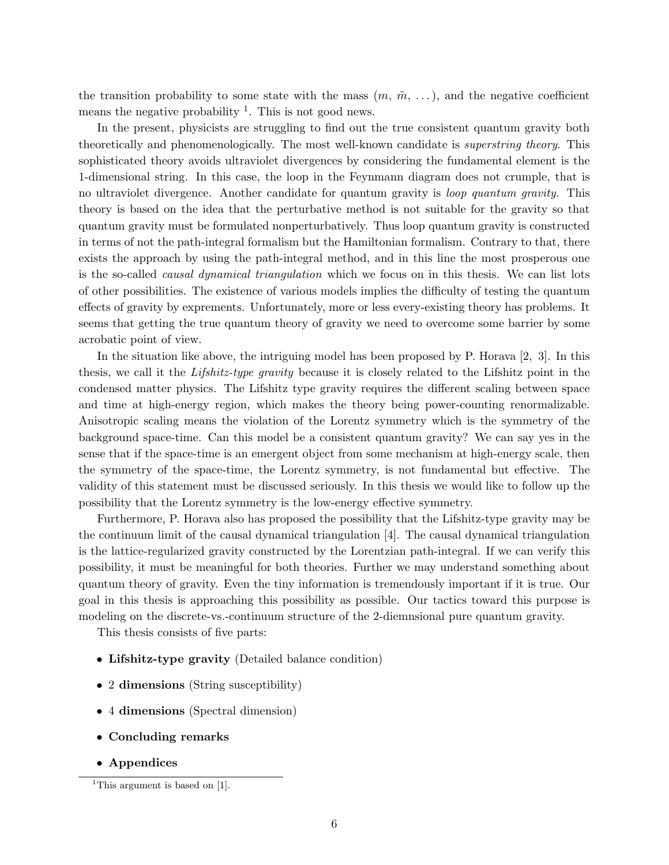the transition probability to some state with the mass  $(m, \tilde{m}, \ldots)$ , and the negative coefficient means the negative probability  $\frac{1}{1}$ . This is not good news.

In the present, physicists are struggling to find out the true consistent quantum gravity both theoretically and phenomenologically. The most well-known candidate is superstring theory. This sophisticated theory avoids ultraviolet divergences by considering the fundamental element is the 1-dimensional string. In this case, the loop in the Feynmann diagram does not crumple, that is no ultraviolet divergence. Another candidate for quantum gravity is *loop quantum gravity*. This theory is based on the idea that the perturbative method is not suitable for the gravity so that quantum gravity must be formulated nonperturbatively. Thus loop quantum gravity is constructed in terms of not the path-integral formalism but the Hamiltonian formalism. Contrary to that, there exists the approach by using the path-integral method, and in this line the most prosperous one is the so-called causal dynamical triangulation which we focus on in this thesis. We can list lots of other possibilities. The existence of various models implies the difficulty of testing the quantum effects of gravity by exprements. Unfortunately, more or less every-existing theory has problems. It seems that getting the true quantum theory of gravity we need to overcome some barrier by some acrobatic point of view.

In the situation like above, the intriguing model has been proposed by P. Horava [2, 3]. In this thesis, we call it the Lifshitz-type gravity because it is closely related to the Lifshitz point in the condensed matter physics. The Lifshitz type gravity requires the different scaling between space and time at high-energy region, which makes the theory being power-counting renormalizable. Anisotropic scaling means the violation of the Lorentz symmetry which is the symmetry of the background space-time. Can this model be a consistent quantum gravity? We can say yes in the sense that if the space-time is an emergent object from some mechanism at high-energy scale, then the symmetry of the space-time, the Lorentz symmetry, is not fundamental but effective. The validity of this statement must be discussed seriously. In this thesis we would like to follow up the possibility that the Lorentz symmetry is the low-energy effective symmetry.

Furthermore, P. Horava also has proposed the possibility that the Lifshitz-type gravity may be the continuum limit of the causal dynamical triangulation [4]. The causal dynamical triangulation is the lattice-regularized gravity constructed by the Lorentzian path-integral. If we can verify this possibility, it must be meaningful for both theories. Further we may understand something about quantum theory of gravity. Even the tiny information is tremendously important if it is true. Our goal in this thesis is approaching this possibility as possible. Our tactics toward this purpose is modeling on the discrete-vs.-continuum structure of the 2-diemnsional pure quantum gravity.

This thesis consists of five parts:

- Lifshitz-type gravity (Detailed balance condition)
- 2 dimensions (String susceptibility)
- 4 dimensions (Spectral dimension)
- Concluding remarks
- Appendices

<sup>&</sup>lt;sup>1</sup>This argument is based on [1].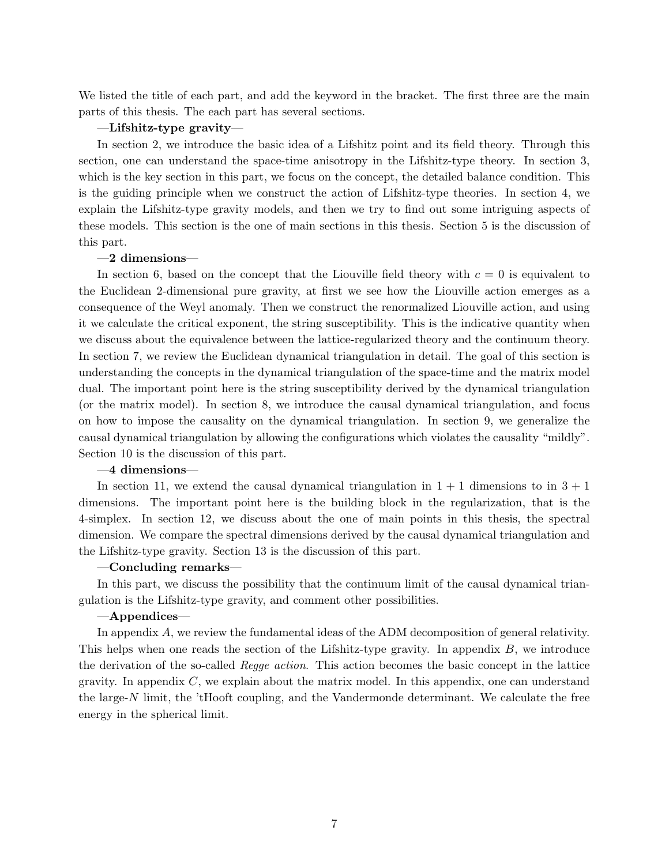We listed the title of each part, and add the keyword in the bracket. The first three are the main parts of this thesis. The each part has several sections.

#### $-$ Lifshitz-type gravity $-$

In section 2, we introduce the basic idea of a Lifshitz point and its field theory. Through this section, one can understand the space-time anisotropy in the Lifshitz-type theory. In section 3, which is the key section in this part, we focus on the concept, the detailed balance condition. This is the guiding principle when we construct the action of Lifshitz-type theories. In section 4, we explain the Lifshitz-type gravity models, and then we try to find out some intriguing aspects of these models. This section is the one of main sections in this thesis. Section 5 is the discussion of this part.

#### —2 dimensions—

In section 6, based on the concept that the Liouville field theory with  $c = 0$  is equivalent to the Euclidean 2-dimensional pure gravity, at first we see how the Liouville action emerges as a consequence of the Weyl anomaly. Then we construct the renormalized Liouville action, and using it we calculate the critical exponent, the string susceptibility. This is the indicative quantity when we discuss about the equivalence between the lattice-regularized theory and the continuum theory. In section 7, we review the Euclidean dynamical triangulation in detail. The goal of this section is understanding the concepts in the dynamical triangulation of the space-time and the matrix model dual. The important point here is the string susceptibility derived by the dynamical triangulation (or the matrix model). In section 8, we introduce the causal dynamical triangulation, and focus on how to impose the causality on the dynamical triangulation. In section 9, we generalize the causal dynamical triangulation by allowing the configurations which violates the causality "mildly". Section 10 is the discussion of this part.

#### —4 dimensions—

In section 11, we extend the causal dynamical triangulation in  $1 + 1$  dimensions to in  $3 + 1$ dimensions. The important point here is the building block in the regularization, that is the 4-simplex. In section 12, we discuss about the one of main points in this thesis, the spectral dimension. We compare the spectral dimensions derived by the causal dynamical triangulation and the Lifshitz-type gravity. Section 13 is the discussion of this part.

#### —Concluding remarks—

In this part, we discuss the possibility that the continuum limit of the causal dynamical triangulation is the Lifshitz-type gravity, and comment other possibilities.

#### $\rightarrow$ Appendices—

In appendix A, we review the fundamental ideas of the ADM decomposition of general relativity. This helps when one reads the section of the Lifshitz-type gravity. In appendix B, we introduce the derivation of the so-called Regge action. This action becomes the basic concept in the lattice gravity. In appendix  $C$ , we explain about the matrix model. In this appendix, one can understand the large-N limit, the 'tHooft coupling, and the Vandermonde determinant. We calculate the free energy in the spherical limit.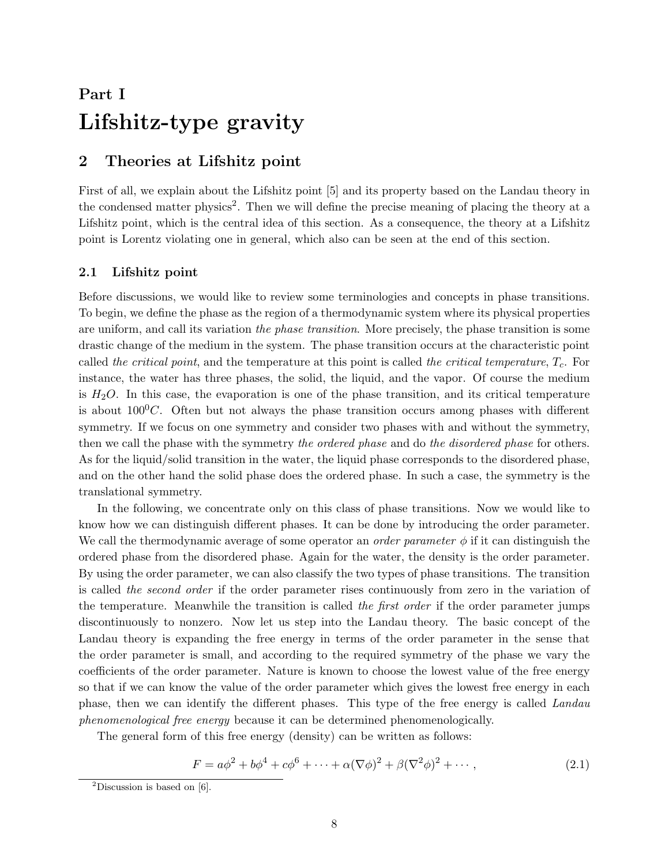## Part I Lifshitz-type gravity

## 2 Theories at Lifshitz point

First of all, we explain about the Lifshitz point [5] and its property based on the Landau theory in the condensed matter physics<sup>2</sup>. Then we will define the precise meaning of placing the theory at a Lifshitz point, which is the central idea of this section. As a consequence, the theory at a Lifshitz point is Lorentz violating one in general, which also can be seen at the end of this section.

#### 2.1 Lifshitz point

Before discussions, we would like to review some terminologies and concepts in phase transitions. To begin, we define the phase as the region of a thermodynamic system where its physical properties are uniform, and call its variation the phase transition. More precisely, the phase transition is some drastic change of the medium in the system. The phase transition occurs at the characteristic point called the critical point, and the temperature at this point is called the critical temperature,  $T_c$ . For instance, the water has three phases, the solid, the liquid, and the vapor. Of course the medium is  $H<sub>2</sub>O$ . In this case, the evaporation is one of the phase transition, and its critical temperature is about  $100^0C$ . Often but not always the phase transition occurs among phases with different symmetry. If we focus on one symmetry and consider two phases with and without the symmetry, then we call the phase with the symmetry *the ordered phase* and do *the disordered phase* for others. As for the liquid/solid transition in the water, the liquid phase corresponds to the disordered phase, and on the other hand the solid phase does the ordered phase. In such a case, the symmetry is the translational symmetry.

In the following, we concentrate only on this class of phase transitions. Now we would like to know how we can distinguish different phases. It can be done by introducing the order parameter. We call the thermodynamic average of some operator an *order parameter*  $\phi$  if it can distinguish the ordered phase from the disordered phase. Again for the water, the density is the order parameter. By using the order parameter, we can also classify the two types of phase transitions. The transition is called the second order if the order parameter rises continuously from zero in the variation of the temperature. Meanwhile the transition is called the first order if the order parameter jumps discontinuously to nonzero. Now let us step into the Landau theory. The basic concept of the Landau theory is expanding the free energy in terms of the order parameter in the sense that the order parameter is small, and according to the required symmetry of the phase we vary the coefficients of the order parameter. Nature is known to choose the lowest value of the free energy so that if we can know the value of the order parameter which gives the lowest free energy in each phase, then we can identify the different phases. This type of the free energy is called Landau phenomenological free energy because it can be determined phenomenologically.

The general form of this free energy (density) can be written as follows:

$$
F = a\phi^{2} + b\phi^{4} + c\phi^{6} + \dots + \alpha(\nabla\phi)^{2} + \beta(\nabla^{2}\phi)^{2} + \dots,
$$
\n(2.1)

<sup>&</sup>lt;sup>2</sup>Discussion is based on  $[6]$ .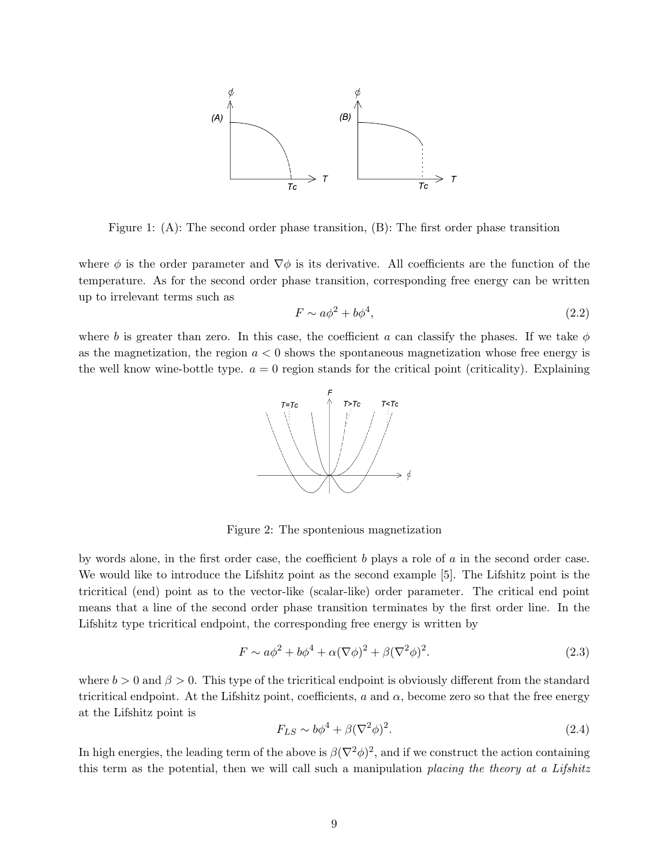

Figure 1: (A): The second order phase transition, (B): The first order phase transition

where  $\phi$  is the order parameter and  $\nabla \phi$  is its derivative. All coefficients are the function of the temperature. As for the second order phase transition, corresponding free energy can be written up to irrelevant terms such as

$$
F \sim a\phi^2 + b\phi^4,\tag{2.2}
$$

where b is greater than zero. In this case, the coefficient a can classify the phases. If we take  $\phi$ as the magnetization, the region  $a < 0$  shows the spontaneous magnetization whose free energy is the well know wine-bottle type.  $a = 0$  region stands for the critical point (criticality). Explaining



Figure 2: The spontenious magnetization

by words alone, in the first order case, the coefficient  $b$  plays a role of  $a$  in the second order case. We would like to introduce the Lifshitz point as the second example [5]. The Lifshitz point is the tricritical (end) point as to the vector-like (scalar-like) order parameter. The critical end point means that a line of the second order phase transition terminates by the first order line. In the Lifshitz type tricritical endpoint, the corresponding free energy is written by

$$
F \sim a\phi^2 + b\phi^4 + \alpha(\nabla\phi)^2 + \beta(\nabla^2\phi)^2.
$$
 (2.3)

where  $b > 0$  and  $\beta > 0$ . This type of the tricritical endpoint is obviously different from the standard tricritical endpoint. At the Lifshitz point, coefficients,  $a$  and  $\alpha$ , become zero so that the free energy at the Lifshitz point is

$$
F_{LS} \sim b\phi^4 + \beta(\nabla^2 \phi)^2. \tag{2.4}
$$

In high energies, the leading term of the above is  $\beta(\nabla^2 \phi)^2$ , and if we construct the action containing this term as the potential, then we will call such a manipulation placing the theory at a Lifshitz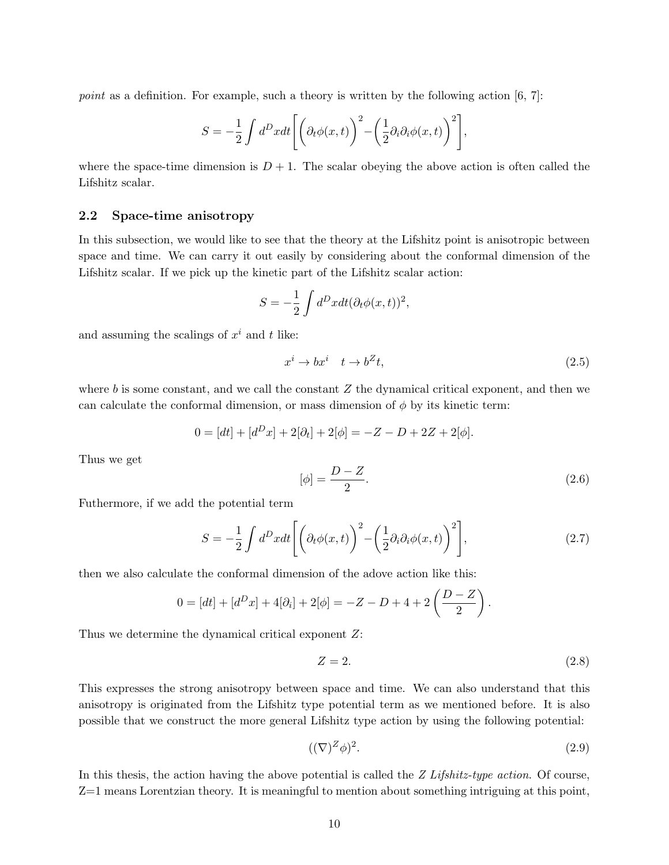point as a definition. For example, such a theory is written by the following action  $[6, 7]$ :

$$
S = -\frac{1}{2} \int d^D x dt \left[ \left( \partial_t \phi(x, t) \right)^2 - \left( \frac{1}{2} \partial_i \partial_i \phi(x, t) \right)^2 \right],
$$

where the space-time dimension is  $D+1$ . The scalar obeying the above action is often called the Lifshitz scalar.

#### 2.2 Space-time anisotropy

In this subsection, we would like to see that the theory at the Lifshitz point is anisotropic between space and time. We can carry it out easily by considering about the conformal dimension of the Lifshitz scalar. If we pick up the kinetic part of the Lifshitz scalar action:

$$
S = -\frac{1}{2} \int d^D x dt (\partial_t \phi(x, t))^2,
$$

and assuming the scalings of  $x^i$  and t like:

$$
x^i \to bx^i \quad t \to b^Z t,\tag{2.5}
$$

where  $b$  is some constant, and we call the constant  $Z$  the dynamical critical exponent, and then we can calculate the conformal dimension, or mass dimension of  $\phi$  by its kinetic term:

$$
0 = [dt] + [dD x] + 2[\partial_t] + 2[\phi] = -Z - D + 2Z + 2[\phi].
$$

Thus we get

$$
[\phi] = \frac{D - Z}{2}.\tag{2.6}
$$

Futhermore, if we add the potential term

$$
S = -\frac{1}{2} \int d^D x dt \left[ \left( \partial_t \phi(x, t) \right)^2 - \left( \frac{1}{2} \partial_i \partial_i \phi(x, t) \right)^2 \right], \tag{2.7}
$$

then we also calculate the conformal dimension of the adove action like this:

$$
0 = [dt] + [dD x] + 4[\partial_i] + 2[\phi] = -Z - D + 4 + 2\left(\frac{D - Z}{2}\right).
$$

Thus we determine the dynamical critical exponent Z:

$$
Z = 2.\t\t(2.8)
$$

This expresses the strong anisotropy between space and time. We can also understand that this anisotropy is originated from the Lifshitz type potential term as we mentioned before. It is also possible that we construct the more general Lifshitz type action by using the following potential:

$$
((\nabla)^Z \phi)^2. \tag{2.9}
$$

In this thesis, the action having the above potential is called the  $Z\; Lifshitz-type\;action.$  Of course,  $Z=1$  means Lorentzian theory. It is meaningful to mention about something intriguing at this point,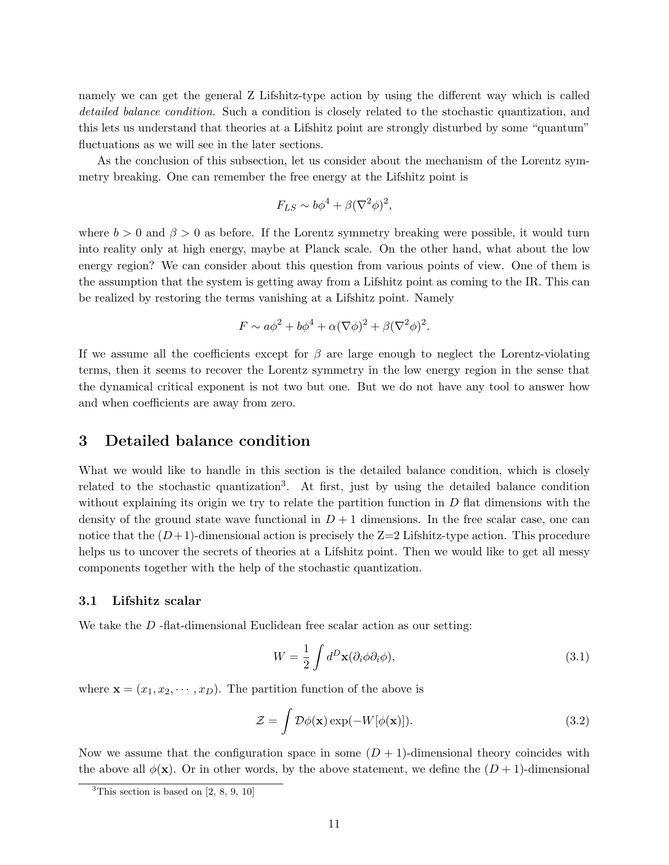namely we can get the general Z Lifshitz-type action by using the different way which is called detailed balance condition. Such a condition is closely related to the stochastic quantization, and this lets us understand that theories at a Lifshitz point are strongly disturbed by some "quantum" fluctuations as we will see in the later sections.

As the conclusion of this subsection, let us consider about the mechanism of the Lorentz symmetry breaking. One can remember the free energy at the Lifshitz point is

$$
F_{LS} \sim b\phi^4 + \beta(\nabla^2 \phi)^2,
$$

where  $b > 0$  and  $\beta > 0$  as before. If the Lorentz symmetry breaking were possible, it would turn into reality only at high energy, maybe at Planck scale. On the other hand, what about the low energy region? We can consider about this question from various points of view. One of them is the assumption that the system is getting away from a Lifshitz point as coming to the IR. This can be realized by restoring the terms vanishing at a Lifshitz point. Namely

$$
F \sim a\phi^2 + b\phi^4 + \alpha(\nabla\phi)^2 + \beta(\nabla^2\phi)^2.
$$

If we assume all the coefficients except for  $\beta$  are large enough to neglect the Lorentz-violating terms, then it seems to recover the Lorentz symmetry in the low energy region in the sense that the dynamical critical exponent is not two but one. But we do not have any tool to answer how and when coefficients are away from zero.

## 3 Detailed balance condition

What we would like to handle in this section is the detailed balance condition, which is closely related to the stochastic quantization<sup>3</sup>. At first, just by using the detailed balance condition without explaining its origin we try to relate the partition function in  $D$  flat dimensions with the density of the ground state wave functional in  $D+1$  dimensions. In the free scalar case, one can notice that the  $(D+1)$ -dimensional action is precisely the  $Z=2$  Lifshitz-type action. This procedure helps us to uncover the secrets of theories at a Lifshitz point. Then we would like to get all messy components together with the help of the stochastic quantization.

#### 3.1 Lifshitz scalar

We take the  $D$ -flat-dimensional Euclidean free scalar action as our setting:

$$
W = \frac{1}{2} \int d^D \mathbf{x} (\partial_i \phi \partial_i \phi), \qquad (3.1)
$$

where  $\mathbf{x} = (x_1, x_2, \dots, x_D)$ . The partition function of the above is

$$
\mathcal{Z} = \int \mathcal{D}\phi(\mathbf{x}) \exp(-W[\phi(\mathbf{x})]). \tag{3.2}
$$

Now we assume that the configuration space in some  $(D + 1)$ -dimensional theory coincides with the above all  $\phi(\mathbf{x})$ . Or in other words, by the above statement, we define the  $(D+1)$ -dimensional

<sup>&</sup>lt;sup>3</sup>This section is based on  $[2, 8, 9, 10]$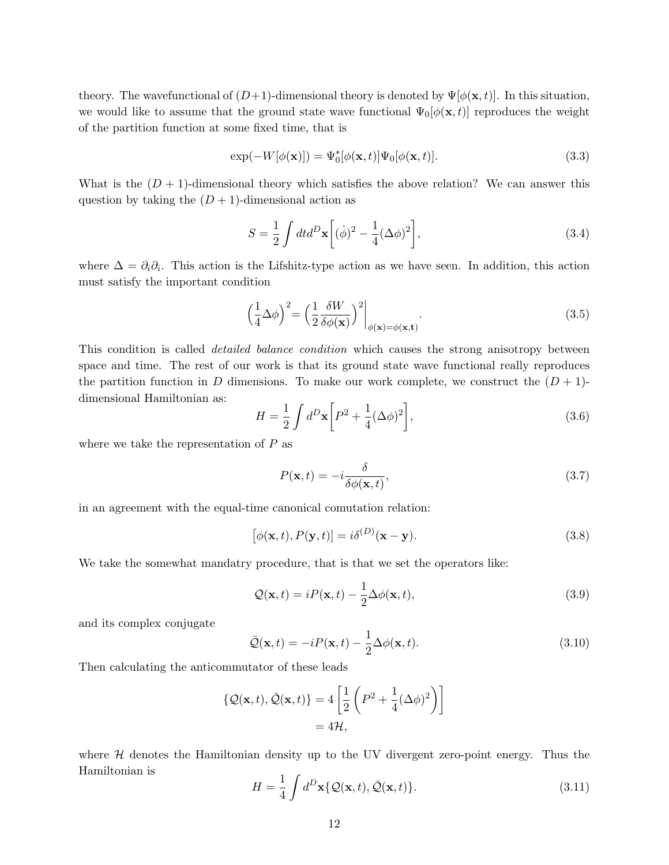theory. The wavefunctional of  $(D+1)$ -dimensional theory is denoted by  $\Psi[\phi(\mathbf{x},t)]$ . In this situation, we would like to assume that the ground state wave functional  $\Psi_0[\phi(\mathbf{x}, t)]$  reproduces the weight of the partition function at some fixed time, that is

$$
\exp(-W[\phi(\mathbf{x})]) = \Psi_0^*[\phi(\mathbf{x},t)]\Psi_0[\phi(\mathbf{x},t)].
$$
\n(3.3)

What is the  $(D+1)$ -dimensional theory which satisfies the above relation? We can answer this question by taking the  $(D+1)$ -dimensional action as

$$
S = \frac{1}{2} \int dt d^D \mathbf{x} \left[ (\dot{\phi})^2 - \frac{1}{4} (\Delta \phi)^2 \right],
$$
\n(3.4)

where  $\Delta = \partial_i \partial_i$ . This action is the Lifshitz-type action as we have seen. In addition, this action must satisfy the important condition

$$
\left(\frac{1}{4}\Delta\phi\right)^2 = \left(\frac{1}{2}\frac{\delta W}{\delta\phi(\mathbf{x})}\right)^2\bigg|_{\phi(\mathbf{x}) = \phi(\mathbf{x}, \mathbf{t})}.\tag{3.5}
$$

This condition is called *detailed balance condition* which causes the strong anisotropy between space and time. The rest of our work is that its ground state wave functional really reproduces the partition function in D dimensions. To make our work complete, we construct the  $(D + 1)$ dimensional Hamiltonian as:

$$
H = \frac{1}{2} \int d^D \mathbf{x} \left[ P^2 + \frac{1}{4} (\Delta \phi)^2 \right],\tag{3.6}
$$

where we take the representation of  $P$  as

$$
P(\mathbf{x},t) = -i\frac{\delta}{\delta\phi(\mathbf{x},t)},
$$
\n(3.7)

in an agreement with the equal-time canonical comutation relation:

$$
[\phi(\mathbf{x},t), P(\mathbf{y},t)] = i\delta^{(D)}(\mathbf{x}-\mathbf{y}).
$$
\n(3.8)

We take the somewhat mandatry procedure, that is that we set the operators like:

$$
Q(\mathbf{x},t) = iP(\mathbf{x},t) - \frac{1}{2}\Delta\phi(\mathbf{x},t),
$$
\n(3.9)

and its complex conjugate

$$
\bar{\mathcal{Q}}(\mathbf{x},t) = -i P(\mathbf{x},t) - \frac{1}{2} \Delta \phi(\mathbf{x},t).
$$
\n(3.10)

Then calculating the anticommutator of these leads

$$
\{\mathcal{Q}(\mathbf{x},t), \bar{\mathcal{Q}}(\mathbf{x},t)\} = 4 \left[ \frac{1}{2} \left( P^2 + \frac{1}{4} (\Delta \phi)^2 \right) \right]
$$
  
= 4\mathcal{H},

where  $H$  denotes the Hamiltonian density up to the UV divergent zero-point energy. Thus the Hamiltonian is

$$
H = \frac{1}{4} \int d^D \mathbf{x} \{ \mathcal{Q}(\mathbf{x}, t), \bar{\mathcal{Q}}(\mathbf{x}, t) \}.
$$
 (3.11)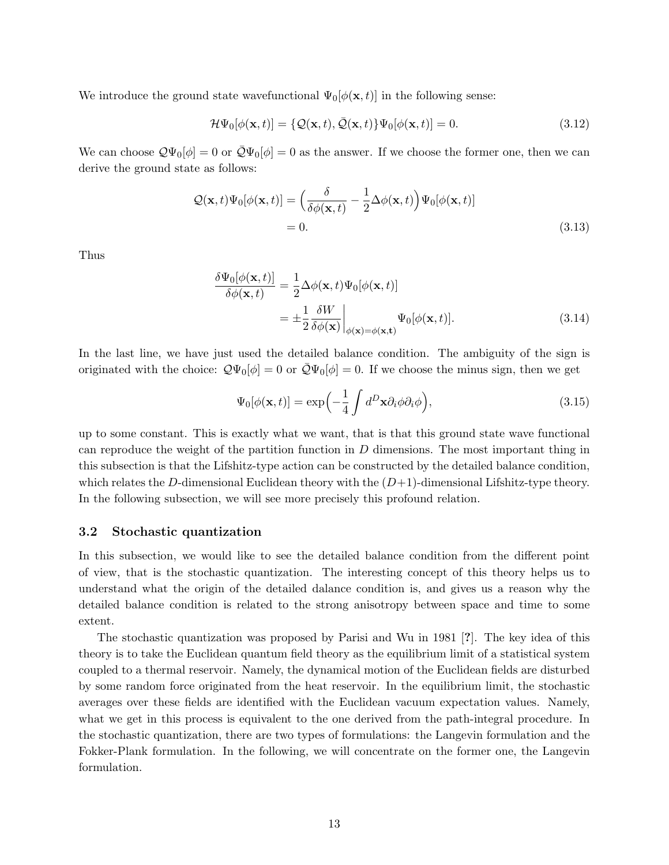We introduce the ground state wavefunctional  $\Psi_0[\phi(\mathbf{x}, t)]$  in the following sense:

$$
\mathcal{H}\Psi_0[\phi(\mathbf{x},t)] = \{\mathcal{Q}(\mathbf{x},t),\bar{\mathcal{Q}}(\mathbf{x},t)\}\Psi_0[\phi(\mathbf{x},t)] = 0.
$$
\n(3.12)

We can choose  $\mathcal{Q}\Psi_0[\phi]=0$  or  $\mathcal{Q}\Psi_0[\phi]=0$  as the answer. If we choose the former one, then we can derive the ground state as follows:

$$
\mathcal{Q}(\mathbf{x},t)\Psi_0[\phi(\mathbf{x},t)] = \left(\frac{\delta}{\delta\phi(\mathbf{x},t)} - \frac{1}{2}\Delta\phi(\mathbf{x},t)\right)\Psi_0[\phi(\mathbf{x},t)]
$$
  
= 0. (3.13)

Thus

$$
\frac{\delta\Psi_0[\phi(\mathbf{x},t)]}{\delta\phi(\mathbf{x},t)} = \frac{1}{2}\Delta\phi(\mathbf{x},t)\Psi_0[\phi(\mathbf{x},t)]
$$
  
=\pm\frac{1}{2}\frac{\delta W}{\delta\phi(\mathbf{x})}\Big|\_{\phi(\mathbf{x})=\phi(\mathbf{x},t)}\Psi\_0[\phi(\mathbf{x},t)]. \t(3.14)

In the last line, we have just used the detailed balance condition. The ambiguity of the sign is originated with the choice:  $\mathcal{Q}\Psi_0[\phi] = 0$  or  $\mathcal{Q}\Psi_0[\phi] = 0$ . If we choose the minus sign, then we get

$$
\Psi_0[\phi(\mathbf{x},t)] = \exp\left(-\frac{1}{4}\int d^D \mathbf{x}\partial_i \phi \partial_i \phi\right),\tag{3.15}
$$

up to some constant. This is exactly what we want, that is that this ground state wave functional can reproduce the weight of the partition function in  $D$  dimensions. The most important thing in this subsection is that the Lifshitz-type action can be constructed by the detailed balance condition, which relates the D-dimensional Euclidean theory with the  $(D+1)$ -dimensional Lifshitz-type theory. In the following subsection, we will see more precisely this profound relation.

#### 3.2 Stochastic quantization

In this subsection, we would like to see the detailed balance condition from the different point of view, that is the stochastic quantization. The interesting concept of this theory helps us to understand what the origin of the detailed dalance condition is, and gives us a reason why the detailed balance condition is related to the strong anisotropy between space and time to some extent.

The stochastic quantization was proposed by Parisi and Wu in 1981 [?]. The key idea of this theory is to take the Euclidean quantum field theory as the equilibrium limit of a statistical system coupled to a thermal reservoir. Namely, the dynamical motion of the Euclidean fields are disturbed by some random force originated from the heat reservoir. In the equilibrium limit, the stochastic averages over these fields are identified with the Euclidean vacuum expectation values. Namely, what we get in this process is equivalent to the one derived from the path-integral procedure. In the stochastic quantization, there are two types of formulations: the Langevin formulation and the Fokker-Plank formulation. In the following, we will concentrate on the former one, the Langevin formulation.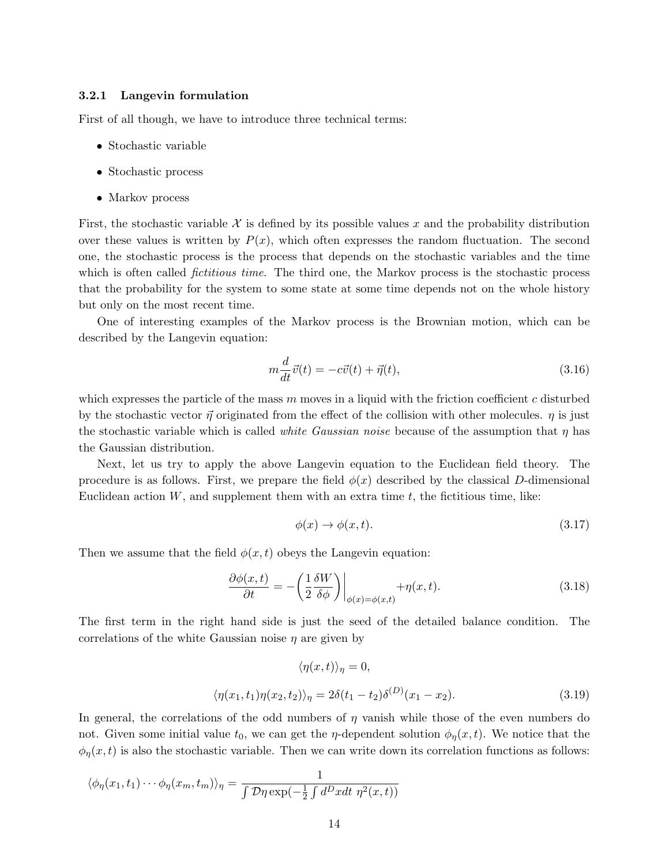#### 3.2.1 Langevin formulation

First of all though, we have to introduce three technical terms:

- Stochastic variable
- Stochastic process
- Markov process

First, the stochastic variable X is defined by its possible values x and the probability distribution over these values is written by  $P(x)$ , which often expresses the random fluctuation. The second one, the stochastic process is the process that depends on the stochastic variables and the time which is often called *fictitious time*. The third one, the Markov process is the stochastic process that the probability for the system to some state at some time depends not on the whole history but only on the most recent time.

One of interesting examples of the Markov process is the Brownian motion, which can be described by the Langevin equation:

$$
m\frac{d}{dt}\vec{v}(t) = -c\vec{v}(t) + \vec{\eta}(t),\tag{3.16}
$$

which expresses the particle of the mass  $m$  moves in a liquid with the friction coefficient c disturbed by the stochastic vector  $\vec{\eta}$  originated from the effect of the collision with other molecules.  $\eta$  is just the stochastic variable which is called *white Gaussian noise* because of the assumption that  $\eta$  has the Gaussian distribution.

Next, let us try to apply the above Langevin equation to the Euclidean field theory. The procedure is as follows. First, we prepare the field  $\phi(x)$  described by the classical D-dimensional Euclidean action  $W$ , and supplement them with an extra time  $t$ , the fictitious time, like:

$$
\phi(x) \to \phi(x, t). \tag{3.17}
$$

Then we assume that the field  $\phi(x, t)$  obeys the Langevin equation:

$$
\frac{\partial \phi(x,t)}{\partial t} = -\left(\frac{1}{2}\frac{\delta W}{\delta \phi}\right)\Big|_{\phi(x) = \phi(x,t)} + \eta(x,t). \tag{3.18}
$$

The first term in the right hand side is just the seed of the detailed balance condition. The correlations of the white Gaussian noise  $\eta$  are given by

$$
\langle \eta(x,t) \rangle_{\eta} = 0,
$$
  

$$
\langle \eta(x_1, t_1) \eta(x_2, t_2) \rangle_{\eta} = 2\delta(t_1 - t_2)\delta^{(D)}(x_1 - x_2).
$$
 (3.19)

In general, the correlations of the odd numbers of  $\eta$  vanish while those of the even numbers do not. Given some initial value  $t_0$ , we can get the *η*-dependent solution  $\phi_{\eta}(x, t)$ . We notice that the  $\phi_n(x, t)$  is also the stochastic variable. Then we can write down its correlation functions as follows:

$$
\langle \phi_{\eta}(x_1, t_1) \cdots \phi_{\eta}(x_m, t_m) \rangle_{\eta} = \frac{1}{\int \mathcal{D}\eta \exp(-\frac{1}{2} \int d^D x dt \; \eta^2(x, t))}
$$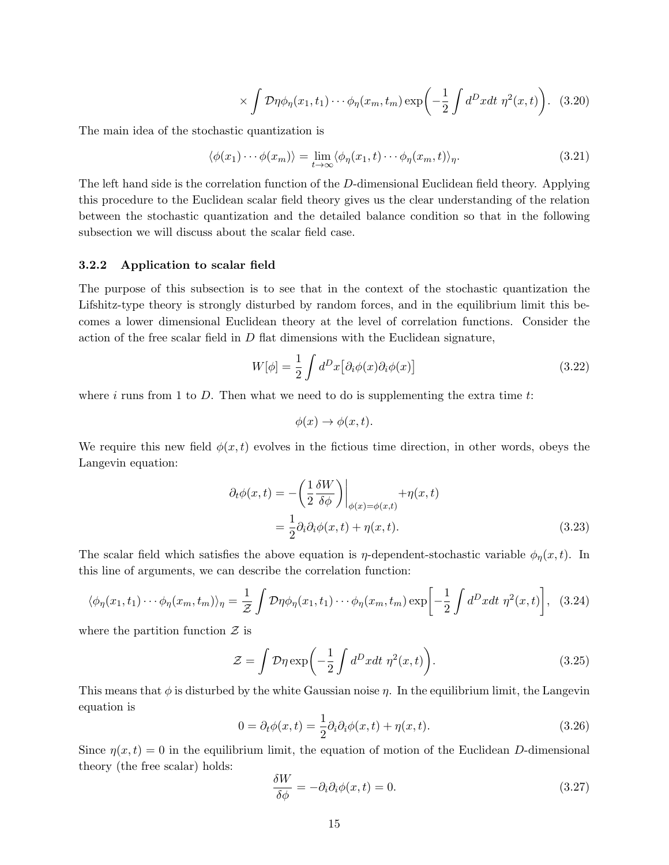$$
\times \int \mathcal{D}\eta \phi_{\eta}(x_1, t_1) \cdots \phi_{\eta}(x_m, t_m) \exp\left(-\frac{1}{2} \int d^D x dt \; \eta^2(x, t)\right). \tag{3.20}
$$

The main idea of the stochastic quantization is

$$
\langle \phi(x_1) \cdots \phi(x_m) \rangle = \lim_{t \to \infty} \langle \phi_\eta(x_1, t) \cdots \phi_\eta(x_m, t) \rangle_\eta. \tag{3.21}
$$

The left hand side is the correlation function of the D-dimensional Euclidean field theory. Applying this procedure to the Euclidean scalar field theory gives us the clear understanding of the relation between the stochastic quantization and the detailed balance condition so that in the following subsection we will discuss about the scalar field case.

#### 3.2.2 Application to scalar field

The purpose of this subsection is to see that in the context of the stochastic quantization the Lifshitz-type theory is strongly disturbed by random forces, and in the equilibrium limit this becomes a lower dimensional Euclidean theory at the level of correlation functions. Consider the action of the free scalar field in  $D$  flat dimensions with the Euclidean signature,

$$
W[\phi] = \frac{1}{2} \int d^D x \left[ \partial_i \phi(x) \partial_i \phi(x) \right]
$$
\n(3.22)

where  $i$  runs from 1 to D. Then what we need to do is supplementing the extra time  $t$ :

$$
\phi(x) \to \phi(x, t).
$$

We require this new field  $\phi(x, t)$  evolves in the fictious time direction, in other words, obeys the Langevin equation:

$$
\partial_t \phi(x,t) = -\left(\frac{1}{2} \frac{\delta W}{\delta \phi}\right)\Big|_{\phi(x) = \phi(x,t)} + \eta(x,t)
$$

$$
= \frac{1}{2} \partial_i \partial_i \phi(x,t) + \eta(x,t). \tag{3.23}
$$

The scalar field which satisfies the above equation is  $\eta$ -dependent-stochastic variable  $\phi_n(x, t)$ . In this line of arguments, we can describe the correlation function:

$$
\langle \phi_{\eta}(x_1, t_1) \cdots \phi_{\eta}(x_m, t_m) \rangle_{\eta} = \frac{1}{\mathcal{Z}} \int \mathcal{D}\eta \phi_{\eta}(x_1, t_1) \cdots \phi_{\eta}(x_m, t_m) \exp\left[-\frac{1}{2} \int d^D x dt \; \eta^2(x, t)\right], \quad (3.24)
$$

where the partition function  $\mathcal Z$  is

$$
\mathcal{Z} = \int \mathcal{D}\eta \exp\left(-\frac{1}{2} \int d^D x dt \ \eta^2(x, t)\right). \tag{3.25}
$$

This means that  $\phi$  is disturbed by the white Gaussian noise  $\eta$ . In the equilibrium limit, the Langevin equation is

$$
0 = \partial_t \phi(x, t) = \frac{1}{2} \partial_i \partial_i \phi(x, t) + \eta(x, t).
$$
\n(3.26)

Since  $\eta(x,t) = 0$  in the equilibrium limit, the equation of motion of the Euclidean D-dimensional theory (the free scalar) holds:

$$
\frac{\delta W}{\delta \phi} = -\partial_i \partial_i \phi(x, t) = 0. \tag{3.27}
$$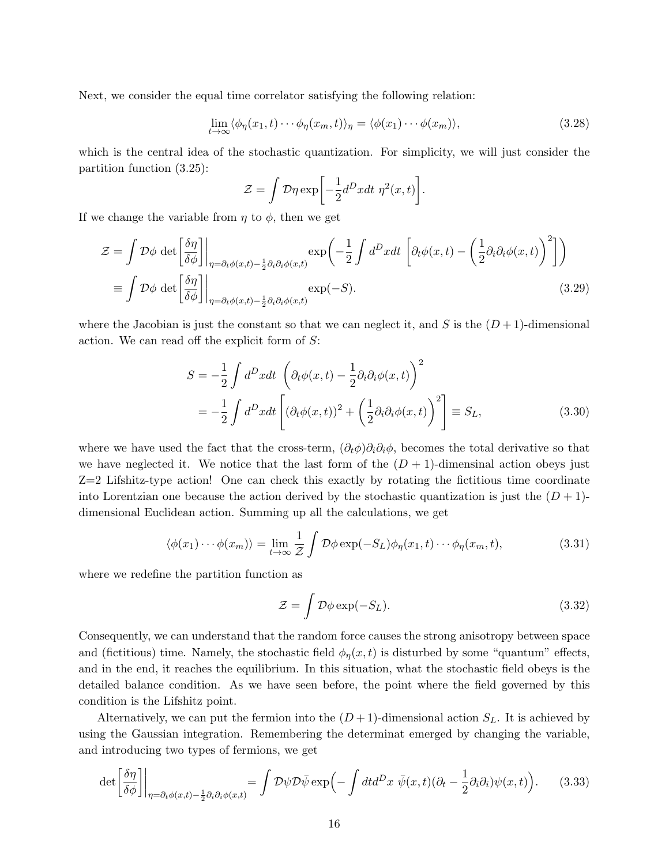Next, we consider the equal time correlator satisfying the following relation:

$$
\lim_{t \to \infty} \langle \phi_{\eta}(x_1, t) \cdots \phi_{\eta}(x_m, t) \rangle_{\eta} = \langle \phi(x_1) \cdots \phi(x_m) \rangle, \tag{3.28}
$$

which is the central idea of the stochastic quantization. For simplicity, we will just consider the partition function (3.25):

$$
\mathcal{Z} = \int \mathcal{D}\eta \exp\biggl[-\frac{1}{2}d^D x dt \ \eta^2(x,t)\biggr].
$$

If we change the variable from  $\eta$  to  $\phi$ , then we get

$$
\mathcal{Z} = \int \mathcal{D}\phi \, \det \left[ \frac{\delta \eta}{\delta \phi} \right] \Big|_{\eta = \partial_t \phi(x, t) - \frac{1}{2} \partial_i \partial_i \phi(x, t)} \exp \left( -\frac{1}{2} \int d^D x \, dt \left[ \partial_t \phi(x, t) - \left( \frac{1}{2} \partial_i \partial_i \phi(x, t) \right)^2 \right] \right)
$$
\n
$$
\equiv \int \mathcal{D}\phi \, \det \left[ \frac{\delta \eta}{\delta \phi} \right] \Big|_{\eta = \partial_t \phi(x, t) - \frac{1}{2} \partial_i \partial_i \phi(x, t)} \exp(-S). \tag{3.29}
$$

where the Jacobian is just the constant so that we can neglect it, and S is the  $(D+1)$ -dimensional action. We can read off the explicit form of S:

$$
S = -\frac{1}{2} \int d^D x dt \left( \partial_t \phi(x, t) - \frac{1}{2} \partial_i \partial_i \phi(x, t) \right)^2
$$
  
= 
$$
-\frac{1}{2} \int d^D x dt \left[ (\partial_t \phi(x, t))^2 + \left( \frac{1}{2} \partial_i \partial_i \phi(x, t) \right)^2 \right] \equiv S_L,
$$
 (3.30)

where we have used the fact that the cross-term,  $(\partial_t \phi) \partial_i \partial_i \phi$ , becomes the total derivative so that we have neglected it. We notice that the last form of the  $(D + 1)$ -dimensinal action obeys just  $Z=2$  Lifshitz-type action! One can check this exactly by rotating the fictitious time coordinate into Lorentzian one because the action derived by the stochastic quantization is just the  $(D+1)$ dimensional Euclidean action. Summing up all the calculations, we get

$$
\langle \phi(x_1) \cdots \phi(x_m) \rangle = \lim_{t \to \infty} \frac{1}{\mathcal{Z}} \int \mathcal{D}\phi \exp(-S_L) \phi_{\eta}(x_1, t) \cdots \phi_{\eta}(x_m, t), \tag{3.31}
$$

where we redefine the partition function as

$$
\mathcal{Z} = \int \mathcal{D}\phi \exp(-S_L). \tag{3.32}
$$

Consequently, we can understand that the random force causes the strong anisotropy between space and (fictitious) time. Namely, the stochastic field  $\phi_n(x, t)$  is disturbed by some "quantum" effects, and in the end, it reaches the equilibrium. In this situation, what the stochastic field obeys is the detailed balance condition. As we have seen before, the point where the field governed by this condition is the Lifshitz point.

Alternatively, we can put the fermion into the  $(D+1)$ -dimensional action  $S_L$ . It is achieved by using the Gaussian integration. Remembering the determinat emerged by changing the variable, and introducing two types of fermions, we get

$$
\det\left[\frac{\delta\eta}{\delta\phi}\right]\Big|_{\eta=\partial_t\phi(x,t)-\frac{1}{2}\partial_i\partial_i\phi(x,t)} = \int \mathcal{D}\psi \mathcal{D}\bar{\psi} \exp\left(-\int dt d^D x \ \bar{\psi}(x,t)(\partial_t - \frac{1}{2}\partial_i\partial_i)\psi(x,t)\right). \tag{3.33}
$$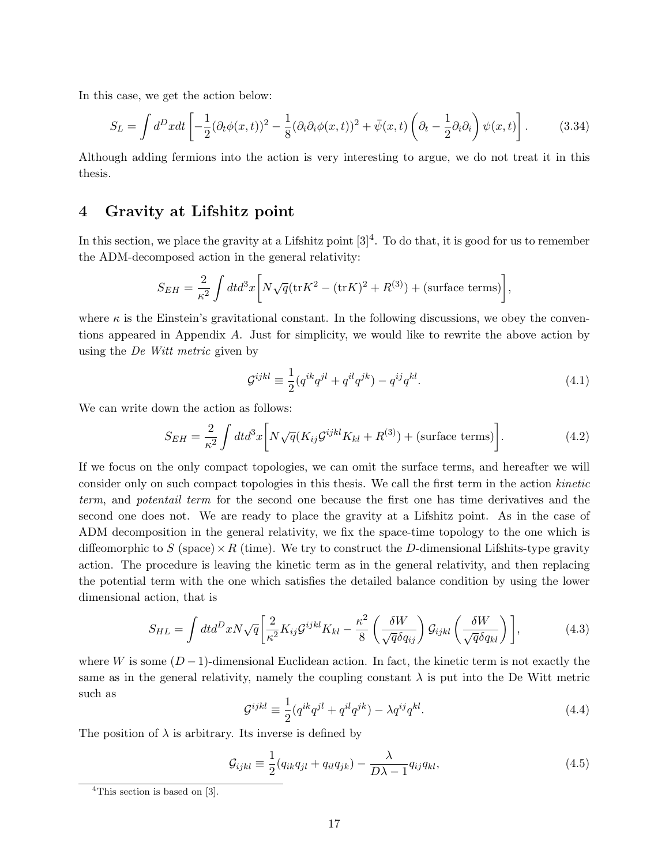In this case, we get the action below:

$$
S_L = \int d^D x dt \left[ -\frac{1}{2} (\partial_t \phi(x, t))^2 - \frac{1}{8} (\partial_i \partial_i \phi(x, t))^2 + \bar{\psi}(x, t) \left( \partial_t - \frac{1}{2} \partial_i \partial_i \right) \psi(x, t) \right]. \tag{3.34}
$$

Although adding fermions into the action is very interesting to argue, we do not treat it in this thesis.

### 4 Gravity at Lifshitz point

In this section, we place the gravity at a Lifshitz point  $[3]^4$ . To do that, it is good for us to remember the ADM-decomposed action in the general relativity:

$$
S_{EH} = \frac{2}{\kappa^2} \int dt d^3x \bigg[ N\sqrt{q} (\text{tr}K^2 - (\text{tr}K)^2 + R^{(3)}) + (\text{surface terms}) \bigg],
$$

where  $\kappa$  is the Einstein's gravitational constant. In the following discussions, we obey the conventions appeared in Appendix A. Just for simplicity, we would like to rewrite the above action by using the De Witt metric given by

$$
\mathcal{G}^{ijkl} \equiv \frac{1}{2} (q^{ik} q^{jl} + q^{il} q^{jk}) - q^{ij} q^{kl}.
$$
\n(4.1)

We can write down the action as follows:

$$
S_{EH} = \frac{2}{\kappa^2} \int dt d^3x \left[ N\sqrt{q} (K_{ij} \mathcal{G}^{ijkl} K_{kl} + R^{(3)}) + (\text{surface terms}) \right]. \tag{4.2}
$$

If we focus on the only compact topologies, we can omit the surface terms, and hereafter we will consider only on such compact topologies in this thesis. We call the first term in the action kinetic term, and potentail term for the second one because the first one has time derivatives and the second one does not. We are ready to place the gravity at a Lifshitz point. As in the case of ADM decomposition in the general relativity, we fix the space-time topology to the one which is diffeomorphic to  $S$  (space)  $\times R$  (time). We try to construct the D-dimensional Lifshits-type gravity action. The procedure is leaving the kinetic term as in the general relativity, and then replacing the potential term with the one which satisfies the detailed balance condition by using the lower dimensional action, that is

$$
S_{HL} = \int dt d^D x N \sqrt{q} \left[ \frac{2}{\kappa^2} K_{ij} \mathcal{G}^{ijkl} K_{kl} - \frac{\kappa^2}{8} \left( \frac{\delta W}{\sqrt{q} \delta q_{ij}} \right) \mathcal{G}_{ijkl} \left( \frac{\delta W}{\sqrt{q} \delta q_{kl}} \right) \right],
$$
(4.3)

where W is some  $(D-1)$ -dimensional Euclidean action. In fact, the kinetic term is not exactly the same as in the general relativity, namely the coupling constant  $\lambda$  is put into the De Witt metric such as

$$
\mathcal{G}^{ijkl} \equiv \frac{1}{2} (q^{ik} q^{jl} + q^{il} q^{jk}) - \lambda q^{ij} q^{kl}.
$$
\n(4.4)

The position of  $\lambda$  is arbitrary. Its inverse is defined by

$$
\mathcal{G}_{ijkl} \equiv \frac{1}{2} (q_{ik} q_{jl} + q_{il} q_{jk}) - \frac{\lambda}{D\lambda - 1} q_{ij} q_{kl},\tag{4.5}
$$

 ${}^{4}$ This section is based on [3].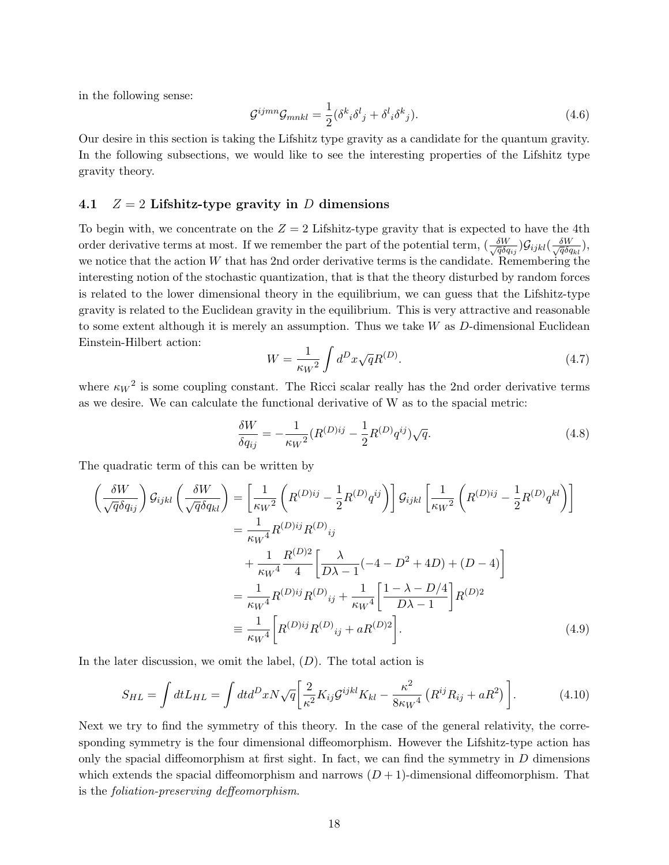in the following sense:

$$
\mathcal{G}^{ijmn}\mathcal{G}_{mnkl} = \frac{1}{2} (\delta^k_i \delta^l_j + \delta^l_i \delta^k_j). \tag{4.6}
$$

Our desire in this section is taking the Lifshitz type gravity as a candidate for the quantum gravity. In the following subsections, we would like to see the interesting properties of the Lifshitz type gravity theory.

#### 4.1  $Z = 2$  Lifshitz-type gravity in D dimensions

To begin with, we concentrate on the  $Z = 2$  Lifshitz-type gravity that is expected to have the 4th order derivative terms at most. If we remember the part of the potential term,  $\left(\frac{\delta W}{\sqrt{6}}\right)$  $\frac{\delta W}{\delta q_{ij}}) \mathcal{G}_{ijkl}(\frac{\delta W}{\sqrt{q}\delta q}$  $\frac{\delta W}{\overline{q}\delta q_{kl}}),$ we notice that the action  $W$  that has 2nd order derivative terms is the candidate. Remembering the interesting notion of the stochastic quantization, that is that the theory disturbed by random forces is related to the lower dimensional theory in the equilibrium, we can guess that the Lifshitz-type gravity is related to the Euclidean gravity in the equilibrium. This is very attractive and reasonable to some extent although it is merely an assumption. Thus we take  $W$  as  $D$ -dimensional Euclidean Einstein-Hilbert action:

$$
W = \frac{1}{\kappa_W^2} \int d^D x \sqrt{q} R^{(D)}.\tag{4.7}
$$

where  $\kappa_W^2$  is some coupling constant. The Ricci scalar really has the 2nd order derivative terms as we desire. We can calculate the functional derivative of W as to the spacial metric:

$$
\frac{\delta W}{\delta q_{ij}} = -\frac{1}{\kappa_W^2} (R^{(D)ij} - \frac{1}{2} R^{(D)} q^{ij}) \sqrt{q}.
$$
\n(4.8)

The quadratic term of this can be written by

$$
\begin{split}\n\left(\frac{\delta W}{\sqrt{q}\delta q_{ij}}\right) \mathcal{G}_{ijkl}\left(\frac{\delta W}{\sqrt{q}\delta q_{kl}}\right) &= \left[\frac{1}{\kappa_W^2} \left(R^{(D)ij} - \frac{1}{2}R^{(D)}q^{ij}\right)\right] \mathcal{G}_{ijkl}\left[\frac{1}{\kappa_W^2} \left(R^{(D)ij} - \frac{1}{2}R^{(D)}q^{kl}\right)\right] \\
&= \frac{1}{\kappa_W^4} R^{(D)ij} R^{(D)}_{ij} \\
&+ \frac{1}{\kappa_W^4} \frac{R^{(D)2}}{4} \left[\frac{\lambda}{D\lambda - 1}(-4 - D^2 + 4D) + (D - 4)\right] \\
&= \frac{1}{\kappa_W^4} R^{(D)ij} R^{(D)}_{ij} + \frac{1}{\kappa_W^4} \left[\frac{1 - \lambda - D/4}{D\lambda - 1}\right] R^{(D)2} \\
&\equiv \frac{1}{\kappa_W^4} \left[R^{(D)ij} R^{(D)}_{ij} + aR^{(D)2}\right].\n\end{split} \tag{4.9}
$$

In the later discussion, we omit the label,  $(D)$ . The total action is

$$
S_{HL} = \int dt L_{HL} = \int dt d^D x N \sqrt{q} \left[ \frac{2}{\kappa^2} K_{ij} \mathcal{G}^{ijkl} K_{kl} - \frac{\kappa^2}{8\kappa_W^4} \left( R^{ij} R_{ij} + a R^2 \right) \right]. \tag{4.10}
$$

Next we try to find the symmetry of this theory. In the case of the general relativity, the corresponding symmetry is the four dimensional diffeomorphism. However the Lifshitz-type action has only the spacial diffeomorphism at first sight. In fact, we can find the symmetry in  $D$  dimensions which extends the spacial diffeomorphism and narrows  $(D+1)$ -dimensional diffeomorphism. That is the foliation-preserving deffeomorphism.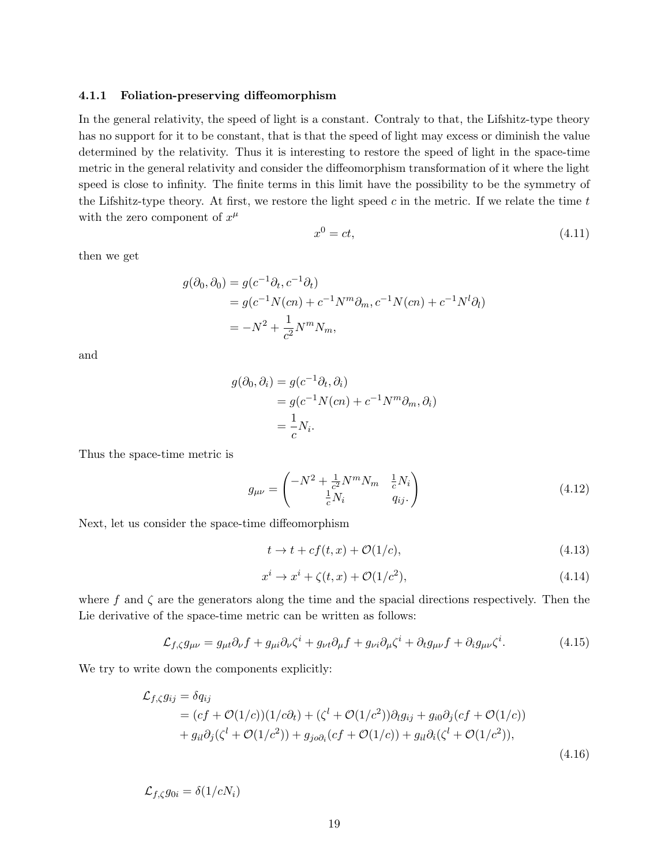#### 4.1.1 Foliation-preserving diffeomorphism

In the general relativity, the speed of light is a constant. Contraly to that, the Lifshitz-type theory has no support for it to be constant, that is that the speed of light may excess or diminish the value determined by the relativity. Thus it is interesting to restore the speed of light in the space-time metric in the general relativity and consider the diffeomorphism transformation of it where the light speed is close to infinity. The finite terms in this limit have the possibility to be the symmetry of the Lifshitz-type theory. At first, we restore the light speed  $c$  in the metric. If we relate the time  $t$ with the zero component of  $x^{\mu}$ 

$$
x^0 = ct,\tag{4.11}
$$

then we get

$$
g(\partial_0, \partial_0) = g(c^{-1}\partial_t, c^{-1}\partial_t)
$$
  
=  $g(c^{-1}N(cn) + c^{-1}N^m\partial_m, c^{-1}N(cn) + c^{-1}N^l\partial_l)$   
=  $-N^2 + \frac{1}{c^2}N^mN_m$ ,

and

$$
g(\partial_0, \partial_i) = g(c^{-1}\partial_t, \partial_i)
$$
  
=  $g(c^{-1}N(cn) + c^{-1}N^m\partial_m, \partial_i)$   
=  $\frac{1}{c}N_i$ .

Thus the space-time metric is

$$
g_{\mu\nu} = \begin{pmatrix} -N^2 + \frac{1}{c^2} N^m N_m & \frac{1}{c} N_i \\ \frac{1}{c} N_i & q_{ij} . \end{pmatrix}
$$
 (4.12)

Next, let us consider the space-time diffeomorphism

$$
t \to t + cf(t, x) + \mathcal{O}(1/c), \tag{4.13}
$$

$$
x^i \to x^i + \zeta(t, x) + \mathcal{O}(1/c^2),\tag{4.14}
$$

where f and  $\zeta$  are the generators along the time and the spacial directions respectively. Then the Lie derivative of the space-time metric can be written as follows:

$$
\mathcal{L}_{f,\zeta}g_{\mu\nu} = g_{\mu t}\partial_{\nu}f + g_{\mu i}\partial_{\nu}\zeta^{i} + g_{\nu t}\partial_{\mu}f + g_{\nu i}\partial_{\mu}\zeta^{i} + \partial_{t}g_{\mu\nu}f + \partial_{i}g_{\mu\nu}\zeta^{i}.
$$
\n(4.15)

We try to write down the components explicitly:

$$
\mathcal{L}_{f,\zeta}g_{ij} = \delta q_{ij}
$$
  
=  $(cf + \mathcal{O}(1/c))(1/c\partial_t) + (\zeta^l + \mathcal{O}(1/c^2))\partial_l g_{ij} + g_{i0}\partial_j(cf + \mathcal{O}(1/c))$   
+  $g_{il}\partial_j(\zeta^l + \mathcal{O}(1/c^2)) + g_{j0}\partial_i(cf + \mathcal{O}(1/c)) + g_{il}\partial_i(\zeta^l + \mathcal{O}(1/c^2)),$ \n
$$
(4.16)
$$

 $\mathcal{L}_{f,\zeta}g_{0i} = \delta(1/cN_i)$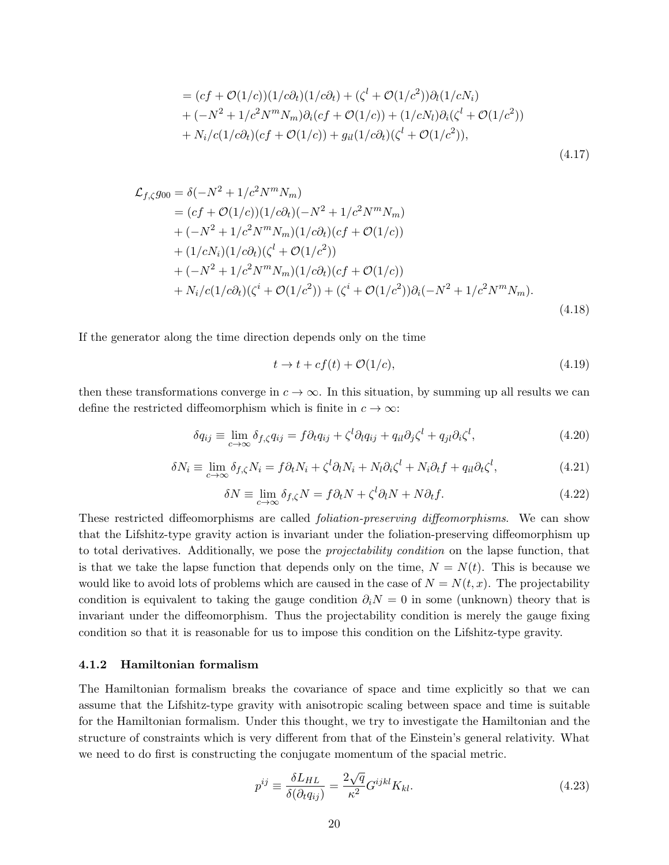$$
= (cf + \mathcal{O}(1/c))(1/c\partial_t)(1/c\partial_t) + (\zeta^l + \mathcal{O}(1/c^2))\partial_l(1/cN_i) + (-N^2 + 1/c^2 N^m N_m)\partial_i(cf + \mathcal{O}(1/c)) + (1/cN_l)\partial_i(\zeta^l + \mathcal{O}(1/c^2)) + N_i/c(1/c\partial_t)(cf + \mathcal{O}(1/c)) + g_{il}(1/c\partial_t)(\zeta^l + \mathcal{O}(1/c^2)),
$$
\n(4.17)

$$
\mathcal{L}_{f,\zeta}g_{00} = \delta(-N^2 + 1/c^2 N^m N_m)
$$
  
=  $(cf + \mathcal{O}(1/c))(1/c\partial_t)(-N^2 + 1/c^2 N^m N_m)$   
+  $(-N^2 + 1/c^2 N^m N_m)(1/c\partial_t)(cf + \mathcal{O}(1/c))$   
+  $(1/cN_i)(1/c\partial_t)(\zeta^l + \mathcal{O}(1/c^2))$   
+  $(-N^2 + 1/c^2 N^m N_m)(1/c\partial_t)(cf + \mathcal{O}(1/c))$   
+  $N_i/c(1/c\partial_t)(\zeta^i + \mathcal{O}(1/c^2)) + (\zeta^i + \mathcal{O}(1/c^2))\partial_i(-N^2 + 1/c^2 N^m N_m).$  (4.18)

If the generator along the time direction depends only on the time

$$
t \to t + cf(t) + \mathcal{O}(1/c), \tag{4.19}
$$

then these transformations converge in  $c \to \infty$ . In this situation, by summing up all results we can define the restricted diffeomorphism which is finite in  $c \to \infty$ :

$$
\delta q_{ij} \equiv \lim_{c \to \infty} \delta_{f,\zeta} q_{ij} = f \partial_t q_{ij} + \zeta^l \partial_l q_{ij} + q_{il} \partial_j \zeta^l + q_{jl} \partial_i \zeta^l, \tag{4.20}
$$

$$
\delta N_i \equiv \lim_{c \to \infty} \delta_{f,\zeta} N_i = f \partial_t N_i + \zeta^l \partial_l N_i + N_l \partial_i \zeta^l + N_i \partial_t f + q_{il} \partial_t \zeta^l, \tag{4.21}
$$

$$
\delta N \equiv \lim_{c \to \infty} \delta_{f,\zeta} N = f \partial_t N + \zeta^l \partial_l N + N \partial_t f. \tag{4.22}
$$

These restricted diffeomorphisms are called foliation-preserving diffeomorphisms. We can show that the Lifshitz-type gravity action is invariant under the foliation-preserving diffeomorphism up to total derivatives. Additionally, we pose the projectability condition on the lapse function, that is that we take the lapse function that depends only on the time,  $N = N(t)$ . This is because we would like to avoid lots of problems which are caused in the case of  $N = N(t, x)$ . The projectability condition is equivalent to taking the gauge condition  $\partial_i N = 0$  in some (unknown) theory that is invariant under the diffeomorphism. Thus the projectability condition is merely the gauge fixing condition so that it is reasonable for us to impose this condition on the Lifshitz-type gravity.

#### 4.1.2 Hamiltonian formalism

The Hamiltonian formalism breaks the covariance of space and time explicitly so that we can assume that the Lifshitz-type gravity with anisotropic scaling between space and time is suitable for the Hamiltonian formalism. Under this thought, we try to investigate the Hamiltonian and the structure of constraints which is very different from that of the Einstein's general relativity. What we need to do first is constructing the conjugate momentum of the spacial metric.

$$
p^{ij} \equiv \frac{\delta L_{HL}}{\delta(\partial_t q_{ij})} = \frac{2\sqrt{q}}{\kappa^2} G^{ijkl} K_{kl}.
$$
\n(4.23)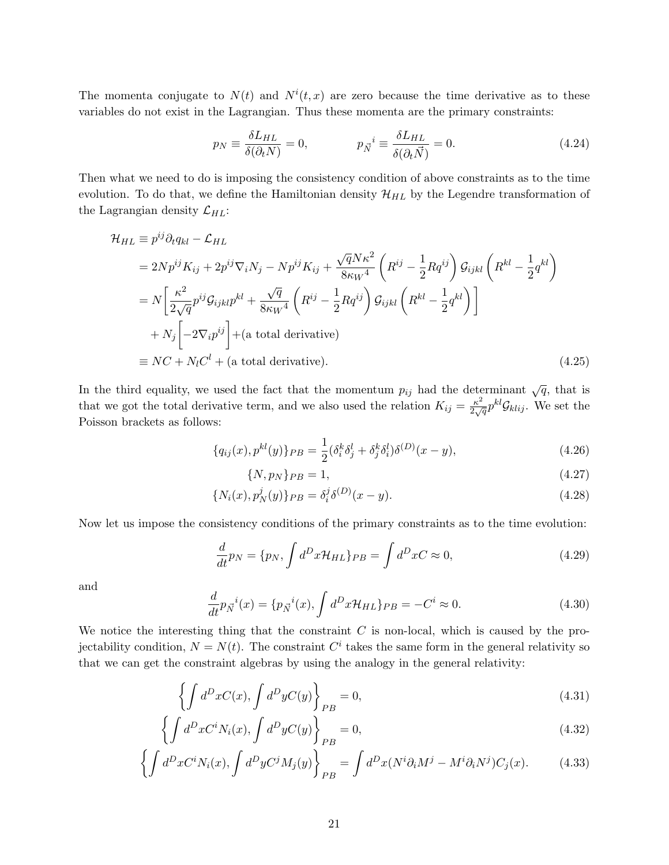The momenta conjugate to  $N(t)$  and  $N^{i}(t, x)$  are zero because the time derivative as to these variables do not exist in the Lagrangian. Thus these momenta are the primary constraints:

$$
p_N \equiv \frac{\delta L_{HL}}{\delta(\partial_t N)} = 0, \qquad p_{\vec{N}}^i \equiv \frac{\delta L_{HL}}{\delta(\partial_t \vec{N})} = 0. \tag{4.24}
$$

Then what we need to do is imposing the consistency condition of above constraints as to the time evolution. To do that, we define the Hamiltonian density  $\mathcal{H}_{HL}$  by the Legendre transformation of the Lagrangian density  $\mathcal{L}_{HL}$ :

$$
\mathcal{H}_{HL} \equiv p^{ij} \partial_t q_{kl} - \mathcal{L}_{HL}
$$
\n
$$
= 2N p^{ij} K_{ij} + 2p^{ij} \nabla_i N_j - N p^{ij} K_{ij} + \frac{\sqrt{q} N \kappa^2}{8 \kappa_W^4} \left( R^{ij} - \frac{1}{2} R q^{ij} \right) \mathcal{G}_{ijkl} \left( R^{kl} - \frac{1}{2} q^{kl} \right)
$$
\n
$$
= N \left[ \frac{\kappa^2}{2 \sqrt{q}} p^{ij} \mathcal{G}_{ijkl} p^{kl} + \frac{\sqrt{q}}{8 \kappa_W^4} \left( R^{ij} - \frac{1}{2} R q^{ij} \right) \mathcal{G}_{ijkl} \left( R^{kl} - \frac{1}{2} q^{kl} \right) \right]
$$
\n
$$
+ N_j \left[ -2 \nabla_i p^{ij} \right] + (\text{a total derivative})
$$
\n
$$
\equiv N C + N_l C^l + (\text{a total derivative}). \tag{4.25}
$$

In the third equality, we used the fact that the momentum  $p_{ij}$  had the determinant  $\sqrt{q}$ , that is that we got the total derivative term, and we also used the relation  $K_{ij} = \frac{\kappa^2}{2\sqrt{3}}$  $\frac{\kappa^2}{2\sqrt{q}}p^{kl}\mathcal{G}_{klij}$ . We set the Poisson brackets as follows:

$$
\{q_{ij}(x), p^{kl}(y)\}_{PB} = \frac{1}{2} (\delta_i^k \delta_j^l + \delta_j^k \delta_i^l) \delta^{(D)}(x - y),
$$
\n(4.26)

$$
\{N, p_N\}_{PB} = 1,\tag{4.27}
$$

$$
\{N_i(x), p_N^j(y)\}_{PB} = \delta_i^j \delta^{(D)}(x - y). \tag{4.28}
$$

Now let us impose the consistency conditions of the primary constraints as to the time evolution:

$$
\frac{d}{dt}p_N = \{p_N, \int d^Dx \mathcal{H}_{HL}\}_{PB} = \int d^Dx C \approx 0,\tag{4.29}
$$

and

$$
\frac{d}{dt}p_{\vec{N}}{}^{i}(x) = \{p_{\vec{N}}{}^{i}(x), \int d^{D}x \mathcal{H}_{HL}\}_{PB} = -C^{i} \approx 0.
$$
\n(4.30)

We notice the interesting thing that the constraint  $C$  is non-local, which is caused by the projectability condition,  $N = N(t)$ . The constraint  $C<sup>i</sup>$  takes the same form in the general relativity so that we can get the constraint algebras by using the analogy in the general relativity:

$$
\left\{ \int d^D x C(x), \int d^D y C(y) \right\}_{PB} = 0,
$$
\n(4.31)

$$
\left\{ \int d^D x C^i N_i(x), \int d^D y C(y) \right\}_{PB} = 0,
$$
\n(4.32)

$$
\left\{\int d^D x C^i N_i(x), \int d^D y C^j M_j(y)\right\}_{PB} = \int d^D x (N^i \partial_i M^j - M^i \partial_i N^j) C_j(x). \tag{4.33}
$$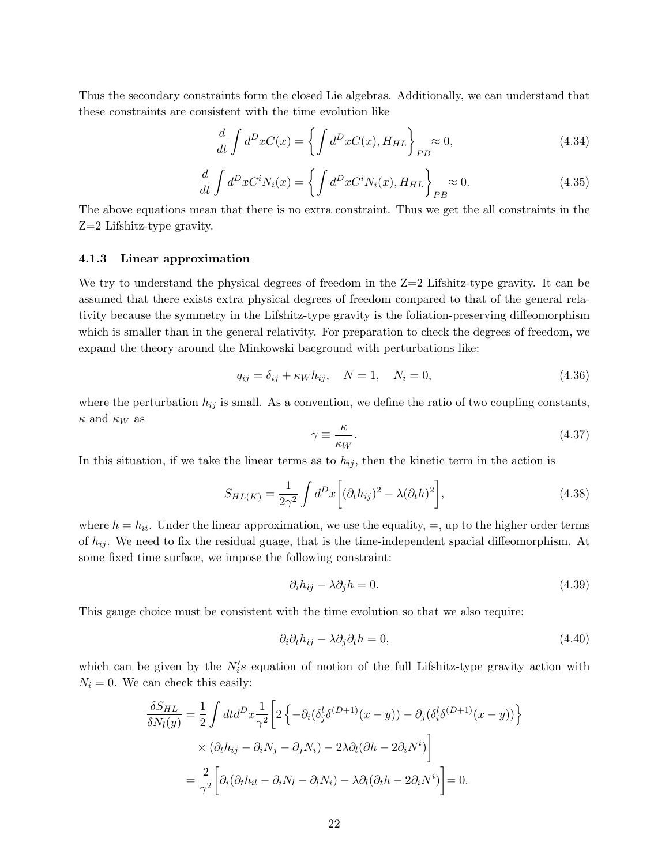Thus the secondary constraints form the closed Lie algebras. Additionally, we can understand that these constraints are consistent with the time evolution like

$$
\frac{d}{dt} \int d^D x C(x) = \left\{ \int d^D x C(x), H_{HL} \right\}_{PB} \approx 0,
$$
\n(4.34)

$$
\frac{d}{dt} \int d^D x C^i N_i(x) = \left\{ \int d^D x C^i N_i(x), H_{HL} \right\}_{PB} \approx 0.
$$
\n(4.35)

The above equations mean that there is no extra constraint. Thus we get the all constraints in the Z=2 Lifshitz-type gravity.

#### 4.1.3 Linear approximation

We try to understand the physical degrees of freedom in the  $Z=2$  Lifshitz-type gravity. It can be assumed that there exists extra physical degrees of freedom compared to that of the general relativity because the symmetry in the Lifshitz-type gravity is the foliation-preserving diffeomorphism which is smaller than in the general relativity. For preparation to check the degrees of freedom, we expand the theory around the Minkowski bacground with perturbations like:

$$
q_{ij} = \delta_{ij} + \kappa_W h_{ij}, \quad N = 1, \quad N_i = 0,
$$
\n
$$
(4.36)
$$

where the perturbation  $h_{ij}$  is small. As a convention, we define the ratio of two coupling constants,  $\kappa$  and  $\kappa_W$  as

$$
\gamma \equiv \frac{\kappa}{\kappa_W}.\tag{4.37}
$$

In this situation, if we take the linear terms as to  $h_{ij}$ , then the kinetic term in the action is

$$
S_{HL(K)} = \frac{1}{2\gamma^2} \int d^D x \left[ (\partial_t h_{ij})^2 - \lambda (\partial_t h)^2 \right],\tag{4.38}
$$

where  $h = h_{ii}$ . Under the linear approximation, we use the equality,  $=$ , up to the higher order terms of  $h_{ij}$ . We need to fix the residual guage, that is the time-independent spacial diffeomorphism. At some fixed time surface, we impose the following constraint:

$$
\partial_i h_{ij} - \lambda \partial_j h = 0. \tag{4.39}
$$

This gauge choice must be consistent with the time evolution so that we also require:

$$
\partial_i \partial_t h_{ij} - \lambda \partial_j \partial_t h = 0,\tag{4.40}
$$

which can be given by the  $N_i$ 's equation of motion of the full Lifshitz-type gravity action with  $N_i = 0$ . We can check this easily:

$$
\frac{\delta S_{HL}}{\delta N_l(y)} = \frac{1}{2} \int dt d^D x \frac{1}{\gamma^2} \left[ 2 \left\{ -\partial_i (\delta_j^l \delta^{(D+1)}(x-y)) - \partial_j (\delta_i^l \delta^{(D+1)}(x-y)) \right\} \right]
$$

$$
\times (\partial_t h_{ij} - \partial_i N_j - \partial_j N_i) - 2\lambda \partial_l (\partial h - 2\partial_i N^i) \right]
$$

$$
= \frac{2}{\gamma^2} \left[ \partial_i (\partial_t h_{il} - \partial_i N_l - \partial_l N_i) - \lambda \partial_l (\partial_t h - 2\partial_i N^i) \right] = 0.
$$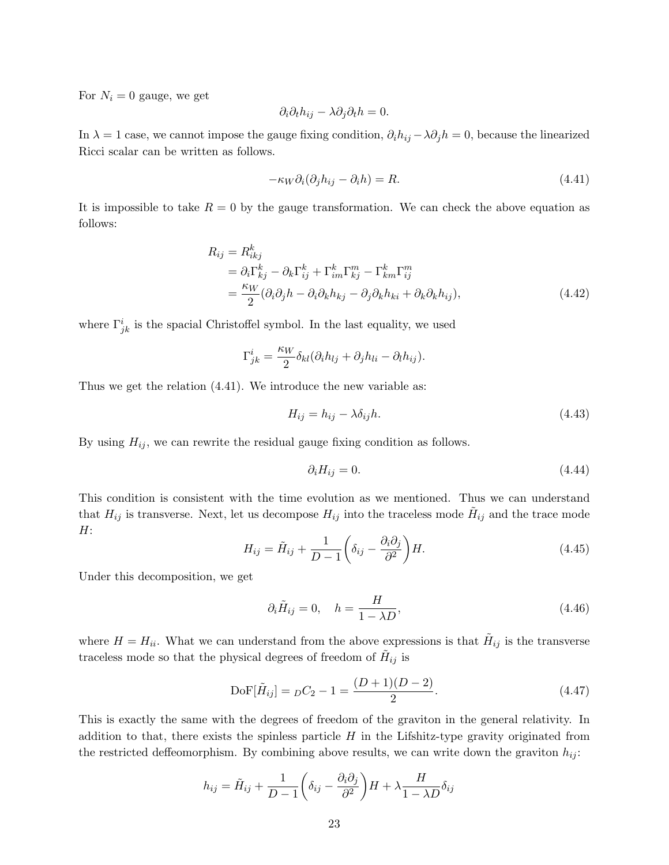For  $N_i = 0$  gauge, we get

$$
\partial_i \partial_t h_{ij} - \lambda \partial_j \partial_t h = 0.
$$

In  $\lambda = 1$  case, we cannot impose the gauge fixing condition,  $\partial_i h_{ij} - \lambda \partial_j h = 0$ , because the linearized Ricci scalar can be written as follows.

$$
-\kappa_W \partial_i(\partial_j h_{ij} - \partial_i h) = R. \tag{4.41}
$$

It is impossible to take  $R = 0$  by the gauge transformation. We can check the above equation as follows:

$$
R_{ij} = R_{ikj}^k
$$
  
=  $\partial_i \Gamma_{kj}^k - \partial_k \Gamma_{ij}^k + \Gamma_{im}^k \Gamma_{kj}^m - \Gamma_{km}^k \Gamma_{ij}^m$   
=  $\frac{\kappa_W}{2} (\partial_i \partial_j h - \partial_i \partial_k h_{kj} - \partial_j \partial_k h_{ki} + \partial_k \partial_k h_{ij}),$  (4.42)

where  $\Gamma^i_{jk}$  is the spacial Christoffel symbol. In the last equality, we used

$$
\Gamma^i_{jk} = \frac{\kappa_W}{2} \delta_{kl} (\partial_i h_{lj} + \partial_j h_{li} - \partial_l h_{ij}).
$$

Thus we get the relation (4.41). We introduce the new variable as:

$$
H_{ij} = h_{ij} - \lambda \delta_{ij} h. \tag{4.43}
$$

By using  $H_{ij}$ , we can rewrite the residual gauge fixing condition as follows.

$$
\partial_i H_{ij} = 0. \tag{4.44}
$$

This condition is consistent with the time evolution as we mentioned. Thus we can understand that  $H_{ij}$  is transverse. Next, let us decompose  $H_{ij}$  into the traceless mode  $\tilde{H}_{ij}$  and the trace mode  $H$ :

$$
H_{ij} = \tilde{H}_{ij} + \frac{1}{D-1} \left( \delta_{ij} - \frac{\partial_i \partial_j}{\partial^2} \right) H.
$$
\n(4.45)

Under this decomposition, we get

$$
\partial_i \tilde{H}_{ij} = 0, \quad h = \frac{H}{1 - \lambda D},\tag{4.46}
$$

where  $H = H_{ii}$ . What we can understand from the above expressions is that  $H_{ij}$  is the transverse traceless mode so that the physical degrees of freedom of  $H_{ij}$  is

$$
DoF[\tilde{H}_{ij}] = {}_{D}C_2 - 1 = \frac{(D+1)(D-2)}{2}.
$$
\n(4.47)

This is exactly the same with the degrees of freedom of the graviton in the general relativity. In addition to that, there exists the spinless particle  $H$  in the Lifshitz-type gravity originated from the restricted deffeomorphism. By combining above results, we can write down the graviton  $h_{ij}$ :

$$
h_{ij} = \tilde{H}_{ij} + \frac{1}{D-1} \left( \delta_{ij} - \frac{\partial_i \partial_j}{\partial^2} \right) H + \lambda \frac{H}{1 - \lambda D} \delta_{ij}
$$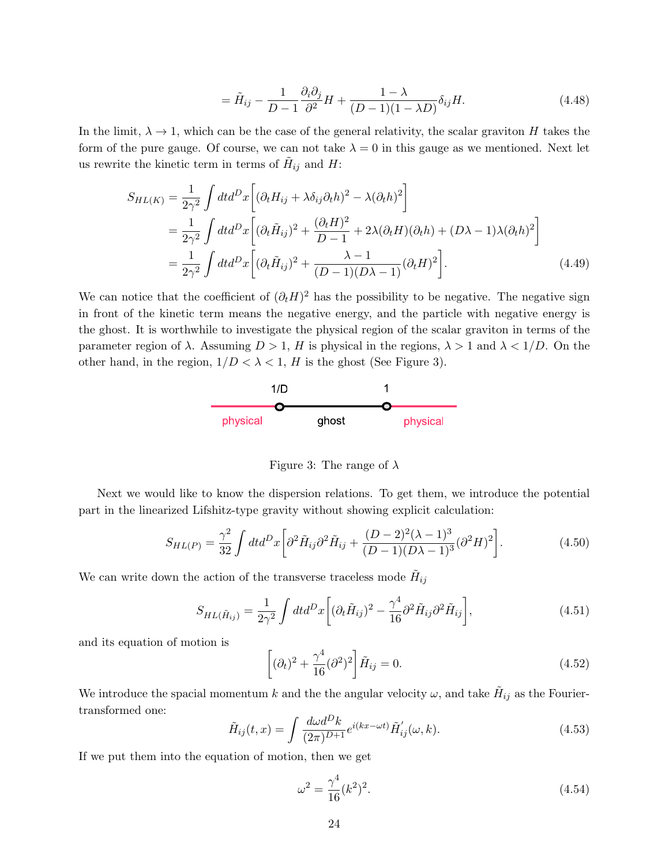$$
= \tilde{H}_{ij} - \frac{1}{D-1} \frac{\partial_i \partial_j}{\partial^2} H + \frac{1-\lambda}{(D-1)(1-\lambda D)} \delta_{ij} H.
$$
\n(4.48)

In the limit,  $\lambda \to 1$ , which can be the case of the general relativity, the scalar graviton H takes the form of the pure gauge. Of course, we can not take  $\lambda = 0$  in this gauge as we mentioned. Next let us rewrite the kinetic term in terms of  $\tilde{H}_{ij}$  and H:

$$
S_{HL(K)} = \frac{1}{2\gamma^2} \int dt d^D x \left[ (\partial_t H_{ij} + \lambda \delta_{ij} \partial_t h)^2 - \lambda (\partial_t h)^2 \right]
$$
  
= 
$$
\frac{1}{2\gamma^2} \int dt d^D x \left[ (\partial_t \tilde{H}_{ij})^2 + \frac{(\partial_t H)^2}{D - 1} + 2\lambda (\partial_t H)(\partial_t h) + (D\lambda - 1)\lambda (\partial_t h)^2 \right]
$$
  
= 
$$
\frac{1}{2\gamma^2} \int dt d^D x \left[ (\partial_t \tilde{H}_{ij})^2 + \frac{\lambda - 1}{(D - 1)(D\lambda - 1)} (\partial_t H)^2 \right].
$$
 (4.49)

We can notice that the coefficient of  $(\partial_t H)^2$  has the possibility to be negative. The negative sign in front of the kinetic term means the negative energy, and the particle with negative energy is the ghost. It is worthwhile to investigate the physical region of the scalar graviton in terms of the parameter region of  $\lambda$ . Assuming  $D > 1$ , H is physical in the regions,  $\lambda > 1$  and  $\lambda < 1/D$ . On the other hand, in the region,  $1/D < \lambda < 1$ , H is the ghost (See Figure 3).



Figure 3: The range of  $\lambda$ 

Next we would like to know the dispersion relations. To get them, we introduce the potential part in the linearized Lifshitz-type gravity without showing explicit calculation:

$$
S_{HL(P)} = \frac{\gamma^2}{32} \int dt d^D x \left[ \partial^2 \tilde{H}_{ij} \partial^2 \tilde{H}_{ij} + \frac{(D-2)^2 (\lambda - 1)^3}{(D-1)(D\lambda - 1)^3} (\partial^2 H)^2 \right].
$$
 (4.50)

We can write down the action of the transverse traceless mode  $\tilde{H}_{ij}$ 

$$
S_{HL(\tilde{H}_{ij})} = \frac{1}{2\gamma^2} \int dt d^D x \left[ (\partial_t \tilde{H}_{ij})^2 - \frac{\gamma^4}{16} \partial^2 \tilde{H}_{ij} \partial^2 \tilde{H}_{ij} \right],\tag{4.51}
$$

and its equation of motion is

$$
\left[ (\partial_t)^2 + \frac{\gamma^4}{16} (\partial^2)^2 \right] \tilde{H}_{ij} = 0. \tag{4.52}
$$

We introduce the spacial momentum k and the the angular velocity  $\omega$ , and take  $\tilde{H}_{ij}$  as the Fouriertransformed one:

$$
\tilde{H}_{ij}(t,x) = \int \frac{d\omega d^D k}{(2\pi)^{D+1}} e^{i(kx - \omega t)} \tilde{H}'_{ij}(\omega, k). \tag{4.53}
$$

If we put them into the equation of motion, then we get

$$
\omega^2 = \frac{\gamma^4}{16} (k^2)^2. \tag{4.54}
$$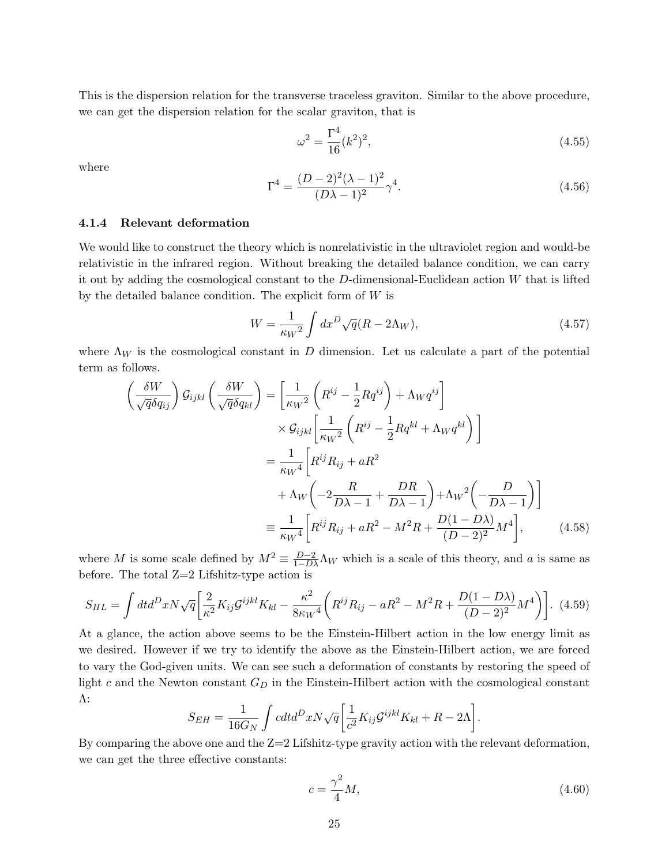This is the dispersion relation for the transverse traceless graviton. Similar to the above procedure, we can get the dispersion relation for the scalar graviton, that is

$$
\omega^2 = \frac{\Gamma^4}{16} (k^2)^2, \tag{4.55}
$$

where

$$
\Gamma^{4} = \frac{(D-2)^{2}(\lambda - 1)^{2}}{(D\lambda - 1)^{2}} \gamma^{4}.
$$
\n(4.56)

#### 4.1.4 Relevant deformation

We would like to construct the theory which is nonrelativistic in the ultraviolet region and would-be relativistic in the infrared region. Without breaking the detailed balance condition, we can carry it out by adding the cosmological constant to the  $D$ -dimensional-Euclidean action W that is lifted by the detailed balance condition. The explicit form of  $W$  is

$$
W = \frac{1}{\kappa_W^2} \int dx^D \sqrt{q} (R - 2\Lambda_W), \qquad (4.57)
$$

where  $\Lambda_W$  is the cosmological constant in D dimension. Let us calculate a part of the potential term as follows.

$$
\left(\frac{\delta W}{\sqrt{q}\delta q_{ij}}\right) \mathcal{G}_{ijkl} \left(\frac{\delta W}{\sqrt{q}\delta q_{kl}}\right) = \left[\frac{1}{\kappa_W^2} \left(R^{ij} - \frac{1}{2} Rq^{ij}\right) + \Lambda_W q^{ij}\right] \times \mathcal{G}_{ijkl} \left[\frac{1}{\kappa_W^2} \left(R^{ij} - \frac{1}{2} Rq^{kl} + \Lambda_W q^{kl}\right)\right] \n= \frac{1}{\kappa_W^4} \left[R^{ij} R_{ij} + aR^2 + \Lambda_W \left(-2\frac{R}{D\lambda - 1} + \frac{DR}{D\lambda - 1}\right) + \Lambda_W^2 \left(-\frac{D}{D\lambda - 1}\right)\right] \n= \frac{1}{\kappa_W^4} \left[R^{ij} R_{ij} + aR^2 - M^2 R + \frac{D(1 - D\lambda)}{(D - 2)^2} M^4\right],
$$
\n(4.58)

where M is some scale defined by  $M^2 \equiv \frac{D-2}{1-D\lambda}\Lambda_W$  which is a scale of this theory, and a is same as before. The total  $Z=2$  Lifshitz-type action is

$$
S_{HL} = \int dt d^D x N \sqrt{q} \left[ \frac{2}{\kappa^2} K_{ij} \mathcal{G}^{ijkl} K_{kl} - \frac{\kappa^2}{8\kappa_W^4} \left( R^{ij} R_{ij} - a R^2 - M^2 R + \frac{D(1 - D\lambda)}{(D - 2)^2} M^4 \right) \right]. \tag{4.59}
$$

At a glance, the action above seems to be the Einstein-Hilbert action in the low energy limit as we desired. However if we try to identify the above as the Einstein-Hilbert action, we are forced to vary the God-given units. We can see such a deformation of constants by restoring the speed of light c and the Newton constant  $G_D$  in the Einstein-Hilbert action with the cosmological constant Λ:

$$
S_{EH} = \frac{1}{16G_N} \int cdt d^D x N \sqrt{q} \left[ \frac{1}{c^2} K_{ij} \mathcal{G}^{ijkl} K_{kl} + R - 2\Lambda \right]
$$

By comparing the above one and the  $Z=2$  Lifshitz-type gravity action with the relevant deformation, we can get the three effective constants:

$$
c = \frac{\gamma^2}{4}M,\tag{4.60}
$$

.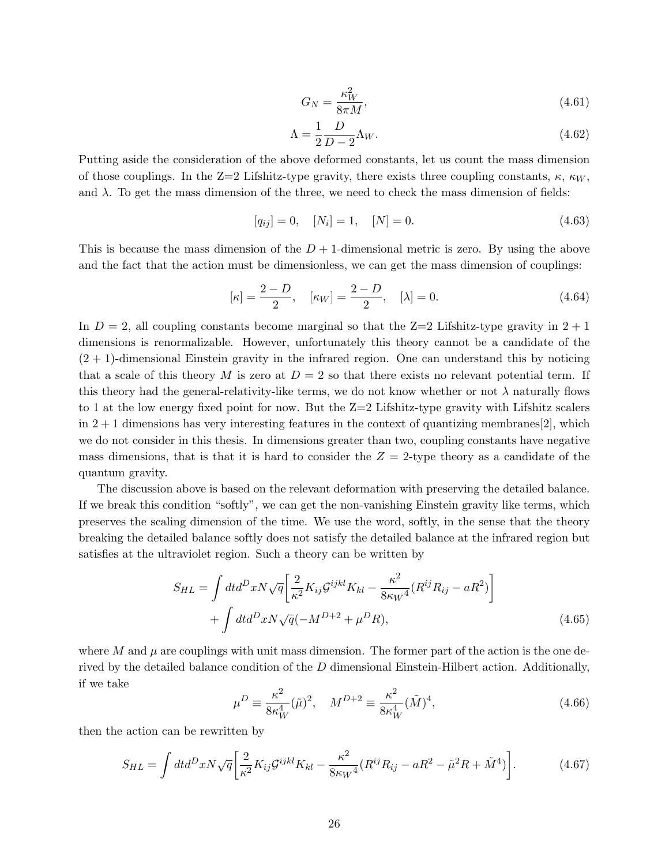$$
G_N = \frac{\kappa_W^2}{8\pi M},\tag{4.61}
$$

$$
\Lambda = \frac{1}{2} \frac{D}{D - 2} \Lambda_W. \tag{4.62}
$$

Putting aside the consideration of the above deformed constants, let us count the mass dimension of those couplings. In the Z=2 Lifshitz-type gravity, there exists three coupling constants,  $\kappa$ ,  $\kappa_W$ , and  $\lambda$ . To get the mass dimension of the three, we need to check the mass dimension of fields:

$$
[q_{ij}] = 0, \quad [N_i] = 1, \quad [N] = 0.
$$
\n
$$
(4.63)
$$

This is because the mass dimension of the  $D+1$ -dimensional metric is zero. By using the above and the fact that the action must be dimensionless, we can get the mass dimension of couplings:

$$
[\kappa] = \frac{2 - D}{2}, \quad [\kappa_W] = \frac{2 - D}{2}, \quad [\lambda] = 0.
$$
 (4.64)

In  $D = 2$ , all coupling constants become marginal so that the  $Z=2$  Lifshitz-type gravity in  $2+1$ dimensions is renormalizable. However, unfortunately this theory cannot be a candidate of the  $(2 + 1)$ -dimensional Einstein gravity in the infrared region. One can understand this by noticing that a scale of this theory M is zero at  $D = 2$  so that there exists no relevant potential term. If this theory had the general-relativity-like terms, we do not know whether or not  $\lambda$  naturally flows to 1 at the low energy fixed point for now. But the  $Z=2$  Lifshitz-type gravity with Lifshitz scalers in  $2 + 1$  dimensions has very interesting features in the context of quantizing membranes[2], which we do not consider in this thesis. In dimensions greater than two, coupling constants have negative mass dimensions, that is that it is hard to consider the  $Z = 2$ -type theory as a candidate of the quantum gravity.

The discussion above is based on the relevant deformation with preserving the detailed balance. If we break this condition "softly", we can get the non-vanishing Einstein gravity like terms, which preserves the scaling dimension of the time. We use the word, softly, in the sense that the theory breaking the detailed balance softly does not satisfy the detailed balance at the infrared region but satisfies at the ultraviolet region. Such a theory can be written by

$$
S_{HL} = \int dt d^D x N \sqrt{q} \left[ \frac{2}{\kappa^2} K_{ij} \mathcal{G}^{ijkl} K_{kl} - \frac{\kappa^2}{8\kappa_W^4} (R^{ij} R_{ij} - aR^2) \right] + \int dt d^D x N \sqrt{q} (-M^{D+2} + \mu^D R), \tag{4.65}
$$

where M and  $\mu$  are couplings with unit mass dimension. The former part of the action is the one derived by the detailed balance condition of the D dimensional Einstein-Hilbert action. Additionally, if we take

$$
\mu^D \equiv \frac{\kappa^2}{8\kappa_W^4} (\tilde{\mu})^2, \quad M^{D+2} \equiv \frac{\kappa^2}{8\kappa_W^4} (\tilde{M})^4,\tag{4.66}
$$

then the action can be rewritten by

$$
S_{HL} = \int dt d^D x N \sqrt{q} \left[ \frac{2}{\kappa^2} K_{ij} \mathcal{G}^{ijkl} K_{kl} - \frac{\kappa^2}{8\kappa_W^4} (R^{ij} R_{ij} - aR^2 - \tilde{\mu}^2 R + \tilde{M}^4) \right]. \tag{4.67}
$$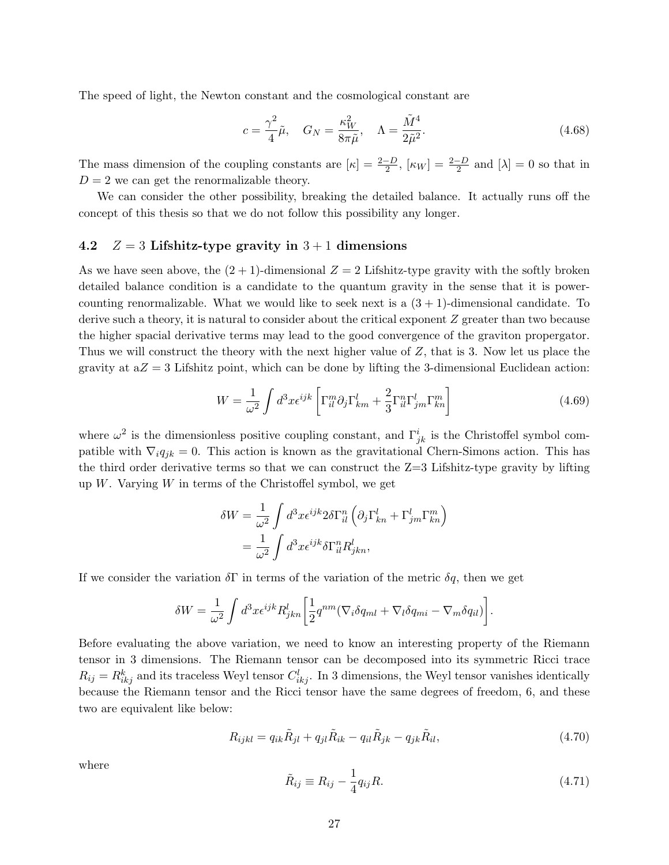The speed of light, the Newton constant and the cosmological constant are

$$
c = \frac{\gamma^2}{4}\tilde{\mu}, \quad G_N = \frac{\kappa_W^2}{8\pi\tilde{\mu}}, \quad \Lambda = \frac{\tilde{M}^4}{2\tilde{\mu}^2}.
$$
\n(4.68)

The mass dimension of the coupling constants are  $[\kappa] = \frac{2-D}{2}$ ,  $[\kappa_W] = \frac{2-D}{2}$  and  $[\lambda] = 0$  so that in  $D = 2$  we can get the renormalizable theory.

We can consider the other possibility, breaking the detailed balance. It actually runs off the concept of this thesis so that we do not follow this possibility any longer.

#### 4.2  $Z = 3$  Lifshitz-type gravity in  $3 + 1$  dimensions

As we have seen above, the  $(2 + 1)$ -dimensional  $Z = 2$  Lifshitz-type gravity with the softly broken detailed balance condition is a candidate to the quantum gravity in the sense that it is powercounting renormalizable. What we would like to seek next is a  $(3 + 1)$ -dimensional candidate. To derive such a theory, it is natural to consider about the critical exponent Z greater than two because the higher spacial derivative terms may lead to the good convergence of the graviton propergator. Thus we will construct the theory with the next higher value of Z, that is 3. Now let us place the gravity at  $aZ = 3$  Lifshitz point, which can be done by lifting the 3-dimensional Euclidean action:

$$
W = \frac{1}{\omega^2} \int d^3x \epsilon^{ijk} \left[ \Gamma_{il}^m \partial_j \Gamma_{km}^l + \frac{2}{3} \Gamma_{il}^n \Gamma_{jm}^l \Gamma_{kn}^m \right] \tag{4.69}
$$

where  $\omega^2$  is the dimensionless positive coupling constant, and  $\Gamma^i_{jk}$  is the Christoffel symbol compatible with  $\nabla_i q_{ik} = 0$ . This action is known as the gravitational Chern-Simons action. This has the third order derivative terms so that we can construct the  $Z=3$  Lifshitz-type gravity by lifting up W. Varying  $W$  in terms of the Christoffel symbol, we get

$$
\delta W = \frac{1}{\omega^2} \int d^3x \epsilon^{ijk} 2\delta \Gamma_{il}^n \left( \partial_j \Gamma_{kn}^l + \Gamma_{jm}^l \Gamma_{kn}^m \right)
$$

$$
= \frac{1}{\omega^2} \int d^3x \epsilon^{ijk} \delta \Gamma_{il}^n R_{jkn}^l,
$$

If we consider the variation  $\delta\Gamma$  in terms of the variation of the metric  $\delta q$ , then we get

$$
\delta W = \frac{1}{\omega^2} \int d^3x \epsilon^{ijk} R^l_{jkn} \left[ \frac{1}{2} q^{nm} (\nabla_i \delta q_{ml} + \nabla_l \delta q_{mi} - \nabla_m \delta q_{il}) \right].
$$

Before evaluating the above variation, we need to know an interesting property of the Riemann tensor in 3 dimensions. The Riemann tensor can be decomposed into its symmetric Ricci trace  $R_{ij} = R_{ikj}^k$  and its traceless Weyl tensor  $C_{ikj}^l$ . In 3 dimensions, the Weyl tensor vanishes identically because the Riemann tensor and the Ricci tensor have the same degrees of freedom, 6, and these two are equivalent like below:

$$
R_{ijkl} = q_{ik}\tilde{R}_{jl} + q_{jl}\tilde{R}_{ik} - q_{il}\tilde{R}_{jk} - q_{jk}\tilde{R}_{il},
$$
\n(4.70)

where

$$
\tilde{R}_{ij} \equiv R_{ij} - \frac{1}{4} q_{ij} R. \tag{4.71}
$$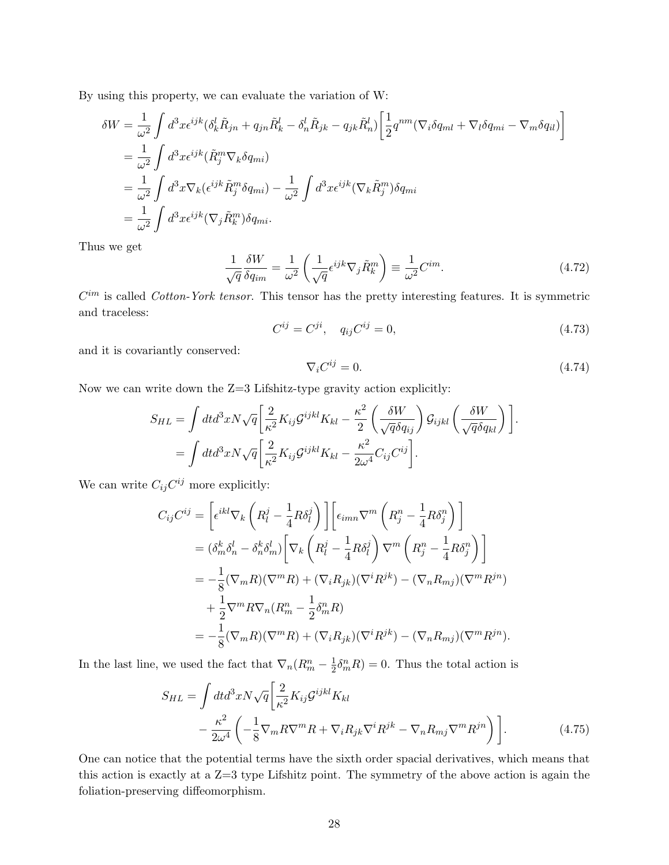By using this property, we can evaluate the variation of W:

$$
\delta W = \frac{1}{\omega^2} \int d^3x \epsilon^{ijk} (\delta_k^l \tilde{R}_{jn} + q_{jn} \tilde{R}_k^l - \delta_n^l \tilde{R}_{jk} - q_{jk} \tilde{R}_n^l) \left[ \frac{1}{2} q^{nm} (\nabla_i \delta q_{ml} + \nabla_l \delta q_{mi} - \nabla_m \delta q_{il}) \right]
$$
  
\n
$$
= \frac{1}{\omega^2} \int d^3x \epsilon^{ijk} (\tilde{R}_j^m \nabla_k \delta q_{mi})
$$
  
\n
$$
= \frac{1}{\omega^2} \int d^3x \nabla_k (\epsilon^{ijk} \tilde{R}_j^m \delta q_{mi}) - \frac{1}{\omega^2} \int d^3x \epsilon^{ijk} (\nabla_k \tilde{R}_j^m) \delta q_{mi}
$$
  
\n
$$
= \frac{1}{\omega^2} \int d^3x \epsilon^{ijk} (\nabla_j \tilde{R}_k^m) \delta q_{mi}.
$$

Thus we get

$$
\frac{1}{\sqrt{q}} \frac{\delta W}{\delta q_{im}} = \frac{1}{\omega^2} \left( \frac{1}{\sqrt{q}} \epsilon^{ijk} \nabla_j \tilde{R}_k^m \right) \equiv \frac{1}{\omega^2} C^{im}.
$$
\n(4.72)

 $C^{im}$  is called *Cotton-York tensor*. This tensor has the pretty interesting features. It is symmetric and traceless:

$$
C^{ij} = C^{ji}, \quad q_{ij} C^{ij} = 0,\tag{4.73}
$$

and it is covariantly conserved:

$$
\nabla_i C^{ij} = 0. \tag{4.74}
$$

Now we can write down the  $Z=3$  Lifshitz-type gravity action explicitly:

$$
S_{HL} = \int dt d^3x N \sqrt{q} \left[ \frac{2}{\kappa^2} K_{ij} \mathcal{G}^{ijkl} K_{kl} - \frac{\kappa^2}{2} \left( \frac{\delta W}{\sqrt{q} \delta q_{ij}} \right) \mathcal{G}_{ijkl} \left( \frac{\delta W}{\sqrt{q} \delta q_{kl}} \right) \right] .
$$
  
= 
$$
\int dt d^3x N \sqrt{q} \left[ \frac{2}{\kappa^2} K_{ij} \mathcal{G}^{ijkl} K_{kl} - \frac{\kappa^2}{2\omega^4} C_{ij} C^{ij} \right].
$$

We can write  $C_{ij}C^{ij}$  more explicitly:

$$
C_{ij}C^{ij} = \left[\epsilon^{ikl}\nabla_k \left(R_l^j - \frac{1}{4}R\delta_l^j\right)\right] \left[\epsilon_{imn}\nabla^m \left(R_j^n - \frac{1}{4}R\delta_j^n\right)\right]
$$
  
\n
$$
= (\delta_m^k \delta_n^l - \delta_n^k \delta_m^l) \left[\nabla_k \left(R_l^j - \frac{1}{4}R\delta_l^j\right)\nabla^m \left(R_j^n - \frac{1}{4}R\delta_j^n\right)\right]
$$
  
\n
$$
= -\frac{1}{8}(\nabla_m R)(\nabla^m R) + (\nabla_i R_{jk})(\nabla^i R^{jk}) - (\nabla_n R_{mj})(\nabla^m R^{jn})
$$
  
\n
$$
+ \frac{1}{2}\nabla^m R \nabla_n (R_m^n - \frac{1}{2}\delta_m^n R)
$$
  
\n
$$
= -\frac{1}{8}(\nabla_m R)(\nabla^m R) + (\nabla_i R_{jk})(\nabla^i R^{jk}) - (\nabla_n R_{mj})(\nabla^m R^{jn}).
$$

In the last line, we used the fact that  $\nabla_n (R_m^n - \frac{1}{2})$  $\frac{1}{2}\delta_m^n R$  = 0. Thus the total action is

$$
S_{HL} = \int dt d^3x N \sqrt{q} \left[ \frac{2}{\kappa^2} K_{ij} \mathcal{G}^{ijkl} K_{kl} - \frac{\kappa^2}{2\omega^4} \left( -\frac{1}{8} \nabla_m R \nabla^m R + \nabla_i R_{jk} \nabla^i R^{jk} - \nabla_n R_{mj} \nabla^m R^{jn} \right) \right].
$$
 (4.75)

One can notice that the potential terms have the sixth order spacial derivatives, which means that this action is exactly at a Z=3 type Lifshitz point. The symmetry of the above action is again the foliation-preserving diffeomorphism.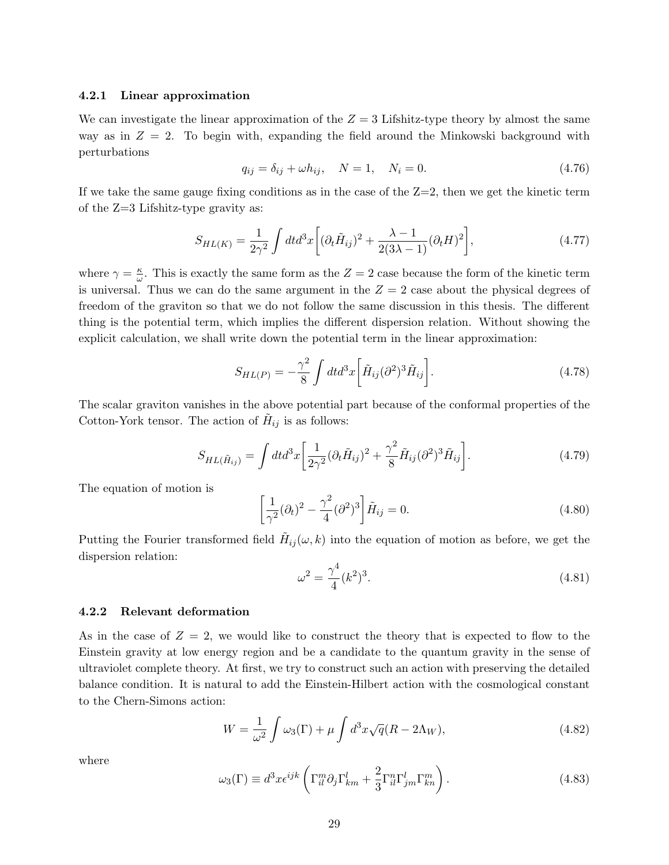#### 4.2.1 Linear approximation

We can investigate the linear approximation of the  $Z = 3$  Lifshitz-type theory by almost the same way as in  $Z = 2$ . To begin with, expanding the field around the Minkowski background with perturbations

$$
q_{ij} = \delta_{ij} + \omega h_{ij}, \quad N = 1, \quad N_i = 0.
$$
\n(4.76)

If we take the same gauge fixing conditions as in the case of the  $Z=2$ , then we get the kinetic term of the Z=3 Lifshitz-type gravity as:

$$
S_{HL(K)} = \frac{1}{2\gamma^2} \int dt d^3x \left[ (\partial_t \tilde{H}_{ij})^2 + \frac{\lambda - 1}{2(3\lambda - 1)} (\partial_t H)^2 \right],\tag{4.77}
$$

where  $\gamma = \frac{\kappa}{\omega}$  $\frac{\kappa}{\omega}$ . This is exactly the same form as the  $Z = 2$  case because the form of the kinetic term is universal. Thus we can do the same argument in the  $Z = 2$  case about the physical degrees of freedom of the graviton so that we do not follow the same discussion in this thesis. The different thing is the potential term, which implies the different dispersion relation. Without showing the explicit calculation, we shall write down the potential term in the linear approximation:

$$
S_{HL(P)} = -\frac{\gamma^2}{8} \int dt d^3x \left[ \tilde{H}_{ij} (\partial^2)^3 \tilde{H}_{ij} \right]. \tag{4.78}
$$

The scalar graviton vanishes in the above potential part because of the conformal properties of the Cotton-York tensor. The action of  $\tilde{H}_{ij}$  is as follows:

$$
S_{HL(\tilde{H}_{ij})} = \int dt d^3x \left[ \frac{1}{2\gamma^2} (\partial_t \tilde{H}_{ij})^2 + \frac{\gamma^2}{8} \tilde{H}_{ij} (\partial^2)^3 \tilde{H}_{ij} \right]. \tag{4.79}
$$

The equation of motion is

$$
\left[\frac{1}{\gamma^2}(\partial_t)^2 - \frac{\gamma^2}{4}(\partial^2)^3\right] \tilde{H}_{ij} = 0.
$$
\n(4.80)

Putting the Fourier transformed field  $\tilde{H}_{ij}(\omega, k)$  into the equation of motion as before, we get the dispersion relation:

$$
\omega^2 = \frac{\gamma^4}{4} (k^2)^3. \tag{4.81}
$$

#### 4.2.2 Relevant deformation

As in the case of  $Z = 2$ , we would like to construct the theory that is expected to flow to the Einstein gravity at low energy region and be a candidate to the quantum gravity in the sense of ultraviolet complete theory. At first, we try to construct such an action with preserving the detailed balance condition. It is natural to add the Einstein-Hilbert action with the cosmological constant to the Chern-Simons action:

$$
W = \frac{1}{\omega^2} \int \omega_3(\Gamma) + \mu \int d^3x \sqrt{q} (R - 2\Lambda_W), \qquad (4.82)
$$

where

$$
\omega_3(\Gamma) \equiv d^3x \epsilon^{ijk} \left( \Gamma_{il}^m \partial_j \Gamma_{km}^l + \frac{2}{3} \Gamma_{il}^n \Gamma_{jm}^l \Gamma_{kn}^m \right). \tag{4.83}
$$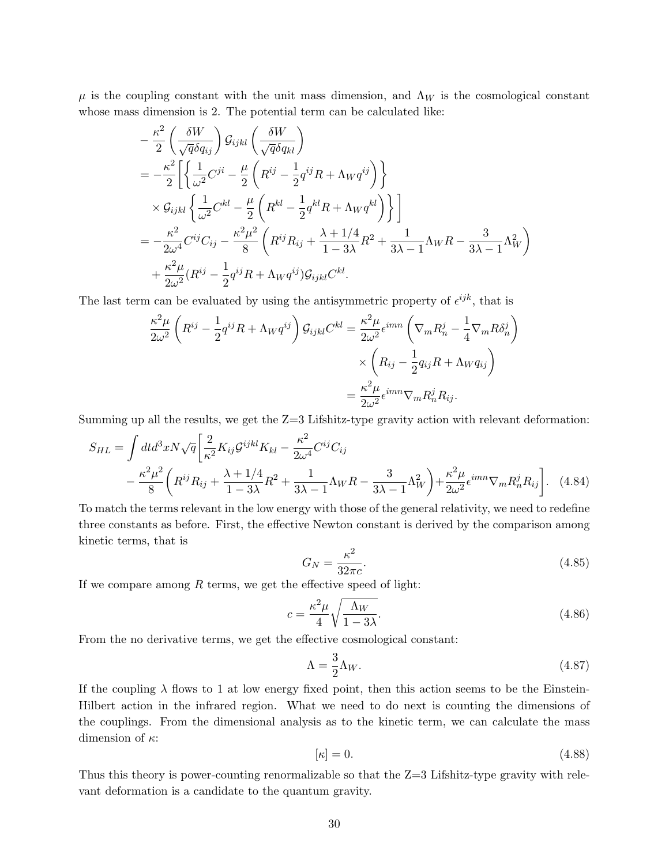$\mu$  is the coupling constant with the unit mass dimension, and  $\Lambda_W$  is the cosmological constant whose mass dimension is 2. The potential term can be calculated like:

$$
\begin{split}\n&-\frac{\kappa^2}{2}\left(\frac{\delta W}{\sqrt{q}\delta q_{ij}}\right)\mathcal{G}_{ijkl}\left(\frac{\delta W}{\sqrt{q}\delta q_{kl}}\right) \\
&=-\frac{\kappa^2}{2}\bigg[\bigg\{\frac{1}{\omega^2}C^{ji}-\frac{\mu}{2}\left(R^{ij}-\frac{1}{2}q^{ij}R+\Lambda_Wq^{ij}\right)\bigg\} \\
&\times\mathcal{G}_{ijkl}\left\{\frac{1}{\omega^2}C^{kl}-\frac{\mu}{2}\left(R^{kl}-\frac{1}{2}q^{kl}R+\Lambda_Wq^{kl}\right)\right\}\bigg] \\
&=-\frac{\kappa^2}{2\omega^4}C^{ij}C_{ij}-\frac{\kappa^2\mu^2}{8}\left(R^{ij}R_{ij}+\frac{\lambda+1/4}{1-3\lambda}R^2+\frac{1}{3\lambda-1}\Lambda_WR-\frac{3}{3\lambda-1}\Lambda_W^2\right) \\
&+\frac{\kappa^2\mu}{2\omega^2}(R^{ij}-\frac{1}{2}q^{ij}R+\Lambda_Wq^{ij})\mathcal{G}_{ijkl}C^{kl}.\n\end{split}
$$

The last term can be evaluated by using the antisymmetric property of  $\epsilon^{ijk}$ , that is

$$
\frac{\kappa^2 \mu}{2\omega^2} \left( R^{ij} - \frac{1}{2} q^{ij} R + \Lambda_W q^{ij} \right) \mathcal{G}_{ijkl} C^{kl} = \frac{\kappa^2 \mu}{2\omega^2} \epsilon^{imn} \left( \nabla_m R_n^j - \frac{1}{4} \nabla_m R \delta_n^j \right) \times \left( R_{ij} - \frac{1}{2} q_{ij} R + \Lambda_W q_{ij} \right) \n= \frac{\kappa^2 \mu}{2\omega^2} \epsilon^{imn} \nabla_m R_n^j R_{ij}.
$$

Summing up all the results, we get the  $Z=3$  Lifshitz-type gravity action with relevant deformation:

$$
S_{HL} = \int dt d^3x N \sqrt{q} \left[ \frac{2}{\kappa^2} K_{ij} \mathcal{G}^{ijkl} K_{kl} - \frac{\kappa^2}{2\omega^4} C^{ij} C_{ij} \right. \\ - \left. \frac{\kappa^2 \mu^2}{8} \left( R^{ij} R_{ij} + \frac{\lambda + 1/4}{1 - 3\lambda} R^2 + \frac{1}{3\lambda - 1} \Lambda_W R - \frac{3}{3\lambda - 1} \Lambda_W^2 \right) + \frac{\kappa^2 \mu}{2\omega^2} \epsilon^{imn} \nabla_m R_n^j R_{ij} \right]. \tag{4.84}
$$

To match the terms relevant in the low energy with those of the general relativity, we need to redefine three constants as before. First, the effective Newton constant is derived by the comparison among kinetic terms, that is

$$
G_N = \frac{\kappa^2}{32\pi c}.\tag{4.85}
$$

If we compare among  $R$  terms, we get the effective speed of light:

$$
c = \frac{\kappa^2 \mu}{4} \sqrt{\frac{\Lambda_W}{1 - 3\lambda}}.\tag{4.86}
$$

From the no derivative terms, we get the effective cosmological constant:

$$
\Lambda = \frac{3}{2}\Lambda_W. \tag{4.87}
$$

If the coupling  $\lambda$  flows to 1 at low energy fixed point, then this action seems to be the Einstein-Hilbert action in the infrared region. What we need to do next is counting the dimensions of the couplings. From the dimensional analysis as to the kinetic term, we can calculate the mass dimension of  $\kappa$ :

$$
[\kappa] = 0.\tag{4.88}
$$

Thus this theory is power-counting renormalizable so that the  $Z=3$  Lifshitz-type gravity with relevant deformation is a candidate to the quantum gravity.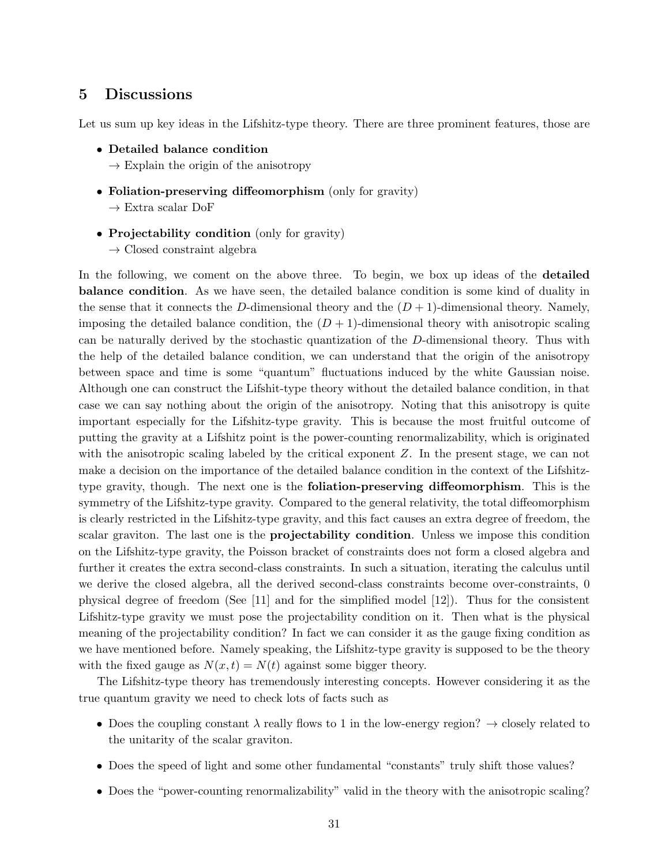### 5 Discussions

Let us sum up key ideas in the Lifshitz-type theory. There are three prominent features, those are

- Detailed balance condition
	- $\rightarrow$  Explain the origin of the anisotropy
- Foliation-preserving diffeomorphism (only for gravity)  $\rightarrow$  Extra scalar DoF
- Projectability condition (only for gravity)  $\rightarrow$  Closed constraint algebra

In the following, we coment on the above three. To begin, we box up ideas of the detailed balance condition. As we have seen, the detailed balance condition is some kind of duality in the sense that it connects the D-dimensional theory and the  $(D+1)$ -dimensional theory. Namely, imposing the detailed balance condition, the  $(D + 1)$ -dimensional theory with anisotropic scaling can be naturally derived by the stochastic quantization of the D-dimensional theory. Thus with the help of the detailed balance condition, we can understand that the origin of the anisotropy between space and time is some "quantum" fluctuations induced by the white Gaussian noise. Although one can construct the Lifshit-type theory without the detailed balance condition, in that case we can say nothing about the origin of the anisotropy. Noting that this anisotropy is quite important especially for the Lifshitz-type gravity. This is because the most fruitful outcome of putting the gravity at a Lifshitz point is the power-counting renormalizability, which is originated with the anisotropic scaling labeled by the critical exponent Z. In the present stage, we can not make a decision on the importance of the detailed balance condition in the context of the Lifshitztype gravity, though. The next one is the foliation-preserving diffeomorphism. This is the symmetry of the Lifshitz-type gravity. Compared to the general relativity, the total diffeomorphism is clearly restricted in the Lifshitz-type gravity, and this fact causes an extra degree of freedom, the scalar graviton. The last one is the **projectability condition**. Unless we impose this condition on the Lifshitz-type gravity, the Poisson bracket of constraints does not form a closed algebra and further it creates the extra second-class constraints. In such a situation, iterating the calculus until we derive the closed algebra, all the derived second-class constraints become over-constraints, 0 physical degree of freedom (See [11] and for the simplified model [12]). Thus for the consistent Lifshitz-type gravity we must pose the projectability condition on it. Then what is the physical meaning of the projectability condition? In fact we can consider it as the gauge fixing condition as we have mentioned before. Namely speaking, the Lifshitz-type gravity is supposed to be the theory with the fixed gauge as  $N(x, t) = N(t)$  against some bigger theory.

The Lifshitz-type theory has tremendously interesting concepts. However considering it as the true quantum gravity we need to check lots of facts such as

- Does the coupling constant  $\lambda$  really flows to 1 in the low-energy region?  $\rightarrow$  closely related to the unitarity of the scalar graviton.
- Does the speed of light and some other fundamental "constants" truly shift those values?
- Does the "power-counting renormalizability" valid in the theory with the anisotropic scaling?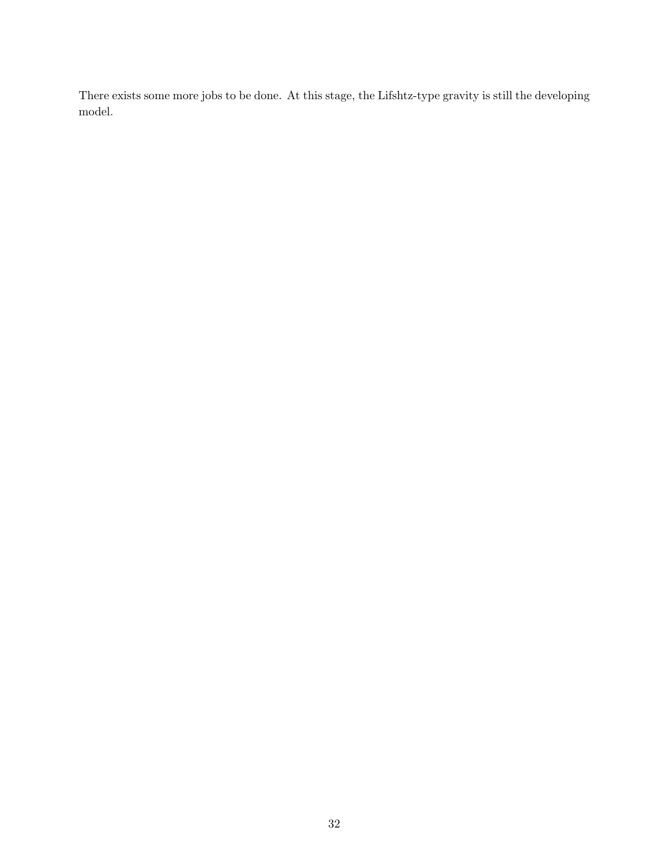There exists some more jobs to be done. At this stage, the Lifshtz-type gravity is still the developing model.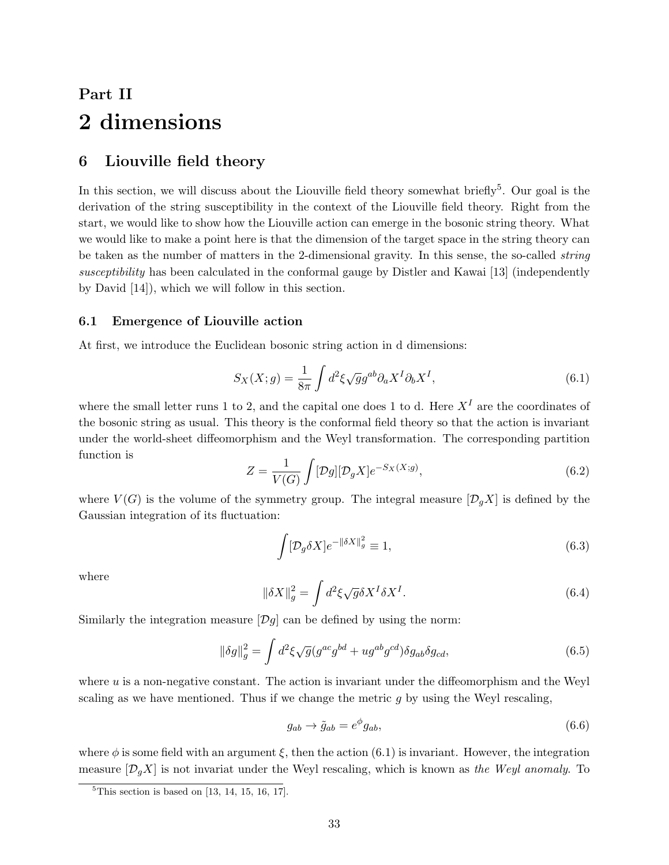## Part II 2 dimensions

## 6 Liouville field theory

In this section, we will discuss about the Liouville field theory somewhat briefly<sup>5</sup>. Our goal is the derivation of the string susceptibility in the context of the Liouville field theory. Right from the start, we would like to show how the Liouville action can emerge in the bosonic string theory. What we would like to make a point here is that the dimension of the target space in the string theory can be taken as the number of matters in the 2-dimensional gravity. In this sense, the so-called string susceptibility has been calculated in the conformal gauge by Distler and Kawai [13] (independently by David [14]), which we will follow in this section.

#### 6.1 Emergence of Liouville action

At first, we introduce the Euclidean bosonic string action in d dimensions:

$$
S_X(X; g) = \frac{1}{8\pi} \int d^2\xi \sqrt{g} g^{ab} \partial_a X^I \partial_b X^I,\tag{6.1}
$$

where the small letter runs 1 to 2, and the capital one does 1 to d. Here  $X<sup>I</sup>$  are the coordinates of the bosonic string as usual. This theory is the conformal field theory so that the action is invariant under the world-sheet diffeomorphism and the Weyl transformation. The corresponding partition function is

$$
Z = \frac{1}{V(G)} \int [\mathcal{D}g][\mathcal{D}_g X] e^{-S_X(X;g)}, \tag{6.2}
$$

where  $V(G)$  is the volume of the symmetry group. The integral measure  $[\mathcal{D}_qX]$  is defined by the Gaussian integration of its fluctuation:

$$
\int [\mathcal{D}_g \delta X] e^{-\|\delta X\|_g^2} \equiv 1,\tag{6.3}
$$

where

$$
\|\delta X\|_g^2 = \int d^2\xi \sqrt{g} \delta X^I \delta X^I. \tag{6.4}
$$

Similarly the integration measure  $[\mathcal{D}q]$  can be defined by using the norm:

$$
\|\delta g\|_g^2 = \int d^2\xi \sqrt{g} (g^{ac} g^{bd} + u g^{ab} g^{cd}) \delta g_{ab} \delta g_{cd},\tag{6.5}
$$

where  $u$  is a non-negative constant. The action is invariant under the diffeomorphism and the Weyl scaling as we have mentioned. Thus if we change the metric  $g$  by using the Weyl rescaling,

$$
g_{ab} \to \tilde{g}_{ab} = e^{\phi} g_{ab},\tag{6.6}
$$

where  $\phi$  is some field with an argument  $\xi$ , then the action (6.1) is invariant. However, the integration measure  $[\mathcal{D}_q X]$  is not invariat under the Weyl rescaling, which is known as the Weyl anomaly. To

<sup>&</sup>lt;sup>5</sup>This section is based on [13, 14, 15, 16, 17].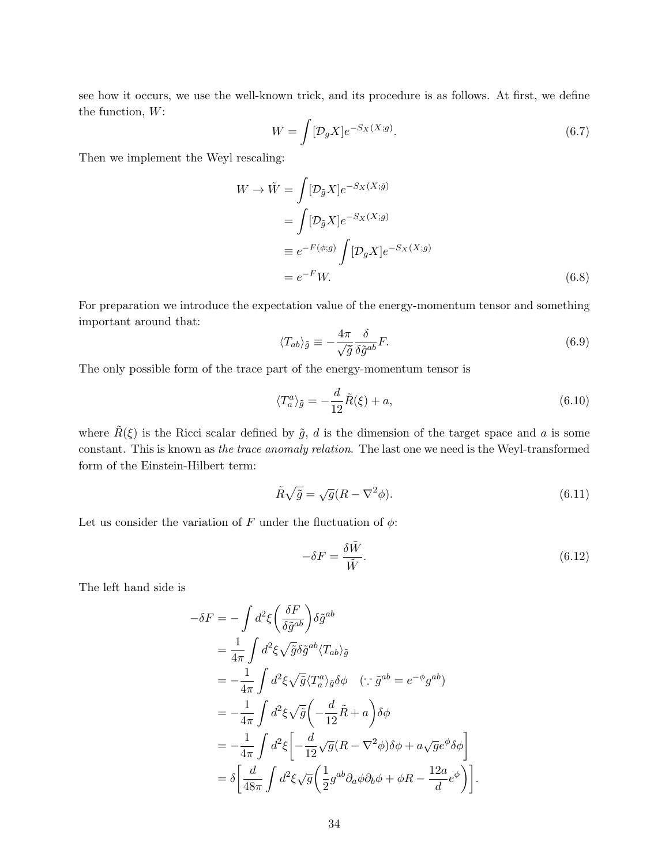see how it occurs, we use the well-known trick, and its procedure is as follows. At first, we define the function,  $W$ :

$$
W = \int [\mathcal{D}_g X] e^{-S_X(X;g)}.
$$
\n(6.7)

Then we implement the Weyl rescaling:

$$
W \rightarrow \tilde{W} = \int [\mathcal{D}_{\tilde{g}} X] e^{-S_X(X; \tilde{g})}
$$
  
= 
$$
\int [\mathcal{D}_{\tilde{g}} X] e^{-S_X(X; g)}
$$
  

$$
\equiv e^{-F(\phi; g)} \int [\mathcal{D}_g X] e^{-S_X(X; g)}
$$
  
= 
$$
e^{-F} W.
$$
 (6.8)

For preparation we introduce the expectation value of the energy-momentum tensor and something important around that:

$$
\langle T_{ab}\rangle_{\tilde{g}} \equiv -\frac{4\pi}{\sqrt{\tilde{g}}}\frac{\delta}{\delta \tilde{g}^{ab}}F.
$$
\n(6.9)

The only possible form of the trace part of the energy-momentum tensor is

$$
\langle T_a^a \rangle_{\tilde{g}} = -\frac{d}{12}\tilde{R}(\xi) + a,\tag{6.10}
$$

where  $\tilde{R}(\xi)$  is the Ricci scalar defined by  $\tilde{g}$ , d is the dimension of the target space and a is some constant. This is known as the trace anomaly relation. The last one we need is the Weyl-transformed form of the Einstein-Hilbert term:

$$
\tilde{R}\sqrt{\tilde{g}} = \sqrt{g}(R - \nabla^2 \phi). \tag{6.11}
$$

Let us consider the variation of F under the fluctuation of  $\phi$ :

$$
-\delta F = \frac{\delta \tilde{W}}{\tilde{W}}.\tag{6.12}
$$

The left hand side is

$$
-\delta F = -\int d^2\xi \left(\frac{\delta F}{\delta \tilde{g}^{ab}}\right) \delta \tilde{g}^{ab}
$$
  
\n
$$
= \frac{1}{4\pi} \int d^2\xi \sqrt{\tilde{g}} \delta \tilde{g}^{ab} \langle T_{ab} \rangle_{\tilde{g}}
$$
  
\n
$$
= -\frac{1}{4\pi} \int d^2\xi \sqrt{\tilde{g}} \langle T_a^a \rangle_{\tilde{g}} \delta \phi \quad (\because \tilde{g}^{ab} = e^{-\phi} g^{ab})
$$
  
\n
$$
= -\frac{1}{4\pi} \int d^2\xi \sqrt{\tilde{g}} \left(-\frac{d}{12} \tilde{R} + a\right) \delta \phi
$$
  
\n
$$
= -\frac{1}{4\pi} \int d^2\xi \left[-\frac{d}{12} \sqrt{g} (R - \nabla^2 \phi) \delta \phi + a \sqrt{g} e^{\phi} \delta \phi\right]
$$
  
\n
$$
= \delta \left[\frac{d}{48\pi} \int d^2\xi \sqrt{g} \left(\frac{1}{2} g^{ab} \partial_a \phi \partial_b \phi + \phi R - \frac{12a}{d} e^{\phi}\right)\right].
$$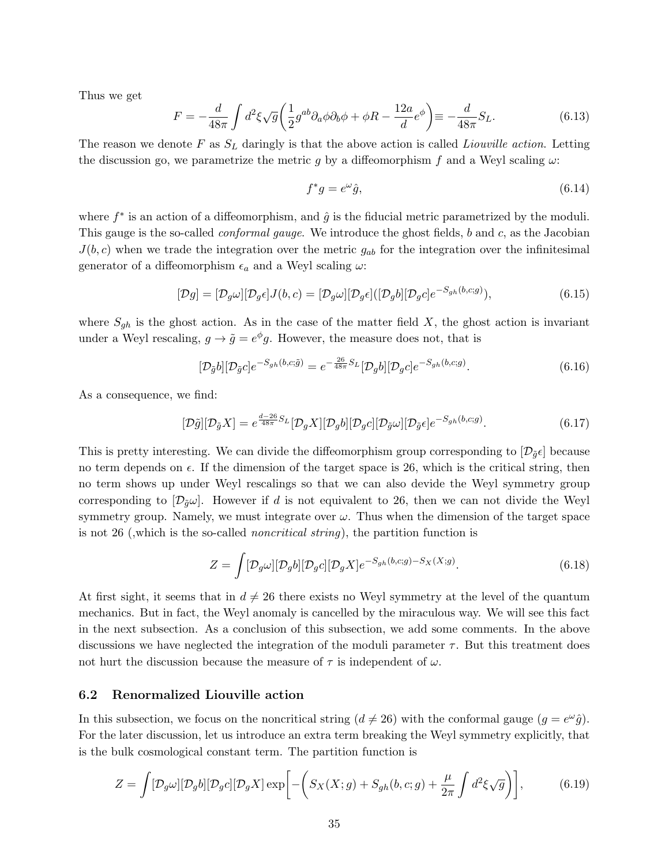Thus we get

$$
F = -\frac{d}{48\pi} \int d^2\xi \sqrt{g} \left( \frac{1}{2} g^{ab} \partial_a \phi \partial_b \phi + \phi R - \frac{12a}{d} e^{\phi} \right) \equiv -\frac{d}{48\pi} S_L. \tag{6.13}
$$

The reason we denote F as  $S_L$  daringly is that the above action is called *Liouville action*. Letting the discussion go, we parametrize the metric g by a diffeomorphism f and a Weyl scaling  $\omega$ :

$$
f^*g = e^{\omega}\hat{g},\tag{6.14}
$$

where  $f^*$  is an action of a diffeomorphism, and  $\hat{g}$  is the fiducial metric parametrized by the moduli. This gauge is the so-called *conformal gauge*. We introduce the ghost fields,  $b$  and  $c$ , as the Jacobian  $J(b, c)$  when we trade the integration over the metric  $g_{ab}$  for the integration over the infinitesimal generator of a diffeomorphism  $\epsilon_a$  and a Weyl scaling  $\omega$ :

$$
[\mathcal{D}g] = [\mathcal{D}_g \omega][\mathcal{D}_g \epsilon]J(b, c) = [\mathcal{D}_g \omega][\mathcal{D}_g \epsilon]([\mathcal{D}_g b][\mathcal{D}_g c]e^{-S_{gh}(b, c; g)}),
$$
\n(6.15)

where  $S_{gh}$  is the ghost action. As in the case of the matter field X, the ghost action is invariant under a Weyl rescaling,  $g \to \tilde{g} = e^{\phi}g$ . However, the measure does not, that is

$$
[\mathcal{D}_{\tilde{g}}b][\mathcal{D}_{\tilde{g}}c]e^{-S_{gh}(b,c;\tilde{g})} = e^{-\frac{26}{48\pi}S_L}[\mathcal{D}_g b][\mathcal{D}_g c]e^{-S_{gh}(b,c;g)}.
$$
\n
$$
(6.16)
$$

As a consequence, we find:

$$
[\mathcal{D}\tilde{g}][\mathcal{D}_{\tilde{g}}X] = e^{\frac{d-26}{48\pi}S_L}[\mathcal{D}_gX][\mathcal{D}_gb][\mathcal{D}_gc][\mathcal{D}_{\tilde{g}}\omega][\mathcal{D}_{\tilde{g}}\epsilon]e^{-S_{gh}(b,c;g)}.
$$
\n(6.17)

This is pretty interesting. We can divide the diffeomorphism group corresponding to  $[\mathcal{D}_{\tilde{\sigma}}\epsilon]$  because no term depends on  $\epsilon$ . If the dimension of the target space is 26, which is the critical string, then no term shows up under Weyl rescalings so that we can also devide the Weyl symmetry group corresponding to  $|\mathcal{D}_{\tilde{q}}\omega|$ . However if d is not equivalent to 26, then we can not divide the Weyl symmetry group. Namely, we must integrate over  $\omega$ . Thus when the dimension of the target space is not 26 (,which is the so-called *noncritical string*), the partition function is

$$
Z = \int [\mathcal{D}_g \omega][\mathcal{D}_g b][\mathcal{D}_g c][\mathcal{D}_g X] e^{-S_{gh}(b,c;g) - S_X(X;g)}.
$$
\n(6.18)

At first sight, it seems that in  $d \neq 26$  there exists no Weyl symmetry at the level of the quantum mechanics. But in fact, the Weyl anomaly is cancelled by the miraculous way. We will see this fact in the next subsection. As a conclusion of this subsection, we add some comments. In the above discussions we have neglected the integration of the moduli parameter  $\tau$ . But this treatment does not hurt the discussion because the measure of  $\tau$  is independent of  $\omega$ .

#### 6.2 Renormalized Liouville action

In this subsection, we focus on the noncritical string  $(d \neq 26)$  with the conformal gauge  $(g = e^{\omega}\hat{g})$ . For the later discussion, let us introduce an extra term breaking the Weyl symmetry explicitly, that is the bulk cosmological constant term. The partition function is

$$
Z = \int [\mathcal{D}_g \omega][\mathcal{D}_g b][\mathcal{D}_g c][\mathcal{D}_g X] \exp\left[-\left(S_X(X;g) + S_{gh}(b,c;g) + \frac{\mu}{2\pi} \int d^2\xi \sqrt{g}\right)\right],\tag{6.19}
$$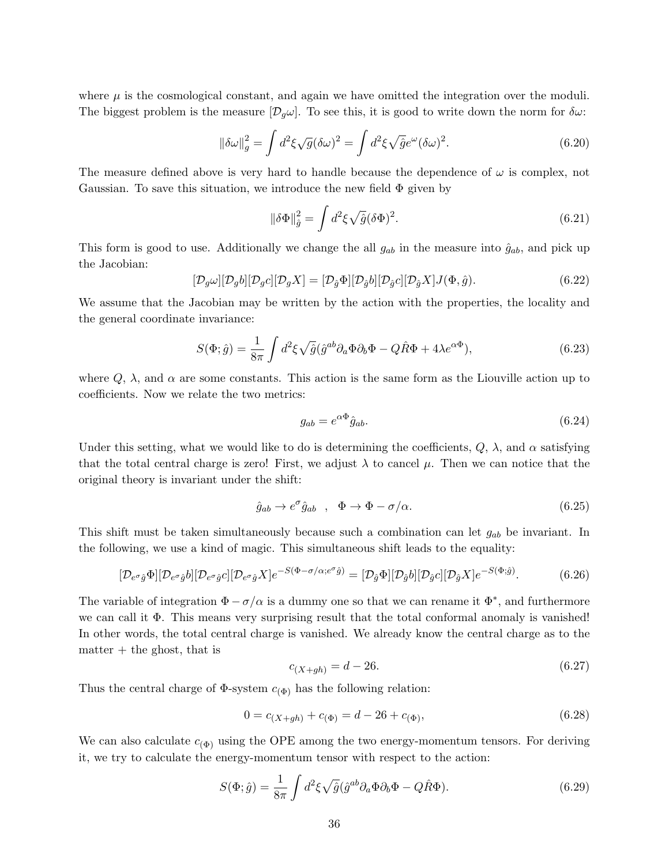where  $\mu$  is the cosmological constant, and again we have omitted the integration over the moduli. The biggest problem is the measure  $[\mathcal{D}_q\omega]$ . To see this, it is good to write down the norm for  $\delta\omega$ .

$$
\|\delta\omega\|_g^2 = \int d^2\xi \sqrt{g} (\delta\omega)^2 = \int d^2\xi \sqrt{\hat{g}} e^{\omega} (\delta\omega)^2.
$$
 (6.20)

The measure defined above is very hard to handle because the dependence of  $\omega$  is complex, not Gaussian. To save this situation, we introduce the new field  $\Phi$  given by

$$
\|\delta\Phi\|_{\hat{g}}^2 = \int d^2\xi \sqrt{\hat{g}} (\delta\Phi)^2.
$$
\n(6.21)

This form is good to use. Additionally we change the all  $g_{ab}$  in the measure into  $\hat{g}_{ab}$ , and pick up the Jacobian:

$$
[\mathcal{D}_g \omega][\mathcal{D}_g b][\mathcal{D}_g c][\mathcal{D}_g X] = [\mathcal{D}_{\hat{g}} \Phi][\mathcal{D}_{\hat{g}} b][\mathcal{D}_{\hat{g}} c][\mathcal{D}_{\hat{g}} X] J(\Phi, \hat{g}). \tag{6.22}
$$

We assume that the Jacobian may be written by the action with the properties, the locality and the general coordinate invariance:

$$
S(\Phi; \hat{g}) = \frac{1}{8\pi} \int d^2 \xi \sqrt{\hat{g}} (\hat{g}^{ab} \partial_a \Phi \partial_b \Phi - Q \hat{R} \Phi + 4\lambda e^{\alpha \Phi}), \tag{6.23}
$$

where  $Q$ ,  $\lambda$ , and  $\alpha$  are some constants. This action is the same form as the Liouville action up to coefficients. Now we relate the two metrics:

$$
g_{ab} = e^{\alpha \Phi} \hat{g}_{ab}.\tag{6.24}
$$

Under this setting, what we would like to do is determining the coefficients,  $Q$ ,  $\lambda$ , and  $\alpha$  satisfying that the total central charge is zero! First, we adjust  $\lambda$  to cancel  $\mu$ . Then we can notice that the original theory is invariant under the shift:

$$
\hat{g}_{ab} \to e^{\sigma} \hat{g}_{ab} , \quad \Phi \to \Phi - \sigma/\alpha.
$$
 (6.25)

This shift must be taken simultaneously because such a combination can let  $g_{ab}$  be invariant. In the following, we use a kind of magic. This simultaneous shift leads to the equality:

$$
[\mathcal{D}_{e^{\sigma}\hat{g}}\Phi][\mathcal{D}_{e^{\sigma}\hat{g}}b][\mathcal{D}_{e^{\sigma}\hat{g}}c][\mathcal{D}_{e^{\sigma}\hat{g}}X]e^{-S(\Phi-\sigma/\alpha)e^{\sigma}\hat{g}} = [\mathcal{D}_{\hat{g}}\Phi][\mathcal{D}_{\hat{g}}b][\mathcal{D}_{\hat{g}}c][\mathcal{D}_{\hat{g}}X]e^{-S(\Phi;\hat{g})}.
$$
(6.26)

The variable of integration  $\Phi - \sigma/\alpha$  is a dummy one so that we can rename it  $\Phi^*$ , and furthermore we can call it Φ. This means very surprising result that the total conformal anomaly is vanished! In other words, the total central charge is vanished. We already know the central charge as to the  $matter + the ghost, that is$ 

$$
c_{(X+gh)} = d - 26.\t\t(6.27)
$$

Thus the central charge of  $\Phi$ -system  $c_{(\Phi)}$  has the following relation:

$$
0 = c_{(X+gh)} + c_{(\Phi)} = d - 26 + c_{(\Phi)},
$$
\n(6.28)

We can also calculate  $c_{(\Phi)}$  using the OPE among the two energy-momentum tensors. For deriving it, we try to calculate the energy-momentum tensor with respect to the action:

$$
S(\Phi; \hat{g}) = \frac{1}{8\pi} \int d^2 \xi \sqrt{\hat{g}} (\hat{g}^{ab} \partial_a \Phi \partial_b \Phi - Q \hat{R} \Phi). \tag{6.29}
$$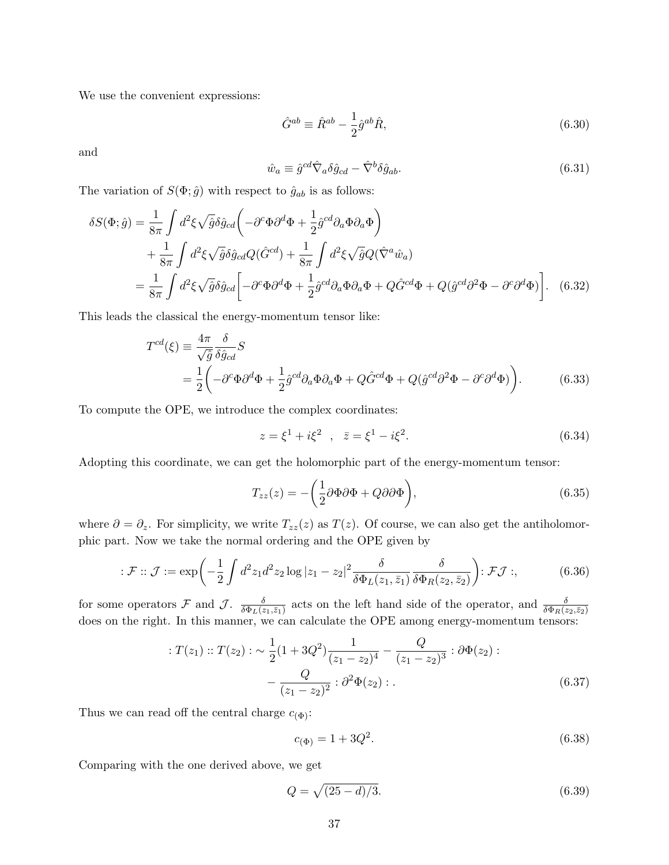We use the convenient expressions:

$$
\hat{G}^{ab} \equiv \hat{R}^{ab} - \frac{1}{2} \hat{g}^{ab} \hat{R},\tag{6.30}
$$

and

$$
\hat{w}_a \equiv \hat{g}^{cd}\hat{\nabla}_a \delta \hat{g}_{cd} - \hat{\nabla}^b \delta \hat{g}_{ab}.
$$
\n(6.31)

The variation of  $S(\Phi; \hat{g})$  with respect to  $\hat{g}_{ab}$  is as follows:

$$
\delta S(\Phi; \hat{g}) = \frac{1}{8\pi} \int d^2\xi \sqrt{\hat{g}} \delta \hat{g}_{cd} \left( -\partial^c \Phi \partial^d \Phi + \frac{1}{2} \hat{g}^{cd} \partial_a \Phi \partial_a \Phi \right) \n+ \frac{1}{8\pi} \int d^2\xi \sqrt{\hat{g}} \delta \hat{g}_{cd} Q(\hat{G}^{cd}) + \frac{1}{8\pi} \int d^2\xi \sqrt{\hat{g}} Q(\hat{\nabla}^a \hat{w}_a) \n= \frac{1}{8\pi} \int d^2\xi \sqrt{\hat{g}} \delta \hat{g}_{cd} \left[ -\partial^c \Phi \partial^d \Phi + \frac{1}{2} \hat{g}^{cd} \partial_a \Phi \partial_a \Phi + Q \hat{G}^{cd} \Phi + Q(\hat{g}^{cd} \partial^2 \Phi - \partial^c \partial^d \Phi) \right].
$$
\n(6.32)

This leads the classical the energy-momentum tensor like:

$$
T^{cd}(\xi) \equiv \frac{4\pi}{\sqrt{\hat{g}}} \frac{\delta}{\delta \hat{g}_{cd}} S
$$
  
=  $\frac{1}{2} \left( -\partial^c \Phi \partial^d \Phi + \frac{1}{2} \hat{g}^{cd} \partial_a \Phi \partial_a \Phi + Q \hat{G}^{cd} \Phi + Q (\hat{g}^{cd} \partial^2 \Phi - \partial^c \partial^d \Phi) \right).$  (6.33)

To compute the OPE, we introduce the complex coordinates:

$$
z = \xi^1 + i\xi^2 \quad , \quad \bar{z} = \xi^1 - i\xi^2. \tag{6.34}
$$

Adopting this coordinate, we can get the holomorphic part of the energy-momentum tensor:

$$
T_{zz}(z) = -\left(\frac{1}{2}\partial\Phi\partial\Phi + Q\partial\partial\Phi\right),\tag{6.35}
$$

where  $\partial = \partial_z$ . For simplicity, we write  $T_{zz}(z)$  as  $T(z)$ . Of course, we can also get the antiholomorphic part. Now we take the normal ordering and the OPE given by

$$
\mathcal{F} \mathcal{F} \mathcal{F} \mathcal{F} \mathcal{F} = \exp\left(-\frac{1}{2}\int d^2 z_1 d^2 z_2 \log|z_1 - z_2|^2 \frac{\delta}{\delta \Phi_L(z_1, \bar{z}_1)} \frac{\delta}{\delta \Phi_R(z_2, \bar{z}_2)}\right) : \mathcal{F}\mathcal{J} \; ; \tag{6.36}
$$

for some operators F and J.  $\frac{\delta}{\delta \Phi_{\text{S}}(z)}$  $\frac{\delta}{\delta \Phi_L(z_1,\bar{z}_1)}$  acts on the left hand side of the operator, and  $\frac{\delta}{\delta \Phi_R(z_2,\bar{z}_2)}$ does on the right. In this manner, we can calculate the OPE among energy-momentum tensors:

$$
: T(z_1) :: T(z_2) : \sim \frac{1}{2} (1 + 3Q^2) \frac{1}{(z_1 - z_2)^4} - \frac{Q}{(z_1 - z_2)^3} : \partial \Phi(z_2) : - \frac{Q}{(z_1 - z_2)^2} : \partial^2 \Phi(z_2) : .
$$
\n(6.37)

Thus we can read off the central charge  $c_{(\Phi)}$ :

$$
c_{(\Phi)} = 1 + 3Q^2. \tag{6.38}
$$

Comparing with the one derived above, we get

$$
Q = \sqrt{(25 - d)/3}.\tag{6.39}
$$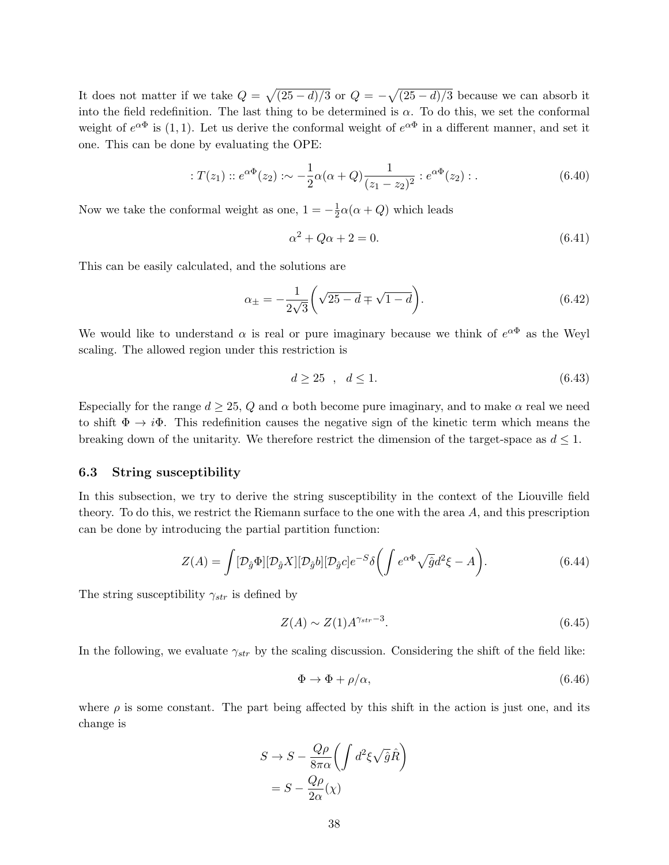It does not matter if we take  $Q = \sqrt{(25 - d)/3}$  or  $Q = -\sqrt{(25 - d)/3}$  because we can absorb it into the field redefinition. The last thing to be determined is  $\alpha$ . To do this, we set the conformal weight of  $e^{\alpha \Phi}$  is (1, 1). Let us derive the conformal weight of  $e^{\alpha \Phi}$  in a different manner, and set it one. This can be done by evaluating the OPE:

$$
: T(z_1) :: e^{\alpha \Phi}(z_2) : \sim -\frac{1}{2}\alpha(\alpha + Q)\frac{1}{(z_1 - z_2)^2} : e^{\alpha \Phi}(z_2) : .
$$
 (6.40)

Now we take the conformal weight as one,  $1 = -\frac{1}{2}$  $\frac{1}{2}\alpha(\alpha+Q)$  which leads

$$
\alpha^2 + Q\alpha + 2 = 0.\tag{6.41}
$$

This can be easily calculated, and the solutions are

$$
\alpha_{\pm} = -\frac{1}{2\sqrt{3}} \left( \sqrt{25 - d} \mp \sqrt{1 - d} \right). \tag{6.42}
$$

We would like to understand  $\alpha$  is real or pure imaginary because we think of  $e^{\alpha\Phi}$  as the Weyl scaling. The allowed region under this restriction is

$$
d \ge 25 \quad , \quad d \le 1. \tag{6.43}
$$

Especially for the range  $d \geq 25$ , Q and  $\alpha$  both become pure imaginary, and to make  $\alpha$  real we need to shift  $\Phi \to i\Phi$ . This redefinition causes the negative sign of the kinetic term which means the breaking down of the unitarity. We therefore restrict the dimension of the target-space as  $d \leq 1$ .

## 6.3 String susceptibility

In this subsection, we try to derive the string susceptibility in the context of the Liouville field theory. To do this, we restrict the Riemann surface to the one with the area A, and this prescription can be done by introducing the partial partition function:

$$
Z(A) = \int [\mathcal{D}_{\hat{g}} \Phi][\mathcal{D}_{\hat{g}} X][\mathcal{D}_{\hat{g}} b][\mathcal{D}_{\hat{g}} c] e^{-S} \delta \left( \int e^{\alpha \Phi} \sqrt{\hat{g}} d^2 \xi - A \right).
$$
 (6.44)

The string susceptibility  $\gamma_{str}$  is defined by

$$
Z(A) \sim Z(1)A^{\gamma_{str}-3}.\tag{6.45}
$$

In the following, we evaluate  $\gamma_{str}$  by the scaling discussion. Considering the shift of the field like:

$$
\Phi \to \Phi + \rho/\alpha,\tag{6.46}
$$

where  $\rho$  is some constant. The part being affected by this shift in the action is just one, and its change is

$$
\begin{split} S &\rightarrow S - \frac{Q\rho}{8\pi\alpha} \biggl( \int d^2\xi \sqrt{\hat{g}} \hat{R} \biggr) \\ & = S - \frac{Q\rho}{2\alpha}(\chi) \end{split}
$$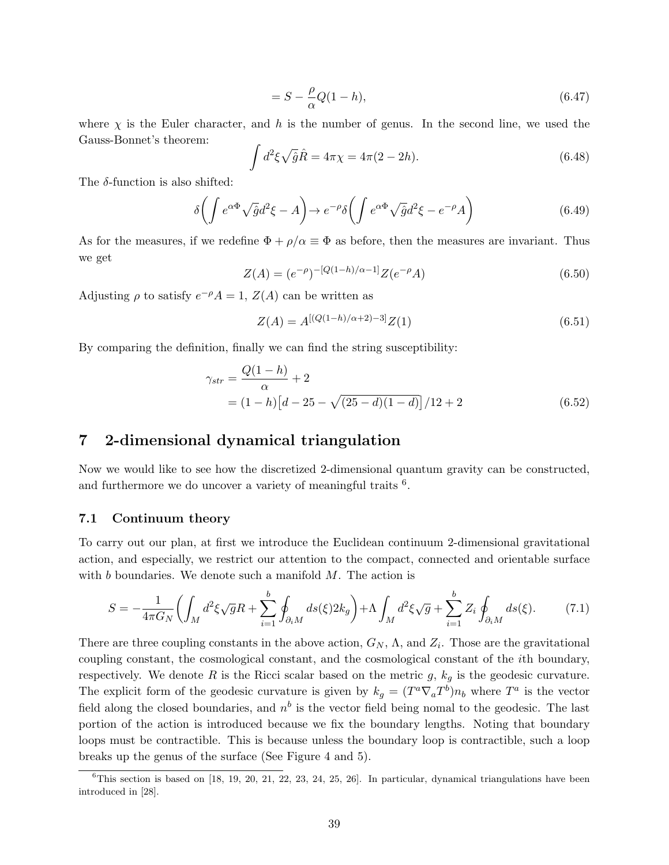$$
= S - \frac{\rho}{\alpha} Q(1 - h), \tag{6.47}
$$

where  $\chi$  is the Euler character, and h is the number of genus. In the second line, we used the Gauss-Bonnet's theorem:

$$
\int d^2\xi \sqrt{\hat{g}} \hat{R} = 4\pi \chi = 4\pi (2 - 2h).
$$
 (6.48)

The  $\delta$ -function is also shifted:

$$
\delta \left( \int e^{\alpha \Phi} \sqrt{\hat{g}} d^2 \xi - A \right) \to e^{-\rho} \delta \left( \int e^{\alpha \Phi} \sqrt{\hat{g}} d^2 \xi - e^{-\rho} A \right) \tag{6.49}
$$

As for the measures, if we redefine  $\Phi + \rho/\alpha \equiv \Phi$  as before, then the measures are invariant. Thus we get

$$
Z(A) = (e^{-\rho})^{-[Q(1-h)/\alpha - 1]} Z(e^{-\rho} A)
$$
\n(6.50)

Adjusting  $\rho$  to satisfy  $e^{-\rho}A = 1$ ,  $Z(A)$  can be written as

$$
Z(A) = A^{[(Q(1-h)/\alpha+2)-3]}Z(1)
$$
\n(6.51)

By comparing the definition, finally we can find the string susceptibility:

$$
\gamma_{str} = \frac{Q(1-h)}{\alpha} + 2
$$
  
=  $(1-h)[d-25-\sqrt{(25-d)(1-d)}]/12+2$  (6.52)

# 7 2-dimensional dynamical triangulation

Now we would like to see how the discretized 2-dimensional quantum gravity can be constructed, and furthermore we do uncover a variety of meaningful traits <sup>6</sup>.

# 7.1 Continuum theory

To carry out our plan, at first we introduce the Euclidean continuum 2-dimensional gravitational action, and especially, we restrict our attention to the compact, connected and orientable surface with  $b$  boundaries. We denote such a manifold  $M$ . The action is

$$
S = -\frac{1}{4\pi G_N} \left( \int_M d^2 \xi \sqrt{g} R + \sum_{i=1}^b \oint_{\partial_i M} ds(\xi) 2k_g \right) + \Lambda \int_M d^2 \xi \sqrt{g} + \sum_{i=1}^b Z_i \oint_{\partial_i M} ds(\xi). \tag{7.1}
$$

There are three coupling constants in the above action,  $G_N$ ,  $\Lambda$ , and  $Z_i$ . Those are the gravitational coupling constant, the cosmological constant, and the cosmological constant of the ith boundary, respectively. We denote R is the Ricci scalar based on the metric g,  $k_g$  is the geodesic curvature. The explicit form of the geodesic curvature is given by  $k_g = (T^a \nabla_a T^b) n_b$  where  $T^a$  is the vector field along the closed boundaries, and  $n^b$  is the vector field being nomal to the geodesic. The last portion of the action is introduced because we fix the boundary lengths. Noting that boundary loops must be contractible. This is because unless the boundary loop is contractible, such a loop breaks up the genus of the surface (See Figure 4 and 5).

 $6$ This section is based on [18, 19, 20, 21, 22, 23, 24, 25, 26]. In particular, dynamical triangulations have been introduced in [28].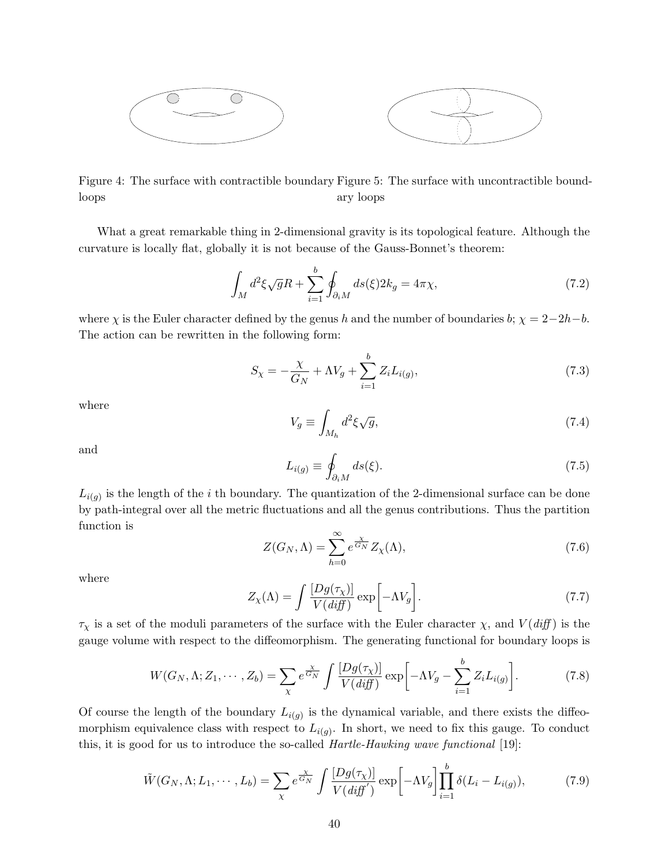

Figure 4: The surface with contractible boundary Figure 5: The surface with uncontractible boundloops ary loops

What a great remarkable thing in 2-dimensional gravity is its topological feature. Although the curvature is locally flat, globally it is not because of the Gauss-Bonnet's theorem:

$$
\int_M d^2\xi \sqrt{g}R + \sum_{i=1}^b \oint_{\partial_i M} ds(\xi) 2k_g = 4\pi\chi,\tag{7.2}
$$

where  $\chi$  is the Euler character defined by the genus h and the number of boundaries b;  $\chi = 2-\frac{2h-b}{h}$ . The action can be rewritten in the following form:

$$
S_{\chi} = -\frac{\chi}{G_N} + \Lambda V_g + \sum_{i=1}^{b} Z_i L_{i(g)},
$$
\n(7.3)

where

$$
V_g \equiv \int_{M_h} d^2 \xi \sqrt{g},\tag{7.4}
$$

and

$$
L_{i(g)} \equiv \oint_{\partial_i M} ds(\xi). \tag{7.5}
$$

 $L_{i(g)}$  is the length of the i th boundary. The quantization of the 2-dimensional surface can be done by path-integral over all the metric fluctuations and all the genus contributions. Thus the partition function is

$$
Z(G_N, \Lambda) = \sum_{h=0}^{\infty} e^{\frac{\chi}{G_N}} Z_{\chi}(\Lambda), \qquad (7.6)
$$

where

$$
Z_{\chi}(\Lambda) = \int \frac{[Dg(\tau_{\chi})]}{V(\text{diff})} \exp\left[-\Lambda V_g\right].\tag{7.7}
$$

 $\tau_{\chi}$  is a set of the moduli parameters of the surface with the Euler character  $\chi$ , and  $V(\text{diff})$  is the gauge volume with respect to the diffeomorphism. The generating functional for boundary loops is

$$
W(G_N, \Lambda; Z_1, \cdots, Z_b) = \sum_{\chi} e^{\frac{\chi}{G_N}} \int \frac{[Dg(\tau_\chi)]}{V(diff)} \exp\left[-\Lambda V_g - \sum_{i=1}^b Z_i L_{i(g)}\right].
$$
 (7.8)

Of course the length of the boundary  $L_{i(g)}$  is the dynamical variable, and there exists the diffeomorphism equivalence class with respect to  $L_{i(g)}$ . In short, we need to fix this gauge. To conduct this, it is good for us to introduce the so-called Hartle-Hawking wave functional [19]:

$$
\tilde{W}(G_N, \Lambda; L_1, \cdots, L_b) = \sum_{\chi} e^{\frac{\chi}{G_N}} \int \frac{[Dg(\tau_{\chi})]}{V(\text{diff}')} \exp\left[-\Lambda V_g\right] \prod_{i=1}^b \delta(L_i - L_{i(g)}),\tag{7.9}
$$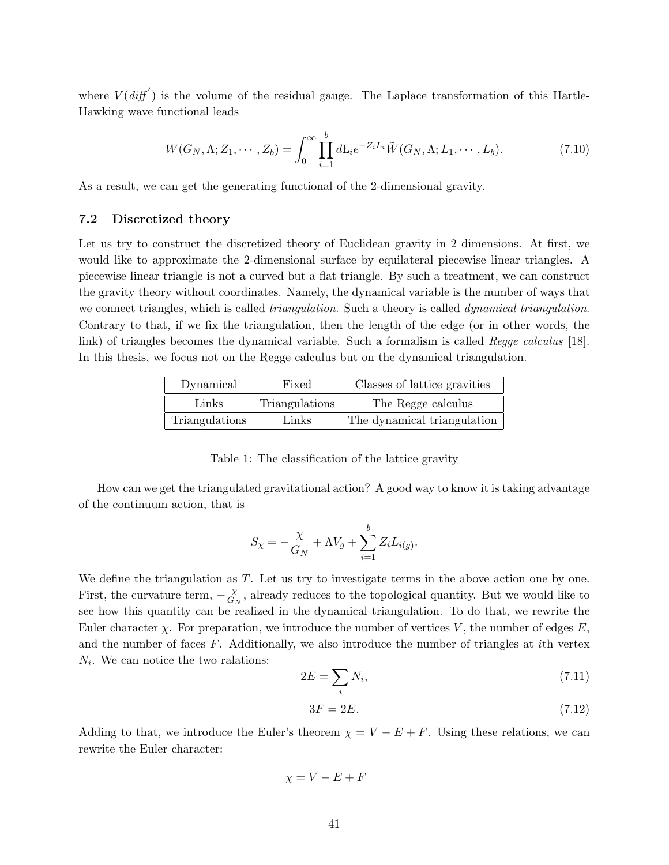where  $V(df')$  is the volume of the residual gauge. The Laplace transformation of this Hartle-Hawking wave functional leads

$$
W(G_N, \Lambda; Z_1, \cdots, Z_b) = \int_0^\infty \prod_{i=1}^b dL_i e^{-Z_i L_i} \tilde{W}(G_N, \Lambda; L_1, \cdots, L_b).
$$
 (7.10)

As a result, we can get the generating functional of the 2-dimensional gravity.

# 7.2 Discretized theory

Let us try to construct the discretized theory of Euclidean gravity in 2 dimensions. At first, we would like to approximate the 2-dimensional surface by equilateral piecewise linear triangles. A piecewise linear triangle is not a curved but a flat triangle. By such a treatment, we can construct the gravity theory without coordinates. Namely, the dynamical variable is the number of ways that we connect triangles, which is called *triangulation*. Such a theory is called *dynamical triangulation*. Contrary to that, if we fix the triangulation, then the length of the edge (or in other words, the link) of triangles becomes the dynamical variable. Such a formalism is called Regge calculus [18]. In this thesis, we focus not on the Regge calculus but on the dynamical triangulation.

| Dynamical      | Fixed          | Classes of lattice gravities |
|----------------|----------------|------------------------------|
| Links          | Triangulations | The Regge calculus           |
| Triangulations | Links          | The dynamical triangulation  |

Table 1: The classification of the lattice gravity

How can we get the triangulated gravitational action? A good way to know it is taking advantage of the continuum action, that is

$$
S_{\chi} = -\frac{\chi}{G_N} + \Lambda V_g + \sum_{i=1}^{b} Z_i L_{i(g)}.
$$

We define the triangulation as  $T$ . Let us try to investigate terms in the above action one by one. First, the curvature term,  $-\frac{\chi}{G}$  $\frac{\chi}{G_N}$ , already reduces to the topological quantity. But we would like to see how this quantity can be realized in the dynamical triangulation. To do that, we rewrite the Euler character  $\chi$ . For preparation, we introduce the number of vertices V, the number of edges E, and the number of faces  $F$ . Additionally, we also introduce the number of triangles at *i*th vertex  $N_i$ . We can notice the two ralations:

$$
2E = \sum_{i} N_i,\tag{7.11}
$$

$$
3F = 2E.\t(7.12)
$$

Adding to that, we introduce the Euler's theorem  $\chi = V - E + F$ . Using these relations, we can rewrite the Euler character:

$$
\chi = V - E + F
$$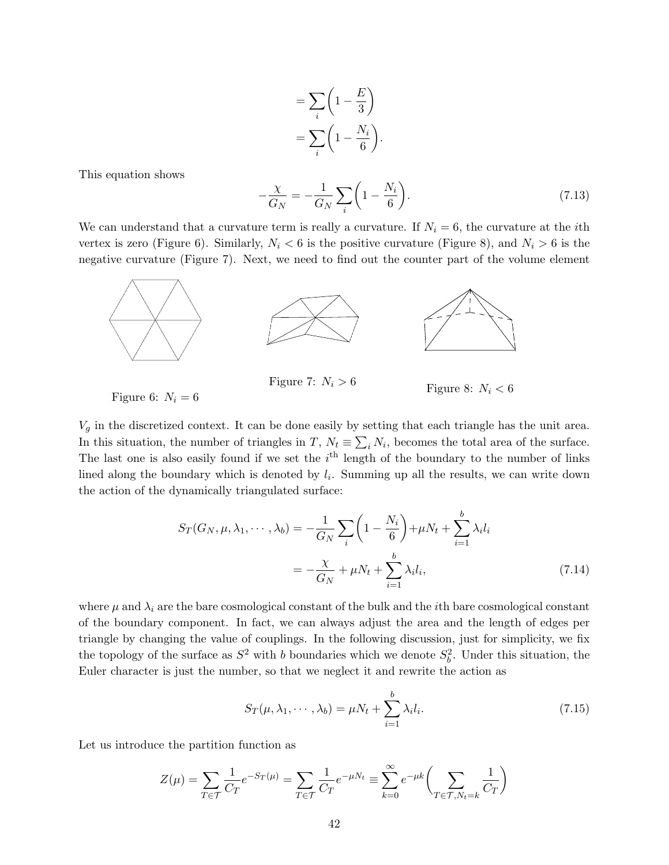$$
= \sum_{i} \left( 1 - \frac{E}{3} \right)
$$
  
= 
$$
\sum_{i} \left( 1 - \frac{N_i}{6} \right).
$$

This equation shows

$$
-\frac{\chi}{G_N} = -\frac{1}{G_N} \sum_i \left(1 - \frac{N_i}{6}\right). \tag{7.13}
$$

We can understand that a curvature term is really a curvature. If  $N_i = 6$ , the curvature at the *i*th vertex is zero (Figure 6). Similarly,  $N_i < 6$  is the positive curvature (Figure 8), and  $N_i > 6$  is the negative curvature (Figure 7). Next, we need to find out the counter part of the volume element



Figure 6:  $N_i = 6$ 

 $V<sub>g</sub>$  in the discretized context. It can be done easily by setting that each triangle has the unit area. In this situation, the number of triangles in T,  $N_t \equiv \sum_i N_i$ , becomes the total area of the surface. The last one is also easily found if we set the  $i<sup>th</sup>$  length of the boundary to the number of links lined along the boundary which is denoted by  $l_i$ . Summing up all the results, we can write down the action of the dynamically triangulated surface:

$$
S_T(G_N, \mu, \lambda_1, \cdots, \lambda_b) = -\frac{1}{G_N} \sum_i \left( 1 - \frac{N_i}{6} \right) + \mu N_t + \sum_{i=1}^b \lambda_i l_i
$$
  
= 
$$
-\frac{\chi}{G_N} + \mu N_t + \sum_{i=1}^b \lambda_i l_i,
$$
 (7.14)

where  $\mu$  and  $\lambda_i$  are the bare cosmological constant of the bulk and the *i*th bare cosmological constant of the boundary component. In fact, we can always adjust the area and the length of edges per triangle by changing the value of couplings. In the following discussion, just for simplicity, we fix the topology of the surface as  $S^2$  with b boundaries which we denote  $S_b^2$ . Under this situation, the Euler character is just the number, so that we neglect it and rewrite the action as

$$
S_T(\mu, \lambda_1, \cdots, \lambda_b) = \mu N_t + \sum_{i=1}^b \lambda_i l_i.
$$
 (7.15)

Let us introduce the partition function as

$$
Z(\mu) = \sum_{T \in \mathcal{T}} \frac{1}{C_T} e^{-S_T(\mu)} = \sum_{T \in \mathcal{T}} \frac{1}{C_T} e^{-\mu N_t} \equiv \sum_{k=0}^{\infty} e^{-\mu k} \left( \sum_{T \in \mathcal{T}, N_t = k} \frac{1}{C_T} \right)
$$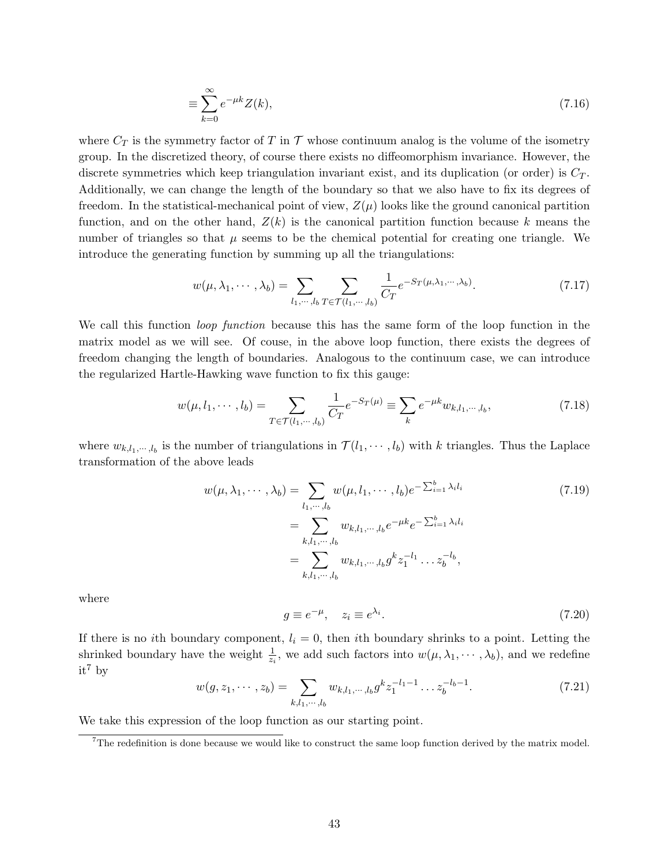$$
\equiv \sum_{k=0}^{\infty} e^{-\mu k} Z(k),\tag{7.16}
$$

where  $C_T$  is the symmetry factor of T in T whose continuum analog is the volume of the isometry group. In the discretized theory, of course there exists no diffeomorphism invariance. However, the discrete symmetries which keep triangulation invariant exist, and its duplication (or order) is  $C_T$ . Additionally, we can change the length of the boundary so that we also have to fix its degrees of freedom. In the statistical-mechanical point of view,  $Z(\mu)$  looks like the ground canonical partition function, and on the other hand,  $Z(k)$  is the canonical partition function because k means the number of triangles so that  $\mu$  seems to be the chemical potential for creating one triangle. We introduce the generating function by summing up all the triangulations:

$$
w(\mu, \lambda_1, \cdots, \lambda_b) = \sum_{l_1, \cdots, l_b} \sum_{T \in \mathcal{T}(l_1, \cdots, l_b)} \frac{1}{C_T} e^{-S_T(\mu, \lambda_1, \cdots, \lambda_b)}.
$$
 (7.17)

We call this function *loop function* because this has the same form of the loop function in the matrix model as we will see. Of couse, in the above loop function, there exists the degrees of freedom changing the length of boundaries. Analogous to the continuum case, we can introduce the regularized Hartle-Hawking wave function to fix this gauge:

$$
w(\mu, l_1, \cdots, l_b) = \sum_{T \in \mathcal{T}(l_1, \cdots, l_b)} \frac{1}{C_T} e^{-S_T(\mu)} \equiv \sum_k e^{-\mu k} w_{k, l_1, \cdots, l_b},\tag{7.18}
$$

where  $w_{k,l_1,\dots,l_b}$  is the number of triangulations in  $\mathcal{T}(l_1,\dots,l_b)$  with k triangles. Thus the Laplace transformation of the above leads

$$
w(\mu, \lambda_1, \cdots, \lambda_b) = \sum_{l_1, \cdots, l_b} w(\mu, l_1, \cdots, l_b) e^{-\sum_{i=1}^b \lambda_i l_i}
$$
  
= 
$$
\sum_{k, l_1, \cdots, l_b} w_{k, l_1, \cdots, l_b} e^{-\mu k} e^{-\sum_{i=1}^b \lambda_i l_i}
$$
  
= 
$$
\sum_{k, l_1, \cdots, l_b} w_{k, l_1, \cdots, l_b} g^k z_1^{-l_1} \cdots z_b^{-l_b},
$$
 (7.19)

where

$$
g \equiv e^{-\mu}, \quad z_i \equiv e^{\lambda_i}.\tag{7.20}
$$

If there is no *i*th boundary component,  $l_i = 0$ , then *i*th boundary shrinks to a point. Letting the shrinked boundary have the weight  $\frac{1}{z_i}$ , we add such factors into  $w(\mu, \lambda_1, \dots, \lambda_b)$ , and we redefine  $it^7$  by

$$
w(g, z_1, \cdots, z_b) = \sum_{k, l_1, \cdots, l_b} w_{k, l_1, \cdots, l_b} g^k z_1^{-l_1 - 1} \cdots z_b^{-l_b - 1}.
$$
 (7.21)

We take this expression of the loop function as our starting point.

<sup>&</sup>lt;sup>7</sup>The redefinition is done because we would like to construct the same loop function derived by the matrix model.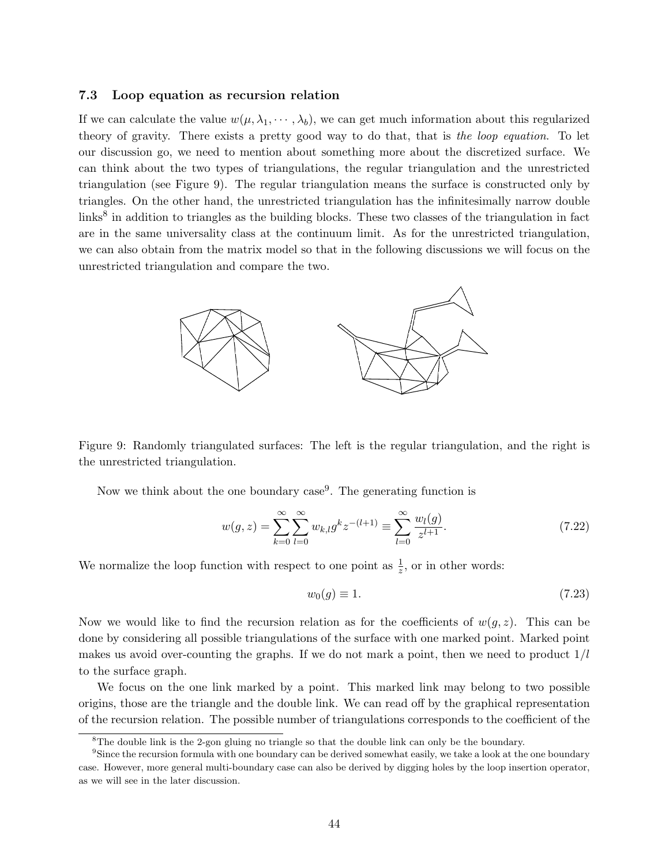## 7.3 Loop equation as recursion relation

If we can calculate the value  $w(\mu, \lambda_1, \dots, \lambda_b)$ , we can get much information about this regularized theory of gravity. There exists a pretty good way to do that, that is the loop equation. To let our discussion go, we need to mention about something more about the discretized surface. We can think about the two types of triangulations, the regular triangulation and the unrestricted triangulation (see Figure 9). The regular triangulation means the surface is constructed only by triangles. On the other hand, the unrestricted triangulation has the infinitesimally narrow double  $\text{links}^8$  in addition to triangles as the building blocks. These two classes of the triangulation in fact are in the same universality class at the continuum limit. As for the unrestricted triangulation, we can also obtain from the matrix model so that in the following discussions we will focus on the unrestricted triangulation and compare the two.



Figure 9: Randomly triangulated surfaces: The left is the regular triangulation, and the right is the unrestricted triangulation.

Now we think about the one boundary  $case<sup>9</sup>$ . The generating function is

$$
w(g, z) = \sum_{k=0}^{\infty} \sum_{l=0}^{\infty} w_{k,l} g^k z^{-(l+1)} \equiv \sum_{l=0}^{\infty} \frac{w_l(g)}{z^{l+1}}.
$$
 (7.22)

We normalize the loop function with respect to one point as  $\frac{1}{z}$ , or in other words:

$$
w_0(g) \equiv 1. \tag{7.23}
$$

Now we would like to find the recursion relation as for the coefficients of  $w(q, z)$ . This can be done by considering all possible triangulations of the surface with one marked point. Marked point makes us avoid over-counting the graphs. If we do not mark a point, then we need to product  $1/l$ to the surface graph.

We focus on the one link marked by a point. This marked link may belong to two possible origins, those are the triangle and the double link. We can read off by the graphical representation of the recursion relation. The possible number of triangulations corresponds to the coefficient of the

<sup>&</sup>lt;sup>8</sup>The double link is the 2-gon gluing no triangle so that the double link can only be the boundary.

 $<sup>9</sup>$ Since the recursion formula with one boundary can be derived somewhat easily, we take a look at the one boundary</sup> case. However, more general multi-boundary case can also be derived by digging holes by the loop insertion operator, as we will see in the later discussion.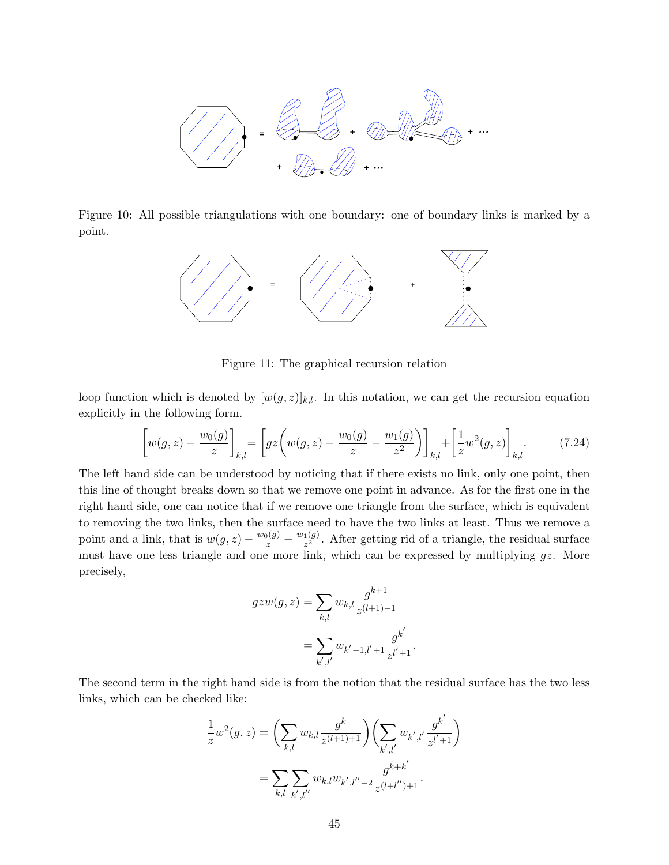

Figure 10: All possible triangulations with one boundary: one of boundary links is marked by a point.



Figure 11: The graphical recursion relation

loop function which is denoted by  $[w(g, z)]_{k,l}$ . In this notation, we can get the recursion equation explicitly in the following form.

$$
\[w(g,z) - \frac{w_0(g)}{z}\]_{k,l} = \left[gz\bigg(w(g,z) - \frac{w_0(g)}{z} - \frac{w_1(g)}{z^2}\bigg)\right]_{k,l} + \left[\frac{1}{z}w^2(g,z)\right]_{k,l}.\tag{7.24}
$$

The left hand side can be understood by noticing that if there exists no link, only one point, then this line of thought breaks down so that we remove one point in advance. As for the first one in the right hand side, one can notice that if we remove one triangle from the surface, which is equivalent to removing the two links, then the surface need to have the two links at least. Thus we remove a point and a link, that is  $w(g, z) - \frac{w_0(g)}{z} - \frac{w_1(g)}{z^2}$  $\frac{1(g)}{z^2}$ . After getting rid of a triangle, the residual surface must have one less triangle and one more link, which can be expressed by multiplying  $gz$ . More precisely,

$$
gzw(g, z) = \sum_{k,l} w_{k,l} \frac{g^{k+1}}{z^{(l+1)-1}}
$$
  
= 
$$
\sum_{k',l'} w_{k'-1,l'+1} \frac{g^{k'}}{z^{l'+1}}.
$$

The second term in the right hand side is from the notion that the residual surface has the two less links, which can be checked like:

$$
\frac{1}{z}w^2(g,z) = \left(\sum_{k,l} w_{k,l} \frac{g^k}{z^{(l+1)+1}}\right) \left(\sum_{k',l'} w_{k',l'} \frac{g^{k'}}{z^{l'+1}}\right)
$$

$$
= \sum_{k,l} \sum_{k',l''} w_{k,l} w_{k',l''-2} \frac{g^{k+k'}}{z^{(l+l'')+1}}.
$$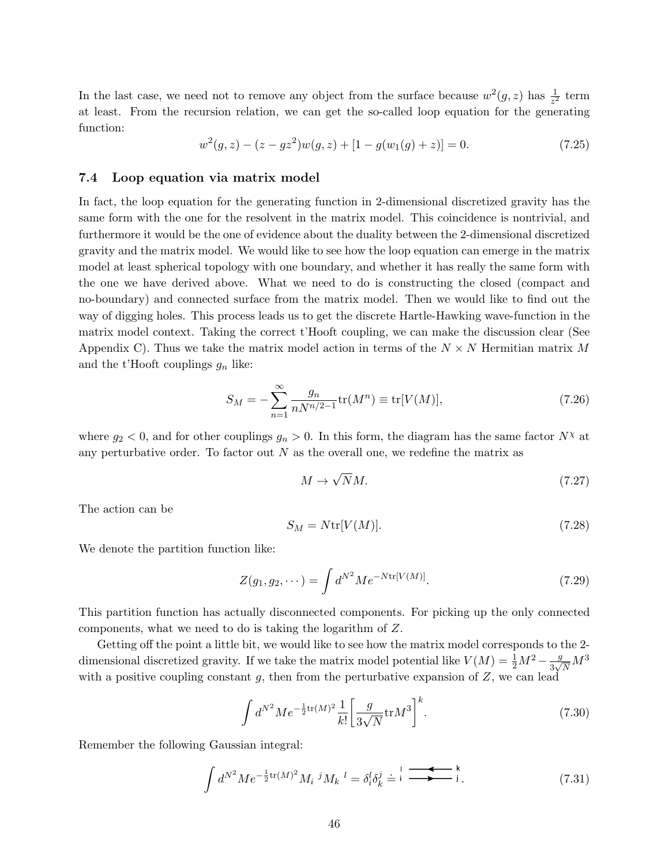In the last case, we need not to remove any object from the surface because  $w^2(g, z)$  has  $\frac{1}{z^2}$  term at least. From the recursion relation, we can get the so-called loop equation for the generating function:

$$
w^{2}(g, z) - (z - gz^{2})w(g, z) + [1 - g(w_{1}(g) + z)] = 0.
$$
\n(7.25)

## 7.4 Loop equation via matrix model

In fact, the loop equation for the generating function in 2-dimensional discretized gravity has the same form with the one for the resolvent in the matrix model. This coincidence is nontrivial, and furthermore it would be the one of evidence about the duality between the 2-dimensional discretized gravity and the matrix model. We would like to see how the loop equation can emerge in the matrix model at least spherical topology with one boundary, and whether it has really the same form with the one we have derived above. What we need to do is constructing the closed (compact and no-boundary) and connected surface from the matrix model. Then we would like to find out the way of digging holes. This process leads us to get the discrete Hartle-Hawking wave-function in the matrix model context. Taking the correct t'Hooft coupling, we can make the discussion clear (See Appendix C). Thus we take the matrix model action in terms of the  $N \times N$  Hermitian matrix M and the t'Hooft couplings  $g_n$  like:

$$
S_M = -\sum_{n=1}^{\infty} \frac{g_n}{nN^{n/2 - 1}} \text{tr}(M^n) \equiv \text{tr}[V(M)],\tag{7.26}
$$

where  $g_2 < 0$ , and for other couplings  $g_n > 0$ . In this form, the diagram has the same factor  $N^{\chi}$  at any perturbative order. To factor out  $N$  as the overall one, we redefine the matrix as

$$
M \to \sqrt{N}M. \tag{7.27}
$$

The action can be

$$
S_M = N \text{tr}[V(M)]. \tag{7.28}
$$

We denote the partition function like:

$$
Z(g_1, g_2, \cdots) = \int d^{N^2} M e^{-N \text{tr}[V(M)]}. \tag{7.29}
$$

This partition function has actually disconnected components. For picking up the only connected components, what we need to do is taking the logarithm of Z.

Getting off the point a little bit, we would like to see how the matrix model corresponds to the 2 dimensional discretized gravity. If we take the matrix model potential like  $V(M) = \frac{1}{2}M^2 - \frac{g}{3\sqrt{2}}$  $\frac{g}{3\sqrt{N}}M^3$ with a positive coupling constant  $g$ , then from the perturbative expansion of  $Z$ , we can lead

$$
\int d^{N^2} M e^{-\frac{1}{2}\text{tr}(M)^2} \frac{1}{k!} \left[ \frac{g}{3\sqrt{N}} \text{tr} M^3 \right]^k.
$$
 (7.30)

Remember the following Gaussian integral:

$$
\int d^{N^2} M e^{-\frac{1}{2}\text{tr}(M)^2} M_i \,^j M_k \,^l = \delta_i^l \delta_k^j = \sum_{j}^{n} \sum_{j}^{k} . \tag{7.31}
$$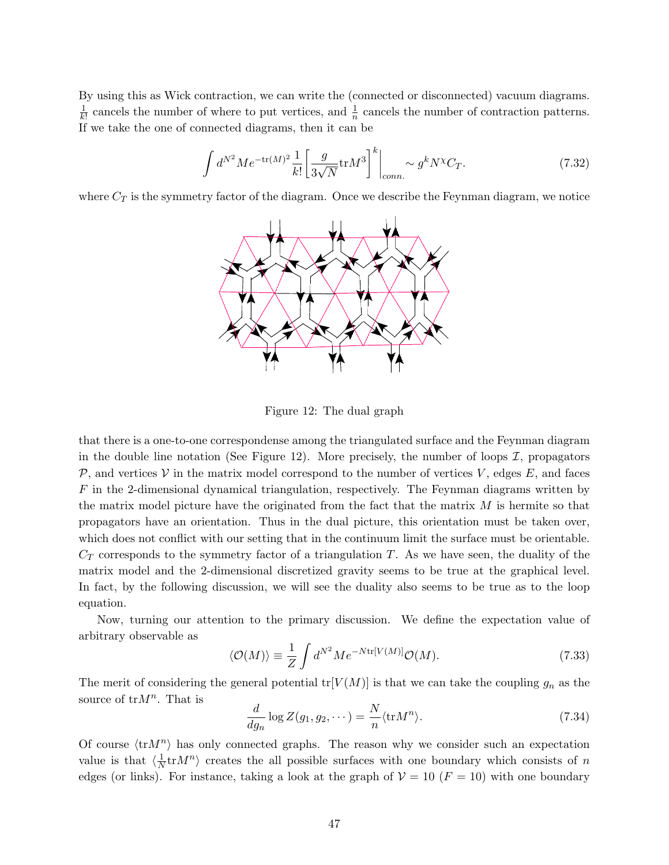By using this as Wick contraction, we can write the (connected or disconnected) vacuum diagrams. 1  $\frac{1}{k!}$  cancels the number of where to put vertices, and  $\frac{1}{n}$  cancels the number of contraction patterns. If we take the one of connected diagrams, then it can be

$$
\int d^{N^2} M e^{-\text{tr}(M)^2} \frac{1}{k!} \left[ \frac{g}{3\sqrt{N}} \text{tr} M^3 \right]^k \bigg|_{conn.} \sim g^k N^{\chi} C_T. \tag{7.32}
$$

where  $C_T$  is the symmetry factor of the diagram. Once we describe the Feynman diagram, we notice



Figure 12: The dual graph

that there is a one-to-one correspondense among the triangulated surface and the Feynman diagram in the double line notation (See Figure 12). More precisely, the number of loops  $\mathcal{I}$ , propagators  $P$ , and vertices V in the matrix model correspond to the number of vertices V, edges E, and faces  $F$  in the 2-dimensional dynamical triangulation, respectively. The Feynman diagrams written by the matrix model picture have the originated from the fact that the matrix  $M$  is hermite so that propagators have an orientation. Thus in the dual picture, this orientation must be taken over, which does not conflict with our setting that in the continuum limit the surface must be orientable.  $C_T$  corresponds to the symmetry factor of a triangulation T. As we have seen, the duality of the matrix model and the 2-dimensional discretized gravity seems to be true at the graphical level. In fact, by the following discussion, we will see the duality also seems to be true as to the loop equation.

Now, turning our attention to the primary discussion. We define the expectation value of arbitrary observable as

$$
\langle \mathcal{O}(M) \rangle \equiv \frac{1}{Z} \int d^{N^2} M e^{-N \text{tr}[V(M)]} \mathcal{O}(M). \tag{7.33}
$$

The merit of considering the general potential  $tr[V(M)]$  is that we can take the coupling  $g_n$  as the source of  $tr M<sup>n</sup>$ . That is

$$
\frac{d}{dg_n} \log Z(g_1, g_2, \cdots) = \frac{N}{n} \langle \text{tr} M^n \rangle.
$$
 (7.34)

Of course  $\langle \text{tr} M^n \rangle$  has only connected graphs. The reason why we consider such an expectation value is that  $\langle \frac{1}{N} \rangle$  $\frac{1}{N}$ tr $M^n$  creates the all possible surfaces with one boundary which consists of n edges (or links). For instance, taking a look at the graph of  $V = 10$  ( $F = 10$ ) with one boundary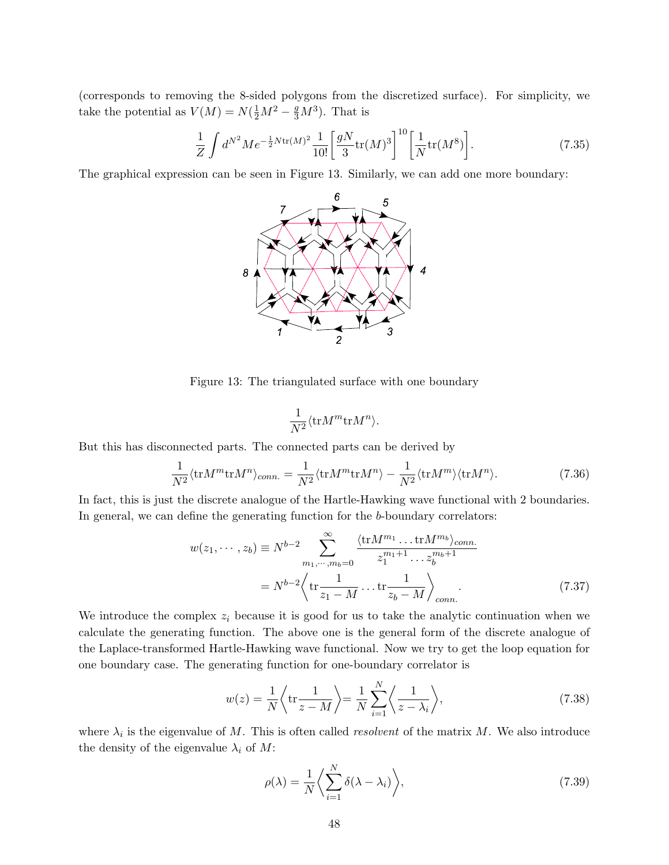(corresponds to removing the 8-sided polygons from the discretized surface). For simplicity, we take the potential as  $V(M) = N(\frac{1}{2}M^2 - \frac{g}{3}M^3)$ . That is

$$
\frac{1}{Z} \int d^{N^2} M e^{-\frac{1}{2} N \text{tr}(M)^2} \frac{1}{10!} \left[ \frac{gN}{3} \text{tr}(M)^3 \right]^{10} \left[ \frac{1}{N} \text{tr}(M^8) \right]. \tag{7.35}
$$

The graphical expression can be seen in Figure 13. Similarly, we can add one more boundary:



Figure 13: The triangulated surface with one boundary

$$
\frac{1}{N^2} \langle \text{tr} M^m \text{tr} M^n \rangle.
$$

But this has disconnected parts. The connected parts can be derived by

$$
\frac{1}{N^2} \langle \text{tr} M^m \text{tr} M^n \rangle_{conn.} = \frac{1}{N^2} \langle \text{tr} M^m \text{tr} M^n \rangle - \frac{1}{N^2} \langle \text{tr} M^m \rangle \langle \text{tr} M^n \rangle. \tag{7.36}
$$

In fact, this is just the discrete analogue of the Hartle-Hawking wave functional with 2 boundaries. In general, we can define the generating function for the b-boundary correlators:

$$
w(z_1, \dots, z_b) \equiv N^{b-2} \sum_{m_1, \dots, m_b = 0}^{\infty} \frac{\langle \text{tr} M^{m_1} \dots \text{tr} M^{m_b} \rangle_{conn.}}{z_1^{m_1 + 1} \dots z_b^{m_b + 1}}
$$

$$
= N^{b-2} \left\langle \text{tr} \frac{1}{z_1 - M} \dots \text{tr} \frac{1}{z_b - M} \right\rangle_{conn.} \tag{7.37}
$$

We introduce the complex  $z_i$  because it is good for us to take the analytic continuation when we calculate the generating function. The above one is the general form of the discrete analogue of the Laplace-transformed Hartle-Hawking wave functional. Now we try to get the loop equation for one boundary case. The generating function for one-boundary correlator is

$$
w(z) = \frac{1}{N} \left\langle \text{tr} \frac{1}{z - M} \right\rangle = \frac{1}{N} \sum_{i=1}^{N} \left\langle \frac{1}{z - \lambda_i} \right\rangle,\tag{7.38}
$$

where  $\lambda_i$  is the eigenvalue of M. This is often called *resolvent* of the matrix M. We also introduce the density of the eigenvalue  $\lambda_i$  of M:

$$
\rho(\lambda) = \frac{1}{N} \left\langle \sum_{i=1}^{N} \delta(\lambda - \lambda_i) \right\rangle, \tag{7.39}
$$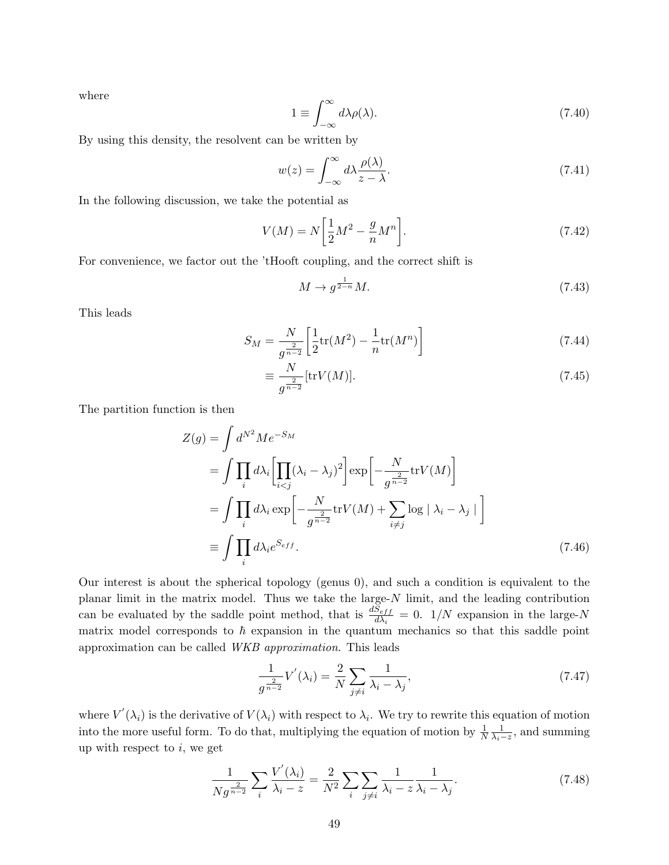where

$$
1 \equiv \int_{-\infty}^{\infty} d\lambda \rho(\lambda). \tag{7.40}
$$

By using this density, the resolvent can be written by

$$
w(z) = \int_{-\infty}^{\infty} d\lambda \frac{\rho(\lambda)}{z - \lambda}.
$$
 (7.41)

In the following discussion, we take the potential as

$$
V(M) = N \left[ \frac{1}{2} M^2 - \frac{g}{n} M^n \right].
$$
 (7.42)

For convenience, we factor out the 'tHooft coupling, and the correct shift is

$$
M \to g^{\frac{1}{2-n}} M. \tag{7.43}
$$

This leads

$$
S_M = \frac{N}{g^{\frac{2}{n-2}}} \left[ \frac{1}{2} \text{tr}(M^2) - \frac{1}{n} \text{tr}(M^n) \right] \tag{7.44}
$$

$$
\equiv \frac{N}{g^{\frac{2}{n-2}}}[\text{tr}V(M)].\tag{7.45}
$$

The partition function is then

$$
Z(g) = \int d^{N^2} M e^{-S_M}
$$
  
= 
$$
\int \prod_i d\lambda_i \left[ \prod_{i < j} (\lambda_i - \lambda_j)^2 \right] \exp \left[ -\frac{N}{g^{\frac{2}{n-2}}} \text{tr} V(M) \right]
$$
  
= 
$$
\int \prod_i d\lambda_i \exp \left[ -\frac{N}{g^{\frac{2}{n-2}}} \text{tr} V(M) + \sum_{i \neq j} \log |\lambda_i - \lambda_j| \right]
$$
  
\equiv 
$$
\int \prod_i d\lambda_i e^{S_{eff}}.
$$
 (7.46)

Our interest is about the spherical topology (genus 0), and such a condition is equivalent to the planar limit in the matrix model. Thus we take the large-N limit, and the leading contribution can be evaluated by the saddle point method, that is  $\frac{dS_{eff}}{d\lambda_i} = 0$ .  $1/N$  expansion in the large-N matrix model corresponds to  $\hbar$  expansion in the quantum mechanics so that this saddle point approximation can be called WKB approximation. This leads

$$
\frac{1}{g^{\frac{2}{n-2}}}V'(\lambda_i) = \frac{2}{N} \sum_{j \neq i} \frac{1}{\lambda_i - \lambda_j},\tag{7.47}
$$

where  $V'(\lambda_i)$  is the derivative of  $V(\lambda_i)$  with respect to  $\lambda_i$ . We try to rewrite this equation of motion into the more useful form. To do that, multiplying the equation of motion by  $\frac{1}{N}$  $\frac{1}{\lambda_i - z}$ , and summing up with respect to  $i$ , we get

$$
\frac{1}{Ng^{\frac{2}{n-2}}} \sum_{i} \frac{V'(\lambda_i)}{\lambda_i - z} = \frac{2}{N^2} \sum_{i} \sum_{j \neq i} \frac{1}{\lambda_i - z} \frac{1}{\lambda_i - \lambda_j}.
$$
 (7.48)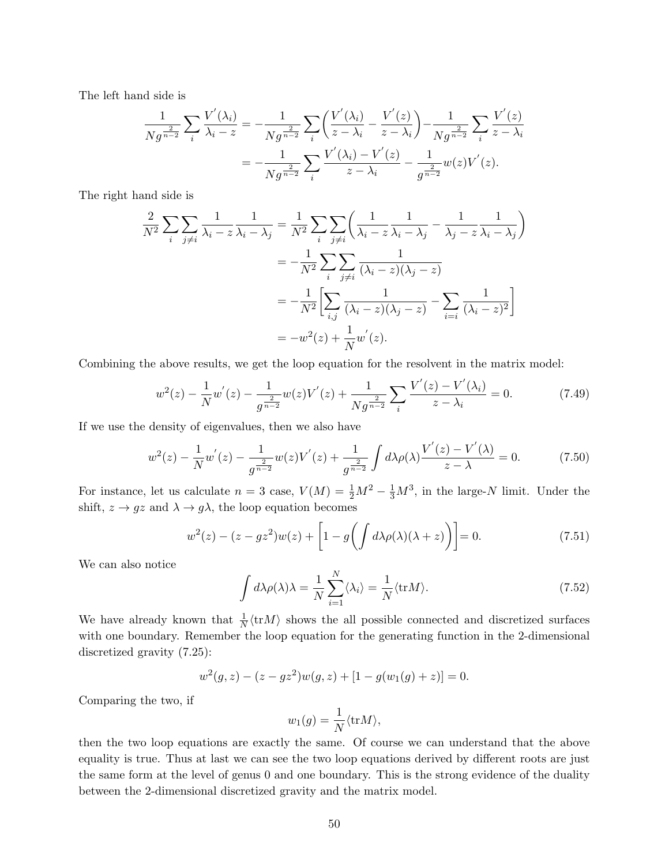The left hand side is

$$
\frac{1}{Ng^{\frac{2}{n-2}}} \sum_{i} \frac{V'(\lambda_i)}{\lambda_i - z} = -\frac{1}{Ng^{\frac{2}{n-2}}} \sum_{i} \left( \frac{V'(\lambda_i)}{z - \lambda_i} - \frac{V'(z)}{z - \lambda_i} \right) - \frac{1}{Ng^{\frac{2}{n-2}}} \sum_{i} \frac{V'(z)}{z - \lambda_i}
$$

$$
= -\frac{1}{Ng^{\frac{2}{n-2}}} \sum_{i} \frac{V'(\lambda_i) - V'(z)}{z - \lambda_i} - \frac{1}{g^{\frac{2}{n-2}}} w(z) V'(z).
$$

The right hand side is

$$
\frac{2}{N^2} \sum_{i} \sum_{j \neq i} \frac{1}{\lambda_i - z} \frac{1}{\lambda_i - \lambda_j} = \frac{1}{N^2} \sum_{i} \sum_{j \neq i} \left( \frac{1}{\lambda_i - z} \frac{1}{\lambda_i - \lambda_j} - \frac{1}{\lambda_j - z} \frac{1}{\lambda_i - \lambda_j} \right)
$$

$$
= -\frac{1}{N^2} \sum_{i} \sum_{j \neq i} \frac{1}{(\lambda_i - z)(\lambda_j - z)}
$$

$$
= -\frac{1}{N^2} \left[ \sum_{i,j} \frac{1}{(\lambda_i - z)(\lambda_j - z)} - \sum_{i=i} \frac{1}{(\lambda_i - z)^2} \right]
$$

$$
= -w^2(z) + \frac{1}{N} w'(z).
$$

Combining the above results, we get the loop equation for the resolvent in the matrix model:

$$
w^{2}(z) - \frac{1}{N}w^{'}(z) - \frac{1}{g^{\frac{2}{n-2}}}w(z)V'(z) + \frac{1}{Ng^{\frac{2}{n-2}}} \sum_{i} \frac{V'(z) - V'(\lambda_{i})}{z - \lambda_{i}} = 0.
$$
 (7.49)

If we use the density of eigenvalues, then we also have

$$
w^{2}(z) - \frac{1}{N}w^{'}(z) - \frac{1}{g^{\frac{2}{n-2}}}w(z)V^{'}(z) + \frac{1}{g^{\frac{2}{n-2}}}\int d\lambda \rho(\lambda)\frac{V^{'}(z) - V^{'}(\lambda)}{z - \lambda} = 0.
$$
 (7.50)

For instance, let us calculate  $n = 3$  case,  $V(M) = \frac{1}{2}M^2 - \frac{1}{3}M^3$ , in the large-N limit. Under the shift,  $z \to gz$  and  $\lambda \to g\lambda$ , the loop equation becomes

$$
w^{2}(z) - (z - gz^{2})w(z) + \left[1 - g\left(\int d\lambda \rho(\lambda)(\lambda + z)\right)\right] = 0.
$$
 (7.51)

We can also notice

$$
\int d\lambda \rho(\lambda) \lambda = \frac{1}{N} \sum_{i=1}^{N} \langle \lambda_i \rangle = \frac{1}{N} \langle \text{tr} M \rangle.
$$
 (7.52)

We have already known that  $\frac{1}{N} \langle \text{tr}M \rangle$  shows the all possible connected and discretized surfaces with one boundary. Remember the loop equation for the generating function in the 2-dimensional discretized gravity (7.25):

$$
w^{2}(g, z) - (z - gz^{2})w(g, z) + [1 - g(w_{1}(g) + z)] = 0.
$$

Comparing the two, if

$$
w_1(g) = \frac{1}{N} \langle \text{tr} M \rangle,
$$

then the two loop equations are exactly the same. Of course we can understand that the above equality is true. Thus at last we can see the two loop equations derived by different roots are just the same form at the level of genus 0 and one boundary. This is the strong evidence of the duality between the 2-dimensional discretized gravity and the matrix model.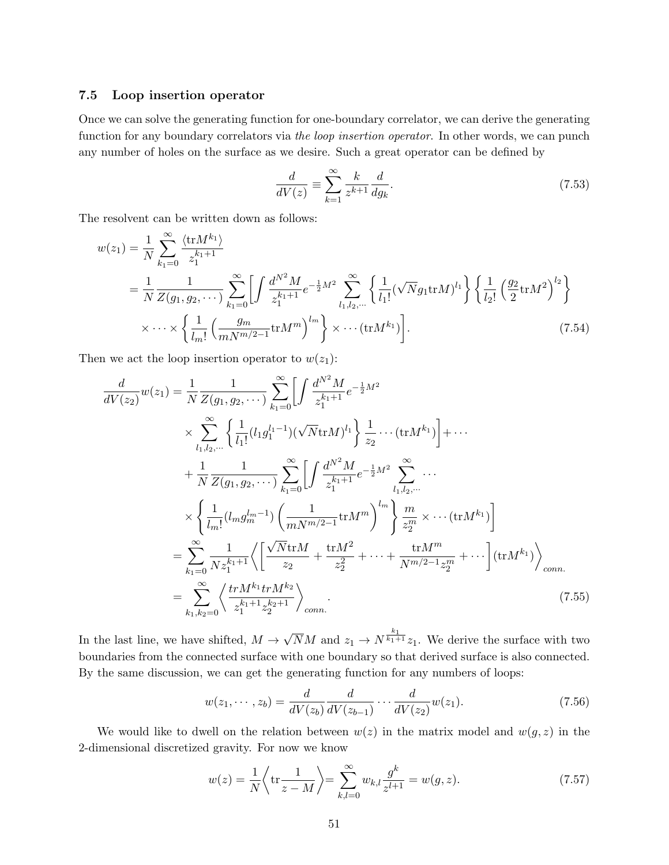## 7.5 Loop insertion operator

Once we can solve the generating function for one-boundary correlator, we can derive the generating function for any boundary correlators via *the loop insertion operator*. In other words, we can punch any number of holes on the surface as we desire. Such a great operator can be defined by

$$
\frac{d}{dV(z)} \equiv \sum_{k=1}^{\infty} \frac{k}{z^{k+1}} \frac{d}{dg_k}.
$$
\n(7.53)

The resolvent can be written down as follows:

$$
w(z_1) = \frac{1}{N} \sum_{k_1=0}^{\infty} \frac{\langle \text{tr} M^{k_1} \rangle}{z_1^{k_1+1}}
$$
  
=  $\frac{1}{N} \frac{1}{Z(g_1, g_2, \dots)} \sum_{k_1=0}^{\infty} \left[ \int \frac{d^{N^2} M}{z_1^{k_1+1}} e^{-\frac{1}{2}M^2} \sum_{l_1, l_2, \dots}^{\infty} \left\{ \frac{1}{l_1!} (\sqrt{N} g_1 \text{tr} M)^{l_1} \right\} \left\{ \frac{1}{l_2!} \left( \frac{g_2}{2} \text{tr} M^2 \right)^{l_2} \right\}$   
 $\times \dots \times \left\{ \frac{1}{l_m!} \left( \frac{g_m}{m N^{m/2-1}} \text{tr} M^m \right)^{l_m} \right\} \times \dots (\text{tr} M^{k_1}) \right].$  (7.54)

Then we act the loop insertion operator to  $w(z_1)$ :

$$
\frac{d}{dV(z_2)}w(z_1) = \frac{1}{N} \frac{1}{Z(g_1, g_2, \cdots)} \sum_{k_1=0}^{\infty} \left[ \int \frac{d^{N^2}M}{z_1^{k_1+1}} e^{-\frac{1}{2}M^2} \times \sum_{l_1, l_2, \cdots}^{\infty} \left\{ \frac{1}{l_1!} (l_1 g_1^{l_1-1}) (\sqrt{N} \text{tr} M)^{l_1} \right\} \frac{1}{z_2} \cdots (\text{tr} M^{k_1}) \right] + \cdots \n+ \frac{1}{N} \frac{1}{Z(g_1, g_2, \cdots)} \sum_{k_1=0}^{\infty} \left[ \int \frac{d^{N^2}M}{z_1^{k_1+1}} e^{-\frac{1}{2}M^2} \sum_{l_1, l_2, \cdots}^{\infty} \cdots \right. \n\left. \times \left\{ \frac{1}{l_m!} (l_m g_m^{l_m-1}) \left( \frac{1}{mN^{m/2-1}} \text{tr} M^m \right)^{l_m} \right\} \frac{m}{z_2^m} \times \cdots (\text{tr} M^{k_1}) \right] \n= \sum_{k_1=0}^{\infty} \frac{1}{N z_1^{k_1+1}} \left\{ \left[ \frac{\sqrt{N} \text{tr} M}{z_2} + \frac{\text{tr} M^2}{z_2^2} + \cdots + \frac{\text{tr} M^m}{N^{m/2-1} z_2^m} + \cdots \right] (\text{tr} M^{k_1}) \right\}_{conn.} \n= \sum_{k_1, k_2=0}^{\infty} \left\langle \frac{\text{tr} M^{k_1} \text{tr} M^{k_2}}{z_1^{k_1+1} z_2^{k_2+1}} \right\rangle_{conn.}
$$
\n(7.55)

In the last line, we have shifted,  $M \rightarrow$ √  $\overline{N}M$  and  $z_1 \to N^{\frac{k_1}{k_1+1}}z_1$ . We derive the surface with two boundaries from the connected surface with one boundary so that derived surface is also connected. By the same discussion, we can get the generating function for any numbers of loops:

$$
w(z_1, \dots, z_b) = \frac{d}{dV(z_b)} \frac{d}{dV(z_{b-1})} \dots \frac{d}{dV(z_2)} w(z_1).
$$
 (7.56)

We would like to dwell on the relation between  $w(z)$  in the matrix model and  $w(g, z)$  in the 2-dimensional discretized gravity. For now we know

$$
w(z) = \frac{1}{N} \left\langle \text{tr} \frac{1}{z - M} \right\rangle = \sum_{k,l=0}^{\infty} w_{k,l} \frac{g^k}{z^{l+1}} = w(g, z). \tag{7.57}
$$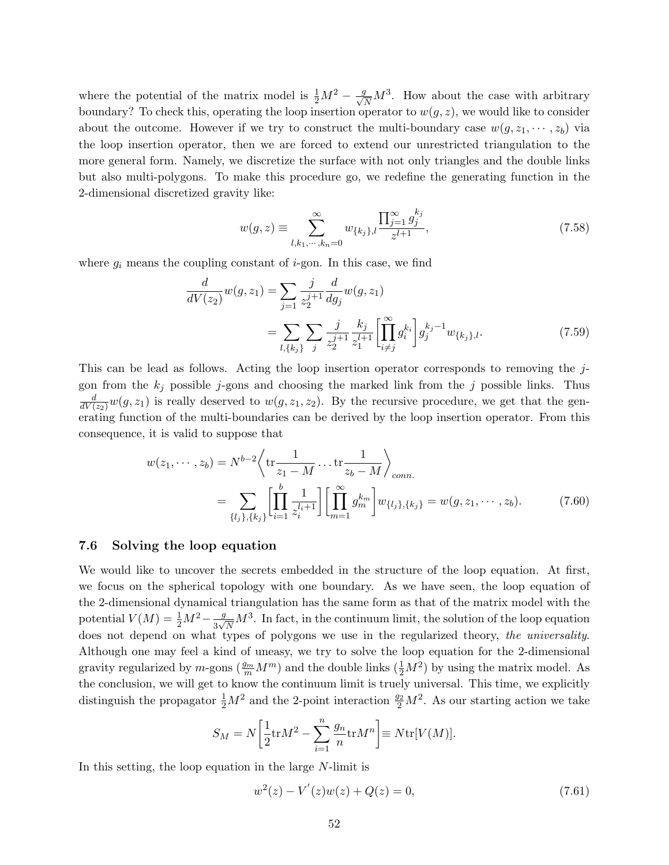where the potential of the matrix model is  $\frac{1}{2}M^2 - \frac{g}{\sqrt{N}}M^3$ . How about the case with arbitrary boundary? To check this, operating the loop insertion operator to  $w(g, z)$ , we would like to consider about the outcome. However if we try to construct the multi-boundary case  $w(q, z_1, \dots, z_b)$  via the loop insertion operator, then we are forced to extend our unrestricted triangulation to the more general form. Namely, we discretize the surface with not only triangles and the double links but also multi-polygons. To make this procedure go, we redefine the generating function in the 2-dimensional discretized gravity like:

$$
w(g, z) \equiv \sum_{l, k_1, \dots, k_n = 0}^{\infty} w_{\{k_j\}, l} \frac{\prod_{j=1}^{\infty} g_j^{k_j}}{z^{l+1}},
$$
\n(7.58)

where  $g_i$  means the coupling constant of  $i$ -gon. In this case, we find

$$
\frac{d}{dV(z_2)}w(g, z_1) = \sum_{j=1}^j \frac{j}{z_2^{j+1}} \frac{d}{dg_j} w(g, z_1)
$$
\n
$$
= \sum_{l, \{k_j\}} \sum_j \frac{j}{z_2^{j+1}} \frac{k_j}{z_1^{l+1}} \left[ \prod_{i \neq j}^{\infty} g_i^{k_i} \right] g_j^{k_j - 1} w_{\{k_j\}, l}.
$$
\n(7.59)

This can be lead as follows. Acting the loop insertion operator corresponds to removing the jgon from the  $k_j$  possible j-gons and choosing the marked link from the j possible links. Thus d  $\frac{d}{dV(z_2)}w(g, z_1)$  is really deserved to  $w(g, z_1, z_2)$ . By the recursive procedure, we get that the generating function of the multi-boundaries can be derived by the loop insertion operator. From this consequence, it is valid to suppose that

$$
w(z_1, \dots, z_b) = N^{b-2} \left\langle \text{tr} \frac{1}{z_1 - M} \dots \text{tr} \frac{1}{z_b - M} \right\rangle_{conn.}
$$
  
= 
$$
\sum_{\{l_j\}, \{k_j\}} \left[ \prod_{i=1}^b \frac{1}{z_i^{l_i+1}} \right] \left[ \prod_{m=1}^\infty g_m^{k_m} \right] w_{\{l_j\}, \{k_j\}} = w(g, z_1, \dots, z_b).
$$
 (7.60)

## 7.6 Solving the loop equation

We would like to uncover the secrets embedded in the structure of the loop equation. At first, we focus on the spherical topology with one boundary. As we have seen, the loop equation of the 2-dimensional dynamical triangulation has the same form as that of the matrix model with the potential  $V(M) = \frac{1}{2}M^2 - \frac{g}{3\sqrt{2}}$  $\frac{g}{3\sqrt{N}}M^3$ . In fact, in the continuum limit, the solution of the loop equation does not depend on what types of polygons we use in the regularized theory, the universality. Although one may feel a kind of uneasy, we try to solve the loop equation for the 2-dimensional gravity regularized by m-gons  $(\frac{g_m}{m}M^m)$  and the double links  $(\frac{1}{2}M^2)$  by using the matrix model. As the conclusion, we will get to know the continuum limit is truely universal. This time, we explicitly distinguish the propagator  $\frac{1}{2}M^2$  and the 2-point interaction  $\frac{g_2}{2}M^2$ . As our starting action we take

$$
S_M = N \left[ \frac{1}{2} \text{tr} M^2 - \sum_{i=1}^n \frac{g_n}{n} \text{tr} M^n \right] \equiv N \text{tr}[V(M)].
$$

In this setting, the loop equation in the large N-limit is

 $\iota$ 

$$
v^{2}(z) - V'(z)w(z) + Q(z) = 0,
$$
\n(7.61)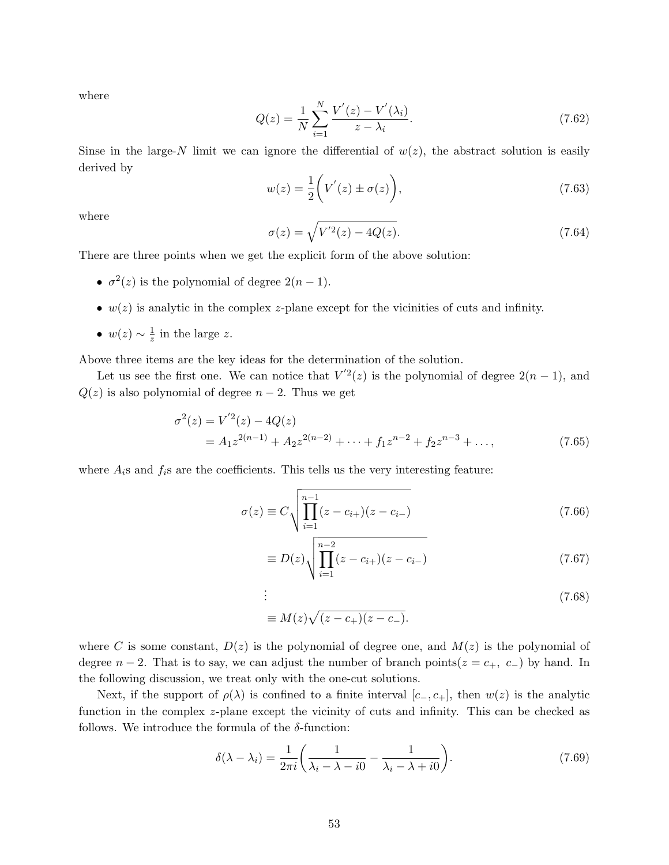where

$$
Q(z) = \frac{1}{N} \sum_{i=1}^{N} \frac{V'(z) - V'(\lambda_i)}{z - \lambda_i}.
$$
 (7.62)

Sinse in the large-N limit we can ignore the differential of  $w(z)$ , the abstract solution is easily derived by

$$
w(z) = \frac{1}{2} \left( V'(z) \pm \sigma(z) \right),\tag{7.63}
$$

where

$$
\sigma(z) = \sqrt{V'^2(z) - 4Q(z)}.
$$
\n(7.64)

There are three points when we get the explicit form of the above solution:

- $\sigma^2(z)$  is the polynomial of degree  $2(n-1)$ .
- $w(z)$  is analytic in the complex z-plane except for the vicinities of cuts and infinity.
- $\bullet \ w(z) \sim \frac{1}{z}$  $\frac{1}{z}$  in the large z.

Above three items are the key ideas for the determination of the solution.

Let us see the first one. We can notice that  $V^{'2}(z)$  is the polynomial of degree  $2(n-1)$ , and  $Q(z)$  is also polynomial of degree  $n-2$ . Thus we get

$$
\sigma^{2}(z) = V'^{2}(z) - 4Q(z)
$$
  
=  $A_{1}z^{2(n-1)} + A_{2}z^{2(n-2)} + \dots + f_{1}z^{n-2} + f_{2}z^{n-3} + \dots,$  (7.65)

where  $A_i$ s and  $f_i$ s are the coefficients. This tells us the very interesting feature:

$$
\sigma(z) \equiv C \sqrt{\prod_{i=1}^{n-1} (z - c_{i+})(z - c_{i-})}
$$
\n(7.66)

$$
\equiv D(z) \sqrt{\prod_{i=1}^{n-2} (z - c_{i+})(z - c_{i-})}
$$
\n(7.67)

:  
\n
$$
\equiv M(z)\sqrt{(z-c_{+})(z-c_{-})}.
$$
\n(7.68)

where C is some constant,  $D(z)$  is the polynomial of degree one, and  $M(z)$  is the polynomial of degree  $n-2$ . That is to say, we can adjust the number of branch points( $z = c_+$ ,  $c_-$ ) by hand. In the following discussion, we treat only with the one-cut solutions.

Next, if the support of  $\rho(\lambda)$  is confined to a finite interval  $[c_-, c_+]$ , then  $w(z)$  is the analytic function in the complex z-plane except the vicinity of cuts and infinity. This can be checked as follows. We introduce the formula of the  $\delta$ -function:

$$
\delta(\lambda - \lambda_i) = \frac{1}{2\pi i} \left( \frac{1}{\lambda_i - \lambda - i0} - \frac{1}{\lambda_i - \lambda + i0} \right).
$$
 (7.69)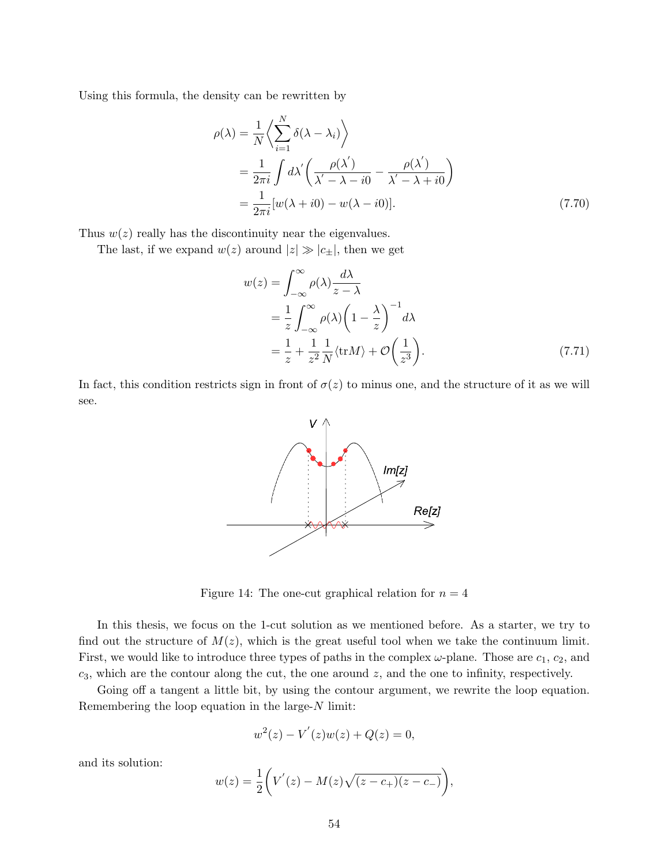Using this formula, the density can be rewritten by

$$
\rho(\lambda) = \frac{1}{N} \left\langle \sum_{i=1}^{N} \delta(\lambda - \lambda_i) \right\rangle
$$
  
= 
$$
\frac{1}{2\pi i} \int d\lambda' \left( \frac{\rho(\lambda')}{\lambda' - \lambda - i0} - \frac{\rho(\lambda')}{\lambda' - \lambda + i0} \right)
$$
  
= 
$$
\frac{1}{2\pi i} [w(\lambda + i0) - w(\lambda - i0)].
$$
 (7.70)

Thus  $w(z)$  really has the discontinuity near the eigenvalues.

The last, if we expand  $w(z)$  around  $|z| \gg |c_{\pm}|$ , then we get

$$
w(z) = \int_{-\infty}^{\infty} \rho(\lambda) \frac{d\lambda}{z - \lambda}
$$
  
=  $\frac{1}{z} \int_{-\infty}^{\infty} \rho(\lambda) \left(1 - \frac{\lambda}{z}\right)^{-1} d\lambda$   
=  $\frac{1}{z} + \frac{1}{z^2} \frac{1}{N} \langle trM \rangle + \mathcal{O}\left(\frac{1}{z^3}\right).$  (7.71)

In fact, this condition restricts sign in front of  $\sigma(z)$  to minus one, and the structure of it as we will see.



Figure 14: The one-cut graphical relation for  $n = 4$ 

In this thesis, we focus on the 1-cut solution as we mentioned before. As a starter, we try to find out the structure of  $M(z)$ , which is the great useful tool when we take the continuum limit. First, we would like to introduce three types of paths in the complex  $\omega$ -plane. Those are  $c_1, c_2$ , and  $c_3$ , which are the contour along the cut, the one around  $z$ , and the one to infinity, respectively.

Going off a tangent a little bit, by using the contour argument, we rewrite the loop equation. Remembering the loop equation in the large-N limit:

$$
w^{2}(z) - V'(z)w(z) + Q(z) = 0,
$$

and its solution:

$$
w(z) = \frac{1}{2} \bigg( V'(z) - M(z) \sqrt{(z - c_+)(z - c_-)} \bigg),
$$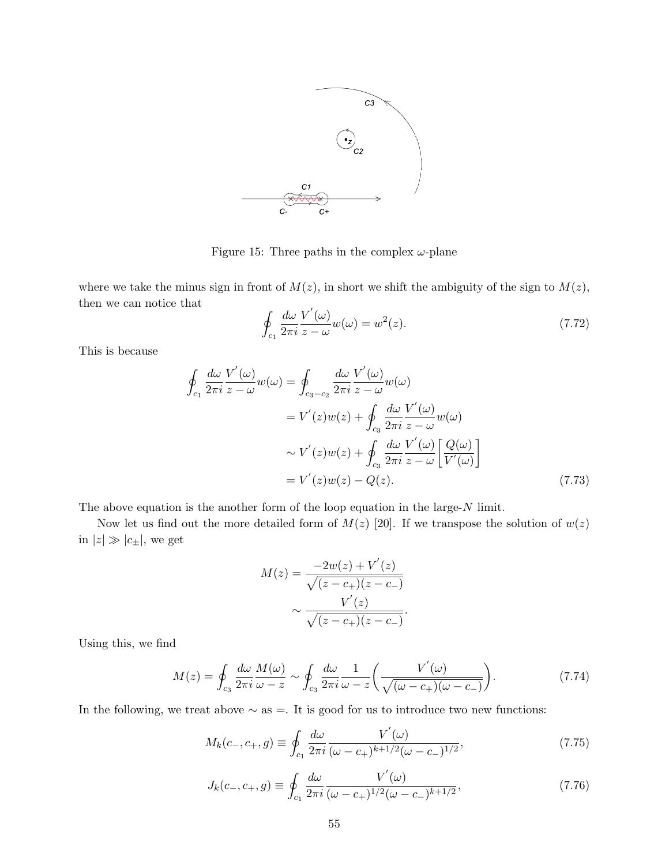

Figure 15: Three paths in the complex  $\omega$ -plane

where we take the minus sign in front of  $M(z)$ , in short we shift the ambiguity of the sign to  $M(z)$ , then we can notice that  $\prime$ 

$$
\oint_{c_1} \frac{d\omega}{2\pi i} \frac{V'(\omega)}{z - \omega} w(\omega) = w^2(z). \tag{7.72}
$$

This is because

$$
\oint_{c_1} \frac{d\omega}{2\pi i} \frac{V'(\omega)}{z - \omega} w(\omega) = \oint_{c_3 - c_2} \frac{d\omega}{2\pi i} \frac{V'(\omega)}{z - \omega} w(\omega)
$$
\n
$$
= V'(z)w(z) + \oint_{c_3} \frac{d\omega}{2\pi i} \frac{V'(\omega)}{z - \omega} w(\omega)
$$
\n
$$
\sim V'(z)w(z) + \oint_{c_3} \frac{d\omega}{2\pi i} \frac{V'(\omega)}{z - \omega} \left[ \frac{Q(\omega)}{V'(\omega)} \right]
$$
\n
$$
= V'(z)w(z) - Q(z). \tag{7.73}
$$

The above equation is the another form of the loop equation in the large-N limit.

Now let us find out the more detailed form of  $M(z)$  [20]. If we transpose the solution of  $w(z)$ in  $|z|\gg |c_\pm|,$  we get

$$
M(z) = \frac{-2w(z) + V'(z)}{\sqrt{(z - c_{+})(z - c_{-})}}
$$

$$
\sim \frac{V'(z)}{\sqrt{(z - c_{+})(z - c_{-})}}.
$$

Using this, we find

$$
M(z) = \oint_{c_3} \frac{d\omega}{2\pi i} \frac{M(\omega)}{\omega - z} \sim \oint_{c_3} \frac{d\omega}{2\pi i} \frac{1}{\omega - z} \left( \frac{V'(\omega)}{\sqrt{(\omega - c_+)(\omega - c_-)}} \right).
$$
 (7.74)

In the following, we treat above  $\sim$  as =. It is good for us to introduce two new functions:

$$
M_k(c_-,c_+,g) \equiv \oint_{c_1} \frac{d\omega}{2\pi i} \frac{V'(\omega)}{(\omega - c_+)^{k+1/2}(\omega - c_-)^{1/2}},\tag{7.75}
$$

$$
J_k(c_-,c_+,g) \equiv \oint_{c_1} \frac{d\omega}{2\pi i} \frac{V'(\omega)}{(\omega - c_+)^{1/2}(\omega - c_-)^{k+1/2}},\tag{7.76}
$$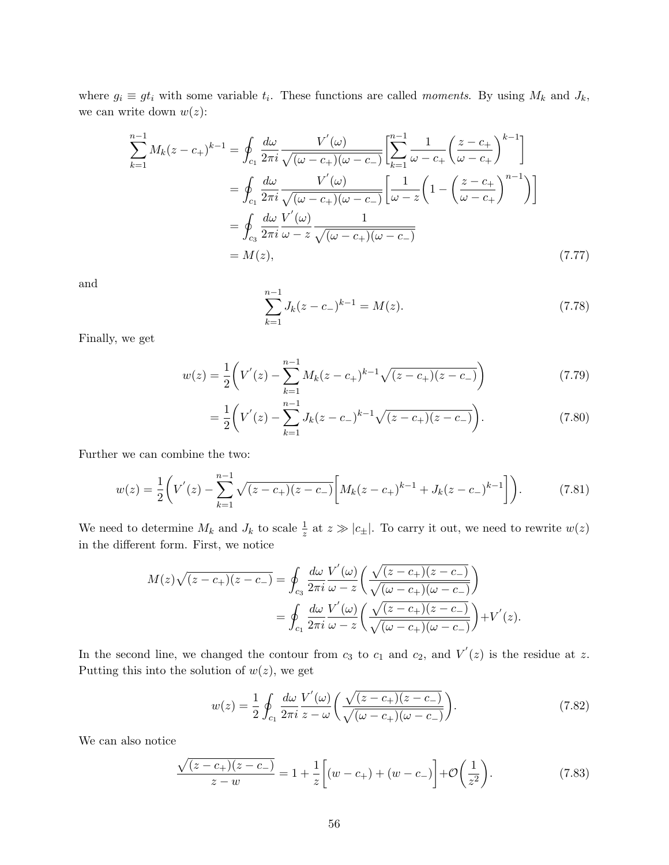where  $g_i \equiv gt_i$  with some variable  $t_i$ . These functions are called *moments*. By using  $M_k$  and  $J_k$ , we can write down  $w(z)$ :

$$
\sum_{k=1}^{n-1} M_k (z - c_+)^{k-1} = \oint_{c_1} \frac{d\omega}{2\pi i} \frac{V'(\omega)}{\sqrt{(\omega - c_+)(\omega - c_-)}} \left[ \sum_{k=1}^{n-1} \frac{1}{\omega - c_+} \left( \frac{z - c_+}{\omega - c_+} \right)^{k-1} \right]
$$
  
= 
$$
\oint_{c_1} \frac{d\omega}{2\pi i} \frac{V'(\omega)}{\sqrt{(\omega - c_+)(\omega - c_-)}} \left[ \frac{1}{\omega - z} \left( 1 - \left( \frac{z - c_+}{\omega - c_+} \right)^{n-1} \right) \right]
$$
  
= 
$$
\oint_{c_3} \frac{d\omega}{2\pi i} \frac{V'(\omega)}{\omega - z} \frac{1}{\sqrt{(\omega - c_+)(\omega - c_-)}}
$$
  
= 
$$
M(z), \tag{7.77}
$$

and

$$
\sum_{k=1}^{n-1} J_k(z - c_-)^{k-1} = M(z).
$$
\n(7.78)

Finally, we get

$$
w(z) = \frac{1}{2} \left( V'(z) - \sum_{k=1}^{n-1} M_k (z - c_+)^{k-1} \sqrt{(z - c_+)(z - c_-)} \right)
$$
(7.79)

$$
= \frac{1}{2} \left( V'(z) - \sum_{k=1}^{n-1} J_k(z - c_-)^{k-1} \sqrt{(z - c_+)(z - c_-)} \right).
$$
 (7.80)

Further we can combine the two:

$$
w(z) = \frac{1}{2} \left( V'(z) - \sum_{k=1}^{n-1} \sqrt{(z - c_+)(z - c_-)} \left[ M_k (z - c_+)^{k-1} + J_k (z - c_-)^{k-1} \right] \right). \tag{7.81}
$$

We need to determine  $M_k$  and  $J_k$  to scale  $\frac{1}{z}$  at  $z \gg |c_{\pm}|$ . To carry it out, we need to rewrite  $w(z)$ in the different form. First, we notice

$$
M(z)\sqrt{(z-c_+)(z-c_-)} = \oint_{c_3} \frac{d\omega}{2\pi i} \frac{V'(\omega)}{\omega - z} \left(\frac{\sqrt{(z-c_+)(z-c_-)}}{\sqrt{(\omega - c_+)(\omega - c_-)}}\right)
$$

$$
= \oint_{c_1} \frac{d\omega}{2\pi i} \frac{V'(\omega)}{\omega - z} \left(\frac{\sqrt{(z-c_+)(z-c_-)}}{\sqrt{(\omega - c_+)(\omega - c_-)}}\right) + V'(z).
$$

In the second line, we changed the contour from  $c_3$  to  $c_1$  and  $c_2$ , and  $V'(z)$  is the residue at z. Putting this into the solution of  $w(z)$ , we get

$$
w(z) = \frac{1}{2} \oint_{c_1} \frac{d\omega}{2\pi i} \frac{V'(\omega)}{z - \omega} \left( \frac{\sqrt{(z - c_+)(z - c_-)}}{\sqrt{(\omega - c_+)(\omega - c_-)}} \right).
$$
 (7.82)

We can also notice

$$
\frac{\sqrt{(z-c_{+})(z-c_{-})}}{z-w} = 1 + \frac{1}{z} \left[ (w-c_{+}) + (w-c_{-}) \right] + \mathcal{O}\left(\frac{1}{z^{2}}\right). \tag{7.83}
$$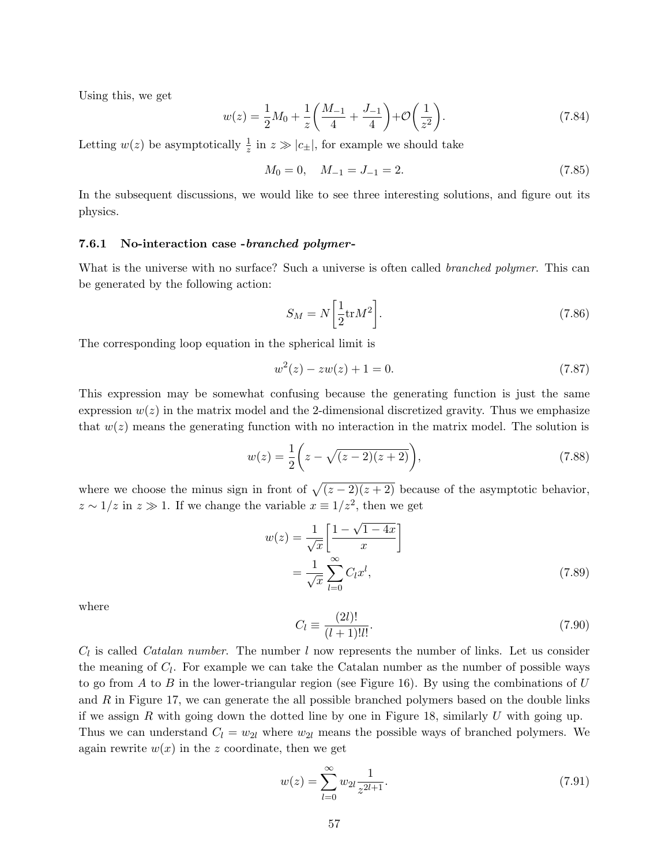Using this, we get

$$
w(z) = \frac{1}{2}M_0 + \frac{1}{z} \left( \frac{M_{-1}}{4} + \frac{J_{-1}}{4} \right) + \mathcal{O}\left(\frac{1}{z^2}\right).
$$
 (7.84)

Letting  $w(z)$  be asymptotically  $\frac{1}{z}$  in  $z \gg |c_{\pm}|$ , for example we should take

$$
M_0 = 0, \quad M_{-1} = J_{-1} = 2. \tag{7.85}
$$

In the subsequent discussions, we would like to see three interesting solutions, and figure out its physics.

#### 7.6.1 No-interaction case -branched polymer-

What is the universe with no surface? Such a universe is often called *branched polymer*. This can be generated by the following action:

$$
S_M = N \left[ \frac{1}{2} \text{tr} M^2 \right]. \tag{7.86}
$$

The corresponding loop equation in the spherical limit is

$$
w^2(z) - zw(z) + 1 = 0.
$$
\n(7.87)

This expression may be somewhat confusing because the generating function is just the same expression  $w(z)$  in the matrix model and the 2-dimensional discretized gravity. Thus we emphasize that  $w(z)$  means the generating function with no interaction in the matrix model. The solution is

$$
w(z) = \frac{1}{2} \left( z - \sqrt{(z - 2)(z + 2)} \right),\tag{7.88}
$$

where we choose the minus sign in front of  $\sqrt{(z-2)(z+2)}$  because of the asymptotic behavior,  $z \sim 1/z$  in  $z \gg 1$ . If we change the variable  $x \equiv 1/z^2$ , then we get

$$
w(z) = \frac{1}{\sqrt{x}} \left[ \frac{1 - \sqrt{1 - 4x}}{x} \right]
$$

$$
= \frac{1}{\sqrt{x}} \sum_{l=0}^{\infty} C_l x^l,
$$
(7.89)

where

$$
C_l \equiv \frac{(2l)!}{(l+1)!l!}.\tag{7.90}
$$

 $C_l$  is called *Catalan number*. The number l now represents the number of links. Let us consider the meaning of  $C_l$ . For example we can take the Catalan number as the number of possible ways to go from  $A$  to  $B$  in the lower-triangular region (see Figure 16). By using the combinations of  $U$ and  $R$  in Figure 17, we can generate the all possible branched polymers based on the double links if we assign R with going down the dotted line by one in Figure 18, similarly U with going up. Thus we can understand  $C_l = w_{2l}$  where  $w_{2l}$  means the possible ways of branched polymers. We again rewrite  $w(x)$  in the z coordinate, then we get

$$
w(z) = \sum_{l=0}^{\infty} w_{2l} \frac{1}{z^{2l+1}}.
$$
\n(7.91)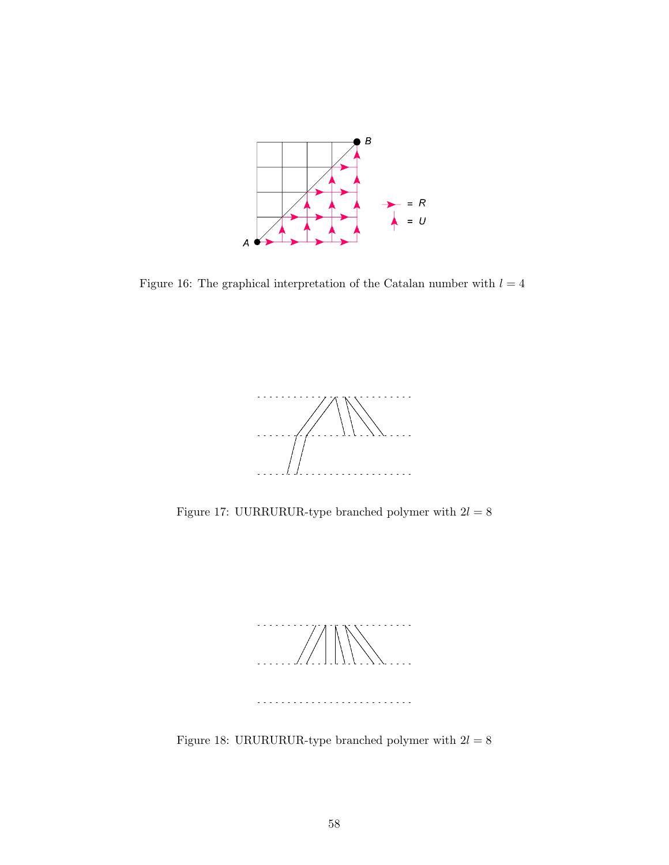

Figure 16: The graphical interpretation of the Catalan number with  $l = 4$ 



Figure 17: UURRURUR-type branched polymer with  $2l=8$ 



Figure 18: URURURUR-type branched polymer with  $2l = 8$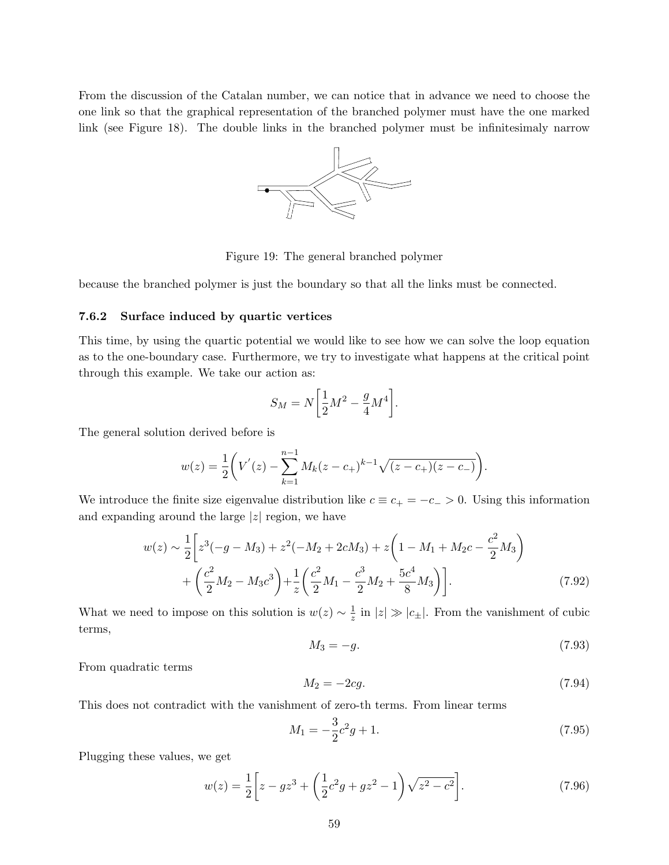From the discussion of the Catalan number, we can notice that in advance we need to choose the one link so that the graphical representation of the branched polymer must have the one marked link (see Figure 18). The double links in the branched polymer must be infinitesimaly narrow



Figure 19: The general branched polymer

because the branched polymer is just the boundary so that all the links must be connected.

#### 7.6.2 Surface induced by quartic vertices

This time, by using the quartic potential we would like to see how we can solve the loop equation as to the one-boundary case. Furthermore, we try to investigate what happens at the critical point through this example. We take our action as:

$$
S_M = N \left[ \frac{1}{2} M^2 - \frac{g}{4} M^4 \right].
$$

The general solution derived before is

$$
w(z) = \frac{1}{2} \left( V'(z) - \sum_{k=1}^{n-1} M_k (z - c_+)^{k-1} \sqrt{(z - c_+)(z - c_-)} \right).
$$

We introduce the finite size eigenvalue distribution like  $c \equiv c_+ = -c_- > 0$ . Using this information and expanding around the large  $|z|$  region, we have

$$
w(z) \sim \frac{1}{2} \left[ z^3(-g - M_3) + z^2(-M_2 + 2cM_3) + z \left( 1 - M_1 + M_2c - \frac{c^2}{2} M_3 \right) + \left( \frac{c^2}{2} M_2 - M_3c^3 \right) + \frac{1}{z} \left( \frac{c^2}{2} M_1 - \frac{c^3}{2} M_2 + \frac{5c^4}{8} M_3 \right) \right].
$$
 (7.92)

What we need to impose on this solution is  $w(z) \sim \frac{1}{z}$  $\frac{1}{z}$  in  $|z| \gg |c_{\pm}|$ . From the vanishment of cubic terms,

$$
M_3 = -g.\t\t(7.93)
$$

From quadratic terms

$$
M_2 = -2cg.\t\t(7.94)
$$

This does not contradict with the vanishment of zero-th terms. From linear terms

$$
M_1 = -\frac{3}{2}c^2g + 1.\tag{7.95}
$$

Plugging these values, we get

$$
w(z) = \frac{1}{2} \left[ z - gz^3 + \left( \frac{1}{2} c^2 g + gz^2 - 1 \right) \sqrt{z^2 - c^2} \right].
$$
 (7.96)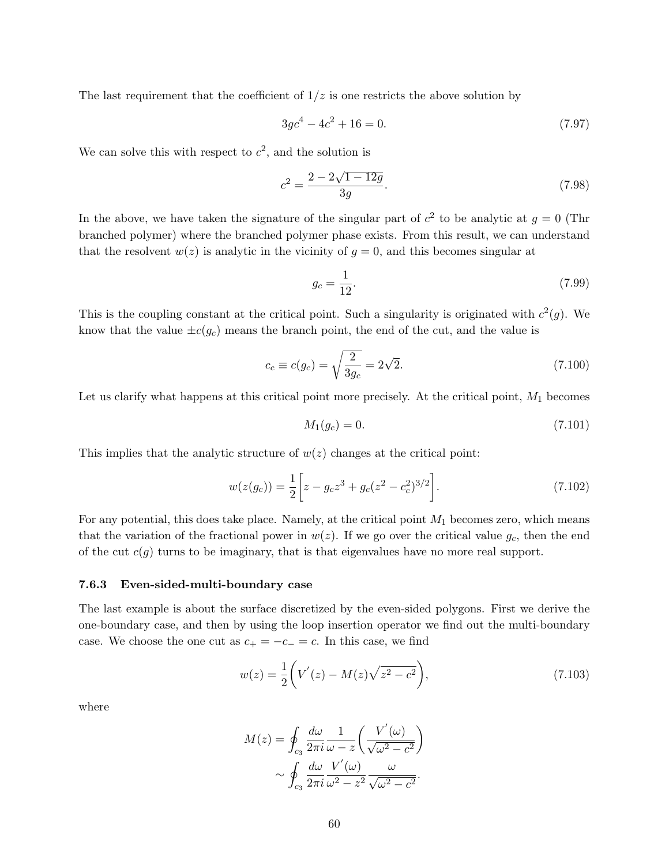The last requirement that the coefficient of  $1/z$  is one restricts the above solution by

$$
3gc^4 - 4c^2 + 16 = 0.\t(7.97)
$$

We can solve this with respect to  $c^2$ , and the solution is

$$
c^2 = \frac{2 - 2\sqrt{1 - 12g}}{3g}.\tag{7.98}
$$

In the above, we have taken the signature of the singular part of  $c^2$  to be analytic at  $g = 0$  (Thr branched polymer) where the branched polymer phase exists. From this result, we can understand that the resolvent  $w(z)$  is analytic in the vicinity of  $g = 0$ , and this becomes singular at

$$
g_c = \frac{1}{12}.\tag{7.99}
$$

This is the coupling constant at the critical point. Such a singularity is originated with  $c^2(g)$ . We know that the value  $\pm c(g_c)$  means the branch point, the end of the cut, and the value is

$$
c_c \equiv c(g_c) = \sqrt{\frac{2}{3g_c}} = 2\sqrt{2}.
$$
\n(7.100)

Let us clarify what happens at this critical point more precisely. At the critical point,  $M_1$  becomes

$$
M_1(g_c) = 0.\t\t(7.101)
$$

This implies that the analytic structure of  $w(z)$  changes at the critical point:

$$
w(z(g_c)) = \frac{1}{2} \left[ z - g_c z^3 + g_c (z^2 - c_c^2)^{3/2} \right].
$$
\n(7.102)

For any potential, this does take place. Namely, at the critical point  $M_1$  becomes zero, which means that the variation of the fractional power in  $w(z)$ . If we go over the critical value  $g_c$ , then the end of the cut  $c(g)$  turns to be imaginary, that is that eigenvalues have no more real support.

#### 7.6.3 Even-sided-multi-boundary case

The last example is about the surface discretized by the even-sided polygons. First we derive the one-boundary case, and then by using the loop insertion operator we find out the multi-boundary case. We choose the one cut as  $c_{+} = -c_{-} = c$ . In this case, we find

$$
w(z) = \frac{1}{2} \left( V'(z) - M(z) \sqrt{z^2 - c^2} \right),
$$
\n(7.103)

where

$$
M(z) = \oint_{c_3} \frac{d\omega}{2\pi i} \frac{1}{\omega - z} \left( \frac{V'(\omega)}{\sqrt{\omega^2 - c^2}} \right)
$$

$$
\sim \oint_{c_3} \frac{d\omega}{2\pi i} \frac{V'(\omega)}{\omega^2 - z^2} \frac{\omega}{\sqrt{\omega^2 - c^2}}.
$$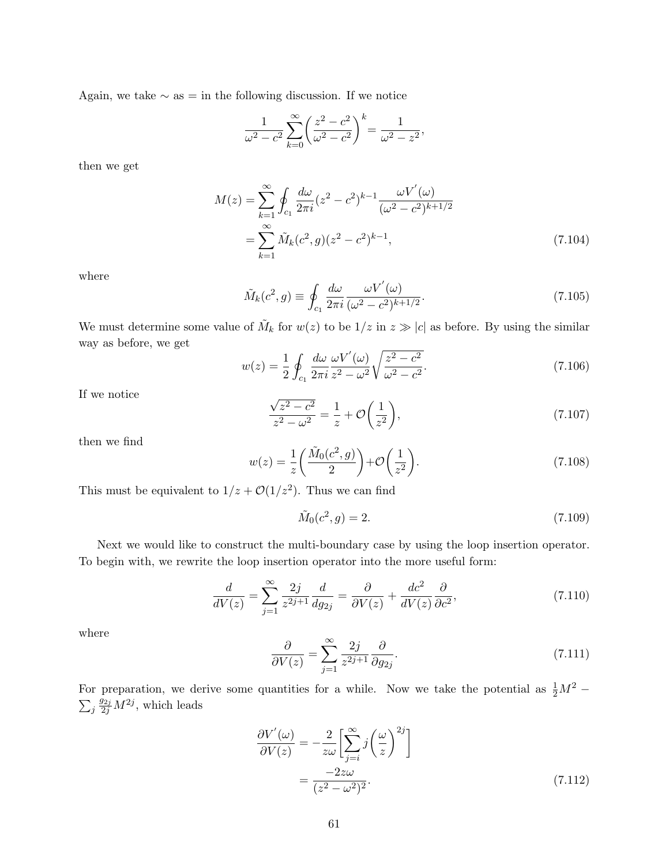Again, we take  $\sim$  as = in the following discussion. If we notice

$$
\frac{1}{\omega^2 - c^2} \sum_{k=0}^{\infty} \left( \frac{z^2 - c^2}{\omega^2 - c^2} \right)^k = \frac{1}{\omega^2 - z^2},
$$

then we get

$$
M(z) = \sum_{k=1}^{\infty} \oint_{c_1} \frac{d\omega}{2\pi i} (z^2 - c^2)^{k-1} \frac{\omega V'(\omega)}{(\omega^2 - c^2)^{k+1/2}}
$$
  
= 
$$
\sum_{k=1}^{\infty} \tilde{M}_k(c^2, g) (z^2 - c^2)^{k-1},
$$
 (7.104)

where

$$
\tilde{M}_k(c^2, g) \equiv \oint_{c_1} \frac{d\omega}{2\pi i} \frac{\omega V'(\omega)}{(\omega^2 - c^2)^{k+1/2}}.
$$
\n(7.105)

We must determine some value of  $\tilde{M}_k$  for  $w(z)$  to be  $1/z$  in  $z \gg |c|$  as before. By using the similar way as before, we get

$$
w(z) = \frac{1}{2} \oint_{c_1} \frac{d\omega}{2\pi i} \frac{\omega V'(\omega)}{z^2 - \omega^2} \sqrt{\frac{z^2 - c^2}{\omega^2 - c^2}}.
$$
 (7.106)

If we notice

$$
\frac{\sqrt{z^2 - c^2}}{z^2 - \omega^2} = \frac{1}{z} + \mathcal{O}\left(\frac{1}{z^2}\right),\tag{7.107}
$$

then we find

$$
w(z) = \frac{1}{z} \left( \frac{\tilde{M}_0(c^2, g)}{2} \right) + \mathcal{O}\left(\frac{1}{z^2}\right).
$$
 (7.108)

This must be equivalent to  $1/z + \mathcal{O}(1/z^2)$ . Thus we can find

$$
\tilde{M}_0(c^2, g) = 2.\t(7.109)
$$

Next we would like to construct the multi-boundary case by using the loop insertion operator. To begin with, we rewrite the loop insertion operator into the more useful form:

$$
\frac{d}{dV(z)} = \sum_{j=1}^{\infty} \frac{2j}{z^{2j+1}} \frac{d}{d\theta_{2j}} = \frac{\partial}{\partial V(z)} + \frac{dc^2}{dV(z)} \frac{\partial}{\partial c^2},\tag{7.110}
$$

where

$$
\frac{\partial}{\partial V(z)} = \sum_{j=1}^{\infty} \frac{2j}{z^{2j+1}} \frac{\partial}{\partial g_{2j}}.
$$
\n(7.111)

For preparation, we derive some quantities for a while. Now we take the potential as  $\frac{1}{2}M^2$  –  $\sum_j$  $\frac{g_{2j}}{2j}M^{2j}$ , which leads

$$
\frac{\partial V'(\omega)}{\partial V(z)} = -\frac{2}{z\omega} \left[ \sum_{j=i}^{\infty} j \left( \frac{\omega}{z} \right)^{2j} \right]
$$

$$
= \frac{-2z\omega}{(z^2 - \omega^2)^2}.
$$
(7.112)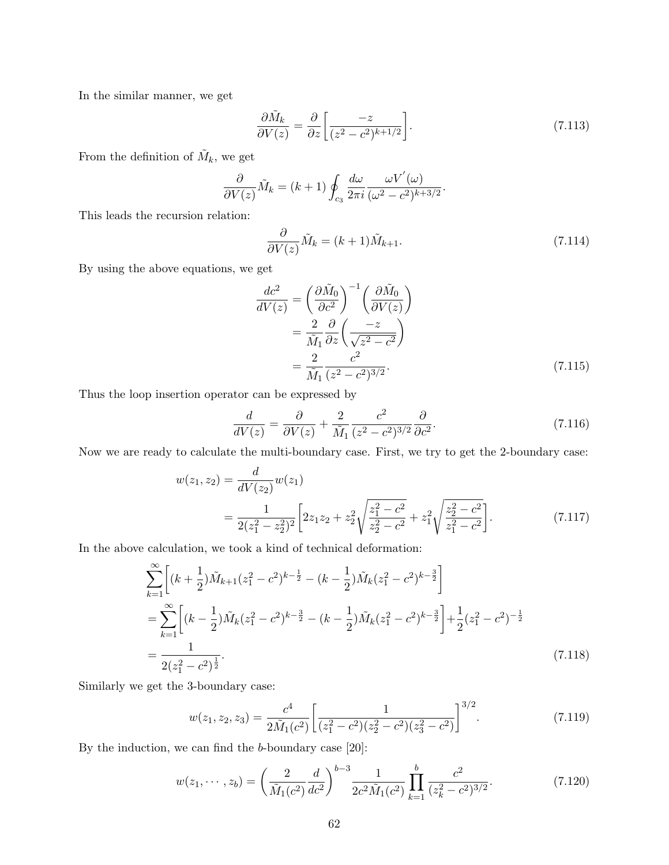In the similar manner, we get

$$
\frac{\partial \tilde{M}_k}{\partial V(z)} = \frac{\partial}{\partial z} \left[ \frac{-z}{(z^2 - c^2)^{k+1/2}} \right].
$$
\n(7.113)

From the definition of  $\tilde{M}_k$ , we get

$$
\frac{\partial}{\partial V(z)}\tilde{M}_k = (k+1)\oint_{c_3}\frac{d\omega}{2\pi i}\frac{\omega V'(\omega)}{(\omega^2 - c^2)^{k+3/2}}.
$$

This leads the recursion relation:

$$
\frac{\partial}{\partial V(z)}\tilde{M}_k = (k+1)\tilde{M}_{k+1}.
$$
\n(7.114)

By using the above equations, we get

$$
\frac{dc^2}{dV(z)} = \left(\frac{\partial \tilde{M}_0}{\partial c^2}\right)^{-1} \left(\frac{\partial \tilde{M}_0}{\partial V(z)}\right)
$$

$$
= \frac{2}{\tilde{M}_1} \frac{\partial}{\partial z} \left(\frac{-z}{\sqrt{z^2 - c^2}}\right)
$$

$$
= \frac{2}{\tilde{M}_1} \frac{c^2}{(z^2 - c^2)^{3/2}}.
$$
(7.115)

Thus the loop insertion operator can be expressed by

$$
\frac{d}{dV(z)} = \frac{\partial}{\partial V(z)} + \frac{2}{\tilde{M}_1} \frac{c^2}{(z^2 - c^2)^{3/2}} \frac{\partial}{\partial c^2}.
$$
\n(7.116)

Now we are ready to calculate the multi-boundary case. First, we try to get the 2-boundary case:

$$
w(z_1, z_2) = \frac{d}{dV(z_2)} w(z_1)
$$
  
= 
$$
\frac{1}{2(z_1^2 - z_2^2)^2} \left[ 2z_1 z_2 + z_2^2 \sqrt{\frac{z_1^2 - c^2}{z_2^2 - c^2}} + z_1^2 \sqrt{\frac{z_2^2 - c^2}{z_1^2 - c^2}} \right].
$$
 (7.117)

In the above calculation, we took a kind of technical deformation:

$$
\sum_{k=1}^{\infty} \left[ (k + \frac{1}{2}) \tilde{M}_{k+1} (z_1^2 - c^2)^{k - \frac{1}{2}} - (k - \frac{1}{2}) \tilde{M}_k (z_1^2 - c^2)^{k - \frac{3}{2}} \right]
$$
  
= 
$$
\sum_{k=1}^{\infty} \left[ (k - \frac{1}{2}) \tilde{M}_k (z_1^2 - c^2)^{k - \frac{3}{2}} - (k - \frac{1}{2}) \tilde{M}_k (z_1^2 - c^2)^{k - \frac{3}{2}} \right] + \frac{1}{2} (z_1^2 - c^2)^{-\frac{1}{2}}
$$
  
= 
$$
\frac{1}{2(z_1^2 - c^2)^{\frac{1}{2}}}.
$$
 (7.118)

Similarly we get the 3-boundary case:

$$
w(z_1, z_2, z_3) = \frac{c^4}{2\tilde{M}_1(c^2)} \left[ \frac{1}{(z_1^2 - c^2)(z_2^2 - c^2)(z_3^2 - c^2)} \right]^{3/2}.
$$
 (7.119)

By the induction, we can find the  $b$ -boundary case  $[20]$ :

$$
w(z_1, \dots, z_b) = \left(\frac{2}{\tilde{M}_1(c^2)} \frac{d}{dc^2}\right)^{b-3} \frac{1}{2c^2 \tilde{M}_1(c^2)} \prod_{k=1}^b \frac{c^2}{(z_k^2 - c^2)^{3/2}}.
$$
 (7.120)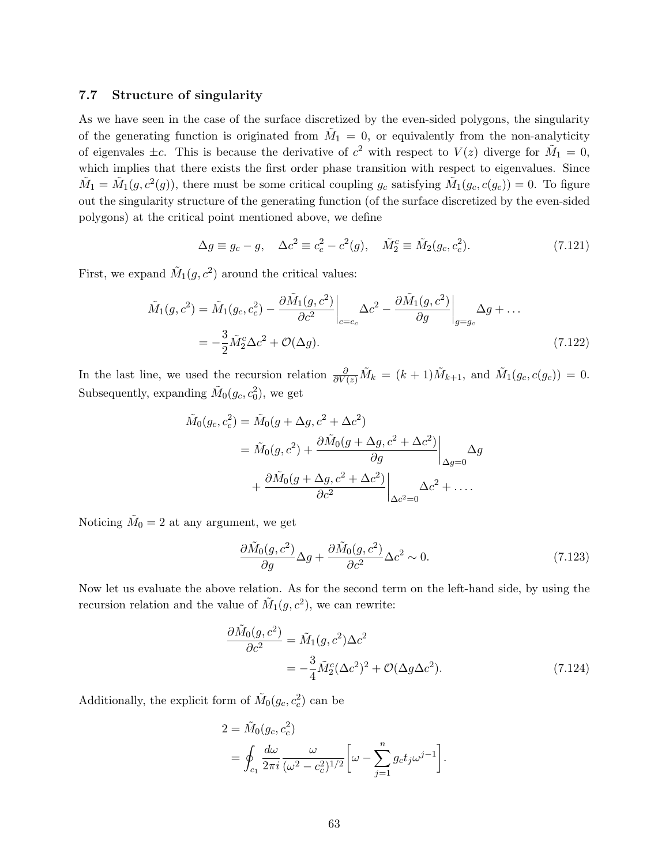# 7.7 Structure of singularity

As we have seen in the case of the surface discretized by the even-sided polygons, the singularity of the generating function is originated from  $\tilde{M}_1 = 0$ , or equivalently from the non-analyticity of eigenvales  $\pm c$ . This is because the derivative of  $c^2$  with respect to  $V(z)$  diverge for  $\tilde{M}_1 = 0$ , which implies that there exists the first order phase transition with respect to eigenvalues. Since  $\tilde{M}_1 = \tilde{M}_1(g, c^2(g))$ , there must be some critical coupling  $g_c$  satisfying  $\tilde{M}_1(g_c, c(g_c)) = 0$ . To figure out the singularity structure of the generating function (of the surface discretized by the even-sided polygons) at the critical point mentioned above, we define

$$
\Delta g \equiv g_c - g, \quad \Delta c^2 \equiv c_c^2 - c^2(g), \quad \tilde{M}_2^c \equiv \tilde{M}_2(g_c, c_c^2). \tag{7.121}
$$

First, we expand  $\tilde{M}_1(g, c^2)$  around the critical values:

$$
\tilde{M}_1(g, c^2) = \tilde{M}_1(g_c, c_c^2) - \frac{\partial \tilde{M}_1(g, c^2)}{\partial c^2} \Big|_{c=c_c} \Delta c^2 - \frac{\partial \tilde{M}_1(g, c^2)}{\partial g} \Big|_{g=g_c} \Delta g + \dots
$$
\n
$$
= -\frac{3}{2} \tilde{M}_2^c \Delta c^2 + \mathcal{O}(\Delta g). \tag{7.122}
$$

In the last line, we used the recursion relation  $\frac{\partial}{\partial V(z)} \tilde{M}_k = (k+1)\tilde{M}_{k+1}$ , and  $\tilde{M}_1(g_c, c(g_c)) = 0$ . Subsequently, expanding  $\tilde{M}_0(g_c, c_0^2)$ , we get

$$
\tilde{M}_0(g_c, c_c^2) = \tilde{M}_0(g + \Delta g, c^2 + \Delta c^2)
$$
\n
$$
= \tilde{M}_0(g, c^2) + \frac{\partial \tilde{M}_0(g + \Delta g, c^2 + \Delta c^2)}{\partial g} \Big|_{\Delta g = 0} \Delta g
$$
\n
$$
+ \frac{\partial \tilde{M}_0(g + \Delta g, c^2 + \Delta c^2)}{\partial c^2} \Big|_{\Delta c^2 = 0} \Delta c^2 + \dots
$$

Noticing  $\tilde{M}_0 = 2$  at any argument, we get

$$
\frac{\partial \tilde{M}_0(g, c^2)}{\partial g} \Delta g + \frac{\partial \tilde{M}_0(g, c^2)}{\partial c^2} \Delta c^2 \sim 0. \tag{7.123}
$$

Now let us evaluate the above relation. As for the second term on the left-hand side, by using the recursion relation and the value of  $\tilde{M}_1(g, c^2)$ , we can rewrite:

$$
\frac{\partial \tilde{M}_0(g, c^2)}{\partial c^2} = \tilde{M}_1(g, c^2) \Delta c^2
$$
  
= 
$$
-\frac{3}{4} \tilde{M}_2^c (\Delta c^2)^2 + \mathcal{O}(\Delta g \Delta c^2).
$$
 (7.124)

Additionally, the explicit form of  $\tilde{M}_0(g_c, c_c^2)$  can be

$$
2 = \tilde{M}_0(g_c, c_c^2)
$$
  
= 
$$
\oint_{c_1} \frac{d\omega}{2\pi i} \frac{\omega}{(\omega^2 - c_c^2)^{1/2}} \left[ \omega - \sum_{j=1}^n g_c t_j \omega^{j-1} \right].
$$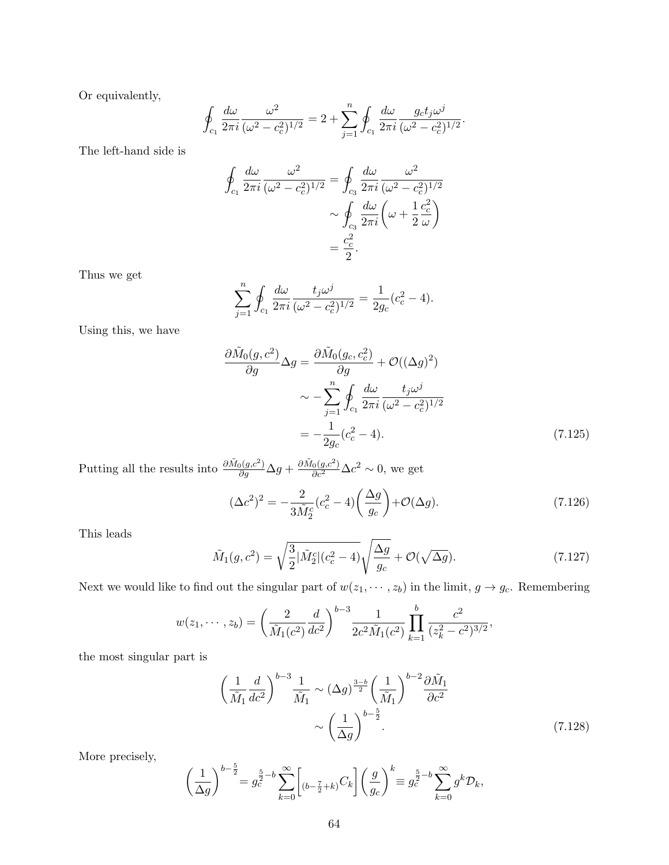Or equivalently,

$$
\oint_{c_1} \frac{d\omega}{2\pi i} \frac{\omega^2}{(\omega^2 - c_c^2)^{1/2}} = 2 + \sum_{j=1}^n \oint_{c_1} \frac{d\omega}{2\pi i} \frac{g_c t_j \omega^j}{(\omega^2 - c_c^2)^{1/2}}.
$$

The left-hand side is

$$
\oint_{c_1} \frac{d\omega}{2\pi i} \frac{\omega^2}{(\omega^2 - c_c^2)^{1/2}} = \oint_{c_3} \frac{d\omega}{2\pi i} \frac{\omega^2}{(\omega^2 - c_c^2)^{1/2}} \sim \oint_{c_3} \frac{d\omega}{2\pi i} \left(\omega + \frac{1}{2} \frac{c_c^2}{\omega}\right)
$$
\n
$$
= \frac{c_c^2}{2}.
$$

Thus we get

$$
\sum_{j=1}^{n} \oint_{c_1} \frac{d\omega}{2\pi i} \frac{t_j \omega^j}{(\omega^2 - c_c^2)^{1/2}} = \frac{1}{2g_c} (c_c^2 - 4).
$$

Using this, we have

$$
\frac{\partial \tilde{M}_0(g, c^2)}{\partial g} \Delta g = \frac{\partial \tilde{M}_0(g_c, c_c^2)}{\partial g} + \mathcal{O}((\Delta g)^2)
$$

$$
\sim -\sum_{j=1}^n \oint_{c_1} \frac{d\omega}{2\pi i} \frac{t_j \omega^j}{(\omega^2 - c_c^2)^{1/2}}
$$

$$
= -\frac{1}{2g_c}(c_c^2 - 4). \tag{7.125}
$$

Putting all the results into  $\frac{\partial \tilde{M}_0(g,c^2)}{\partial g} \Delta g + \frac{\partial \tilde{M}_0(g,c^2)}{\partial c^2} \Delta c^2 \sim 0$ , we get

$$
(\Delta c^2)^2 = -\frac{2}{3\tilde{M}_2^c}(c_c^2 - 4)\left(\frac{\Delta g}{g_c}\right) + \mathcal{O}(\Delta g). \tag{7.126}
$$

This leads

$$
\tilde{M}_1(g, c^2) = \sqrt{\frac{3}{2} |\tilde{M}_2^c|(c_c^2 - 4)} \sqrt{\frac{\Delta g}{g_c}} + \mathcal{O}(\sqrt{\Delta g}).
$$
\n(7.127)

Next we would like to find out the singular part of  $w(z_1, \dots, z_b)$  in the limit,  $g \to g_c$ . Remembering

$$
w(z_1,\dots, z_b) = \left(\frac{2}{\tilde{M}_1(c^2)}\frac{d}{dc^2}\right)^{b-3} \frac{1}{2c^2 \tilde{M}_1(c^2)} \prod_{k=1}^b \frac{c^2}{(z_k^2 - c^2)^{3/2}},
$$

the most singular part is

$$
\left(\frac{1}{\tilde{M}_1}\frac{d}{dc^2}\right)^{b-3}\frac{1}{\tilde{M}_1} \sim \left(\Delta g\right)^{\frac{3-b}{2}} \left(\frac{1}{\tilde{M}_1}\right)^{b-2} \frac{\partial \tilde{M}_1}{\partial c^2} \sim \left(\frac{1}{\Delta g}\right)^{b-\frac{5}{2}}.\tag{7.128}
$$

More precisely,

$$
\left(\frac{1}{\Delta g}\right)^{b-\frac{5}{2}} = g_c^{\frac{5}{2}-b} \sum_{k=0}^{\infty} \left[ a_{-\frac{7}{2}+k} C_k \right] \left(\frac{g}{g_c}\right)^k \equiv g_c^{\frac{5}{2}-b} \sum_{k=0}^{\infty} g^k \mathcal{D}_k,
$$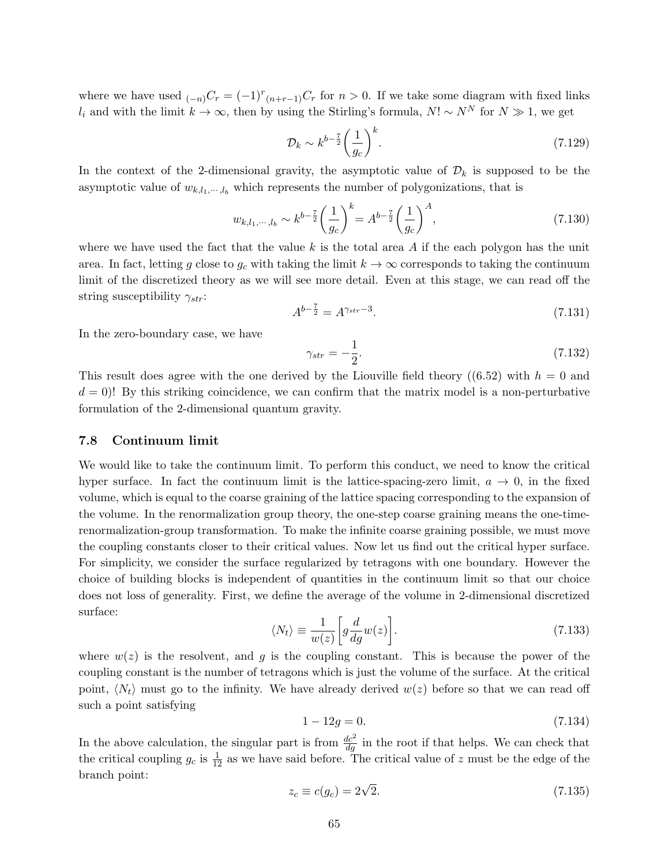where we have used  $_{(-n)}C_r = (-1)^r {}_{(n+r-1)}C_r$  for  $n > 0$ . If we take some diagram with fixed links  $l_i$  and with the limit  $k \to \infty$ , then by using the Stirling's formula,  $N! \sim N^N$  for  $N \gg 1$ , we get

$$
\mathcal{D}_k \sim k^{b - \frac{7}{2}} \left(\frac{1}{g_c}\right)^k. \tag{7.129}
$$

In the context of the 2-dimensional gravity, the asymptotic value of  $\mathcal{D}_k$  is supposed to be the asymptotic value of  $w_{k,l_1,\dots,l_b}$  which represents the number of polygonizations, that is

$$
w_{k,l_1,\dots,l_b} \sim k^{b-\frac{7}{2}} \left(\frac{1}{g_c}\right)^k = A^{b-\frac{7}{2}} \left(\frac{1}{g_c}\right)^A,\tag{7.130}
$$

where we have used the fact that the value  $k$  is the total area  $A$  if the each polygon has the unit area. In fact, letting g close to  $g_c$  with taking the limit  $k \to \infty$  corresponds to taking the continuum limit of the discretized theory as we will see more detail. Even at this stage, we can read off the string susceptibility  $\gamma_{str}$ :

$$
A^{b-\frac{7}{2}} = A^{\gamma_{str}-3}.\tag{7.131}
$$

In the zero-boundary case, we have

$$
\gamma_{str} = -\frac{1}{2}.\tag{7.132}
$$

This result does agree with the one derived by the Liouville field theory  $((6.52)$  with  $h = 0$  and  $d = 0$ ! By this striking coincidence, we can confirm that the matrix model is a non-perturbative formulation of the 2-dimensional quantum gravity.

# 7.8 Continuum limit

We would like to take the continuum limit. To perform this conduct, we need to know the critical hyper surface. In fact the continuum limit is the lattice-spacing-zero limit,  $a \to 0$ , in the fixed volume, which is equal to the coarse graining of the lattice spacing corresponding to the expansion of the volume. In the renormalization group theory, the one-step coarse graining means the one-timerenormalization-group transformation. To make the infinite coarse graining possible, we must move the coupling constants closer to their critical values. Now let us find out the critical hyper surface. For simplicity, we consider the surface regularized by tetragons with one boundary. However the choice of building blocks is independent of quantities in the continuum limit so that our choice does not loss of generality. First, we define the average of the volume in 2-dimensional discretized surface:

$$
\langle N_t \rangle \equiv \frac{1}{w(z)} \bigg[ g \frac{d}{dg} w(z) \bigg]. \tag{7.133}
$$

where  $w(z)$  is the resolvent, and q is the coupling constant. This is because the power of the coupling constant is the number of tetragons which is just the volume of the surface. At the critical point,  $\langle N_t \rangle$  must go to the infinity. We have already derived  $w(z)$  before so that we can read off such a point satisfying

$$
1 - 12g = 0.\t(7.134)
$$

In the above calculation, the singular part is from  $\frac{dc^2}{dg}$  in the root if that helps. We can check that the critical coupling  $g_c$  is  $\frac{1}{12}$  as we have said before. The critical value of z must be the edge of the branch point:

$$
z_c \equiv c(g_c) = 2\sqrt{2}.\tag{7.135}
$$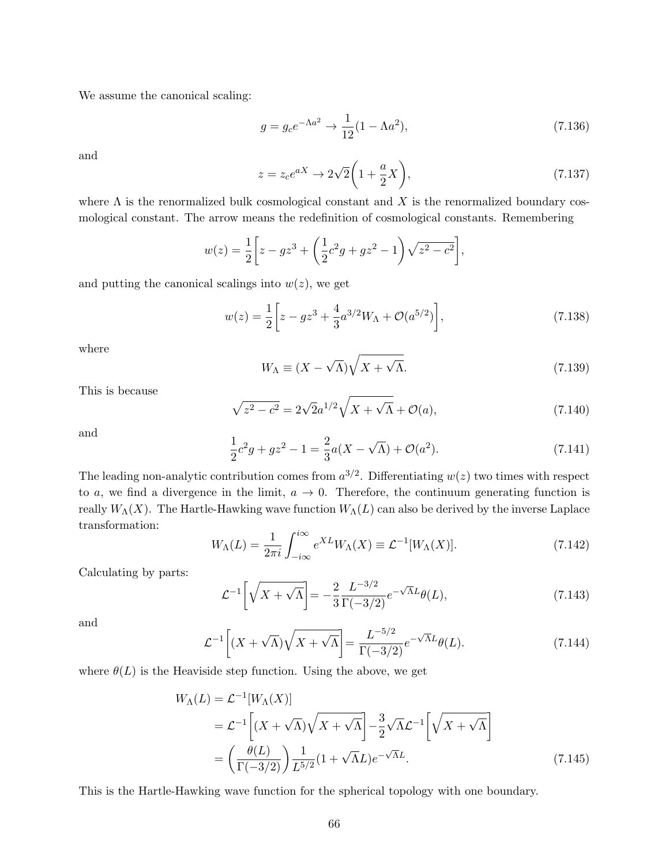We assume the canonical scaling:

$$
g = g_c e^{-\Lambda a^2} \to \frac{1}{12} (1 - \Lambda a^2),
$$
\n(7.136)

and

$$
z = z_c e^{aX} \to 2\sqrt{2}\left(1 + \frac{a}{2}X\right),\tag{7.137}
$$

where  $\Lambda$  is the renormalized bulk cosmological constant and X is the renormalized boundary cosmological constant. The arrow means the redefinition of cosmological constants. Remembering

$$
w(z) = \frac{1}{2} \left[ z - gz^3 + \left( \frac{1}{2} c^2 g + gz^2 - 1 \right) \sqrt{z^2 - c^2} \right],
$$

and putting the canonical scalings into  $w(z)$ , we get

$$
w(z) = \frac{1}{2} \left[ z - gz^3 + \frac{4}{3} a^{3/2} W_{\Lambda} + \mathcal{O}(a^{5/2}) \right],
$$
\n(7.138)

where

$$
W_{\Lambda} \equiv (X - \sqrt{\Lambda})\sqrt{X + \sqrt{\Lambda}}.\tag{7.139}
$$

This is because

$$
\sqrt{z^2 - c^2} = 2\sqrt{2}a^{1/2}\sqrt{X + \sqrt{\Lambda}} + \mathcal{O}(a),\tag{7.140}
$$

and

$$
\frac{1}{2}c^2g + gz^2 - 1 = \frac{2}{3}a(X - \sqrt{\Lambda}) + \mathcal{O}(a^2).
$$
 (7.141)

The leading non-analytic contribution comes from  $a^{3/2}$ . Differentiating  $w(z)$  two times with respect to a, we find a divergence in the limit,  $a \to 0$ . Therefore, the continuum generating function is really  $W_\Lambda(X)$ . The Hartle-Hawking wave function  $W_\Lambda(L)$  can also be derived by the inverse Laplace transformation:

$$
W_{\Lambda}(L) = \frac{1}{2\pi i} \int_{-i\infty}^{i\infty} e^{XL} W_{\Lambda}(X) \equiv \mathcal{L}^{-1}[W_{\Lambda}(X)].
$$
\n(7.142)

Calculating by parts:

$$
\mathcal{L}^{-1}\left[\sqrt{X+\sqrt{\Lambda}}\right] = -\frac{2}{3} \frac{L^{-3/2}}{\Gamma(-3/2)} e^{-\sqrt{\Lambda}L} \theta(L),\tag{7.143}
$$

and

$$
\mathcal{L}^{-1}\left[ (X+\sqrt{\Lambda})\sqrt{X+\sqrt{\Lambda}} \right] = \frac{L^{-5/2}}{\Gamma(-3/2)} e^{-\sqrt{\Lambda}L} \theta(L). \tag{7.144}
$$

where  $\theta(L)$  is the Heaviside step function. Using the above, we get

$$
W_{\Lambda}(L) = \mathcal{L}^{-1}[W_{\Lambda}(X)]
$$
  
= 
$$
\mathcal{L}^{-1}\left[ (X + \sqrt{\Lambda})\sqrt{X + \sqrt{\Lambda}} \right] - \frac{3}{2}\sqrt{\Lambda}\mathcal{L}^{-1}\left[ \sqrt{X + \sqrt{\Lambda}} \right]
$$
  
= 
$$
\left( \frac{\theta(L)}{\Gamma(-3/2)} \right) \frac{1}{L^{5/2}} (1 + \sqrt{\Lambda}L)e^{-\sqrt{\Lambda}L}.
$$
 (7.145)

This is the Hartle-Hawking wave function for the spherical topology with one boundary.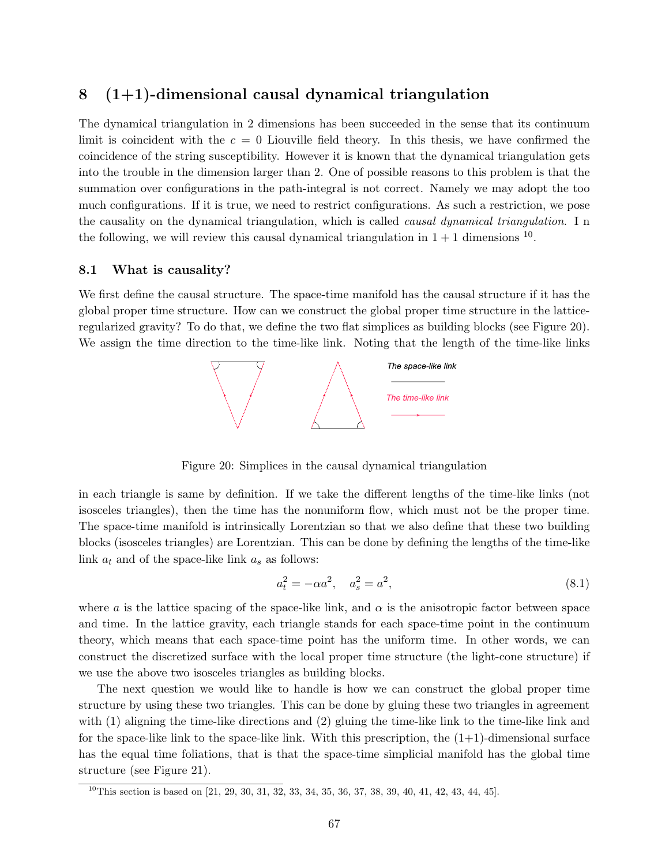# $8 \quad (1+1)$ -dimensional causal dynamical triangulation

The dynamical triangulation in 2 dimensions has been succeeded in the sense that its continuum limit is coincident with the  $c = 0$  Liouville field theory. In this thesis, we have confirmed the coincidence of the string susceptibility. However it is known that the dynamical triangulation gets into the trouble in the dimension larger than 2. One of possible reasons to this problem is that the summation over configurations in the path-integral is not correct. Namely we may adopt the too much configurations. If it is true, we need to restrict configurations. As such a restriction, we pose the causality on the dynamical triangulation, which is called causal dynamical triangulation. I n the following, we will review this causal dynamical triangulation in  $1 + 1$  dimensions  $10$ .

# 8.1 What is causality?

We first define the causal structure. The space-time manifold has the causal structure if it has the global proper time structure. How can we construct the global proper time structure in the latticeregularized gravity? To do that, we define the two flat simplices as building blocks (see Figure 20). We assign the time direction to the time-like link. Noting that the length of the time-like links



Figure 20: Simplices in the causal dynamical triangulation

in each triangle is same by definition. If we take the different lengths of the time-like links (not isosceles triangles), then the time has the nonuniform flow, which must not be the proper time. The space-time manifold is intrinsically Lorentzian so that we also define that these two building blocks (isosceles triangles) are Lorentzian. This can be done by defining the lengths of the time-like link  $a_t$  and of the space-like link  $a_s$  as follows:

$$
a_t^2 = -\alpha a^2, \quad a_s^2 = a^2,\tag{8.1}
$$

where a is the lattice spacing of the space-like link, and  $\alpha$  is the anisotropic factor between space and time. In the lattice gravity, each triangle stands for each space-time point in the continuum theory, which means that each space-time point has the uniform time. In other words, we can construct the discretized surface with the local proper time structure (the light-cone structure) if we use the above two isosceles triangles as building blocks.

The next question we would like to handle is how we can construct the global proper time structure by using these two triangles. This can be done by gluing these two triangles in agreement with (1) aligning the time-like directions and (2) gluing the time-like link to the time-like link and for the space-like link to the space-like link. With this prescription, the  $(1+1)$ -dimensional surface has the equal time foliations, that is that the space-time simplicial manifold has the global time structure (see Figure 21).

<sup>&</sup>lt;sup>10</sup>This section is based on [21, 29, 30, 31, 32, 33, 34, 35, 36, 37, 38, 39, 40, 41, 42, 43, 44, 45].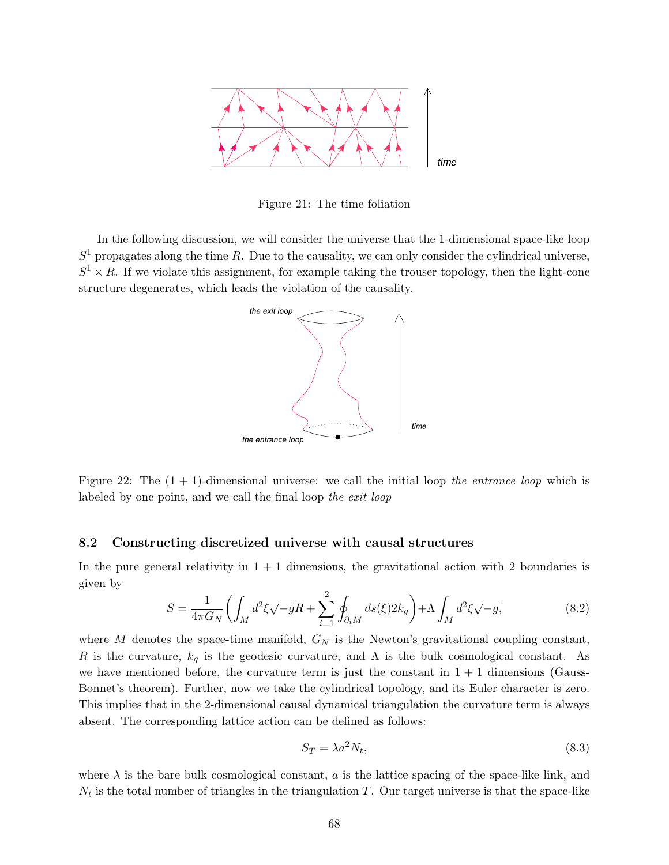

Figure 21: The time foliation

In the following discussion, we will consider the universe that the 1-dimensional space-like loop  $S<sup>1</sup>$  propagates along the time R. Due to the causality, we can only consider the cylindrical universe,  $S^1 \times R$ . If we violate this assignment, for example taking the trouser topology, then the light-cone structure degenerates, which leads the violation of the causality.



Figure 22: The  $(1 + 1)$ -dimensional universe: we call the initial loop the entrance loop which is labeled by one point, and we call the final loop the exit loop

# 8.2 Constructing discretized universe with causal structures

In the pure general relativity in  $1 + 1$  dimensions, the gravitational action with 2 boundaries is given by

$$
S = \frac{1}{4\pi G_N} \left( \int_M d^2 \xi \sqrt{-g} R + \sum_{i=1}^2 \oint_{\partial_i M} ds(\xi) 2k_g \right) + \Lambda \int_M d^2 \xi \sqrt{-g}, \tag{8.2}
$$

where M denotes the space-time manifold,  $G_N$  is the Newton's gravitational coupling constant, R is the curvature,  $k_g$  is the geodesic curvature, and  $\Lambda$  is the bulk cosmological constant. As we have mentioned before, the curvature term is just the constant in  $1 + 1$  dimensions (Gauss-Bonnet's theorem). Further, now we take the cylindrical topology, and its Euler character is zero. This implies that in the 2-dimensional causal dynamical triangulation the curvature term is always absent. The corresponding lattice action can be defined as follows:

$$
S_T = \lambda a^2 N_t,\tag{8.3}
$$

where  $\lambda$  is the bare bulk cosmological constant, a is the lattice spacing of the space-like link, and  $N_t$  is the total number of triangles in the triangulation T. Our target universe is that the space-like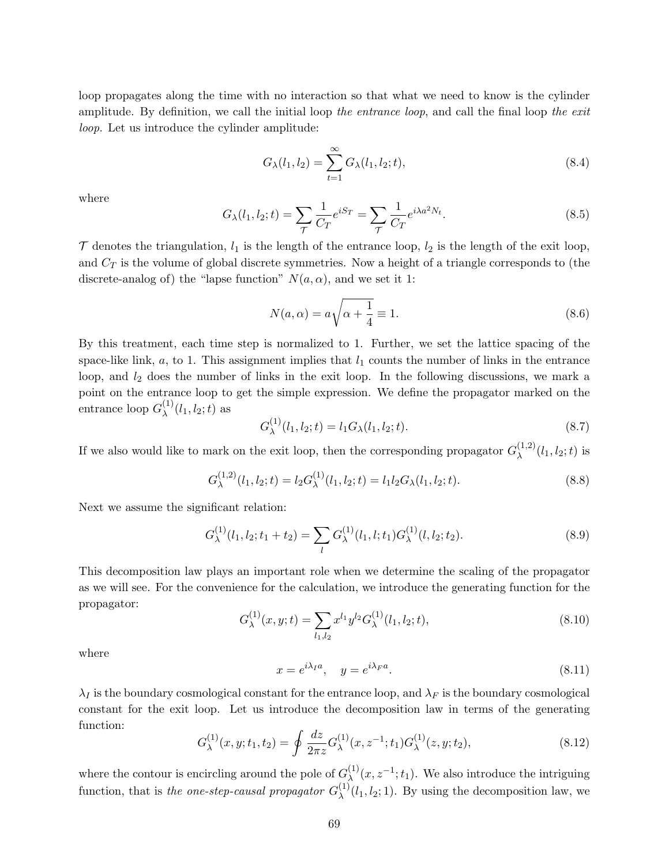loop propagates along the time with no interaction so that what we need to know is the cylinder amplitude. By definition, we call the initial loop the entrance loop, and call the final loop the exit loop. Let us introduce the cylinder amplitude:

$$
G_{\lambda}(l_1, l_2) = \sum_{t=1}^{\infty} G_{\lambda}(l_1, l_2; t),
$$
\n(8.4)

where

$$
G_{\lambda}(l_1, l_2; t) = \sum_{\mathcal{T}} \frac{1}{C_T} e^{iS_T} = \sum_{\mathcal{T}} \frac{1}{C_T} e^{i\lambda a^2 N_t}.
$$
 (8.5)

 $\mathcal T$  denotes the triangulation,  $l_1$  is the length of the entrance loop,  $l_2$  is the length of the exit loop, and  $C_T$  is the volume of global discrete symmetries. Now a height of a triangle corresponds to (the discrete-analog of) the "lapse function"  $N(a, \alpha)$ , and we set it 1:

$$
N(a,\alpha) = a\sqrt{\alpha + \frac{1}{4}} \equiv 1.
$$
\n(8.6)

By this treatment, each time step is normalized to 1. Further, we set the lattice spacing of the space-like link,  $a$ , to 1. This assignment implies that  $l_1$  counts the number of links in the entrance loop, and  $l_2$  does the number of links in the exit loop. In the following discussions, we mark a point on the entrance loop to get the simple expression. We define the propagator marked on the entrance loop  $G_{\lambda}^{(1)}$  $\lambda^{(1)}(l_1, l_2; t)$  as

$$
G_{\lambda}^{(1)}(l_1, l_2; t) = l_1 G_{\lambda}(l_1, l_2; t). \tag{8.7}
$$

If we also would like to mark on the exit loop, then the corresponding propagator  $G_{\lambda}^{(1,2)}$  $\lambda^{(1,2)}(l_1, l_2; t)$  is

$$
G_{\lambda}^{(1,2)}(l_1, l_2; t) = l_2 G_{\lambda}^{(1)}(l_1, l_2; t) = l_1 l_2 G_{\lambda}(l_1, l_2; t).
$$
\n(8.8)

Next we assume the significant relation:

$$
G_{\lambda}^{(1)}(l_1, l_2; t_1 + t_2) = \sum_{l} G_{\lambda}^{(1)}(l_1, l; t_1) G_{\lambda}^{(1)}(l, l_2; t_2).
$$
\n(8.9)

This decomposition law plays an important role when we determine the scaling of the propagator as we will see. For the convenience for the calculation, we introduce the generating function for the propagator:

$$
G_{\lambda}^{(1)}(x,y;t) = \sum_{l_1,l_2} x^{l_1} y^{l_2} G_{\lambda}^{(1)}(l_1,l_2;t),
$$
\n(8.10)

where

$$
x = e^{i\lambda_I a}, \quad y = e^{i\lambda_F a}.\tag{8.11}
$$

 $\lambda_I$  is the boundary cosmological constant for the entrance loop, and  $\lambda_F$  is the boundary cosmological constant for the exit loop. Let us introduce the decomposition law in terms of the generating function:

$$
G_{\lambda}^{(1)}(x, y; t_1, t_2) = \oint \frac{dz}{2\pi z} G_{\lambda}^{(1)}(x, z^{-1}; t_1) G_{\lambda}^{(1)}(z, y; t_2), \tag{8.12}
$$

where the contour is encircling around the pole of  $G_{\lambda}^{(1)}$  $\lambda^{(1)}(x, z^{-1}; t_1)$ . We also introduce the intriguing function, that is the one-step-causal propagator  $G_{\lambda}^{(1)}$  $\lambda^{(1)}(l_1, l_2; 1)$ . By using the decomposition law, we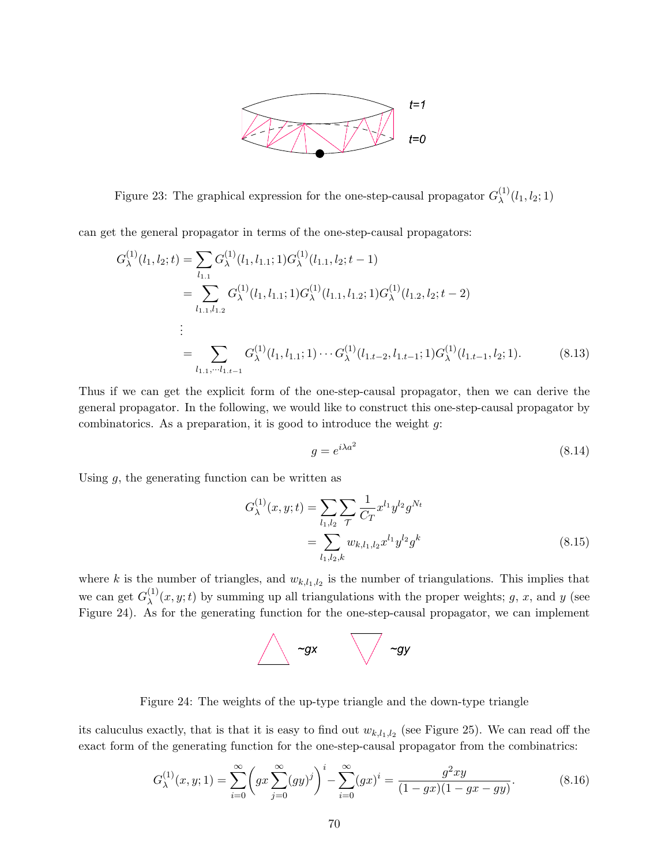

Figure 23: The graphical expression for the one-step-causal propagator  $G_{\lambda}^{(1)}$  $\lambda^{(1)}(l_1, l_2; 1)$ 

can get the general propagator in terms of the one-step-causal propagators:

$$
G_{\lambda}^{(1)}(l_1, l_2; t) = \sum_{l_{1,1}} G_{\lambda}^{(1)}(l_1, l_{1,1}; 1) G_{\lambda}^{(1)}(l_{1,1}, l_2; t - 1)
$$
  
\n
$$
= \sum_{l_{1,1}, l_{1,2}} G_{\lambda}^{(1)}(l_1, l_{1,1}; 1) G_{\lambda}^{(1)}(l_{1,1}, l_{1,2}; 1) G_{\lambda}^{(1)}(l_{1,2}, l_2; t - 2)
$$
  
\n:  
\n:  
\n
$$
= \sum_{l_{1,1}, \dots, l_{1,t-1}} G_{\lambda}^{(1)}(l_1, l_{1,1}; 1) \cdots G_{\lambda}^{(1)}(l_{1,t-2}, l_{1,t-1}; 1) G_{\lambda}^{(1)}(l_{1,t-1}, l_2; 1).
$$
 (8.13)

Thus if we can get the explicit form of the one-step-causal propagator, then we can derive the general propagator. In the following, we would like to construct this one-step-causal propagator by combinatorics. As a preparation, it is good to introduce the weight  $q$ :

$$
g = e^{i\lambda a^2} \tag{8.14}
$$

Using  $g$ , the generating function can be written as

$$
G_{\lambda}^{(1)}(x, y; t) = \sum_{l_1, l_2} \sum_{\mathcal{T}} \frac{1}{C_T} x^{l_1} y^{l_2} g^{N_t}
$$
  
= 
$$
\sum_{l_1, l_2, k} w_{k, l_1, l_2} x^{l_1} y^{l_2} g^k
$$
 (8.15)

where k is the number of triangles, and  $w_{k,l_1,l_2}$  is the number of triangulations. This implies that we can get  $G_{\lambda}^{(1)}$  $\lambda^{(1)}(x, y; t)$  by summing up all triangulations with the proper weights; g, x, and y (see Figure 24). As for the generating function for the one-step-causal propagator, we can implement



Figure 24: The weights of the up-type triangle and the down-type triangle

its caluculus exactly, that is that it is easy to find out  $w_{k,l_1,l_2}$  (see Figure 25). We can read off the exact form of the generating function for the one-step-causal propagator from the combinatrics:

$$
G_{\lambda}^{(1)}(x,y;1) = \sum_{i=0}^{\infty} \left( gx \sum_{j=0}^{\infty} (gy)^j \right)^i - \sum_{i=0}^{\infty} (gx)^i = \frac{g^2xy}{(1-gx)(1-gx-gy)}.
$$
(8.16)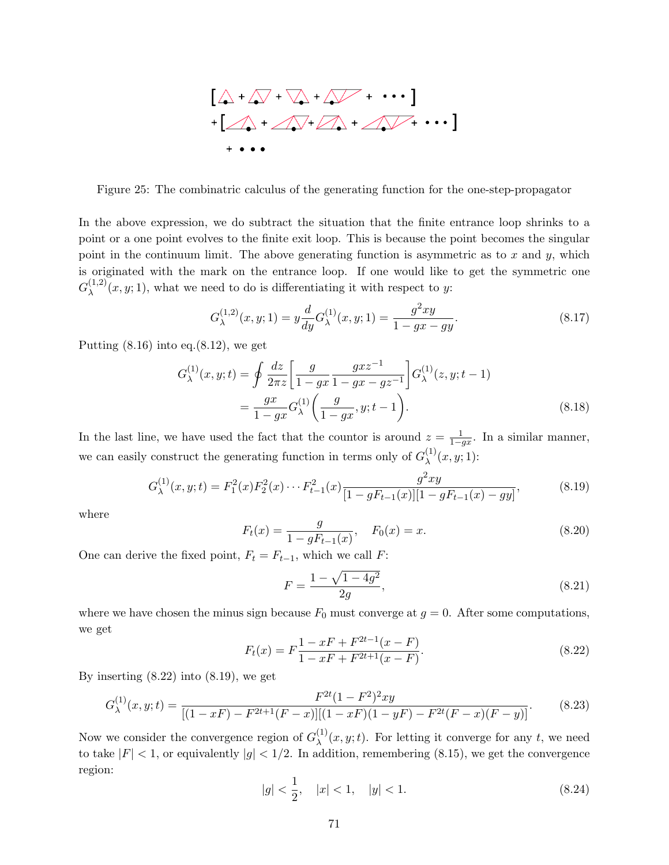

Figure 25: The combinatric calculus of the generating function for the one-step-propagator

In the above expression, we do subtract the situation that the finite entrance loop shrinks to a point or a one point evolves to the finite exit loop. This is because the point becomes the singular point in the continuum limit. The above generating function is asymmetric as to  $x$  and  $y$ , which is originated with the mark on the entrance loop. If one would like to get the symmetric one  $G_\lambda^{(1,2)}$  $\lambda^{(1,2)}(x, y; 1)$ , what we need to do is differentiating it with respect to y:

$$
G_{\lambda}^{(1,2)}(x,y;1) = y \frac{d}{dy} G_{\lambda}^{(1)}(x,y;1) = \frac{g^2 xy}{1 - gx - gy}.
$$
\n(8.17)

Putting  $(8.16)$  into eq. $(8.12)$ , we get

$$
G_{\lambda}^{(1)}(x,y;t) = \oint \frac{dz}{2\pi z} \left[ \frac{g}{1 - gx} \frac{gxz^{-1}}{1 - gx - gz^{-1}} \right] G_{\lambda}^{(1)}(z,y;t-1)
$$

$$
= \frac{gx}{1 - gx} G_{\lambda}^{(1)} \left( \frac{g}{1 - gx}, y;t-1 \right). \tag{8.18}
$$

In the last line, we have used the fact that the countor is around  $z = \frac{1}{1-gx}$ . In a similar manner, we can easily construct the generating function in terms only of  $G_{\lambda}^{(1)}$  $\lambda^{(1)}(x, y; 1)$ :

$$
G_{\lambda}^{(1)}(x,y;t) = F_1^2(x)F_2^2(x)\cdots F_{t-1}^2(x)\frac{g^2xy}{[1 - gF_{t-1}(x)][1 - gF_{t-1}(x) - gy]},
$$
\n(8.19)

where

$$
F_t(x) = \frac{g}{1 - gF_{t-1}(x)}, \quad F_0(x) = x.
$$
\n(8.20)

One can derive the fixed point,  $F_t = F_{t-1}$ , which we call F:

$$
F = \frac{1 - \sqrt{1 - 4g^2}}{2g},\tag{8.21}
$$

where we have chosen the minus sign because  $F_0$  must converge at  $g = 0$ . After some computations, we get

$$
F_t(x) = F \frac{1 - xF + F^{2t-1}(x - F)}{1 - xF + F^{2t+1}(x - F)}.
$$
\n(8.22)

By inserting  $(8.22)$  into  $(8.19)$ , we get

$$
G_{\lambda}^{(1)}(x,y;t) = \frac{F^{2t}(1-F^2)^2xy}{[(1-xF) - F^{2t+1}(F-x)][(1-xF)(1-yF) - F^{2t}(F-x)(F-y)]}.
$$
(8.23)

Now we consider the convergence region of  $G_{\lambda}^{(1)}$  $\lambda^{(1)}(x, y; t)$ . For letting it converge for any t, we need to take  $|F| < 1$ , or equivalently  $|g| < 1/2$ . In addition, remembering (8.15), we get the convergence region:

$$
|g| < \frac{1}{2}, \quad |x| < 1, \quad |y| < 1. \tag{8.24}
$$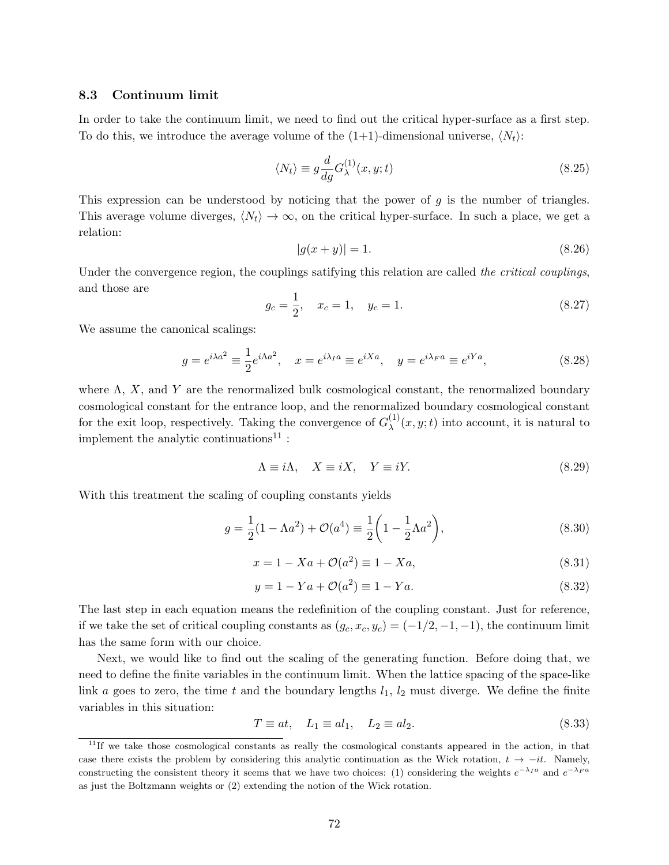## 8.3 Continuum limit

In order to take the continuum limit, we need to find out the critical hyper-surface as a first step. To do this, we introduce the average volume of the  $(1+1)$ -dimensional universe,  $\langle N_t \rangle$ :

$$
\langle N_t \rangle \equiv g \frac{d}{dg} G_{\lambda}^{(1)}(x, y; t)
$$
\n(8.25)

This expression can be understood by noticing that the power of g is the number of triangles. This average volume diverges,  $\langle N_t \rangle \to \infty$ , on the critical hyper-surface. In such a place, we get a relation:

$$
|g(x+y)| = 1.\t(8.26)
$$

Under the convergence region, the couplings satifying this relation are called the critical couplings, and those are

$$
g_c = \frac{1}{2}, \quad x_c = 1, \quad y_c = 1.
$$
\n(8.27)

We assume the canonical scalings:

$$
g = e^{i\lambda a^2} \equiv \frac{1}{2} e^{i\Lambda a^2}, \quad x = e^{i\lambda_I a} \equiv e^{iXa}, \quad y = e^{i\lambda_F a} \equiv e^{iYa}, \tag{8.28}
$$

where  $\Lambda$ , X, and Y are the renormalized bulk cosmological constant, the renormalized boundary cosmological constant for the entrance loop, and the renormalized boundary cosmological constant for the exit loop, respectively. Taking the convergence of  $G_{\lambda}^{(1)}$  $\lambda^{(1)}(x, y; t)$  into account, it is natural to implement the analytic continuations $^{11}$ :

$$
\Lambda \equiv i\Lambda, \quad X \equiv iX, \quad Y \equiv iY. \tag{8.29}
$$

With this treatment the scaling of coupling constants yields

$$
g = \frac{1}{2}(1 - \Lambda a^2) + \mathcal{O}(a^4) \equiv \frac{1}{2}\left(1 - \frac{1}{2}\Lambda a^2\right),\tag{8.30}
$$

$$
x = 1 - Xa + \mathcal{O}(a^2) \equiv 1 - Xa,\tag{8.31}
$$

$$
y = 1 - Ya + \mathcal{O}(a^2) \equiv 1 - Ya.
$$
 (8.32)

The last step in each equation means the redefinition of the coupling constant. Just for reference, if we take the set of critical coupling constants as  $(g_c, x_c, y_c) = (-1/2, -1, -1)$ , the continuum limit has the same form with our choice.

Next, we would like to find out the scaling of the generating function. Before doing that, we need to define the finite variables in the continuum limit. When the lattice spacing of the space-like link a goes to zero, the time t and the boundary lengths  $l_1$ ,  $l_2$  must diverge. We define the finite variables in this situation:

$$
T \equiv at, \quad L_1 \equiv al_1, \quad L_2 \equiv al_2. \tag{8.33}
$$

<sup>&</sup>lt;sup>11</sup>If we take those cosmological constants as really the cosmological constants appeared in the action, in that case there exists the problem by considering this analytic continuation as the Wick rotation,  $t \to -it$ . Namely, constructing the consistent theory it seems that we have two choices: (1) considering the weights  $e^{-\lambda_I a}$  and  $e^{-\lambda_F a}$ as just the Boltzmann weights or (2) extending the notion of the Wick rotation.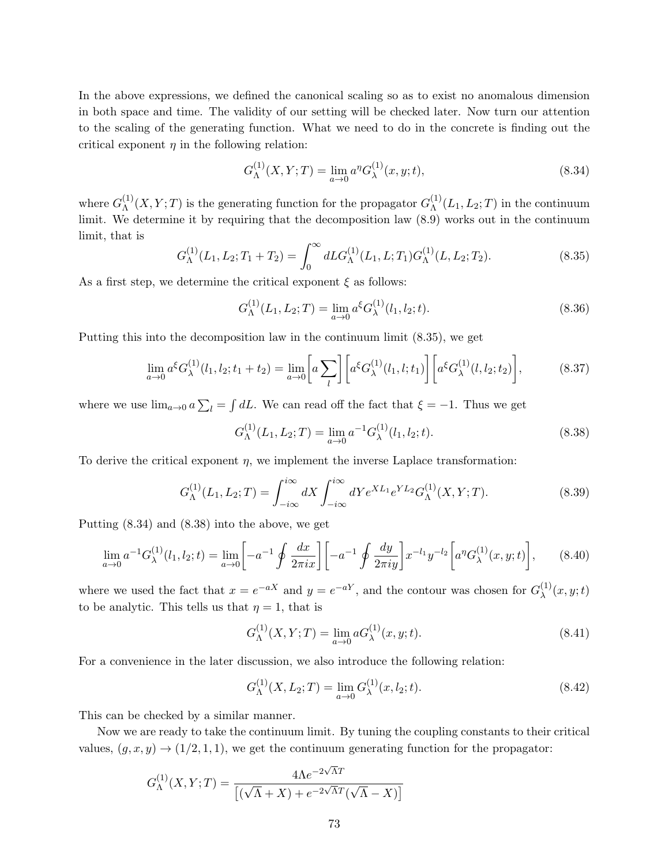In the above expressions, we defined the canonical scaling so as to exist no anomalous dimension in both space and time. The validity of our setting will be checked later. Now turn our attention to the scaling of the generating function. What we need to do in the concrete is finding out the critical exponent  $\eta$  in the following relation:

$$
G_{\Lambda}^{(1)}(X,Y;T) = \lim_{a \to 0} a^{\eta} G_{\lambda}^{(1)}(x,y;t), \qquad (8.34)
$$

where  $G^{(1)}_{\Lambda}$  $\Lambda^{(1)}(X,Y;T)$  is the generating function for the propagator  $G_{\Lambda}^{(1)}$  $\Lambda^{(1)}(L_1, L_2; T)$  in the continuum limit. We determine it by requiring that the decomposition law  $(8.9)$  works out in the continuum limit, that is

$$
G_{\Lambda}^{(1)}(L_1, L_2; T_1 + T_2) = \int_0^{\infty} dL G_{\Lambda}^{(1)}(L_1, L; T_1) G_{\Lambda}^{(1)}(L, L_2; T_2).
$$
 (8.35)

As a first step, we determine the critical exponent  $\xi$  as follows:

$$
G_{\Lambda}^{(1)}(L_1, L_2; T) = \lim_{a \to 0} a^{\xi} G_{\lambda}^{(1)}(l_1, l_2; t).
$$
 (8.36)

Putting this into the decomposition law in the continuum limit (8.35), we get

$$
\lim_{a \to 0} a^{\xi} G_{\lambda}^{(1)}(l_1, l_2; t_1 + t_2) = \lim_{a \to 0} \left[ a \sum_{l} \left[ a^{\xi} G_{\lambda}^{(1)}(l_1, l; t_1) \right] \left[ a^{\xi} G_{\lambda}^{(1)}(l, l_2; t_2) \right], \tag{8.37}
$$

where we use  $\lim_{a\to 0} a\sum_{l} = \int dL$ . We can read off the fact that  $\xi = -1$ . Thus we get

$$
G_{\Lambda}^{(1)}(L_1, L_2; T) = \lim_{a \to 0} a^{-1} G_{\lambda}^{(1)}(l_1, l_2; t).
$$
 (8.38)

To derive the critical exponent  $\eta$ , we implement the inverse Laplace transformation:

$$
G_{\Lambda}^{(1)}(L_1, L_2; T) = \int_{-i\infty}^{i\infty} dX \int_{-i\infty}^{i\infty} dY e^{XL_1} e^{YL_2} G_{\Lambda}^{(1)}(X, Y; T). \tag{8.39}
$$

Putting (8.34) and (8.38) into the above, we get

$$
\lim_{a \to 0} a^{-1} G_{\lambda}^{(1)}(l_1, l_2; t) = \lim_{a \to 0} \left[ -a^{-1} \oint \frac{dx}{2\pi i x} \right] \left[ -a^{-1} \oint \frac{dy}{2\pi i y} \right] x^{-l_1} y^{-l_2} \left[ a^{\eta} G_{\lambda}^{(1)}(x, y; t) \right], \tag{8.40}
$$

where we used the fact that  $x = e^{-aX}$  and  $y = e^{-aY}$ , and the contour was chosen for  $G_{\lambda}^{(1)}$  $\lambda^{(1)}(x,y;t)$ to be analytic. This tells us that  $\eta = 1$ , that is

$$
G_{\Lambda}^{(1)}(X,Y;T) = \lim_{a \to 0} a G_{\lambda}^{(1)}(x,y;t).
$$
\n(8.41)

For a convenience in the later discussion, we also introduce the following relation:

$$
G_{\Lambda}^{(1)}(X, L_2; T) = \lim_{a \to 0} G_{\lambda}^{(1)}(x, l_2; t).
$$
 (8.42)

This can be checked by a similar manner.

Now we are ready to take the continuum limit. By tuning the coupling constants to their critical values,  $(g, x, y) \rightarrow (1/2, 1, 1)$ , we get the continuum generating function for the propagator:

$$
G_{\Lambda}^{(1)}(X,Y;T) = \frac{4\Lambda e^{-2\sqrt{\Lambda}T}}{\left[\left(\sqrt{\Lambda} + X\right) + e^{-2\sqrt{\Lambda}T}\left(\sqrt{\Lambda} - X\right)\right]}
$$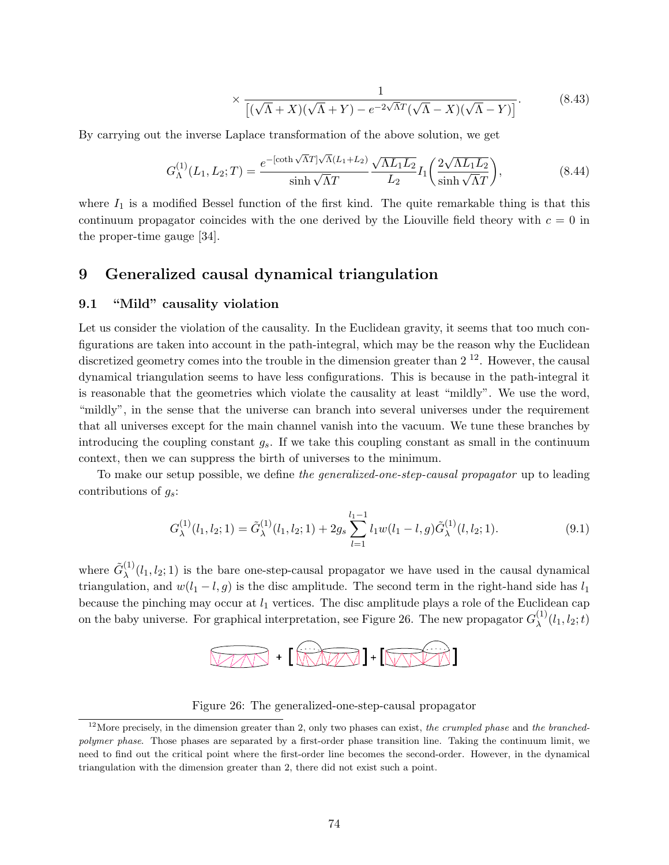$$
\times \frac{1}{\left[ (\sqrt{\Lambda} + X)(\sqrt{\Lambda} + Y) - e^{-2\sqrt{\Lambda}T}(\sqrt{\Lambda} - X)(\sqrt{\Lambda} - Y) \right]}.
$$
 (8.43)

By carrying out the inverse Laplace transformation of the above solution, we get

$$
G_{\Lambda}^{(1)}(L_1, L_2; T) = \frac{e^{-\left[\coth\sqrt{\Lambda}T\right]\sqrt{\Lambda}(L_1 + L_2)}}{\sinh\sqrt{\Lambda}T} \frac{\sqrt{\Lambda L_1 L_2}}{L_2} I_1\left(\frac{2\sqrt{\Lambda L_1 L_2}}{\sinh\sqrt{\Lambda}T}\right),\tag{8.44}
$$

where  $I_1$  is a modified Bessel function of the first kind. The quite remarkable thing is that this continuum propagator coincides with the one derived by the Liouville field theory with  $c = 0$  in the proper-time gauge [34].

## 9 Generalized causal dynamical triangulation

## 9.1 "Mild" causality violation

Let us consider the violation of the causality. In the Euclidean gravity, it seems that too much configurations are taken into account in the path-integral, which may be the reason why the Euclidean discretized geometry comes into the trouble in the dimension greater than  $2^{12}$ . However, the causal dynamical triangulation seems to have less configurations. This is because in the path-integral it is reasonable that the geometries which violate the causality at least "mildly". We use the word, "mildly", in the sense that the universe can branch into several universes under the requirement that all universes except for the main channel vanish into the vacuum. We tune these branches by introducing the coupling constant  $g_s$ . If we take this coupling constant as small in the continuum context, then we can suppress the birth of universes to the minimum.

To make our setup possible, we define the generalized-one-step-causal propagator up to leading contributions of  $g_s$ :

$$
G_{\lambda}^{(1)}(l_1, l_2; 1) = \tilde{G}_{\lambda}^{(1)}(l_1, l_2; 1) + 2g_s \sum_{l=1}^{l_1 - 1} l_1 w(l_1 - l, g) \tilde{G}_{\lambda}^{(1)}(l, l_2; 1).
$$
\n(9.1)

where  $\tilde{G}^{(1)}_{\lambda}$  $\lambda^{(1)}(l_1, l_2; 1)$  is the bare one-step-causal propagator we have used in the causal dynamical triangulation, and  $w(l_1 - l, g)$  is the disc amplitude. The second term in the right-hand side has  $l_1$ because the pinching may occur at  $l_1$  vertices. The disc amplitude plays a role of the Euclidean cap on the baby universe. For graphical interpretation, see Figure 26. The new propagator  $G_{\lambda}^{(1)}$  $\lambda^{(1)}(l_1, l_2; t)$ 



Figure 26: The generalized-one-step-causal propagator

<sup>&</sup>lt;sup>12</sup>More precisely, in the dimension greater than 2, only two phases can exist, the crumpled phase and the branchedpolymer phase. Those phases are separated by a first-order phase transition line. Taking the continuum limit, we need to find out the critical point where the first-order line becomes the second-order. However, in the dynamical triangulation with the dimension greater than 2, there did not exist such a point.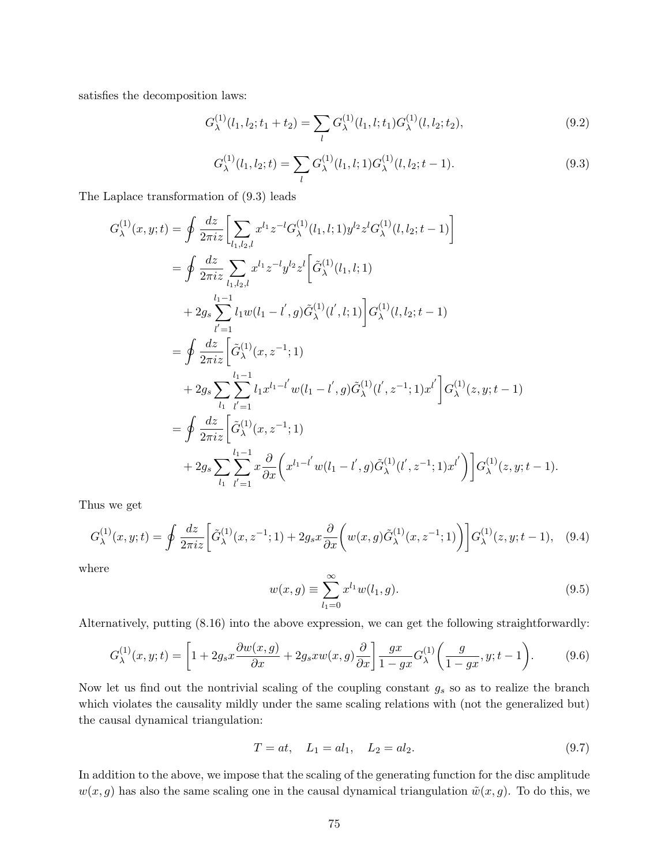satisfies the decomposition laws:

$$
G_{\lambda}^{(1)}(l_1, l_2; t_1 + t_2) = \sum_{l} G_{\lambda}^{(1)}(l_1, l; t_1) G_{\lambda}^{(1)}(l, l_2; t_2),
$$
\n(9.2)

$$
G_{\lambda}^{(1)}(l_1, l_2; t) = \sum_{l} G_{\lambda}^{(1)}(l_1, l; 1) G_{\lambda}^{(1)}(l, l_2; t - 1).
$$
\n(9.3)

The Laplace transformation of (9.3) leads

$$
G_{\lambda}^{(1)}(x,y;t) = \oint \frac{dz}{2\pi iz} \left[ \sum_{l_1,l_2,l} x^{l_1} z^{-l} G_{\lambda}^{(1)}(l_1,l;1) y^{l_2} z^l G_{\lambda}^{(1)}(l,l_2;t-1) \right]
$$
  
\n
$$
= \oint \frac{dz}{2\pi iz} \sum_{l_1,l_2,l} x^{l_1} z^{-l} y^{l_2} z^l \left[ \tilde{G}_{\lambda}^{(1)}(l_1,l;1) + 2g_s \sum_{l'=1}^{l_1-1} l_1 w(l_1-l',g) \tilde{G}_{\lambda}^{(1)}(l',l;1) \right] G_{\lambda}^{(1)}(l,l_2;t-1)
$$
  
\n
$$
= \oint \frac{dz}{2\pi iz} \left[ \tilde{G}_{\lambda}^{(1)}(x, z^{-1}; 1) + 2g_s \sum_{l_1} \sum_{l'=1}^{l_1-1} l_1 x^{l_1-l'} w(l_1-l',g) \tilde{G}_{\lambda}^{(1)}(l',z^{-1};1) x^{l'} \right] G_{\lambda}^{(1)}(z,y;t-1)
$$
  
\n
$$
= \oint \frac{dz}{2\pi iz} \left[ \tilde{G}_{\lambda}^{(1)}(x, z^{-1}; 1) + 2g_s \sum_{l_1} \sum_{l'=1}^{l_1-1} x \frac{\partial}{\partial x} \left( x^{l_1-l'} w(l_1-l',g) \tilde{G}_{\lambda}^{(1)}(l',z^{-1};1) x^{l'} \right) \right] G_{\lambda}^{(1)}(z,y;t-1).
$$

Thus we get

$$
G_{\lambda}^{(1)}(x,y;t) = \oint \frac{dz}{2\pi i z} \left[ \tilde{G}_{\lambda}^{(1)}(x,z^{-1};1) + 2g_s x \frac{\partial}{\partial x} \left( w(x,g) \tilde{G}_{\lambda}^{(1)}(x,z^{-1};1) \right) \right] G_{\lambda}^{(1)}(z,y;t-1), \quad (9.4)
$$

where

$$
w(x,g) \equiv \sum_{l_1=0}^{\infty} x^{l_1} w(l_1, g).
$$
 (9.5)

Alternatively, putting (8.16) into the above expression, we can get the following straightforwardly:

$$
G_{\lambda}^{(1)}(x,y;t) = \left[1 + 2g_s x \frac{\partial w(x,g)}{\partial x} + 2g_s x w(x,g) \frac{\partial}{\partial x}\right] \frac{gx}{1 - gx} G_{\lambda}^{(1)}\left(\frac{g}{1 - gx}, y; t - 1\right). \tag{9.6}
$$

Now let us find out the nontrivial scaling of the coupling constant  $g_s$  so as to realize the branch which violates the causality mildly under the same scaling relations with (not the generalized but) the causal dynamical triangulation:

$$
T = at, \quad L_1 = al_1, \quad L_2 = al_2. \tag{9.7}
$$

In addition to the above, we impose that the scaling of the generating function for the disc amplitude  $w(x, g)$  has also the same scaling one in the causal dynamical triangulation  $\tilde{w}(x, g)$ . To do this, we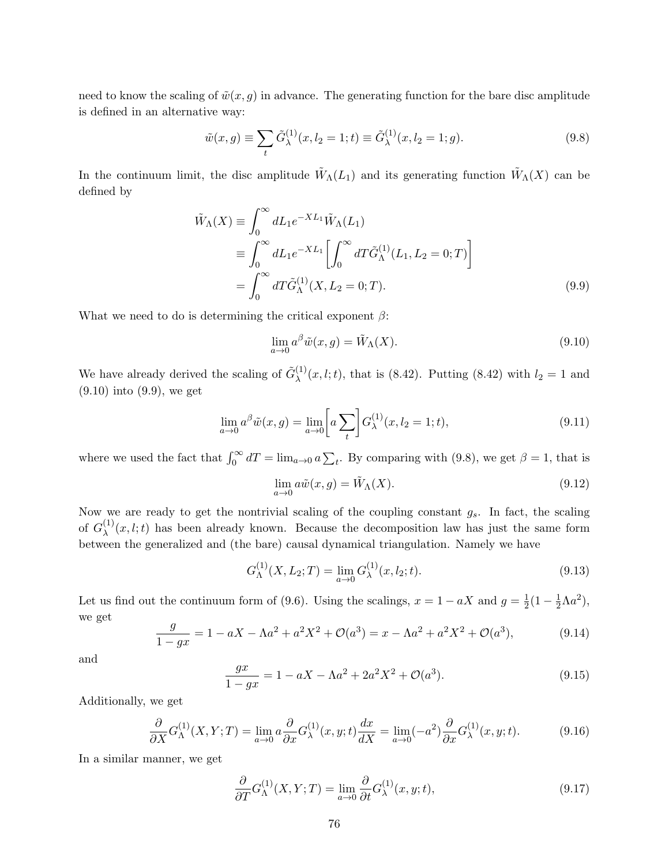need to know the scaling of  $\tilde{w}(x, g)$  in advance. The generating function for the bare disc amplitude is defined in an alternative way:

$$
\tilde{w}(x,g) \equiv \sum_{t} \tilde{G}_{\lambda}^{(1)}(x,l_2=1;t) \equiv \tilde{G}_{\lambda}^{(1)}(x,l_2=1;g). \tag{9.8}
$$

In the continuum limit, the disc amplitude  $\tilde{W}_\Lambda(L_1)$  and its generating function  $\tilde{W}_\Lambda(X)$  can be defined by

$$
\tilde{W}_{\Lambda}(X) \equiv \int_0^{\infty} dL_1 e^{-XL_1} \tilde{W}_{\Lambda}(L_1) \n\equiv \int_0^{\infty} dL_1 e^{-XL_1} \left[ \int_0^{\infty} dT \tilde{G}_{\Lambda}^{(1)}(L_1, L_2 = 0; T) \right] \n= \int_0^{\infty} dT \tilde{G}_{\Lambda}^{(1)}(X, L_2 = 0; T).
$$
\n(9.9)

What we need to do is determining the critical exponent  $\beta$ :

$$
\lim_{a \to 0} a^{\beta} \tilde{w}(x, g) = \tilde{W}_{\Lambda}(X). \tag{9.10}
$$

We have already derived the scaling of  $\tilde{G}_{\lambda}^{(1)}$  $\lambda^{(1)}(x, l; t)$ , that is (8.42). Putting (8.42) with  $l_2 = 1$  and (9.10) into (9.9), we get

$$
\lim_{a \to 0} a^{\beta} \tilde{w}(x, g) = \lim_{a \to 0} \left[ a \sum_{t} \right] G_{\lambda}^{(1)}(x, l_2 = 1; t), \tag{9.11}
$$

where we used the fact that  $\int_0^\infty dT = \lim_{a\to 0} a \sum_t$ . By comparing with (9.8), we get  $\beta = 1$ , that is

$$
\lim_{a \to 0} a\tilde{w}(x, g) = \tilde{W}_{\Lambda}(X). \tag{9.12}
$$

Now we are ready to get the nontrivial scaling of the coupling constant  $g_s$ . In fact, the scaling of  $G_\lambda^{(1)}$  $\lambda^{(1)}(x, l; t)$  has been already known. Because the decomposition law has just the same form between the generalized and (the bare) causal dynamical triangulation. Namely we have

$$
G_{\Lambda}^{(1)}(X, L_2; T) = \lim_{a \to 0} G_{\lambda}^{(1)}(x, l_2; t).
$$
\n(9.13)

Let us find out the continuum form of (9.6). Using the scalings,  $x = 1 - aX$  and  $g = \frac{1}{2}$  $\frac{1}{2}(1-\frac{1}{2}\Lambda a^2),$ we get

$$
\frac{g}{1 - gx} = 1 - aX - \Lambda a^2 + a^2 X^2 + \mathcal{O}(a^3) = x - \Lambda a^2 + a^2 X^2 + \mathcal{O}(a^3),\tag{9.14}
$$

and

$$
\frac{gx}{1 - gx} = 1 - aX - \Lambda a^2 + 2a^2X^2 + \mathcal{O}(a^3).
$$
\n(9.15)

Additionally, we get

$$
\frac{\partial}{\partial X}G_{\Lambda}^{(1)}(X,Y;T) = \lim_{a \to 0} a \frac{\partial}{\partial x}G_{\lambda}^{(1)}(x,y;t) \frac{dx}{dX} = \lim_{a \to 0} (-a^2) \frac{\partial}{\partial x}G_{\lambda}^{(1)}(x,y;t). \tag{9.16}
$$

In a similar manner, we get

$$
\frac{\partial}{\partial T} G_{\Lambda}^{(1)}(X,Y;T) = \lim_{a \to 0} \frac{\partial}{\partial t} G_{\lambda}^{(1)}(x,y;t),\tag{9.17}
$$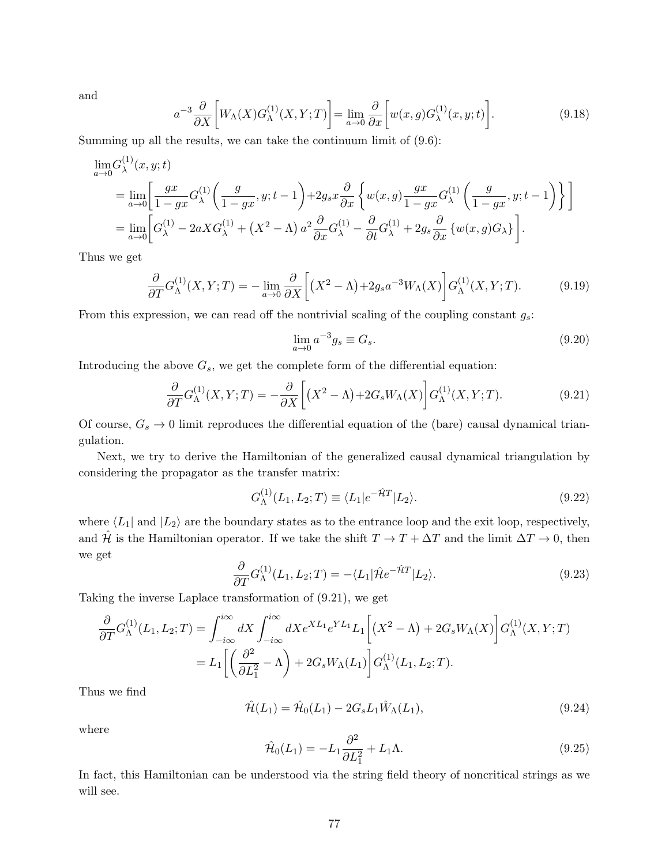and

$$
a^{-3}\frac{\partial}{\partial X}\bigg[W_{\Lambda}(X)G_{\Lambda}^{(1)}(X,Y;T)\bigg] = \lim_{a\to 0}\frac{\partial}{\partial x}\bigg[w(x,g)G_{\lambda}^{(1)}(x,y;t)\bigg].\tag{9.18}
$$

Summing up all the results, we can take the continuum limit of (9.6):

$$
\lim_{a \to 0} G_{\lambda}^{(1)}(x, y; t)
$$
\n
$$
= \lim_{a \to 0} \left[ \frac{gx}{1 - gx} G_{\lambda}^{(1)} \left( \frac{g}{1 - gx}, y; t - 1 \right) + 2g_s x \frac{\partial}{\partial x} \left\{ w(x, g) \frac{gx}{1 - gx} G_{\lambda}^{(1)} \left( \frac{g}{1 - gx}, y; t - 1 \right) \right\} \right]
$$
\n
$$
= \lim_{a \to 0} \left[ G_{\lambda}^{(1)} - 2aXG_{\lambda}^{(1)} + (X^2 - \Lambda) a^2 \frac{\partial}{\partial x} G_{\lambda}^{(1)} - \frac{\partial}{\partial t} G_{\lambda}^{(1)} + 2g_s \frac{\partial}{\partial x} \left\{ w(x, g) G_{\lambda} \right\} \right].
$$

Thus we get

$$
\frac{\partial}{\partial T}G_{\Lambda}^{(1)}(X,Y;T) = -\lim_{a \to 0} \frac{\partial}{\partial X} \left[ (X^2 - \Lambda) + 2g_s a^{-3} W_{\Lambda}(X) \right] G_{\Lambda}^{(1)}(X,Y;T). \tag{9.19}
$$

From this expression, we can read off the nontrivial scaling of the coupling constant  $g_s$ :

$$
\lim_{a \to 0} a^{-3} g_s \equiv G_s. \tag{9.20}
$$

Introducing the above  $G_s$ , we get the complete form of the differential equation:

$$
\frac{\partial}{\partial T}G_{\Lambda}^{(1)}(X,Y;T) = -\frac{\partial}{\partial X}\bigg[ (X^2 - \Lambda) + 2G_s W_{\Lambda}(X) \bigg] G_{\Lambda}^{(1)}(X,Y;T). \tag{9.21}
$$

Of course,  $G_s \to 0$  limit reproduces the differential equation of the (bare) causal dynamical triangulation.

Next, we try to derive the Hamiltonian of the generalized causal dynamical triangulation by considering the propagator as the transfer matrix:

$$
G_{\Lambda}^{(1)}(L_1, L_2; T) \equiv \langle L_1 | e^{-\hat{\mathcal{H}}T} | L_2 \rangle.
$$
\n(9.22)

where  $\langle L_1|$  and  $|L_2\rangle$  are the boundary states as to the entrance loop and the exit loop, respectively, and  $\hat{\mathcal{H}}$  is the Hamiltonian operator. If we take the shift  $T \to T + \Delta T$  and the limit  $\Delta T \to 0$ , then we get

$$
\frac{\partial}{\partial T} G_{\Lambda}^{(1)}(L_1, L_2; T) = -\langle L_1 | \hat{\mathcal{H}} e^{-\hat{\mathcal{H}}T} | L_2 \rangle.
$$
\n(9.23)

Taking the inverse Laplace transformation of (9.21), we get

$$
\frac{\partial}{\partial T} G_{\Lambda}^{(1)}(L_1, L_2; T) = \int_{-i\infty}^{i\infty} dX \int_{-i\infty}^{i\infty} dX e^{XL_1} e^{YL_1} L_1 \left[ \left( X^2 - \Lambda \right) + 2G_s W_{\Lambda}(X) \right] G_{\Lambda}^{(1)}(X, Y; T)
$$

$$
= L_1 \left[ \left( \frac{\partial^2}{\partial L_1^2} - \Lambda \right) + 2G_s W_{\Lambda}(L_1) \right] G_{\Lambda}^{(1)}(L_1, L_2; T).
$$

Thus we find

$$
\hat{\mathcal{H}}(L_1) = \hat{\mathcal{H}}_0(L_1) - 2G_s L_1 \hat{W}_\Lambda(L_1),\tag{9.24}
$$

where

$$
\hat{\mathcal{H}}_0(L_1) = -L_1 \frac{\partial^2}{\partial L_1^2} + L_1 \Lambda. \tag{9.25}
$$

In fact, this Hamiltonian can be understood via the string field theory of noncritical strings as we will see.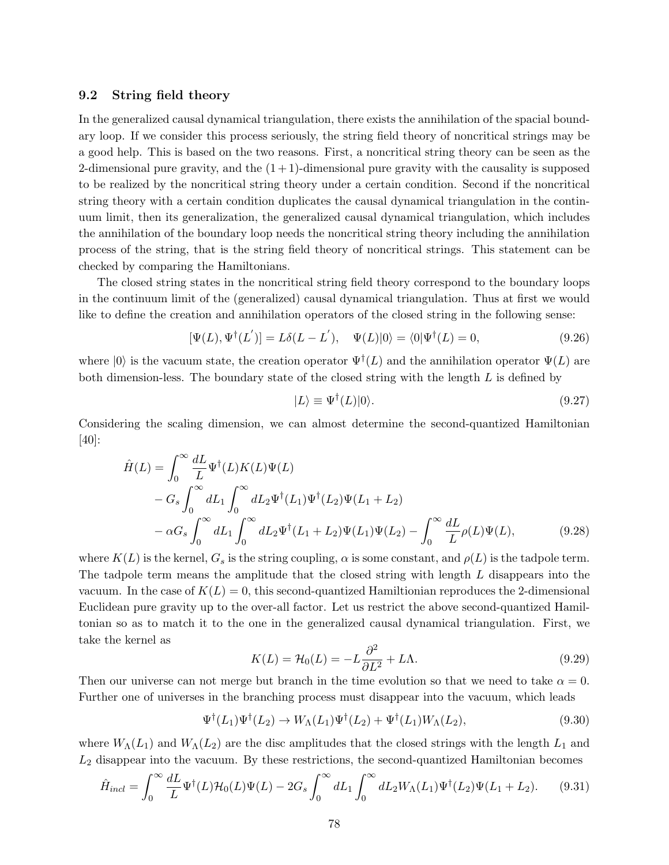### 9.2 String field theory

In the generalized causal dynamical triangulation, there exists the annihilation of the spacial boundary loop. If we consider this process seriously, the string field theory of noncritical strings may be a good help. This is based on the two reasons. First, a noncritical string theory can be seen as the 2-dimensional pure gravity, and the  $(1 + 1)$ -dimensional pure gravity with the causality is supposed to be realized by the noncritical string theory under a certain condition. Second if the noncritical string theory with a certain condition duplicates the causal dynamical triangulation in the continuum limit, then its generalization, the generalized causal dynamical triangulation, which includes the annihilation of the boundary loop needs the noncritical string theory including the annihilation process of the string, that is the string field theory of noncritical strings. This statement can be checked by comparing the Hamiltonians.

The closed string states in the noncritical string field theory correspond to the boundary loops in the continuum limit of the (generalized) causal dynamical triangulation. Thus at first we would like to define the creation and annihilation operators of the closed string in the following sense:

$$
[\Psi(L), \Psi^{\dagger}(L')] = L\delta(L - L'), \quad \Psi(L)|0\rangle = \langle 0|\Psi^{\dagger}(L) = 0,
$$
\n(9.26)

where  $|0\rangle$  is the vacuum state, the creation operator  $\Psi^{\dagger}(L)$  and the annihilation operator  $\Psi(L)$  are both dimension-less. The boundary state of the closed string with the length  $L$  is defined by

$$
|L\rangle \equiv \Psi^{\dagger}(L)|0\rangle. \tag{9.27}
$$

Considering the scaling dimension, we can almost determine the second-quantized Hamiltonian [40]:

$$
\hat{H}(L) = \int_0^\infty \frac{dL}{L} \Psi^\dagger(L) K(L) \Psi(L) \n- G_s \int_0^\infty dL_1 \int_0^\infty dL_2 \Psi^\dagger(L_1) \Psi^\dagger(L_2) \Psi(L_1 + L_2) \n- \alpha G_s \int_0^\infty dL_1 \int_0^\infty dL_2 \Psi^\dagger(L_1 + L_2) \Psi(L_1) \Psi(L_2) - \int_0^\infty \frac{dL}{L} \rho(L) \Psi(L),
$$
\n(9.28)

where  $K(L)$  is the kernel,  $G_s$  is the string coupling,  $\alpha$  is some constant, and  $\rho(L)$  is the tadpole term. The tadpole term means the amplitude that the closed string with length L disappears into the vacuum. In the case of  $K(L) = 0$ , this second-quantized Hamiltionian reproduces the 2-dimensional Euclidean pure gravity up to the over-all factor. Let us restrict the above second-quantized Hamiltonian so as to match it to the one in the generalized causal dynamical triangulation. First, we take the kernel as

$$
K(L) = \mathcal{H}_0(L) = -L\frac{\partial^2}{\partial L^2} + L\Lambda.
$$
\n(9.29)

Then our universe can not merge but branch in the time evolution so that we need to take  $\alpha = 0$ . Further one of universes in the branching process must disappear into the vacuum, which leads

$$
\Psi^{\dagger}(L_1)\Psi^{\dagger}(L_2) \to W_{\Lambda}(L_1)\Psi^{\dagger}(L_2) + \Psi^{\dagger}(L_1)W_{\Lambda}(L_2), \tag{9.30}
$$

where  $W_\Lambda(L_1)$  and  $W_\Lambda(L_2)$  are the disc amplitudes that the closed strings with the length  $L_1$  and  $L_2$  disappear into the vacuum. By these restrictions, the second-quantized Hamiltonian becomes

$$
\hat{H}_{incl} = \int_0^\infty \frac{dL}{L} \Psi^\dagger(L) \mathcal{H}_0(L) \Psi(L) - 2G_s \int_0^\infty dL_1 \int_0^\infty dL_2 W_\Lambda(L_1) \Psi^\dagger(L_2) \Psi(L_1 + L_2). \tag{9.31}
$$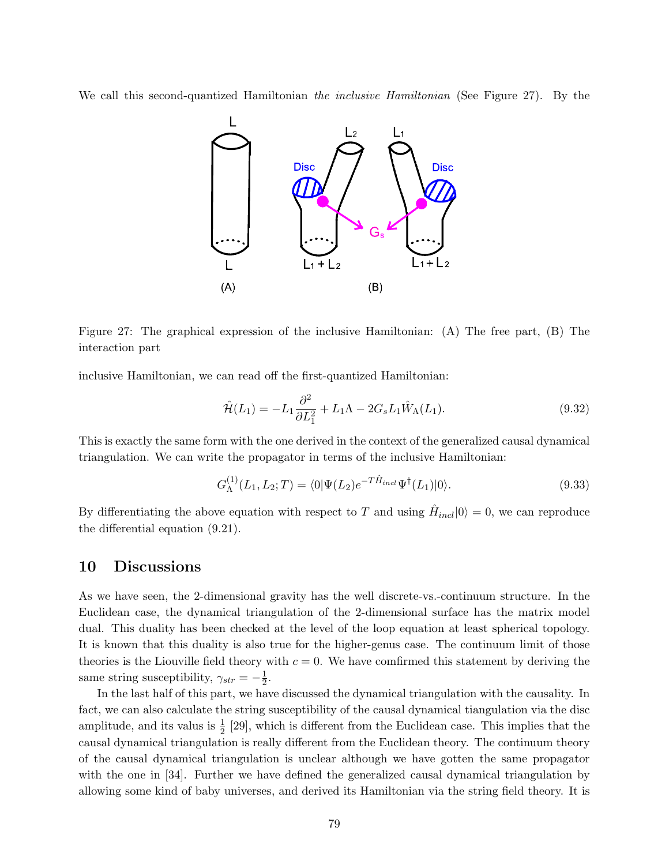We call this second-quantized Hamiltonian the inclusive Hamiltonian (See Figure 27). By the



Figure 27: The graphical expression of the inclusive Hamiltonian: (A) The free part, (B) The interaction part

inclusive Hamiltonian, we can read off the first-quantized Hamiltonian:

$$
\hat{\mathcal{H}}(L_1) = -L_1 \frac{\partial^2}{\partial L_1^2} + L_1 \Lambda - 2G_s L_1 \hat{W}_{\Lambda}(L_1).
$$
\n(9.32)

This is exactly the same form with the one derived in the context of the generalized causal dynamical triangulation. We can write the propagator in terms of the inclusive Hamiltonian:

$$
G_{\Lambda}^{(1)}(L_1, L_2; T) = \langle 0 | \Psi(L_2) e^{-T \hat{H}_{incl}} \Psi^{\dagger}(L_1) | 0 \rangle.
$$
 (9.33)

By differentiating the above equation with respect to T and using  $\hat{H}_{incl}|0\rangle = 0$ , we can reproduce the differential equation (9.21).

## 10 Discussions

As we have seen, the 2-dimensional gravity has the well discrete-vs.-continuum structure. In the Euclidean case, the dynamical triangulation of the 2-dimensional surface has the matrix model dual. This duality has been checked at the level of the loop equation at least spherical topology. It is known that this duality is also true for the higher-genus case. The continuum limit of those theories is the Liouville field theory with  $c = 0$ . We have comfirmed this statement by deriving the same string susceptibility,  $\gamma_{str} = -\frac{1}{2}$  $\frac{1}{2}$ .

In the last half of this part, we have discussed the dynamical triangulation with the causality. In fact, we can also calculate the string susceptibility of the causal dynamical tiangulation via the disc amplitude, and its valus is  $\frac{1}{2}$  [29], which is different from the Euclidean case. This implies that the causal dynamical triangulation is really different from the Euclidean theory. The continuum theory of the causal dynamical triangulation is unclear although we have gotten the same propagator with the one in [34]. Further we have defined the generalized causal dynamical triangulation by allowing some kind of baby universes, and derived its Hamiltonian via the string field theory. It is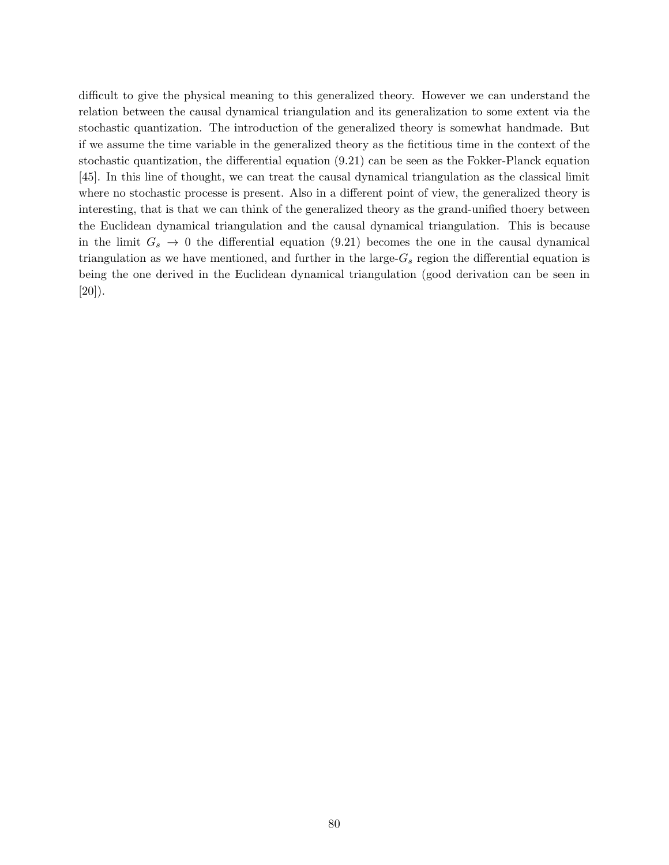difficult to give the physical meaning to this generalized theory. However we can understand the relation between the causal dynamical triangulation and its generalization to some extent via the stochastic quantization. The introduction of the generalized theory is somewhat handmade. But if we assume the time variable in the generalized theory as the fictitious time in the context of the stochastic quantization, the differential equation (9.21) can be seen as the Fokker-Planck equation [45]. In this line of thought, we can treat the causal dynamical triangulation as the classical limit where no stochastic processe is present. Also in a different point of view, the generalized theory is interesting, that is that we can think of the generalized theory as the grand-unified thoery between the Euclidean dynamical triangulation and the causal dynamical triangulation. This is because in the limit  $G_s \rightarrow 0$  the differential equation (9.21) becomes the one in the causal dynamical triangulation as we have mentioned, and further in the large- $G_s$  region the differential equation is being the one derived in the Euclidean dynamical triangulation (good derivation can be seen in  $[20]$ ).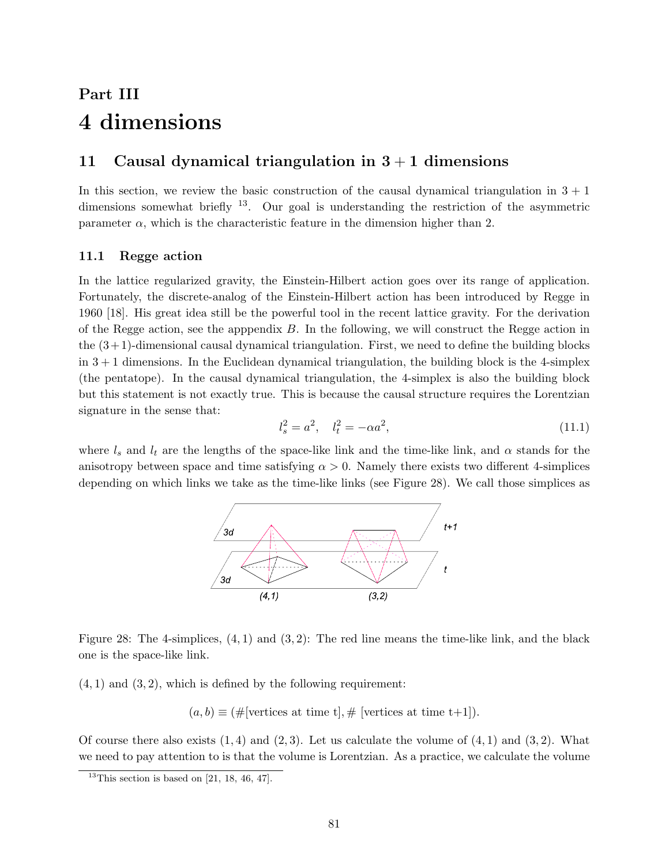# Part III 4 dimensions

## 11 Causal dynamical triangulation in  $3 + 1$  dimensions

In this section, we review the basic construction of the causal dynamical triangulation in  $3 + 1$ dimensions somewhat briefly  $13$ . Our goal is understanding the restriction of the asymmetric parameter  $\alpha$ , which is the characteristic feature in the dimension higher than 2.

## 11.1 Regge action

In the lattice regularized gravity, the Einstein-Hilbert action goes over its range of application. Fortunately, the discrete-analog of the Einstein-Hilbert action has been introduced by Regge in 1960 [18]. His great idea still be the powerful tool in the recent lattice gravity. For the derivation of the Regge action, see the apppendix  $B$ . In the following, we will construct the Regge action in the  $(3+1)$ -dimensional causal dynamical triangulation. First, we need to define the building blocks in  $3 + 1$  dimensions. In the Euclidean dynamical triangulation, the building block is the 4-simplex (the pentatope). In the causal dynamical triangulation, the 4-simplex is also the building block but this statement is not exactly true. This is because the causal structure requires the Lorentzian signature in the sense that:

$$
l_s^2 = a^2, \quad l_t^2 = -\alpha a^2,\tag{11.1}
$$

where  $l_s$  and  $l_t$  are the lengths of the space-like link and the time-like link, and  $\alpha$  stands for the anisotropy between space and time satisfying  $\alpha > 0$ . Namely there exists two different 4-simplices depending on which links we take as the time-like links (see Figure 28). We call those simplices as



Figure 28: The 4-simplices,  $(4, 1)$  and  $(3, 2)$ : The red line means the time-like link, and the black one is the space-like link.

 $(4, 1)$  and  $(3, 2)$ , which is defined by the following requirement:

 $(a, b) \equiv (\#| \text{vertices at time t}], \# | \text{vertices at time t+1}].$ 

Of course there also exists  $(1,4)$  and  $(2,3)$ . Let us calculate the volume of  $(4,1)$  and  $(3,2)$ . What we need to pay attention to is that the volume is Lorentzian. As a practice, we calculate the volume

<sup>&</sup>lt;sup>13</sup>This section is based on  $[21, 18, 46, 47]$ .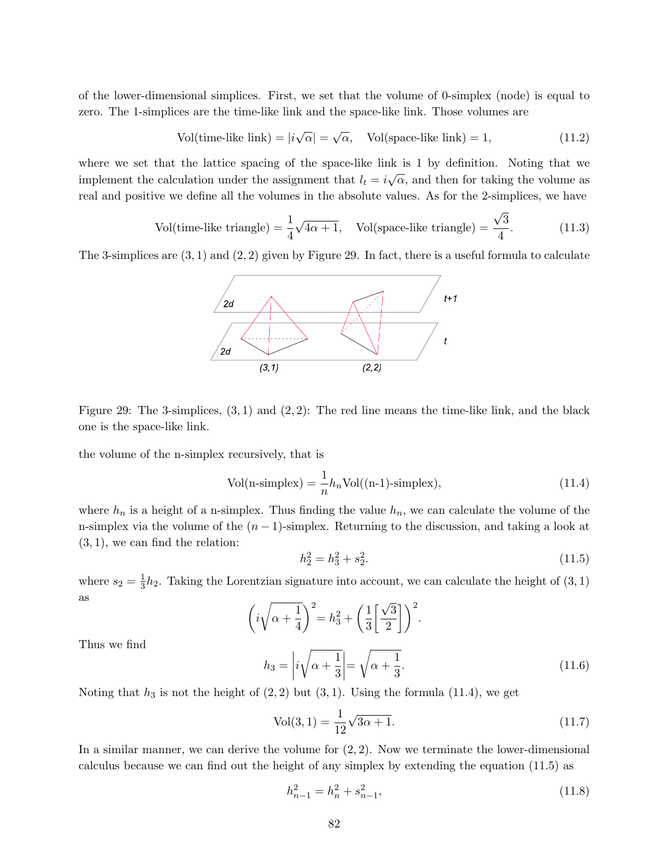of the lower-dimensional simplices. First, we set that the volume of 0-simplex (node) is equal to zero. The 1-simplices are the time-like link and the space-like link. Those volumes are

$$
Vol(\text{time-like link}) = |i\sqrt{\alpha}| = \sqrt{\alpha}, \quad Vol(\text{space-like link}) = 1,
$$
\n(11.2)

where we set that the lattice spacing of the space-like link is 1 by definition. Noting that we implement the calculation under the assignment that  $l_t = i\sqrt{\alpha}$ , and then for taking the volume as real and positive we define all the volumes in the absolute values. As for the 2-simplices, we have

$$
Vol(\text{time-like triangle}) = \frac{1}{4}\sqrt{4\alpha + 1}, \quad Vol(\text{space-like triangle}) = \frac{\sqrt{3}}{4}.
$$
 (11.3)

The 3-simplices are  $(3, 1)$  and  $(2, 2)$  given by Figure 29. In fact, there is a useful formula to calculate



Figure 29: The 3-simplices,  $(3, 1)$  and  $(2, 2)$ : The red line means the time-like link, and the black one is the space-like link.

the volume of the n-simplex recursively, that is

$$
Vol(n\text{-simplex}) = \frac{1}{n}h_n Vol((n-1)\text{-simplex}),\tag{11.4}
$$

where  $h_n$  is a height of a n-simplex. Thus finding the value  $h_n$ , we can calculate the volume of the n-simplex via the volume of the  $(n - 1)$ -simplex. Returning to the discussion, and taking a look at  $(3, 1)$ , we can find the relation:

$$
h_2^2 = h_3^2 + s_2^2. \tag{11.5}
$$

where  $s_2 = \frac{1}{3}$  $\frac{1}{3}h_2$ . Taking the Lorentzian signature into account, we can calculate the height of  $(3,1)$ as

$$
\left(i\sqrt{\alpha + \frac{1}{4}}\right)^2 = h_3^2 + \left(\frac{1}{3}\left[\frac{\sqrt{3}}{2}\right]\right)^2.
$$
  

$$
h_3 = \left|i\sqrt{\alpha + \frac{1}{3}}\right| = \sqrt{\alpha + \frac{1}{3}}.
$$
 (11.6)

Thus we find

Noting that 
$$
h_3
$$
 is not the height of  $(2, 2)$  but  $(3, 1)$ . Using the formula (11.4), we get

$$
Vol(3, 1) = \frac{1}{12}\sqrt{3\alpha + 1}.
$$
\n(11.7)

In a similar manner, we can derive the volume for  $(2, 2)$ . Now we terminate the lower-dimensional calculus because we can find out the height of any simplex by extending the equation (11.5) as

$$
h_{n-1}^2 = h_n^2 + s_{n-1}^2,\tag{11.8}
$$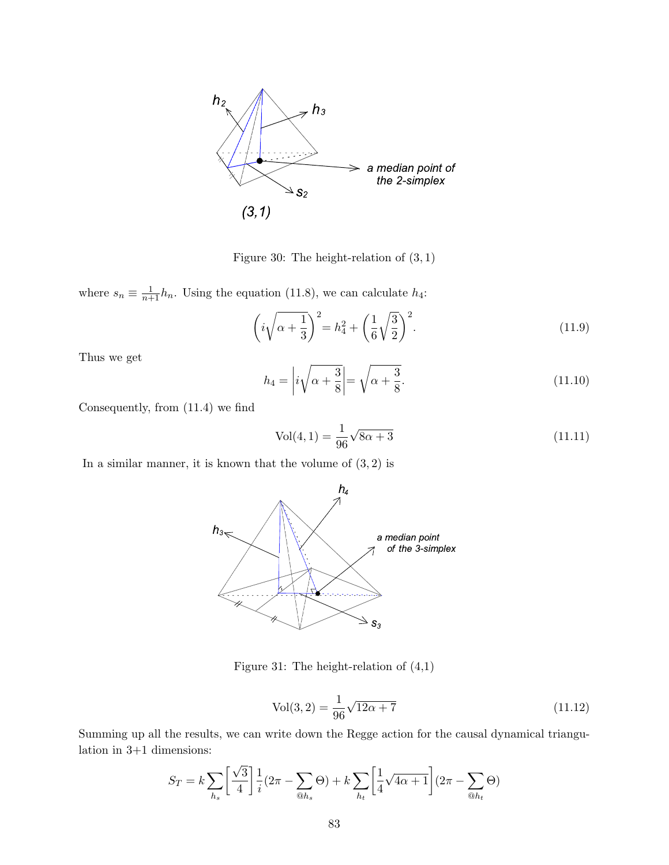

Figure 30: The height-relation of  $(3,1)$ 

where  $s_n \equiv \frac{1}{n+1}h_n$ . Using the equation (11.8), we can calculate  $h_4$ :

$$
\left(i\sqrt{\alpha + \frac{1}{3}}\right)^2 = h_4^2 + \left(\frac{1}{6}\sqrt{\frac{3}{2}}\right)^2.
$$
\n(11.9)

Thus we get

$$
h_4 = \left| i\sqrt{\alpha + \frac{3}{8}} \right| = \sqrt{\alpha + \frac{3}{8}}.\tag{11.10}
$$

Consequently, from (11.4) we find

$$
Vol(4, 1) = \frac{1}{96}\sqrt{8\alpha + 3}
$$
\n(11.11)

In a similar manner, it is known that the volume of  $(3, 2)$  is



Figure 31: The height-relation of (4,1)

$$
Vol(3,2) = \frac{1}{96}\sqrt{12\alpha + 7}
$$
\n(11.12)

Summing up all the results, we can write down the Regge action for the causal dynamical triangulation in 3+1 dimensions:

$$
S_T = k \sum_{h_s} \left[ \frac{\sqrt{3}}{4} \right] \frac{1}{i} (2\pi - \sum_{\mathfrak{S}h_s} \Theta) + k \sum_{h_t} \left[ \frac{1}{4} \sqrt{4\alpha + 1} \right] (2\pi - \sum_{\mathfrak{S}h_t} \Theta)
$$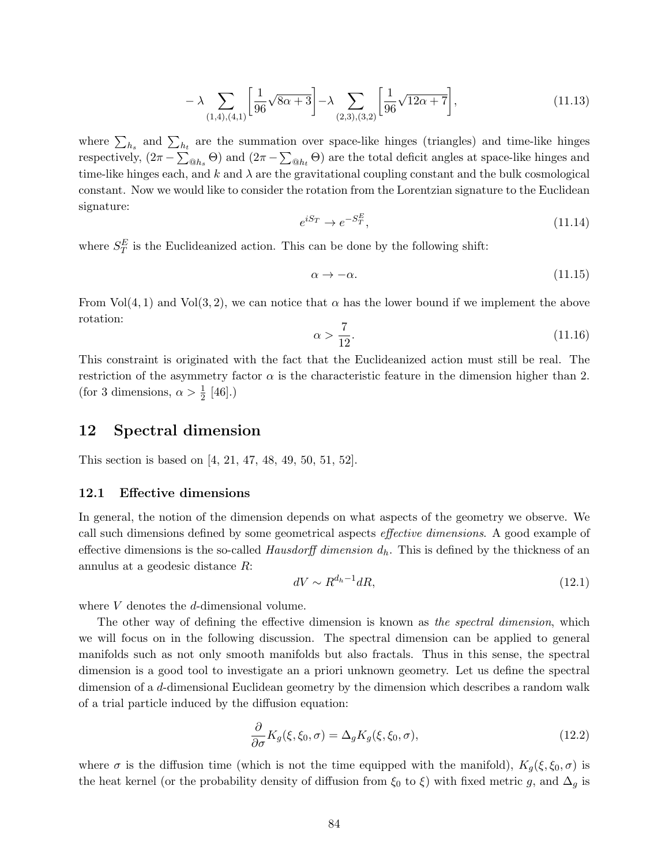$$
- \lambda \sum_{(1,4),(4,1)} \left[ \frac{1}{96} \sqrt{8\alpha + 3} \right] - \lambda \sum_{(2,3),(3,2)} \left[ \frac{1}{96} \sqrt{12\alpha + 7} \right],
$$
(11.13)

where  $\sum_{h_s}$  and  $\sum_{h_t}$  are the summation over space-like hinges (triangles) and time-like hinges respectively,  $(2\pi - \sum_{\mathcal{Q}_{h_s}} \Theta)$  and  $(2\pi - \sum_{\mathcal{Q}_{h_t}} \Theta)$  are the total deficit angles at space-like hinges and time-like hinges each, and  $k$  and  $\lambda$  are the gravitational coupling constant and the bulk cosmological constant. Now we would like to consider the rotation from the Lorentzian signature to the Euclidean signature:

$$
e^{iS_T} \to e^{-S_T^E},\tag{11.14}
$$

where  $S_T^E$  is the Euclideanized action. This can be done by the following shift:

$$
\alpha \to -\alpha. \tag{11.15}
$$

From Vol(4, 1) and Vol(3, 2), we can notice that  $\alpha$  has the lower bound if we implement the above rotation:

$$
\alpha > \frac{7}{12}.\tag{11.16}
$$

This constraint is originated with the fact that the Euclideanized action must still be real. The restriction of the asymmetry factor  $\alpha$  is the characteristic feature in the dimension higher than 2. (for 3 dimensions,  $\alpha > \frac{1}{2}$  [46].)

## 12 Spectral dimension

This section is based on [4, 21, 47, 48, 49, 50, 51, 52].

### 12.1 Effective dimensions

In general, the notion of the dimension depends on what aspects of the geometry we observe. We call such dimensions defined by some geometrical aspects effective dimensions. A good example of effective dimensions is the so-called *Hausdorff dimension*  $d_h$ . This is defined by the thickness of an annulus at a geodesic distance R:

$$
dV \sim R^{d_h - 1} dR,\tag{12.1}
$$

where  $V$  denotes the *d*-dimensional volume.

The other way of defining the effective dimension is known as the spectral dimension, which we will focus on in the following discussion. The spectral dimension can be applied to general manifolds such as not only smooth manifolds but also fractals. Thus in this sense, the spectral dimension is a good tool to investigate an a priori unknown geometry. Let us define the spectral dimension of a d-dimensional Euclidean geometry by the dimension which describes a random walk of a trial particle induced by the diffusion equation:

$$
\frac{\partial}{\partial \sigma} K_g(\xi, \xi_0, \sigma) = \Delta_g K_g(\xi, \xi_0, \sigma), \qquad (12.2)
$$

where  $\sigma$  is the diffusion time (which is not the time equipped with the manifold),  $K_q(\xi, \xi_0, \sigma)$  is the heat kernel (or the probability density of diffusion from  $\xi_0$  to  $\xi$ ) with fixed metric g, and  $\Delta_g$  is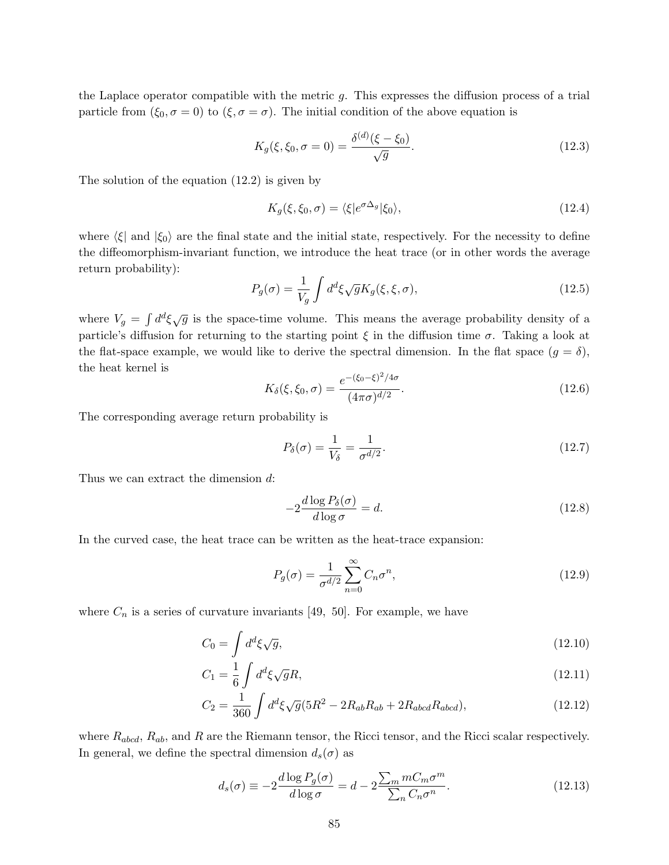the Laplace operator compatible with the metric  $g$ . This expresses the diffusion process of a trial particle from  $(\xi_0, \sigma = 0)$  to  $(\xi, \sigma = \sigma)$ . The initial condition of the above equation is

$$
K_g(\xi, \xi_0, \sigma = 0) = \frac{\delta^{(d)}(\xi - \xi_0)}{\sqrt{g}}.
$$
\n(12.3)

The solution of the equation (12.2) is given by

$$
K_g(\xi, \xi_0, \sigma) = \langle \xi | e^{\sigma \Delta_g} | \xi_0 \rangle, \tag{12.4}
$$

where  $\langle \xi |$  and  $|\xi_0\rangle$  are the final state and the initial state, respectively. For the necessity to define the diffeomorphism-invariant function, we introduce the heat trace (or in other words the average return probability):

$$
P_g(\sigma) = \frac{1}{V_g} \int d^d \xi \sqrt{g} K_g(\xi, \xi, \sigma), \qquad (12.5)
$$

where  $V_g = \int d^d \xi \sqrt{g}$  is the space-time volume. This means the average probability density of a particle's diffusion for returning to the starting point  $\xi$  in the diffusion time  $\sigma$ . Taking a look at the flat-space example, we would like to derive the spectral dimension. In the flat space  $(g = \delta)$ , the heat kernel is

$$
K_{\delta}(\xi, \xi_0, \sigma) = \frac{e^{-(\xi_0 - \xi)^2/4\sigma}}{(4\pi\sigma)^{d/2}}.
$$
\n(12.6)

The corresponding average return probability is

$$
P_{\delta}(\sigma) = \frac{1}{V_{\delta}} = \frac{1}{\sigma^{d/2}}.\tag{12.7}
$$

Thus we can extract the dimension d:

$$
-2\frac{d\log P_{\delta}(\sigma)}{d\log \sigma} = d.
$$
\n(12.8)

In the curved case, the heat trace can be written as the heat-trace expansion:

$$
P_g(\sigma) = \frac{1}{\sigma^{d/2}} \sum_{n=0}^{\infty} C_n \sigma^n,
$$
\n(12.9)

where  $C_n$  is a series of curvature invariants [49, 50]. For example, we have

$$
C_0 = \int d^d \xi \sqrt{g},\tag{12.10}
$$

$$
C_1 = \frac{1}{6} \int d^d \xi \sqrt{g} R,\tag{12.11}
$$

$$
C_2 = \frac{1}{360} \int d^d \xi \sqrt{g} (5R^2 - 2R_{ab}R_{ab} + 2R_{abcd}R_{abcd}), \qquad (12.12)
$$

where  $R_{abcd}$ ,  $R_{ab}$ , and  $R$  are the Riemann tensor, the Ricci tensor, and the Ricci scalar respectively. In general, we define the spectral dimension  $d_s(\sigma)$  as

$$
d_s(\sigma) \equiv -2 \frac{d \log P_g(\sigma)}{d \log \sigma} = d - 2 \frac{\sum_m m C_m \sigma^m}{\sum_n C_n \sigma^n}.
$$
\n(12.13)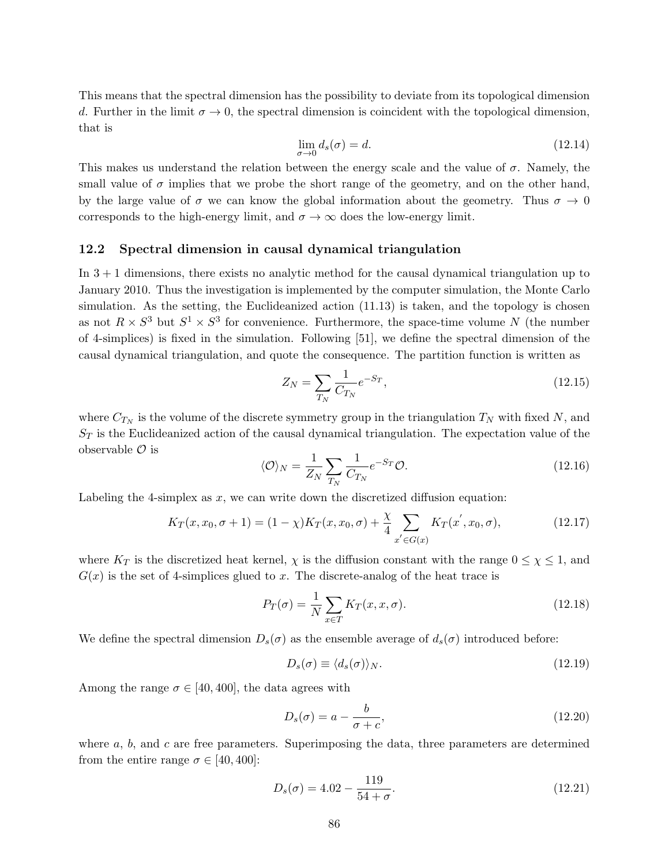This means that the spectral dimension has the possibility to deviate from its topological dimension d. Further in the limit  $\sigma \to 0$ , the spectral dimension is coincident with the topological dimension, that is

$$
\lim_{\sigma \to 0} d_s(\sigma) = d. \tag{12.14}
$$

This makes us understand the relation between the energy scale and the value of  $\sigma$ . Namely, the small value of  $\sigma$  implies that we probe the short range of the geometry, and on the other hand, by the large value of  $\sigma$  we can know the global information about the geometry. Thus  $\sigma \to 0$ corresponds to the high-energy limit, and  $\sigma \to \infty$  does the low-energy limit.

#### 12.2 Spectral dimension in causal dynamical triangulation

In 3 + 1 dimensions, there exists no analytic method for the causal dynamical triangulation up to January 2010. Thus the investigation is implemented by the computer simulation, the Monte Carlo simulation. As the setting, the Euclideanized action  $(11.13)$  is taken, and the topology is chosen as not  $R \times S^3$  but  $S^1 \times S^3$  for convenience. Furthermore, the space-time volume N (the number of 4-simplices) is fixed in the simulation. Following [51], we define the spectral dimension of the causal dynamical triangulation, and quote the consequence. The partition function is written as

$$
Z_N = \sum_{T_N} \frac{1}{C_{T_N}} e^{-S_T},
$$
\n(12.15)

where  $C_{T_N}$  is the volume of the discrete symmetry group in the triangulation  $T_N$  with fixed N, and  $S_T$  is the Euclideanized action of the causal dynamical triangulation. The expectation value of the observable  $\mathcal O$  is

$$
\langle \mathcal{O} \rangle_N = \frac{1}{Z_N} \sum_{T_N} \frac{1}{C_{T_N}} e^{-S_T} \mathcal{O}.
$$
\n(12.16)

Labeling the 4-simplex as  $x$ , we can write down the discretized diffusion equation:

$$
K_T(x, x_0, \sigma + 1) = (1 - \chi) K_T(x, x_0, \sigma) + \frac{\chi}{4} \sum_{x' \in G(x)} K_T(x', x_0, \sigma), \qquad (12.17)
$$

where  $K_T$  is the discretized heat kernel,  $\chi$  is the diffusion constant with the range  $0 \leq \chi \leq 1$ , and  $G(x)$  is the set of 4-simplices glued to x. The discrete-analog of the heat trace is

$$
P_T(\sigma) = \frac{1}{N} \sum_{x \in T} K_T(x, x, \sigma).
$$
\n(12.18)

We define the spectral dimension  $D_s(\sigma)$  as the ensemble average of  $d_s(\sigma)$  introduced before:

$$
D_s(\sigma) \equiv \langle d_s(\sigma) \rangle_N. \tag{12.19}
$$

Among the range  $\sigma \in [40, 400]$ , the data agrees with

$$
D_s(\sigma) = a - \frac{b}{\sigma + c},\tag{12.20}
$$

where  $a, b$ , and  $c$  are free parameters. Superimposing the data, three parameters are determined from the entire range  $\sigma \in [40, 400]$ :

$$
D_s(\sigma) = 4.02 - \frac{119}{54 + \sigma}.\tag{12.21}
$$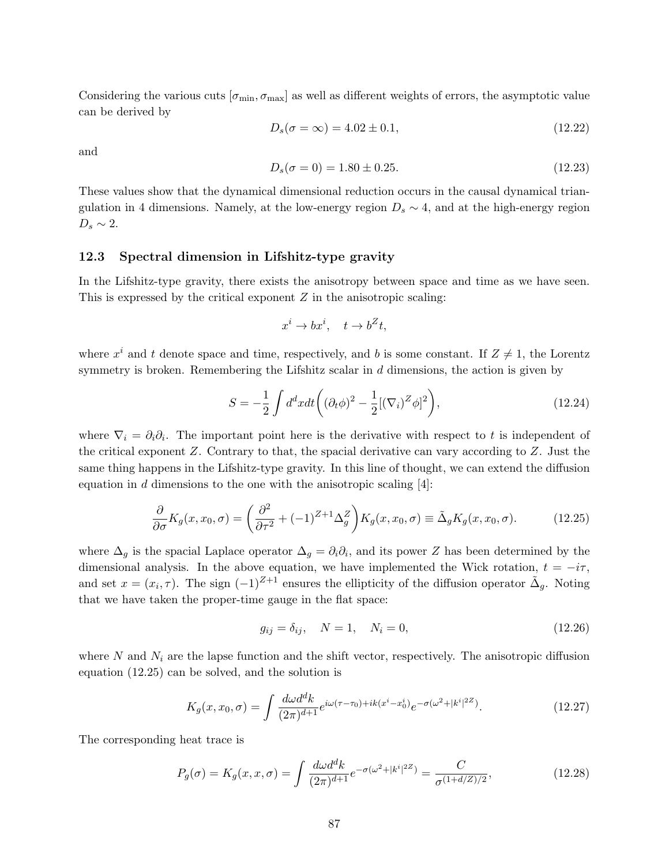Considering the various cuts  $[\sigma_{\min}, \sigma_{\max}]$  as well as different weights of errors, the asymptotic value can be derived by

$$
D_s(\sigma = \infty) = 4.02 \pm 0.1,\tag{12.22}
$$

and

$$
D_s(\sigma = 0) = 1.80 \pm 0.25. \tag{12.23}
$$

These values show that the dynamical dimensional reduction occurs in the causal dynamical triangulation in 4 dimensions. Namely, at the low-energy region  $D_s \sim 4$ , and at the high-energy region  $D_s \sim 2$ .

### 12.3 Spectral dimension in Lifshitz-type gravity

In the Lifshitz-type gravity, there exists the anisotropy between space and time as we have seen. This is expressed by the critical exponent Z in the anisotropic scaling:

$$
x^i \to bx^i, \quad t \to b^Z t,
$$

where  $x^{i}$  and t denote space and time, respectively, and b is some constant. If  $Z \neq 1$ , the Lorentz symmetry is broken. Remembering the Lifshitz scalar in  $d$  dimensions, the action is given by

$$
S = -\frac{1}{2} \int d^d x dt \bigg( (\partial_t \phi)^2 - \frac{1}{2} [(\nabla_i)^2 \phi]^2 \bigg), \tag{12.24}
$$

where  $\nabla_i = \partial_i \partial_i$ . The important point here is the derivative with respect to t is independent of the critical exponent Z. Contrary to that, the spacial derivative can vary according to Z. Just the same thing happens in the Lifshitz-type gravity. In this line of thought, we can extend the diffusion equation in d dimensions to the one with the anisotropic scaling  $[4]$ :

$$
\frac{\partial}{\partial \sigma} K_g(x, x_0, \sigma) = \left(\frac{\partial^2}{\partial \tau^2} + (-1)^{Z+1} \Delta_g^Z\right) K_g(x, x_0, \sigma) \equiv \tilde{\Delta}_g K_g(x, x_0, \sigma). \tag{12.25}
$$

where  $\Delta_g$  is the spacial Laplace operator  $\Delta_g = \partial_i \partial_i$ , and its power Z has been determined by the dimensional analysis. In the above equation, we have implemented the Wick rotation,  $t = -i\tau$ , and set  $x = (x_i, \tau)$ . The sign  $(-1)^{Z+1}$  ensures the ellipticity of the diffusion operator  $\tilde{\Delta}_g$ . Noting that we have taken the proper-time gauge in the flat space:

$$
g_{ij} = \delta_{ij}, \quad N = 1, \quad N_i = 0,
$$
\n(12.26)

where  $N$  and  $N_i$  are the lapse function and the shift vector, respectively. The anisotropic diffusion equation (12.25) can be solved, and the solution is

$$
K_g(x, x_0, \sigma) = \int \frac{d\omega d^d k}{(2\pi)^{d+1}} e^{i\omega(\tau - \tau_0) + ik(x^i - x_0^i)} e^{-\sigma(\omega^2 + |k^i|^{2Z})}.
$$
 (12.27)

The corresponding heat trace is

$$
P_g(\sigma) = K_g(x, x, \sigma) = \int \frac{d\omega d^d k}{(2\pi)^{d+1}} e^{-\sigma(\omega^2 + |k^i|^{2Z})} = \frac{C}{\sigma^{(1+d/Z)/2}},
$$
(12.28)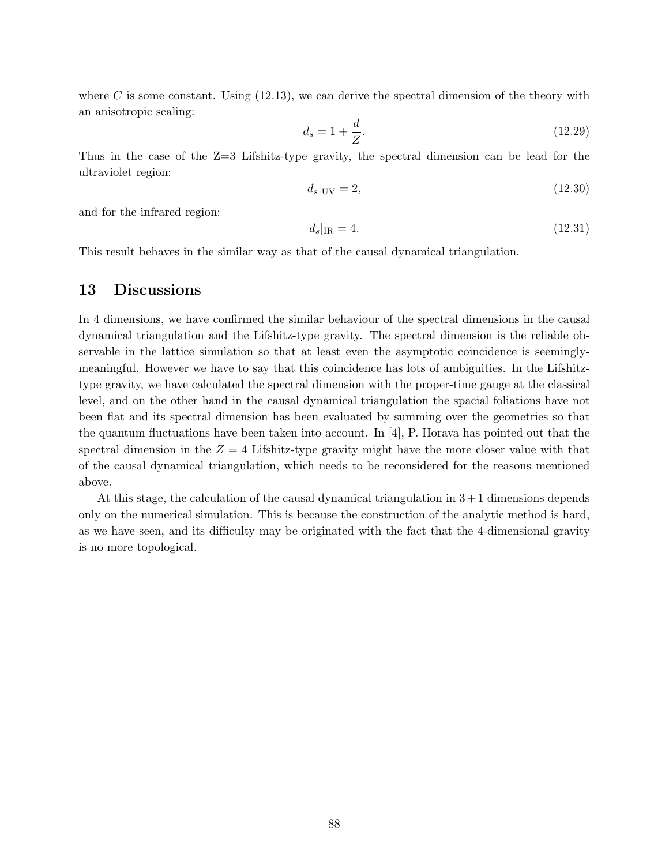where C is some constant. Using  $(12.13)$ , we can derive the spectral dimension of the theory with an anisotropic scaling:

$$
d_s = 1 + \frac{d}{Z}.\tag{12.29}
$$

Thus in the case of the Z=3 Lifshitz-type gravity, the spectral dimension can be lead for the ultraviolet region:

$$
d_s|_{\rm UV} = 2,\tag{12.30}
$$

and for the infrared region:

$$
d_s|_{\rm IR} = 4.\tag{12.31}
$$

This result behaves in the similar way as that of the causal dynamical triangulation.

## 13 Discussions

In 4 dimensions, we have confirmed the similar behaviour of the spectral dimensions in the causal dynamical triangulation and the Lifshitz-type gravity. The spectral dimension is the reliable observable in the lattice simulation so that at least even the asymptotic coincidence is seeminglymeaningful. However we have to say that this coincidence has lots of ambiguities. In the Lifshitztype gravity, we have calculated the spectral dimension with the proper-time gauge at the classical level, and on the other hand in the causal dynamical triangulation the spacial foliations have not been flat and its spectral dimension has been evaluated by summing over the geometries so that the quantum fluctuations have been taken into account. In [4], P. Horava has pointed out that the spectral dimension in the  $Z = 4$  Lifshitz-type gravity might have the more closer value with that of the causal dynamical triangulation, which needs to be reconsidered for the reasons mentioned above.

At this stage, the calculation of the causal dynamical triangulation in  $3+1$  dimensions depends only on the numerical simulation. This is because the construction of the analytic method is hard, as we have seen, and its difficulty may be originated with the fact that the 4-dimensional gravity is no more topological.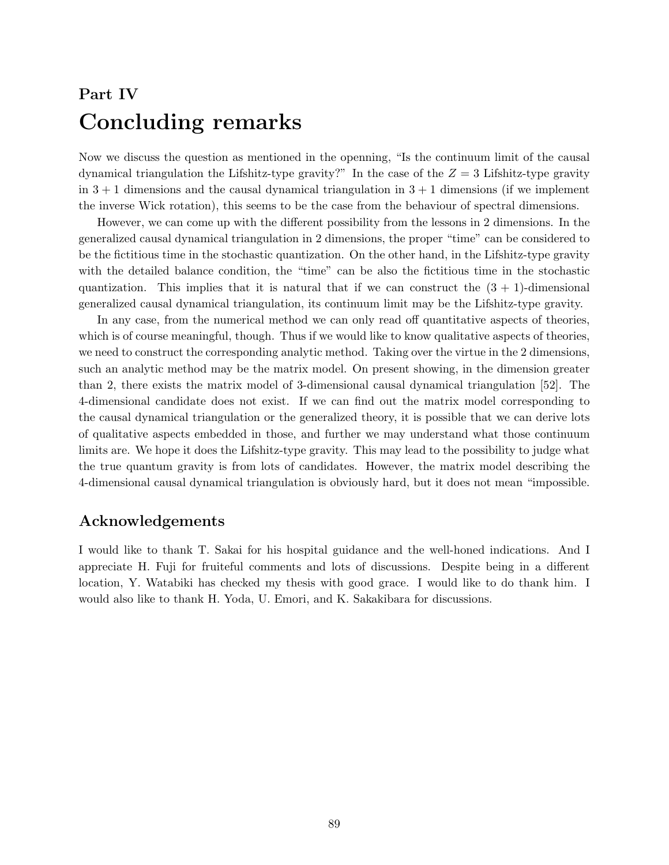# Part IV Concluding remarks

Now we discuss the question as mentioned in the openning, "Is the continuum limit of the causal dynamical triangulation the Lifshitz-type gravity?" In the case of the  $Z = 3$  Lifshitz-type gravity in  $3 + 1$  dimensions and the causal dynamical triangulation in  $3 + 1$  dimensions (if we implement the inverse Wick rotation), this seems to be the case from the behaviour of spectral dimensions.

However, we can come up with the different possibility from the lessons in 2 dimensions. In the generalized causal dynamical triangulation in 2 dimensions, the proper "time" can be considered to be the fictitious time in the stochastic quantization. On the other hand, in the Lifshitz-type gravity with the detailed balance condition, the "time" can be also the fictitious time in the stochastic quantization. This implies that it is natural that if we can construct the  $(3 + 1)$ -dimensional generalized causal dynamical triangulation, its continuum limit may be the Lifshitz-type gravity.

In any case, from the numerical method we can only read off quantitative aspects of theories, which is of course meaningful, though. Thus if we would like to know qualitative aspects of theories, we need to construct the corresponding analytic method. Taking over the virtue in the 2 dimensions, such an analytic method may be the matrix model. On present showing, in the dimension greater than 2, there exists the matrix model of 3-dimensional causal dynamical triangulation [52]. The 4-dimensional candidate does not exist. If we can find out the matrix model corresponding to the causal dynamical triangulation or the generalized theory, it is possible that we can derive lots of qualitative aspects embedded in those, and further we may understand what those continuum limits are. We hope it does the Lifshitz-type gravity. This may lead to the possibility to judge what the true quantum gravity is from lots of candidates. However, the matrix model describing the 4-dimensional causal dynamical triangulation is obviously hard, but it does not mean "impossible.

## Acknowledgements

I would like to thank T. Sakai for his hospital guidance and the well-honed indications. And I appreciate H. Fuji for fruiteful comments and lots of discussions. Despite being in a different location, Y. Watabiki has checked my thesis with good grace. I would like to do thank him. I would also like to thank H. Yoda, U. Emori, and K. Sakakibara for discussions.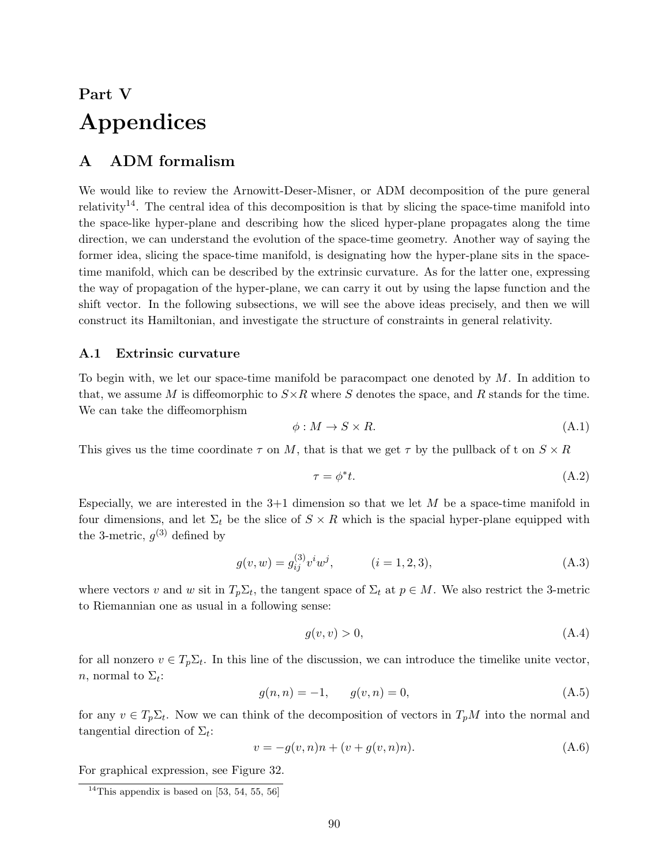# Part V Appendices

## A ADM formalism

We would like to review the Arnowitt-Deser-Misner, or ADM decomposition of the pure general relativity<sup>14</sup>. The central idea of this decomposition is that by slicing the space-time manifold into the space-like hyper-plane and describing how the sliced hyper-plane propagates along the time direction, we can understand the evolution of the space-time geometry. Another way of saying the former idea, slicing the space-time manifold, is designating how the hyper-plane sits in the spacetime manifold, which can be described by the extrinsic curvature. As for the latter one, expressing the way of propagation of the hyper-plane, we can carry it out by using the lapse function and the shift vector. In the following subsections, we will see the above ideas precisely, and then we will construct its Hamiltonian, and investigate the structure of constraints in general relativity.

## A.1 Extrinsic curvature

To begin with, we let our space-time manifold be paracompact one denoted by  $M$ . In addition to that, we assume M is diffeomorphic to  $S \times R$  where S denotes the space, and R stands for the time. We can take the diffeomorphism

$$
\phi: M \to S \times R. \tag{A.1}
$$

This gives us the time coordinate  $\tau$  on M, that is that we get  $\tau$  by the pullback of t on  $S \times R$ 

$$
\tau = \phi^* t. \tag{A.2}
$$

Especially, we are interested in the  $3+1$  dimension so that we let M be a space-time manifold in four dimensions, and let  $\Sigma_t$  be the slice of  $S \times R$  which is the spacial hyper-plane equipped with the 3-metric,  $g^{(3)}$  defined by

$$
g(v, w) = g_{ij}^{(3)} v^i w^j, \qquad (i = 1, 2, 3), \qquad (A.3)
$$

where vectors v and w sit in  $T_p \Sigma_t$ , the tangent space of  $\Sigma_t$  at  $p \in M$ . We also restrict the 3-metric to Riemannian one as usual in a following sense:

$$
g(v, v) > 0,\tag{A.4}
$$

for all nonzero  $v \in T_p \Sigma_t$ . In this line of the discussion, we can introduce the timelike unite vector, *n*, normal to  $\Sigma_t$ :

$$
g(n,n) = -1, \qquad g(v,n) = 0,\tag{A.5}
$$

for any  $v \in T_p \Sigma_t$ . Now we can think of the decomposition of vectors in  $T_pM$  into the normal and tangential direction of  $\Sigma_t$ :

$$
v = -g(v, n)n + (v + g(v, n)n). \tag{A.6}
$$

For graphical expression, see Figure 32.

<sup>&</sup>lt;sup>14</sup>This appendix is based on  $[53, 54, 55, 56]$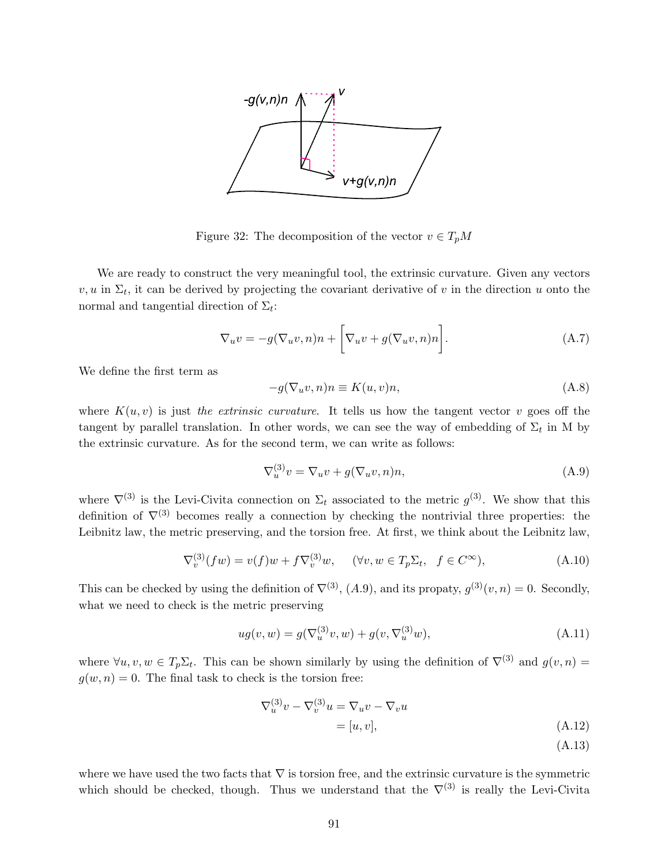

Figure 32: The decomposition of the vector  $v \in T_pM$ 

We are ready to construct the very meaningful tool, the extrinsic curvature. Given any vectors  $v, u$  in  $\Sigma_t$ , it can be derived by projecting the covariant derivative of v in the direction u onto the normal and tangential direction of  $\Sigma_t$ :

$$
\nabla_u v = -g(\nabla_u v, n)n + \left[\nabla_u v + g(\nabla_u v, n)n\right].
$$
\n(A.7)

We define the first term as

$$
-g(\nabla_u v, n)n \equiv K(u, v)n,
$$
\n(A.8)

where  $K(u, v)$  is just the extrinsic curvature. It tells us how the tangent vector v goes off the tangent by parallel translation. In other words, we can see the way of embedding of  $\Sigma_t$  in M by the extrinsic curvature. As for the second term, we can write as follows:

$$
\nabla_u^{(3)} v = \nabla_u v + g(\nabla_u v, n) n,\tag{A.9}
$$

where  $\nabla^{(3)}$  is the Levi-Civita connection on  $\Sigma_t$  associated to the metric  $g^{(3)}$ . We show that this definition of  $\nabla^{(3)}$  becomes really a connection by checking the nontrivial three properties: the Leibnitz law, the metric preserving, and the torsion free. At first, we think about the Leibnitz law,

$$
\nabla_v^{(3)}(fw) = v(f)w + f\nabla_v^{(3)}w, \quad (\forall v, w \in T_p \Sigma_t, \ f \in C^\infty), \tag{A.10}
$$

This can be checked by using the definition of  $\nabla^{(3)}$ , (A.9), and its propaty,  $g^{(3)}(v,n) = 0$ . Secondly, what we need to check is the metric preserving

$$
ug(v, w) = g(\nabla_u^{(3)}v, w) + g(v, \nabla_u^{(3)}w),
$$
\n(A.11)

where  $\forall u, v, w \in T_p \Sigma_t$ . This can be shown similarly by using the definition of  $\nabla^{(3)}$  and  $g(v, n) =$  $g(w, n) = 0$ . The final task to check is the torsion free:

$$
\nabla_u^{(3)} v - \nabla_v^{(3)} u = \nabla_u v - \nabla_v u
$$

$$
= [u, v], \tag{A.12}
$$

(A.13)

where we have used the two facts that  $\nabla$  is torsion free, and the extrinsic curvature is the symmetric which should be checked, though. Thus we understand that the  $\nabla^{(3)}$  is really the Levi-Civita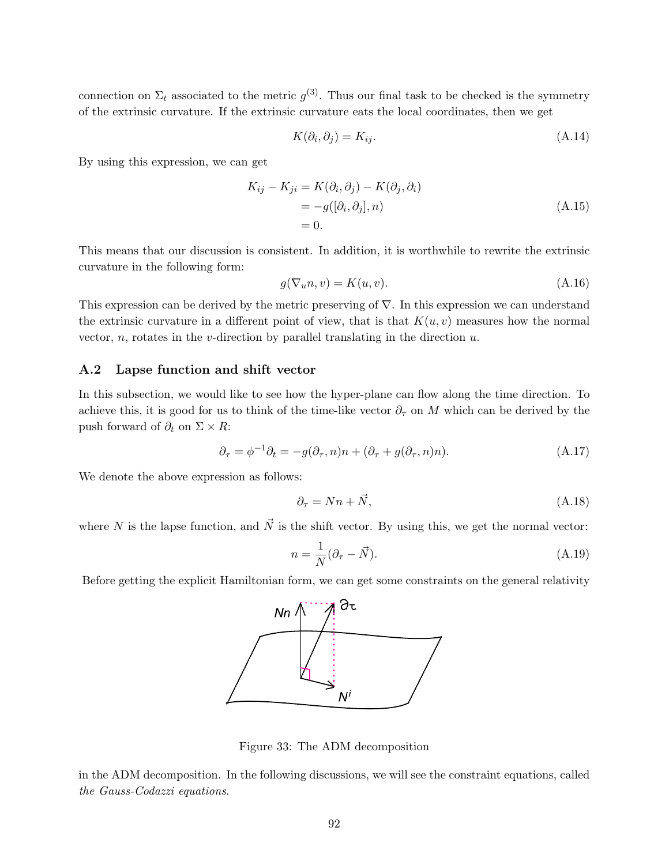connection on  $\Sigma_t$  associated to the metric  $g^{(3)}$ . Thus our final task to be checked is the symmetry of the extrinsic curvature. If the extrinsic curvature eats the local coordinates, then we get

$$
K(\partial_i, \partial_j) = K_{ij}.\tag{A.14}
$$

By using this expression, we can get

$$
K_{ij} - K_{ji} = K(\partial_i, \partial_j) - K(\partial_j, \partial_i)
$$
  
=  $-g([\partial_i, \partial_j], n)$   
= 0. (A.15)

This means that our discussion is consistent. In addition, it is worthwhile to rewrite the extrinsic curvature in the following form:

$$
g(\nabla_u n, v) = K(u, v). \tag{A.16}
$$

This expression can be derived by the metric preserving of  $\nabla$ . In this expression we can understand the extrinsic curvature in a different point of view, that is that  $K(u, v)$  measures how the normal vector,  $n$ , rotates in the *v*-direction by parallel translating in the direction  $u$ .

#### A.2 Lapse function and shift vector

In this subsection, we would like to see how the hyper-plane can flow along the time direction. To achieve this, it is good for us to think of the time-like vector  $\partial_{\tau}$  on M which can be derived by the push forward of  $\partial_t$  on  $\Sigma \times R$ :

$$
\partial_{\tau} = \phi^{-1}\partial_t = -g(\partial_{\tau}, n)n + (\partial_{\tau} + g(\partial_{\tau}, n)n). \tag{A.17}
$$

We denote the above expression as follows:

$$
\partial_{\tau} = Nn + \vec{N},\tag{A.18}
$$

where N is the lapse function, and  $\vec{N}$  is the shift vector. By using this, we get the normal vector:

$$
n = \frac{1}{N}(\partial_{\tau} - \vec{N}).
$$
\n(A.19)

Before getting the explicit Hamiltonian form, we can get some constraints on the general relativity



Figure 33: The ADM decomposition

in the ADM decomposition. In the following discussions, we will see the constraint equations, called the Gauss-Codazzi equations.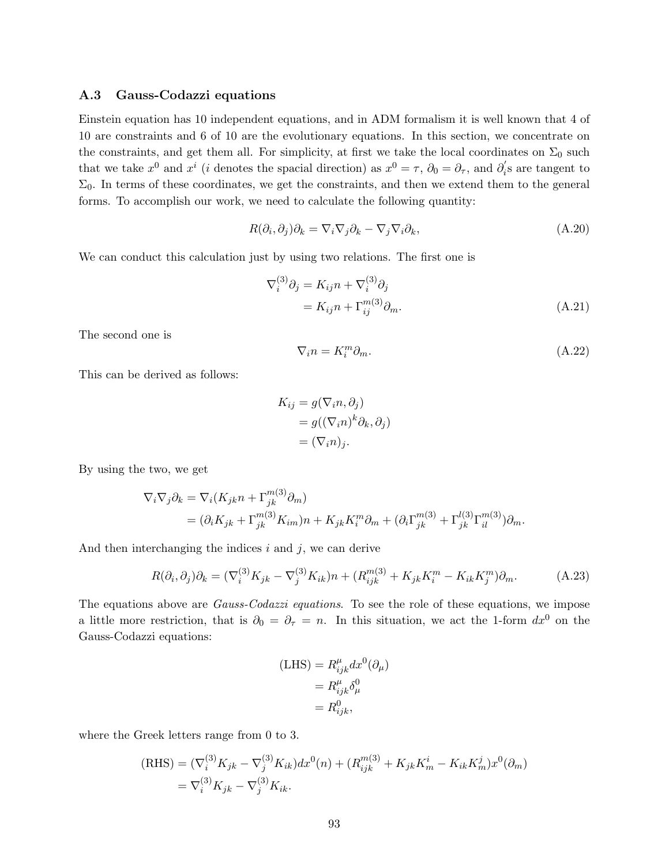#### A.3 Gauss-Codazzi equations

Einstein equation has 10 independent equations, and in ADM formalism it is well known that 4 of 10 are constraints and 6 of 10 are the evolutionary equations. In this section, we concentrate on the constraints, and get them all. For simplicity, at first we take the local coordinates on  $\Sigma_0$  such that we take  $x^0$  and  $x^i$  (*i* denotes the spacial direction) as  $x^0 = \tau$ ,  $\partial_0 = \partial_{\tau}$ , and  $\partial'_i$  $i<sub>i</sub>$ 's are tangent to  $\Sigma_0$ . In terms of these coordinates, we get the constraints, and then we extend them to the general forms. To accomplish our work, we need to calculate the following quantity:

$$
R(\partial_i, \partial_j)\partial_k = \nabla_i \nabla_j \partial_k - \nabla_j \nabla_i \partial_k, \tag{A.20}
$$

We can conduct this calculation just by using two relations. The first one is

$$
\nabla_i^{(3)} \partial_j = K_{ij} n + \nabla_i^{(3)} \partial_j
$$
  
=  $K_{ij} n + \Gamma_{ij}^{m(3)} \partial_m$ . (A.21)

The second one is

$$
\nabla_i n = K_i^m \partial_m. \tag{A.22}
$$

This can be derived as follows:

$$
K_{ij} = g(\nabla_i n, \partial_j)
$$
  
=  $g((\nabla_i n)^k \partial_k, \partial_j)$   
=  $(\nabla_i n)_j$ .

By using the two, we get

$$
\nabla_i \nabla_j \partial_k = \nabla_i (K_{jk} n + \Gamma_{jk}^{m(3)} \partial_m)
$$
  
=  $(\partial_i K_{jk} + \Gamma_{jk}^{m(3)} K_{im}) n + K_{jk} K_i^m \partial_m + (\partial_i \Gamma_{jk}^{m(3)} + \Gamma_{jk}^{l(3)} \Gamma_{il}^{m(3)}) \partial_m.$ 

And then interchanging the indices  $i$  and  $j$ , we can derive

$$
R(\partial_i, \partial_j)\partial_k = (\nabla_i^{(3)} K_{jk} - \nabla_j^{(3)} K_{ik})n + (R_{ijk}^{m(3)} + K_{jk} K_i^m - K_{ik} K_j^m)\partial_m.
$$
 (A.23)

The equations above are *Gauss-Codazzi equations*. To see the role of these equations, we impose a little more restriction, that is  $\partial_0 = \partial_{\tau} = n$ . In this situation, we act the 1-form  $dx^0$  on the Gauss-Codazzi equations:

$$
\begin{aligned} \text{(LHS)} &= R_{ijk}^{\mu} dx^0 (\partial_{\mu}) \\ &= R_{ijk}^{\mu} \delta_{\mu}^0 \\ &= R_{ijk}^0, \end{aligned}
$$

where the Greek letters range from 0 to 3.

(RHS) = 
$$
(\nabla_i^{(3)} K_{jk} - \nabla_j^{(3)} K_{ik}) dx^0(n) + (R_{ijk}^{m(3)} + K_{jk} K_m^i - K_{ik} K_m^j) x^0(\partial_m)
$$
  
=  $\nabla_i^{(3)} K_{jk} - \nabla_j^{(3)} K_{ik}.$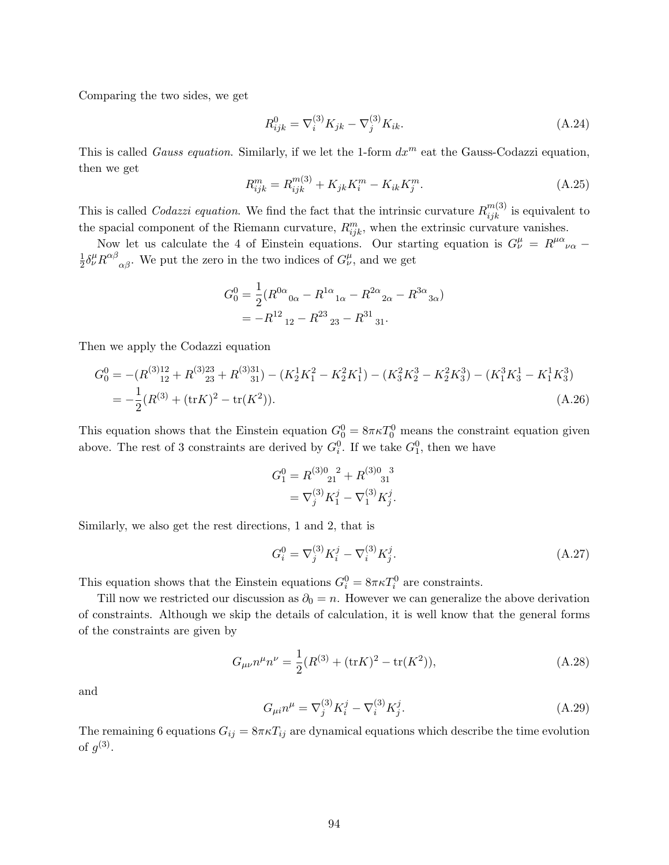Comparing the two sides, we get

$$
R_{ijk}^{0} = \nabla_{i}^{(3)} K_{jk} - \nabla_{j}^{(3)} K_{ik}.
$$
\n(A.24)

This is called *Gauss equation*. Similarly, if we let the 1-form  $dx^m$  eat the Gauss-Codazzi equation, then we get

$$
R_{ijk}^{m} = R_{ijk}^{m(3)} + K_{jk}K_i^{m} - K_{ik}K_j^{m}.
$$
\n(A.25)

This is called *Codazzi equation*. We find the fact that the intrinsic curvature  $R_{ijk}^{m(3)}$  is equivalent to the spacial component of the Riemann curvature,  $R_{ijk}^m$ , when the extrinsic curvature vanishes.

Now let us calculate the 4 of Einstein equations. Our starting equation is  $G^{\mu}_{\nu} = R^{\mu \alpha}{}_{\nu \alpha} -$ 1  $\frac{1}{2} \delta^{\mu}_{\nu} R^{\alpha \beta}_{\ \alpha \beta}$ . We put the zero in the two indices of  $G^{\mu}_{\nu}$ , and we get

$$
G_0^0 = \frac{1}{2} (R^{0\alpha}_{0\alpha} - R^{1\alpha}_{1\alpha} - R^{2\alpha}_{2\alpha} - R^{3\alpha}_{3\alpha})
$$
  
=  $-R^{12}_{12} - R^{23}_{23} - R^{31}_{31}.$ 

Then we apply the Codazzi equation

$$
G_0^0 = -(R^{(3)12}_{12} + R^{(3)23}_{23} + R^{(3)31}_{31}) - (K_2^1 K_1^2 - K_2^2 K_1^1) - (K_3^2 K_2^3 - K_2^2 K_3^3) - (K_1^3 K_3^1 - K_1^1 K_3^3)
$$
  
= 
$$
-\frac{1}{2}(R^{(3)} + (\text{tr}K)^2 - \text{tr}(K^2)).
$$
 (A.26)

This equation shows that the Einstein equation  $G_0^0 = 8\pi\kappa T_0^0$  means the constraint equation given above. The rest of 3 constraints are derived by  $G_i^0$ . If we take  $G_1^0$ , then we have

$$
G_1^0 = R^{(3)}_{21}^{02} + R^{(3)}_{31}^{03}
$$
  
=  $\nabla_j^{(3)} K_1^j - \nabla_1^{(3)} K_j^j$ .

Similarly, we also get the rest directions, 1 and 2, that is

$$
G_i^0 = \nabla_j^{(3)} K_i^j - \nabla_i^{(3)} K_j^j.
$$
\n(A.27)

This equation shows that the Einstein equations  $G_i^0 = 8\pi\kappa T_i^0$  are constraints.

Till now we restricted our discussion as  $\partial_0 = n$ . However we can generalize the above derivation of constraints. Although we skip the details of calculation, it is well know that the general forms of the constraints are given by

$$
G_{\mu\nu}n^{\mu}n^{\nu} = \frac{1}{2}(R^{(3)} + (\text{tr}K)^{2} - \text{tr}(K^{2})),
$$
\n(A.28)

and

$$
G_{\mu i}n^{\mu} = \nabla_j^{(3)} K_i^j - \nabla_i^{(3)} K_j^j.
$$
\n(A.29)

The remaining 6 equations  $G_{ij} = 8\pi\kappa T_{ij}$  are dynamical equations which describe the time evolution of  $g^{(3)}$ .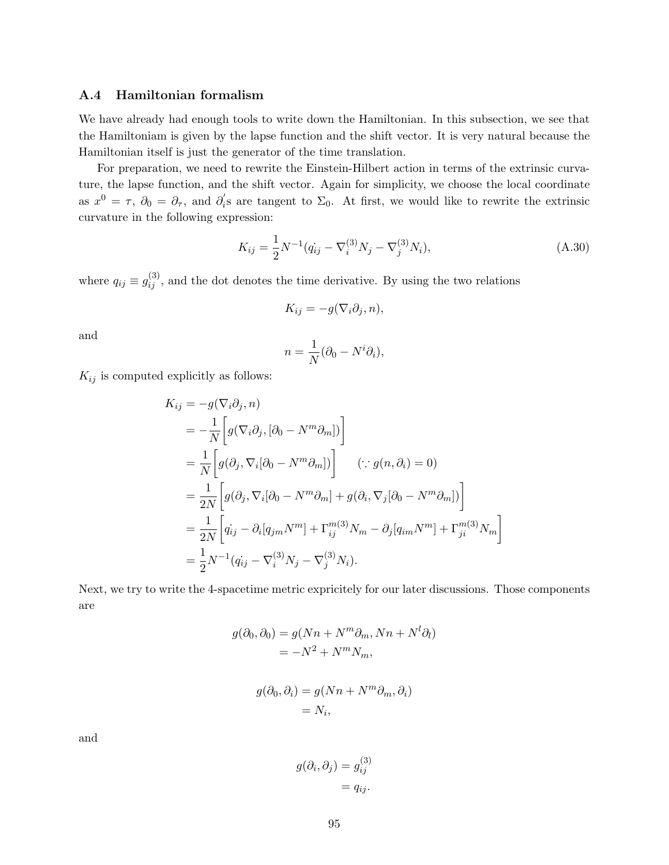#### A.4 Hamiltonian formalism

We have already had enough tools to write down the Hamiltonian. In this subsection, we see that the Hamiltoniam is given by the lapse function and the shift vector. It is very natural because the Hamiltonian itself is just the generator of the time translation.

For preparation, we need to rewrite the Einstein-Hilbert action in terms of the extrinsic curvature, the lapse function, and the shift vector. Again for simplicity, we choose the local coordinate as  $x^0 = \tau$ ,  $\partial_0 = \partial_{\tau}$ , and  $\partial_i'$  $\zeta_i$ s are tangent to  $\Sigma_0$ . At first, we would like to rewrite the extrinsic curvature in the following expression:

$$
K_{ij} = \frac{1}{2} N^{-1} (q_{ij} - \nabla_i^{(3)} N_j - \nabla_j^{(3)} N_i), \tag{A.30}
$$

where  $q_{ij} \equiv g_{ij}^{(3)}$ , and the dot denotes the time derivative. By using the two relations

$$
K_{ij} = -g(\nabla_i \partial_j, n),
$$

and

$$
n = \frac{1}{N}(\partial_0 - N^i \partial_i),
$$

 $K_{ij}$  is computed explicitly as follows:

$$
K_{ij} = -g(\nabla_i \partial_j, n)
$$
  
\n
$$
= -\frac{1}{N} \Big[ g(\nabla_i \partial_j, [\partial_0 - N^m \partial_m]) \Big]
$$
  
\n
$$
= \frac{1}{N} \Big[ g(\partial_j, \nabla_i [\partial_0 - N^m \partial_m]) \Big] \quad (\because g(n, \partial_i) = 0)
$$
  
\n
$$
= \frac{1}{2N} \Big[ g(\partial_j, \nabla_i [\partial_0 - N^m \partial_m] + g(\partial_i, \nabla_j [\partial_0 - N^m \partial_m]) \Big]
$$
  
\n
$$
= \frac{1}{2N} \Big[ q_{ij} - \partial_i [q_{jm} N^m] + \Gamma_{ij}^{m(3)} N_m - \partial_j [q_{im} N^m] + \Gamma_{ji}^{m(3)} N_m \Big]
$$
  
\n
$$
= \frac{1}{2} N^{-1} (q_{ij} - \nabla_i^{(3)} N_j - \nabla_j^{(3)} N_i).
$$

Next, we try to write the 4-spacetime metric expricitely for our later discussions. Those components are

$$
g(\partial_0, \partial_0) = g(Nn + N^m \partial_m, Nn + N^l \partial_l)
$$
  
=  $-N^2 + N^m N_m$ ,

$$
g(\partial_0, \partial_i) = g(Nn + N^m \partial_m, \partial_i)
$$
  
=  $N_i$ ,

and

$$
g(\partial_i, \partial_j) = g_{ij}^{(3)}
$$
  
=  $q_{ij}$ .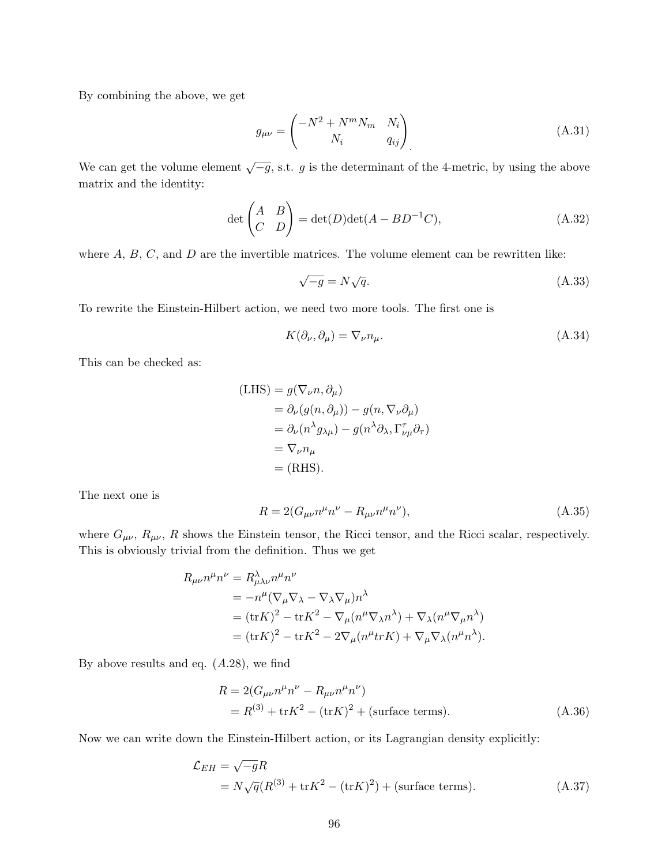By combining the above, we get

$$
g_{\mu\nu} = \begin{pmatrix} -N^2 + N^m N_m & N_i \\ N_i & q_{ij} \end{pmatrix} \tag{A.31}
$$

We can get the volume element  $\sqrt{-g}$ , s.t. g is the determinant of the 4-metric, by using the above matrix and the identity:

$$
\det\begin{pmatrix} A & B \\ C & D \end{pmatrix} = \det(D)\det(A - BD^{-1}C), \tag{A.32}
$$

where  $A, B, C$ , and  $D$  are the invertible matrices. The volume element can be rewritten like:

$$
\sqrt{-g} = N\sqrt{q}.\tag{A.33}
$$

To rewrite the Einstein-Hilbert action, we need two more tools. The first one is

$$
K(\partial_{\nu}, \partial_{\mu}) = \nabla_{\nu} n_{\mu}.
$$
\n(A.34)

This can be checked as:

$$
\begin{aligned} \text{(LHS)} &= g(\nabla_{\nu} n, \partial_{\mu}) \\ &= \partial_{\nu} (g(n, \partial_{\mu})) - g(n, \nabla_{\nu} \partial_{\mu}) \\ &= \partial_{\nu} (n^{\lambda} g_{\lambda \mu}) - g(n^{\lambda} \partial_{\lambda}, \Gamma_{\nu \mu}^{\tau} \partial_{\tau}) \\ &= \nabla_{\nu} n_{\mu} \\ &= \text{(RHS)}. \end{aligned}
$$

The next one is

$$
R = 2(G_{\mu\nu}n^{\mu}n^{\nu} - R_{\mu\nu}n^{\mu}n^{\nu}),
$$
\n(A.35)

where  $G_{\mu\nu}$ ,  $R_{\mu\nu}$ , R shows the Einstein tensor, the Ricci tensor, and the Ricci scalar, respectively. This is obviously trivial from the definition. Thus we get

$$
R_{\mu\nu}n^{\mu}n^{\nu} = R_{\mu\lambda\nu}^{\lambda}n^{\mu}n^{\nu}
$$
  
=  $-n^{\mu}(\nabla_{\mu}\nabla_{\lambda} - \nabla_{\lambda}\nabla_{\mu})n^{\lambda}$   
=  $(\text{tr}K)^{2} - \text{tr}K^{2} - \nabla_{\mu}(n^{\mu}\nabla_{\lambda}n^{\lambda}) + \nabla_{\lambda}(n^{\mu}\nabla_{\mu}n^{\lambda})$   
=  $(\text{tr}K)^{2} - \text{tr}K^{2} - 2\nabla_{\mu}(n^{\mu}\text{tr}K) + \nabla_{\mu}\nabla_{\lambda}(n^{\mu}n^{\lambda}).$ 

By above results and eq.  $(A.28)$ , we find

$$
R = 2(G_{\mu\nu}n^{\mu}n^{\nu} - R_{\mu\nu}n^{\mu}n^{\nu})
$$
  
=  $R^{(3)} + \text{tr}K^{2} - (\text{tr}K)^{2} + (\text{surface terms}).$  (A.36)

Now we can write down the Einstein-Hilbert action, or its Lagrangian density explicitly:

$$
\mathcal{L}_{EH} = \sqrt{-g}R
$$
  
=  $N\sqrt{q}(R^{(3)} + \text{tr}K^2 - (\text{tr}K)^2) + (\text{surface terms}).$  (A.37)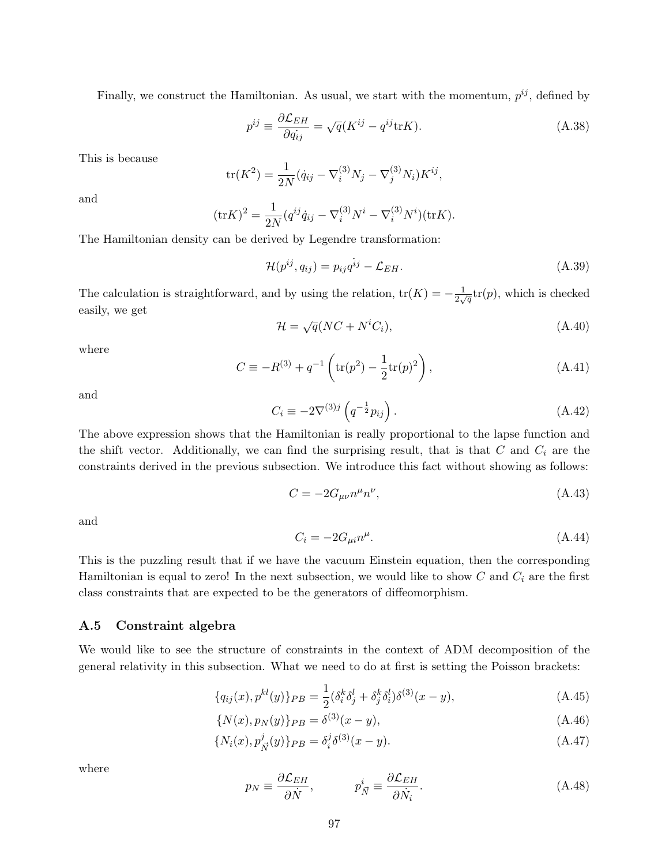Finally, we construct the Hamiltonian. As usual, we start with the momentum,  $p^{ij}$ , defined by

$$
p^{ij} \equiv \frac{\partial \mathcal{L}_{EH}}{\partial \dot{q}_{ij}} = \sqrt{q}(K^{ij} - q^{ij}\text{tr}K). \tag{A.38}
$$

This is because

$$
\text{tr}(K^2) = \frac{1}{2N}(\dot{q}_{ij} - \nabla_i^{(3)}N_j - \nabla_j^{(3)}N_i)K^{ij},
$$

and

$$
(\text{tr} K)^2 = \frac{1}{2N} (q^{ij} \dot{q}_{ij} - \nabla_i^{(3)} N^i - \nabla_i^{(3)} N^i)(\text{tr} K).
$$

The Hamiltonian density can be derived by Legendre transformation:

$$
\mathcal{H}(p^{ij}, q_{ij}) = p_{ij}q^{ij} - \mathcal{L}_{EH}.
$$
\n(A.39)

The calculation is straightforward, and by using the relation,  $tr(K) = -\frac{1}{2}$  $\frac{1}{2\sqrt{q}}tr(p)$ , which is checked easily, we get

$$
\mathcal{H} = \sqrt{q}(NC + N^{i}C_{i}), \tag{A.40}
$$

where

$$
C \equiv -R^{(3)} + q^{-1} \left( \text{tr}(p^2) - \frac{1}{2} \text{tr}(p)^2 \right), \tag{A.41}
$$

and

$$
C_i \equiv -2\nabla^{(3)j} \left( q^{-\frac{1}{2}} p_{ij} \right). \tag{A.42}
$$

The above expression shows that the Hamiltonian is really proportional to the lapse function and the shift vector. Additionally, we can find the surprising result, that is that  $C$  and  $C_i$  are the constraints derived in the previous subsection. We introduce this fact without showing as follows:

$$
C = -2G_{\mu\nu}n^{\mu}n^{\nu},\tag{A.43}
$$

and

$$
C_i = -2G_{\mu i}n^{\mu}.
$$
\n(A.44)

This is the puzzling result that if we have the vacuum Einstein equation, then the corresponding Hamiltonian is equal to zero! In the next subsection, we would like to show  $C$  and  $C_i$  are the first class constraints that are expected to be the generators of diffeomorphism.

### A.5 Constraint algebra

We would like to see the structure of constraints in the context of ADM decomposition of the general relativity in this subsection. What we need to do at first is setting the Poisson brackets:

$$
\{q_{ij}(x), p^{kl}(y)\}_{PB} = \frac{1}{2} (\delta_i^k \delta_j^l + \delta_j^k \delta_i^l) \delta^{(3)}(x - y),
$$
\n(A.45)

$$
\{N(x), p_N(y)\}_{PB} = \delta^{(3)}(x - y),\tag{A.46}
$$

$$
\{N_i(x), p_{\vec{N}}^j(y)\}_{PB} = \delta_i^j \delta^{(3)}(x - y). \tag{A.47}
$$

where

$$
p_N \equiv \frac{\partial \mathcal{L}_{EH}}{\partial \dot{N}}, \qquad \qquad p_{\vec{N}}^i \equiv \frac{\partial \mathcal{L}_{EH}}{\partial \dot{N}_i}.
$$
 (A.48)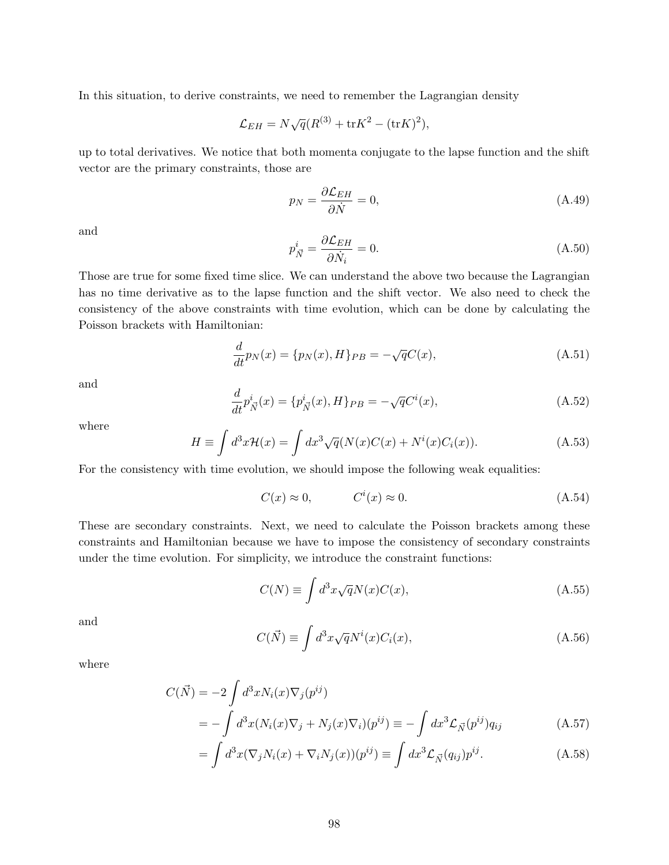In this situation, to derive constraints, we need to remember the Lagrangian density

$$
\mathcal{L}_{EH} = N\sqrt{q}(R^{(3)} + \text{tr}K^2 - (\text{tr}K)^2),
$$

up to total derivatives. We notice that both momenta conjugate to the lapse function and the shift vector are the primary constraints, those are

$$
p_N = \frac{\partial \mathcal{L}_{EH}}{\partial \dot{N}} = 0,\tag{A.49}
$$

and

$$
p_{\vec{N}}^i = \frac{\partial \mathcal{L}_{EH}}{\partial \dot{N}_i} = 0. \tag{A.50}
$$

Those are true for some fixed time slice. We can understand the above two because the Lagrangian has no time derivative as to the lapse function and the shift vector. We also need to check the consistency of the above constraints with time evolution, which can be done by calculating the Poisson brackets with Hamiltonian:

$$
\frac{d}{dt}p_N(x) = \{p_N(x), H\}_{PB} = -\sqrt{q}C(x),\tag{A.51}
$$

and

$$
\frac{d}{dt}p_N^i(x) = \{p_N^i(x), H\}_{PB} = -\sqrt{q}C^i(x),\tag{A.52}
$$

where

$$
H \equiv \int d^3x \mathcal{H}(x) = \int dx^3 \sqrt{q}(N(x)C(x) + N^i(x)C_i(x)). \tag{A.53}
$$

For the consistency with time evolution, we should impose the following weak equalities:

$$
C(x) \approx 0, \qquad C^{i}(x) \approx 0. \tag{A.54}
$$

These are secondary constraints. Next, we need to calculate the Poisson brackets among these constraints and Hamiltonian because we have to impose the consistency of secondary constraints under the time evolution. For simplicity, we introduce the constraint functions:

$$
C(N) \equiv \int d^3x \sqrt{q} N(x) C(x), \qquad (A.55)
$$

and

$$
C(\vec{N}) \equiv \int d^3x \sqrt{q} N^i(x) C_i(x), \qquad (A.56)
$$

where

$$
C(\vec{N}) = -2 \int d^3x N_i(x) \nabla_j(p^{ij})
$$
  
= 
$$
- \int d^3x (N_i(x) \nabla_j + N_j(x) \nabla_i)(p^{ij}) \equiv - \int dx^3 \mathcal{L}_{\vec{N}}(p^{ij}) q_{ij}
$$
 (A.57)  

$$
\int d^3x (\nabla_j N(x) + \nabla_j N(x)) (x^{ij}) = \int dx^3 \mathcal{L}_{\vec{N}}(p^{ij}) q_{ij}
$$

$$
= \int d^3x (\nabla_j N_i(x) + \nabla_i N_j(x)) (p^{ij}) \equiv \int dx^3 \mathcal{L}_{\vec{N}}(q_{ij}) p^{ij}.
$$
 (A.58)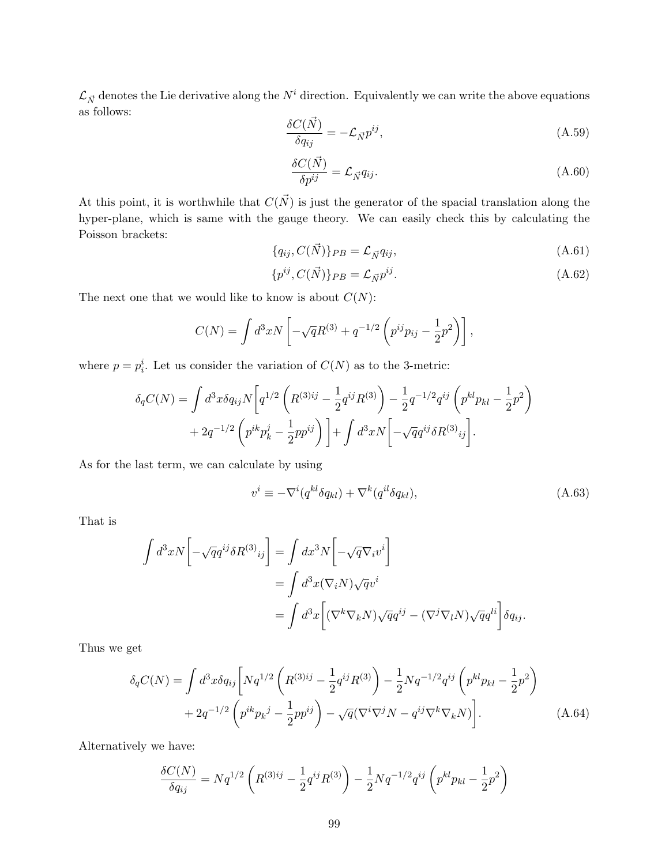$\mathcal{L}_{\vec{N}}$  denotes the Lie derivative along the  $N^i$  direction. Equivalently we can write the above equations as follows:

$$
\frac{\delta C(\vec{N})}{\delta q_{ij}} = -\mathcal{L}_{\vec{N}} p^{ij},\tag{A.59}
$$

$$
\frac{\delta C(\vec{N})}{\delta p^{ij}} = \mathcal{L}_{\vec{N}} q_{ij}.
$$
\n(A.60)

At this point, it is worthwhile that  $C(\vec{N})$  is just the generator of the spacial translation along the hyper-plane, which is same with the gauge theory. We can easily check this by calculating the Poisson brackets:

$$
\{q_{ij}, C(\vec{N})\}_{PB} = \mathcal{L}_{\vec{N}} q_{ij},\tag{A.61}
$$

$$
\{p^{ij}, C(\vec{N})\}_{PB} = \mathcal{L}_{\vec{N}} p^{ij}.
$$
\n(A.62)

The next one that we would like to know is about  $C(N)$ :

$$
C(N) = \int d^3x N \left[ -\sqrt{q} R^{(3)} + q^{-1/2} \left( p^{ij} p_{ij} - \frac{1}{2} p^2 \right) \right],
$$

where  $p = p_i^i$ . Let us consider the variation of  $C(N)$  as to the 3-metric:

$$
\delta_q C(N) = \int d^3x \delta q_{ij} N \left[ q^{1/2} \left( R^{(3)ij} - \frac{1}{2} q^{ij} R^{(3)} \right) - \frac{1}{2} q^{-1/2} q^{ij} \left( p^{kl} p_{kl} - \frac{1}{2} p^2 \right) + 2q^{-1/2} \left( p^{ik} p_k^j - \frac{1}{2} p p^{ij} \right) \right] + \int d^3x N \left[ -\sqrt{q} q^{ij} \delta R^{(3)}{}_{ij} \right].
$$

As for the last term, we can calculate by using

$$
v^{i} \equiv -\nabla^{i}(q^{kl}\delta q_{kl}) + \nabla^{k}(q^{il}\delta q_{kl}), \qquad (A.63)
$$

That is

$$
\int d^3x N \left[ -\sqrt{q} q^{ij} \delta R^{(3)}{}_{ij} \right] = \int dx^3 N \left[ -\sqrt{q} \nabla_i v^i \right]
$$
  
= 
$$
\int d^3x (\nabla_i N) \sqrt{q} v^i
$$
  
= 
$$
\int d^3x \left[ (\nabla^k \nabla_k N) \sqrt{q} q^{ij} - (\nabla^j \nabla_l N) \sqrt{q} q^{li} \right] \delta q_{ij}.
$$

Thus we get

$$
\delta_q C(N) = \int d^3x \delta q_{ij} \left[ N q^{1/2} \left( R^{(3)ij} - \frac{1}{2} q^{ij} R^{(3)} \right) - \frac{1}{2} N q^{-1/2} q^{ij} \left( p^{kl} p_{kl} - \frac{1}{2} p^2 \right) \right. \\ \left. + 2q^{-1/2} \left( p^{ik} p_k{}^j - \frac{1}{2} p p^{ij} \right) - \sqrt{q} (\nabla^i \nabla^j N - q^{ij} \nabla^k \nabla_k N) \right]. \tag{A.64}
$$

Alternatively we have:

$$
\frac{\delta C(N)}{\delta q_{ij}} = Nq^{1/2} \left( R^{(3)ij} - \frac{1}{2} q^{ij} R^{(3)} \right) - \frac{1}{2} Nq^{-1/2} q^{ij} \left( p^{kl} p_{kl} - \frac{1}{2} p^2 \right)
$$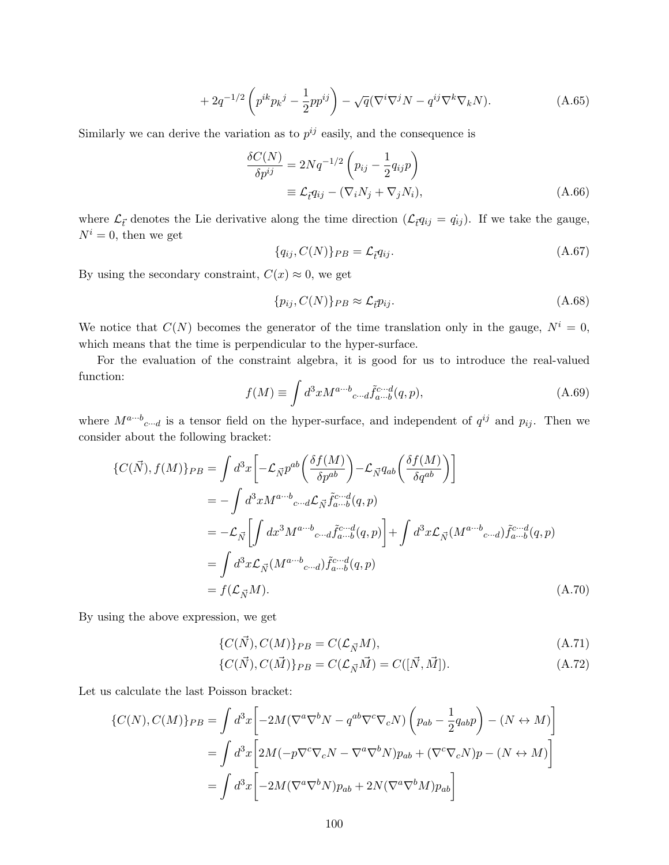$$
+2q^{-1/2}\left(p^{ik}p_k{}^j-\frac{1}{2}pp^{ij}\right)-\sqrt{q}(\nabla^i\nabla^jN-q^{ij}\nabla^k\nabla_kN).
$$
 (A.65)

Similarly we can derive the variation as to  $p^{ij}$  easily, and the consequence is

$$
\frac{\delta C(N)}{\delta p^{ij}} = 2Nq^{-1/2} \left( p_{ij} - \frac{1}{2} q_{ij} p \right)
$$
  

$$
\equiv \mathcal{L}_{\bar{t}} q_{ij} - (\nabla_i N_j + \nabla_j N_i), \qquad (A.66)
$$

where  $\mathcal{L}_{\vec{t}}$  denotes the Lie derivative along the time direction  $(\mathcal{L}_{\vec{t}}q_{ij} = \dot{q}_{ij})$ . If we take the gauge,  $N^i = 0$ , then we get

$$
\{q_{ij}, C(N)\}_{PB} = \mathcal{L}_{\bar{t}} q_{ij}.\tag{A.67}
$$

By using the secondary constraint,  $C(x) \approx 0$ , we get

$$
\{p_{ij}, C(N)\}_{PB} \approx \mathcal{L}_{\vec{t}} p_{ij}.\tag{A.68}
$$

We notice that  $C(N)$  becomes the generator of the time translation only in the gauge,  $N^i = 0$ , which means that the time is perpendicular to the hyper-surface.

For the evaluation of the constraint algebra, it is good for us to introduce the real-valued function:

$$
f(M) \equiv \int d^3x M^{a \cdots b}{}_{c \cdots d} \tilde{f}_{a \cdots b}^{c \cdots d}(q, p), \qquad (A.69)
$$

where  $M^{a\cdots b}$ <sub>c</sub>...<sub>d</sub> is a tensor field on the hyper-surface, and independent of  $q^{ij}$  and  $p_{ij}$ . Then we consider about the following bracket:

$$
\{C(\vec{N}), f(M)\}_{PB} = \int d^3x \left[ -\mathcal{L}_{\vec{N}} p^{ab} \left( \frac{\delta f(M)}{\delta p^{ab}} \right) - \mathcal{L}_{\vec{N}} q_{ab} \left( \frac{\delta f(M)}{\delta q^{ab}} \right) \right]
$$
  
\n
$$
= -\int d^3x M^{a \cdots b}{}_{c \cdots d} \mathcal{L}_{\vec{N}} \tilde{f}_{a \cdots b}^{c \cdots d} (q, p)
$$
  
\n
$$
= -\mathcal{L}_{\vec{N}} \left[ \int dx^3 M^{a \cdots b}{}_{c \cdots d} \tilde{f}_{a \cdots b}^{c \cdots d} (q, p) \right] + \int d^3x \mathcal{L}_{\vec{N}} (M^{a \cdots b}{}_{c \cdots d}) \tilde{f}_{a \cdots b}^{c \cdots d} (q, p)
$$
  
\n
$$
= \int d^3x \mathcal{L}_{\vec{N}} (M^{a \cdots b}{}_{c \cdots d}) \tilde{f}_{a \cdots b}^{c \cdots d} (q, p)
$$
  
\n
$$
= f(\mathcal{L}_{\vec{N}} M). \tag{A.70}
$$

By using the above expression, we get

$$
\{C(\vec{N}), C(M)\}_{PB} = C(\mathcal{L}_{\vec{N}}M),\tag{A.71}
$$

$$
\{C(\vec{N}), C(\vec{M})\}_{PB} = C(\mathcal{L}_{\vec{N}}\vec{M}) = C([\vec{N}, \vec{M}]).
$$
\n(A.72)

Let us calculate the last Poisson bracket:

$$
\{C(N), C(M)\}_{PB} = \int d^3x \left[ -2M(\nabla^a \nabla^b N - q^{ab} \nabla^c \nabla_c N) \left( p_{ab} - \frac{1}{2} q_{ab} p \right) - (N \leftrightarrow M) \right]
$$
  

$$
= \int d^3x \left[ 2M(-p \nabla^c \nabla_c N - \nabla^a \nabla^b N) p_{ab} + (\nabla^c \nabla_c N) p - (N \leftrightarrow M) \right]
$$
  

$$
= \int d^3x \left[ -2M(\nabla^a \nabla^b N) p_{ab} + 2N(\nabla^a \nabla^b M) p_{ab} \right]
$$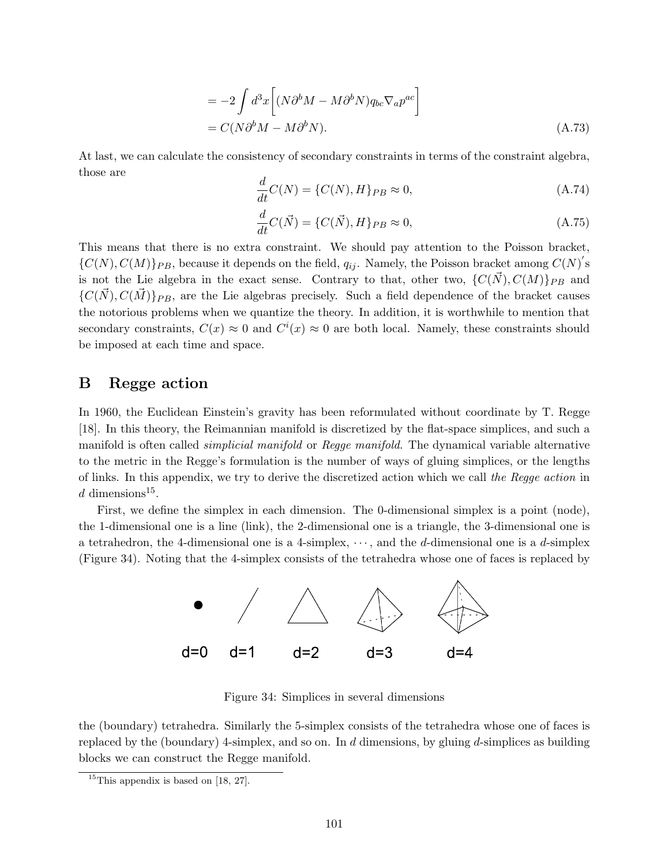$$
= -2 \int d^{3}x \left[ (N \partial^{b} M - M \partial^{b} N) q_{bc} \nabla_{a} p^{ac} \right]
$$
  
=  $C(N \partial^{b} M - M \partial^{b} N).$  (A.73)

At last, we can calculate the consistency of secondary constraints in terms of the constraint algebra, those are

$$
\frac{d}{dt}C(N) = \{C(N), H\}_{PB} \approx 0,\tag{A.74}
$$

$$
\frac{d}{dt}C(\vec{N}) = \{C(\vec{N}), H\}_{PB} \approx 0,\tag{A.75}
$$

This means that there is no extra constraint. We should pay attention to the Poisson bracket,  $\{C(N), C(M)\}_{PB}$ , because it depends on the field,  $q_{ij}$ . Namely, the Poisson bracket among  $C(N)'$ s is not the Lie algebra in the exact sense. Contrary to that, other two,  $\{C(\vec{N}), C(M)\}_{PB}$  and  $\{C(\vec{N}), C(\vec{M})\}_{PB}$ , are the Lie algebras precisely. Such a field dependence of the bracket causes the notorious problems when we quantize the theory. In addition, it is worthwhile to mention that secondary constraints,  $C(x) \approx 0$  and  $C^{i}(x) \approx 0$  are both local. Namely, these constraints should be imposed at each time and space.

## B Regge action

In 1960, the Euclidean Einstein's gravity has been reformulated without coordinate by T. Regge [18]. In this theory, the Reimannian manifold is discretized by the flat-space simplices, and such a manifold is often called *simplicial manifold* or *Regge manifold*. The dynamical variable alternative to the metric in the Regge's formulation is the number of ways of gluing simplices, or the lengths of links. In this appendix, we try to derive the discretized action which we call the Regge action in d dimensions<sup>15</sup>.

First, we define the simplex in each dimension. The 0-dimensional simplex is a point (node), the 1-dimensional one is a line (link), the 2-dimensional one is a triangle, the 3-dimensional one is a tetrahedron, the 4-dimensional one is a 4-simplex,  $\cdots$ , and the d-dimensional one is a d-simplex (Figure 34). Noting that the 4-simplex consists of the tetrahedra whose one of faces is replaced by



Figure 34: Simplices in several dimensions

the (boundary) tetrahedra. Similarly the 5-simplex consists of the tetrahedra whose one of faces is replaced by the (boundary) 4-simplex, and so on. In  $d$  dimensions, by gluing  $d$ -simplices as building blocks we can construct the Regge manifold.

<sup>&</sup>lt;sup>15</sup>This appendix is based on [18, 27].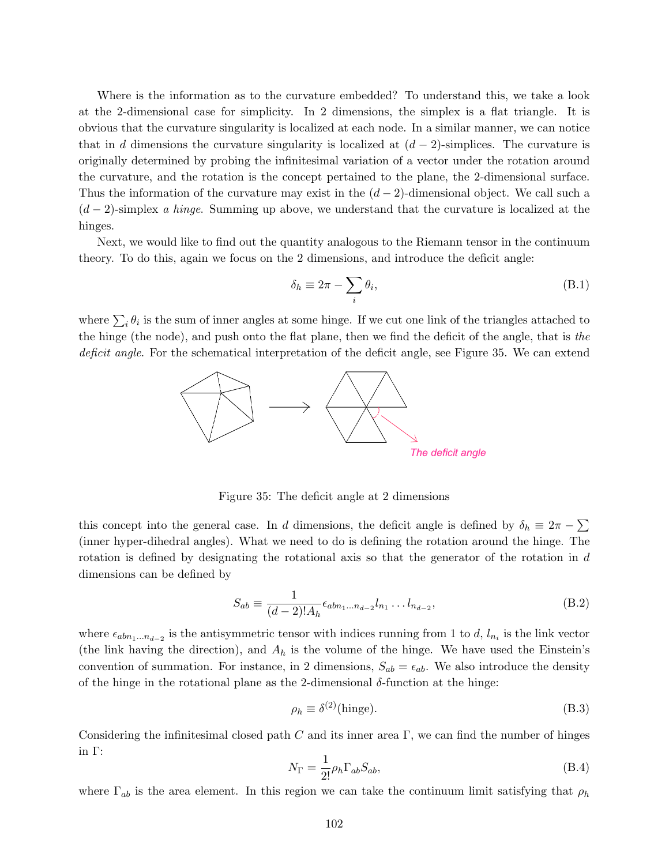Where is the information as to the curvature embedded? To understand this, we take a look at the 2-dimensional case for simplicity. In 2 dimensions, the simplex is a flat triangle. It is obvious that the curvature singularity is localized at each node. In a similar manner, we can notice that in d dimensions the curvature singularity is localized at  $(d-2)$ -simplices. The curvature is originally determined by probing the infinitesimal variation of a vector under the rotation around the curvature, and the rotation is the concept pertained to the plane, the 2-dimensional surface. Thus the information of the curvature may exist in the  $(d-2)$ -dimensional object. We call such a  $(d-2)$ -simplex a hinge. Summing up above, we understand that the curvature is localized at the hinges.

Next, we would like to find out the quantity analogous to the Riemann tensor in the continuum theory. To do this, again we focus on the 2 dimensions, and introduce the deficit angle:

$$
\delta_h \equiv 2\pi - \sum_i \theta_i,\tag{B.1}
$$

where  $\sum_i \theta_i$  is the sum of inner angles at some hinge. If we cut one link of the triangles attached to the hinge (the node), and push onto the flat plane, then we find the deficit of the angle, that is the deficit angle. For the schematical interpretation of the deficit angle, see Figure 35. We can extend



Figure 35: The deficit angle at 2 dimensions

this concept into the general case. In d dimensions, the deficit angle is defined by  $\delta_h \equiv 2\pi - \sum_{h=1}^{\infty}$ (inner hyper-dihedral angles). What we need to do is defining the rotation around the hinge. The rotation is defined by designating the rotational axis so that the generator of the rotation in d dimensions can be defined by

$$
S_{ab} \equiv \frac{1}{(d-2)! A_h} \epsilon_{abn_1...n_{d-2}} l_{n_1} \dots l_{n_{d-2}},
$$
\n(B.2)

where  $\epsilon_{abn_1...n_{d-2}}$  is the antisymmetric tensor with indices running from 1 to d,  $l_{n_i}$  is the link vector (the link having the direction), and  $A_h$  is the volume of the hinge. We have used the Einstein's convention of summation. For instance, in 2 dimensions,  $S_{ab} = \epsilon_{ab}$ . We also introduce the density of the hinge in the rotational plane as the 2-dimensional δ-function at the hinge:

$$
\rho_h \equiv \delta^{(2)}(\text{hinge}).\tag{B.3}
$$

Considering the infinitesimal closed path C and its inner area Γ, we can find the number of hinges in Γ:

$$
N_{\Gamma} = \frac{1}{2!} \rho_h \Gamma_{ab} S_{ab},\tag{B.4}
$$

where  $\Gamma_{ab}$  is the area element. In this region we can take the continuum limit satisfying that  $\rho_h$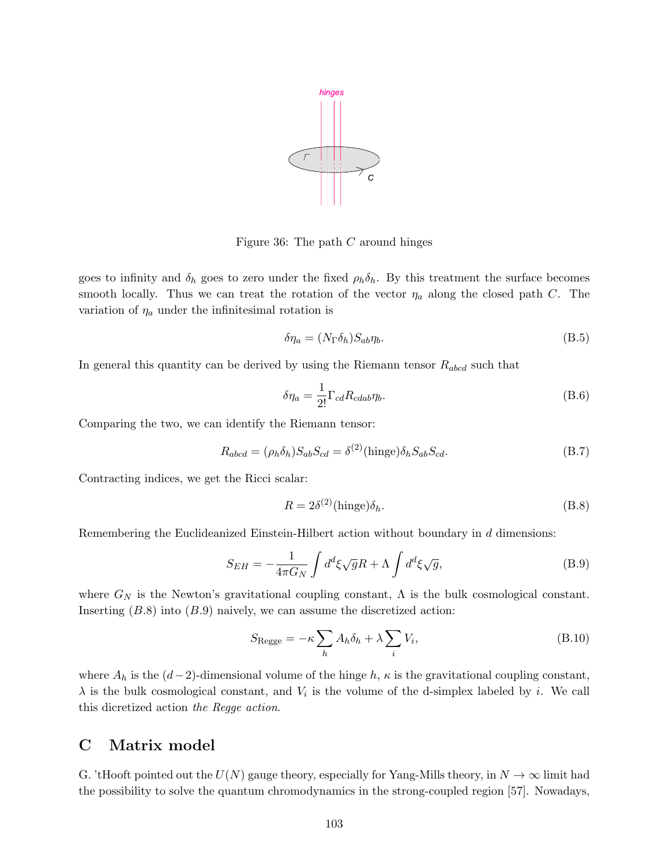

Figure 36: The path  $C$  around hinges

goes to infinity and  $\delta_h$  goes to zero under the fixed  $\rho_h \delta_h$ . By this treatment the surface becomes smooth locally. Thus we can treat the rotation of the vector  $\eta_a$  along the closed path C. The variation of  $\eta_a$  under the infinitesimal rotation is

$$
\delta \eta_a = (N_\Gamma \delta_h) S_{ab} \eta_b. \tag{B.5}
$$

In general this quantity can be derived by using the Riemann tensor  $R_{abcd}$  such that

$$
\delta \eta_a = \frac{1}{2!} \Gamma_{cd} R_{cdab} \eta_b. \tag{B.6}
$$

Comparing the two, we can identify the Riemann tensor:

$$
R_{abcd} = (\rho_h \delta_h) S_{ab} S_{cd} = \delta^{(2)}(\text{hinge}) \delta_h S_{ab} S_{cd}.
$$
 (B.7)

Contracting indices, we get the Ricci scalar:

$$
R = 2\delta^{(2)}(\text{hinge})\delta_h. \tag{B.8}
$$

Remembering the Euclideanized Einstein-Hilbert action without boundary in d dimensions:

$$
S_{EH} = -\frac{1}{4\pi G_N} \int d^d \xi \sqrt{g} R + \Lambda \int d^d \xi \sqrt{g}, \tag{B.9}
$$

where  $G_N$  is the Newton's gravitational coupling constant,  $\Lambda$  is the bulk cosmological constant. Inserting  $(B.8)$  into  $(B.9)$  naively, we can assume the discretized action:

$$
S_{\text{Regge}} = -\kappa \sum_{h} A_h \delta_h + \lambda \sum_{i} V_i, \tag{B.10}
$$

where  $A_h$  is the  $(d-2)$ -dimensional volume of the hinge h,  $\kappa$  is the gravitational coupling constant,  $\lambda$  is the bulk cosmological constant, and  $V_i$  is the volume of the d-simplex labeled by i. We call this dicretized action the Regge action.

## C Matrix model

G. 'tHooft pointed out the  $U(N)$  gauge theory, especially for Yang-Mills theory, in  $N \to \infty$  limit had the possibility to solve the quantum chromodynamics in the strong-coupled region [57]. Nowadays,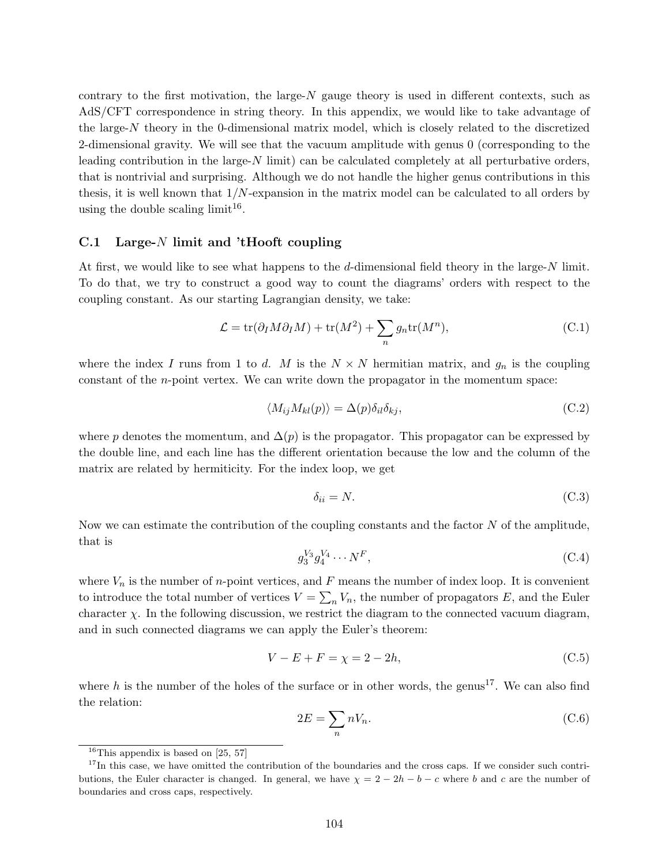contrary to the first motivation, the large- $N$  gauge theory is used in different contexts, such as AdS/CFT correspondence in string theory. In this appendix, we would like to take advantage of the large-N theory in the 0-dimensional matrix model, which is closely related to the discretized 2-dimensional gravity. We will see that the vacuum amplitude with genus 0 (corresponding to the leading contribution in the large-N limit) can be calculated completely at all perturbative orders, that is nontrivial and surprising. Although we do not handle the higher genus contributions in this thesis, it is well known that  $1/N$ -expansion in the matrix model can be calculated to all orders by using the double scaling  $\text{limit}^{16}$ .

## C.1 Large- $N$  limit and 'tHooft coupling

At first, we would like to see what happens to the d-dimensional field theory in the large-N limit. To do that, we try to construct a good way to count the diagrams' orders with respect to the coupling constant. As our starting Lagrangian density, we take:

$$
\mathcal{L} = \text{tr}(\partial_I M \partial_I M) + \text{tr}(M^2) + \sum_n g_n \text{tr}(M^n), \tag{C.1}
$$

where the index I runs from 1 to d. M is the  $N \times N$  hermitian matrix, and  $g_n$  is the coupling constant of the n-point vertex. We can write down the propagator in the momentum space:

$$
\langle M_{ij} M_{kl}(p) \rangle = \Delta(p) \delta_{il} \delta_{kj}, \qquad (C.2)
$$

where p denotes the momentum, and  $\Delta(p)$  is the propagator. This propagator can be expressed by the double line, and each line has the different orientation because the low and the column of the matrix are related by hermiticity. For the index loop, we get

$$
\delta_{ii} = N. \tag{C.3}
$$

Now we can estimate the contribution of the coupling constants and the factor  $N$  of the amplitude, that is

$$
g_3^{V_3}g_4^{V_4}\cdots N^F, \t\t(C.4)
$$

where  $V_n$  is the number of n-point vertices, and F means the number of index loop. It is convenient to introduce the total number of vertices  $V = \sum_n V_n$ , the number of propagators E, and the Euler character  $\chi$ . In the following discussion, we restrict the diagram to the connected vacuum diagram, and in such connected diagrams we can apply the Euler's theorem:

$$
V - E + F = \chi = 2 - 2h,\tag{C.5}
$$

where h is the number of the holes of the surface or in other words, the genus<sup>17</sup>. We can also find the relation:

$$
2E = \sum_{n} nV_n. \tag{C.6}
$$

<sup>&</sup>lt;sup>16</sup>This appendix is based on [25, 57]

 $17$ In this case, we have omitted the contribution of the boundaries and the cross caps. If we consider such contributions, the Euler character is changed. In general, we have  $\chi = 2 - 2h - b - c$  where b and c are the number of boundaries and cross caps, respectively.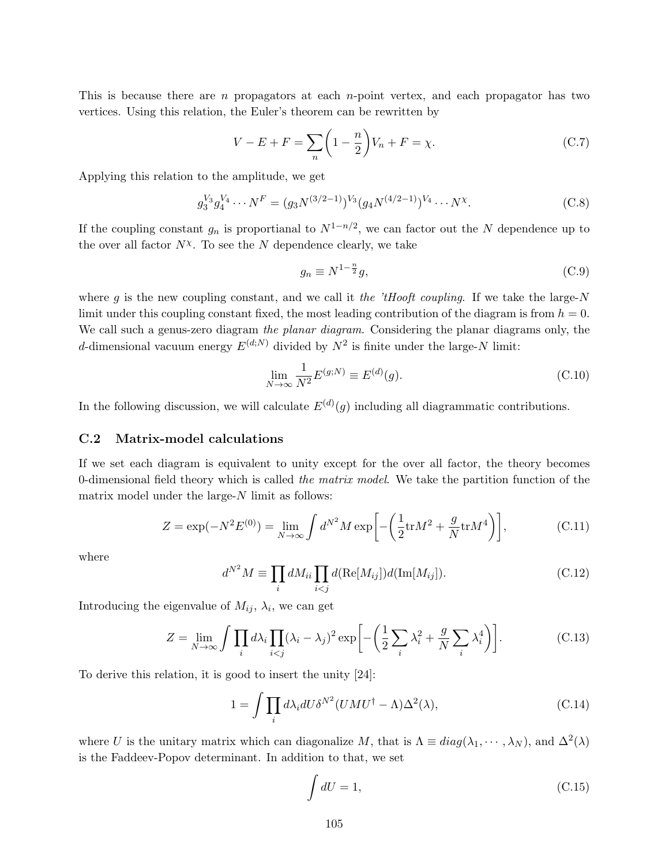This is because there are n propagators at each n-point vertex, and each propagator has two vertices. Using this relation, the Euler's theorem can be rewritten by

$$
V - E + F = \sum_{n} \left( 1 - \frac{n}{2} \right) V_n + F = \chi.
$$
 (C.7)

Applying this relation to the amplitude, we get

$$
g_3^{V_3}g_4^{V_4}\cdots N^F = (g_3N^{(3/2-1)})^{V_3}(g_4N^{(4/2-1)})^{V_4}\cdots N^{\chi}.
$$
 (C.8)

If the coupling constant  $g_n$  is proportianal to  $N^{1-n/2}$ , we can factor out the N dependence up to the over all factor  $N^{\chi}$ . To see the N dependence clearly, we take

$$
g_n \equiv N^{1 - \frac{n}{2}} g,\tag{C.9}
$$

where g is the new coupling constant, and we call it the 'tHooft coupling. If we take the large-N limit under this coupling constant fixed, the most leading contribution of the diagram is from  $h = 0$ . We call such a genus-zero diagram the planar diagram. Considering the planar diagrams only, the d-dimensional vacuum energy  $E^{(d,N)}$  divided by  $N^2$  is finite under the large-N limit:

$$
\lim_{N \to \infty} \frac{1}{N^2} E^{(g;N)} \equiv E^{(d)}(g). \tag{C.10}
$$

In the following discussion, we will calculate  $E^{(d)}(g)$  including all diagrammatic contributions.

## C.2 Matrix-model calculations

If we set each diagram is equivalent to unity except for the over all factor, the theory becomes 0-dimensional field theory which is called the matrix model. We take the partition function of the matrix model under the large- $N$  limit as follows:

$$
Z = \exp(-N^2 E^{(0)}) = \lim_{N \to \infty} \int d^{N^2} M \exp\left[-\left(\frac{1}{2} \text{tr} M^2 + \frac{g}{N} \text{tr} M^4\right)\right],
$$
 (C.11)

where

$$
d^{N^2}M \equiv \prod_i dM_{ii} \prod_{i < j} d(\text{Re}[M_{ij}])d(\text{Im}[M_{ij}]).\tag{C.12}
$$

Introducing the eigenvalue of  $M_{ij}$ ,  $\lambda_i$ , we can get

$$
Z = \lim_{N \to \infty} \int \prod_i d\lambda_i \prod_{i < j} (\lambda_i - \lambda_j)^2 \exp \left[ -\left(\frac{1}{2} \sum_i \lambda_i^2 + \frac{g}{N} \sum_i \lambda_i^4\right) \right]. \tag{C.13}
$$

To derive this relation, it is good to insert the unity [24]:

$$
1 = \int \prod_i d\lambda_i dU \delta^{N^2} (U M U^{\dagger} - \Lambda) \Delta^2(\lambda), \tag{C.14}
$$

where U is the unitary matrix which can diagonalize M, that is  $\Lambda \equiv diag(\lambda_1, \dots, \lambda_N)$ , and  $\Delta^2(\lambda)$ is the Faddeev-Popov determinant. In addition to that, we set

$$
\int dU = 1,\tag{C.15}
$$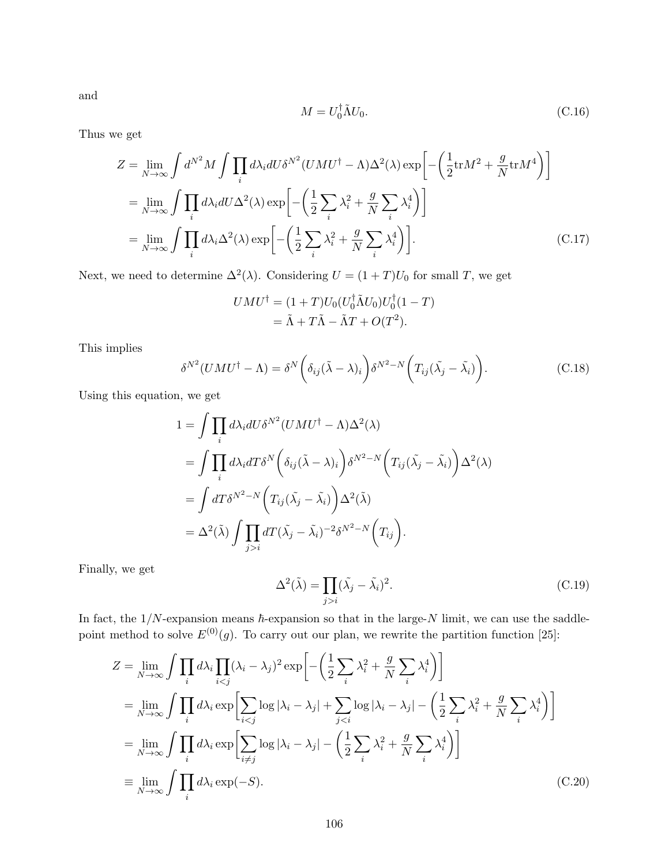and

$$
M = U_0^\dagger \tilde{\Lambda} U_0. \tag{C.16}
$$

Thus we get

$$
Z = \lim_{N \to \infty} \int d^{N^2} M \int \prod_i d\lambda_i dU \delta^{N^2} (UMU^{\dagger} - \Lambda) \Delta^2(\lambda) \exp \left[ -\left(\frac{1}{2} \text{tr} M^2 + \frac{g}{N} \text{tr} M^4\right) \right]
$$
  
\n
$$
= \lim_{N \to \infty} \int \prod_i d\lambda_i dU \Delta^2(\lambda) \exp \left[ -\left(\frac{1}{2} \sum_i \lambda_i^2 + \frac{g}{N} \sum_i \lambda_i^4\right) \right]
$$
  
\n
$$
= \lim_{N \to \infty} \int \prod_i d\lambda_i \Delta^2(\lambda) \exp \left[ -\left(\frac{1}{2} \sum_i \lambda_i^2 + \frac{g}{N} \sum_i \lambda_i^4\right) \right].
$$
 (C.17)

Next, we need to determine  $\Delta^2(\lambda)$ . Considering  $U = (1+T)U_0$  for small T, we get

$$
U M U^{\dagger} = (1+T) U_0 (U_0^{\dagger} \tilde{\Lambda} U_0) U_0^{\dagger} (1-T)
$$
  
=  $\tilde{\Lambda} + T \tilde{\Lambda} - \tilde{\Lambda} T + O(T^2)$ .

This implies

$$
\delta^{N^2}(UMU^{\dagger} - \Lambda) = \delta^N \left( \delta_{ij} (\tilde{\lambda} - \lambda)_i \right) \delta^{N^2 - N} \left( T_{ij} (\tilde{\lambda}_j - \tilde{\lambda}_i) \right).
$$
 (C.18)

Using this equation, we get

$$
1 = \int \prod_i d\lambda_i dU \delta^{N^2} (U M U^{\dagger} - \Lambda) \Delta^2(\lambda)
$$
  
= 
$$
\int \prod_i d\lambda_i dT \delta^N \left( \delta_{ij} (\tilde{\lambda} - \lambda)_i \right) \delta^{N^2 - N} \left( T_{ij} (\tilde{\lambda}_j - \tilde{\lambda}_i) \right) \Delta^2(\lambda)
$$
  
= 
$$
\int dT \delta^{N^2 - N} \left( T_{ij} (\tilde{\lambda}_j - \tilde{\lambda}_i) \right) \Delta^2(\tilde{\lambda})
$$
  
= 
$$
\Delta^2(\tilde{\lambda}) \int \prod_{j>i} dT (\tilde{\lambda}_j - \tilde{\lambda}_i)^{-2} \delta^{N^2 - N} \left( T_{ij} \right).
$$

Finally, we get

$$
\Delta^2(\tilde{\lambda}) = \prod_{j>i} (\tilde{\lambda}_j - \tilde{\lambda}_i)^2.
$$
\n(C.19)

In fact, the  $1/N$ -expansion means  $\hbar$ -expansion so that in the large-N limit, we can use the saddlepoint method to solve  $E^{(0)}(g)$ . To carry out our plan, we rewrite the partition function [25]:

$$
Z = \lim_{N \to \infty} \int \prod_{i} d\lambda_{i} \prod_{i < j} (\lambda_{i} - \lambda_{j})^{2} \exp \left[ -\left(\frac{1}{2} \sum_{i} \lambda_{i}^{2} + \frac{g}{N} \sum_{i} \lambda_{i}^{4}\right) \right]
$$
\n
$$
= \lim_{N \to \infty} \int \prod_{i} d\lambda_{i} \exp \left[ \sum_{i < j} \log |\lambda_{i} - \lambda_{j}| + \sum_{j < i} \log |\lambda_{i} - \lambda_{j}| - \left(\frac{1}{2} \sum_{i} \lambda_{i}^{2} + \frac{g}{N} \sum_{i} \lambda_{i}^{4}\right) \right]
$$
\n
$$
= \lim_{N \to \infty} \int \prod_{i} d\lambda_{i} \exp \left[ \sum_{i \neq j} \log |\lambda_{i} - \lambda_{j}| - \left(\frac{1}{2} \sum_{i} \lambda_{i}^{2} + \frac{g}{N} \sum_{i} \lambda_{i}^{4}\right) \right]
$$
\n
$$
\equiv \lim_{N \to \infty} \int \prod_{i} d\lambda_{i} \exp(-S).
$$
\n(C.20)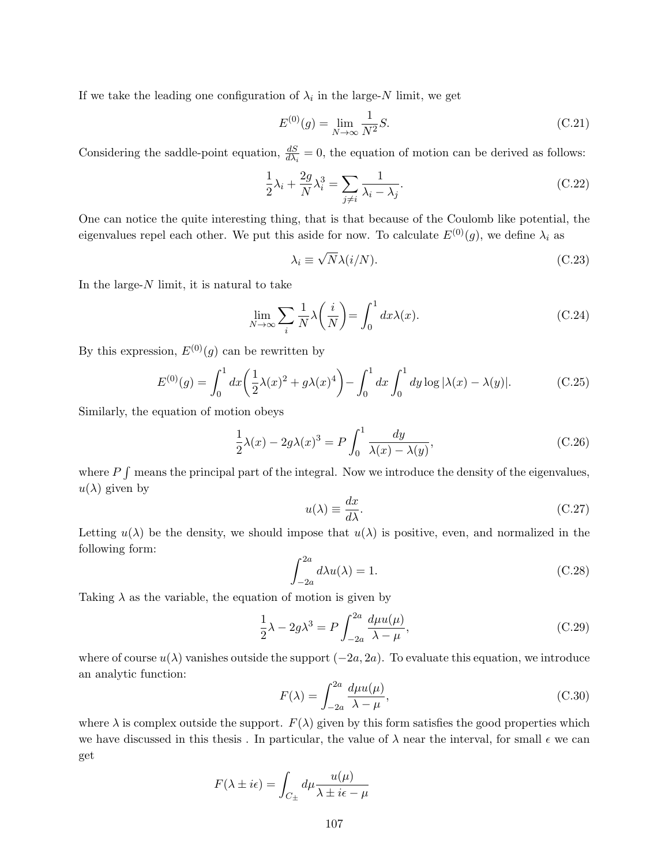If we take the leading one configuration of  $\lambda_i$  in the large-N limit, we get

$$
E^{(0)}(g) = \lim_{N \to \infty} \frac{1}{N^2} S.
$$
 (C.21)

Considering the saddle-point equation,  $\frac{dS}{d\lambda_i} = 0$ , the equation of motion can be derived as follows:

$$
\frac{1}{2}\lambda_i + \frac{2g}{N}\lambda_i^3 = \sum_{j \neq i} \frac{1}{\lambda_i - \lambda_j}.
$$
\n(C.22)

One can notice the quite interesting thing, that is that because of the Coulomb like potential, the eigenvalues repel each other. We put this aside for now. To calculate  $E^{(0)}(g)$ , we define  $\lambda_i$  as

$$
\lambda_i \equiv \sqrt{N} \lambda (i/N). \tag{C.23}
$$

In the large- $N$  limit, it is natural to take

$$
\lim_{N \to \infty} \sum_{i} \frac{1}{N} \lambda \left( \frac{i}{N} \right) = \int_{0}^{1} dx \lambda(x).
$$
 (C.24)

By this expression,  $E^{(0)}(g)$  can be rewritten by

$$
E^{(0)}(g) = \int_0^1 dx \left(\frac{1}{2}\lambda(x)^2 + g\lambda(x)^4\right) - \int_0^1 dx \int_0^1 dy \log|\lambda(x) - \lambda(y)|.
$$
 (C.25)

Similarly, the equation of motion obeys

$$
\frac{1}{2}\lambda(x) - 2g\lambda(x)^3 = P \int_0^1 \frac{dy}{\lambda(x) - \lambda(y)},
$$
\n(C.26)

where  $P \int$  means the principal part of the integral. Now we introduce the density of the eigenvalues,  $u(\lambda)$  given by

$$
u(\lambda) \equiv \frac{dx}{d\lambda}.\tag{C.27}
$$

Letting  $u(\lambda)$  be the density, we should impose that  $u(\lambda)$  is positive, even, and normalized in the following form:

$$
\int_{-2a}^{2a} d\lambda u(\lambda) = 1.
$$
 (C.28)

Taking  $\lambda$  as the variable, the equation of motion is given by

$$
\frac{1}{2}\lambda - 2g\lambda^3 = P \int_{-2a}^{2a} \frac{d\mu u(\mu)}{\lambda - \mu},
$$
\n(C.29)

where of course  $u(\lambda)$  vanishes outside the support  $(-2a, 2a)$ . To evaluate this equation, we introduce an analytic function:

$$
F(\lambda) = \int_{-2a}^{2a} \frac{d\mu u(\mu)}{\lambda - \mu},
$$
\n(C.30)

where  $\lambda$  is complex outside the support.  $F(\lambda)$  given by this form satisfies the good properties which we have discussed in this thesis. In particular, the value of  $\lambda$  near the interval, for small  $\epsilon$  we can get

$$
F(\lambda \pm i\epsilon) = \int_{C_{\pm}} d\mu \frac{u(\mu)}{\lambda \pm i\epsilon - \mu}
$$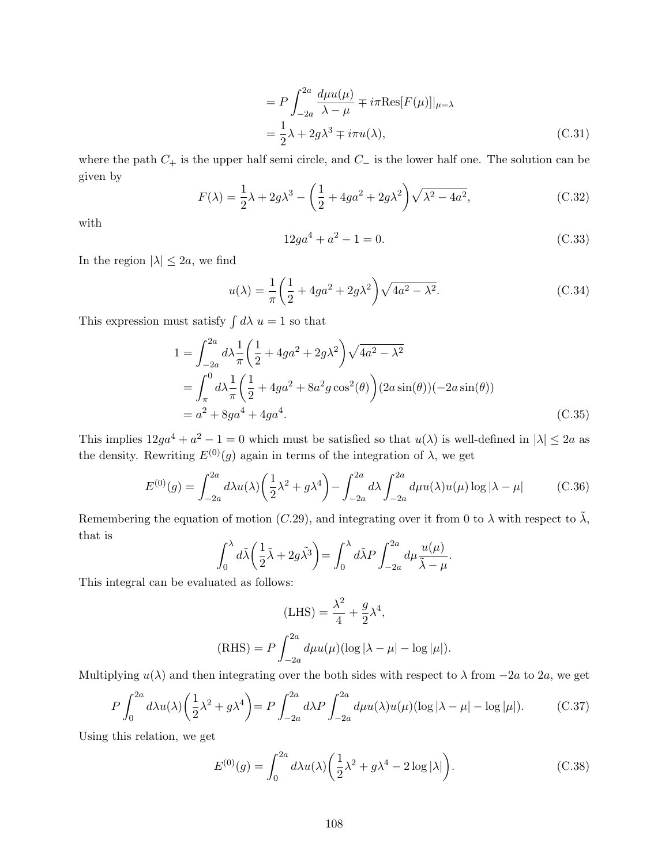$$
= P \int_{-2a}^{2a} \frac{d\mu u(\mu)}{\lambda - \mu} \mp i\pi \text{Res}[F(\mu)]|_{\mu = \lambda}
$$
  
=  $\frac{1}{2}\lambda + 2g\lambda^3 \mp i\pi u(\lambda),$  (C.31)

where the path  $C_+$  is the upper half semi circle, and  $C_-\$  is the lower half one. The solution can be given by

$$
F(\lambda) = \frac{1}{2}\lambda + 2g\lambda^3 - \left(\frac{1}{2} + 4ga^2 + 2g\lambda^2\right)\sqrt{\lambda^2 - 4a^2},
$$
 (C.32)

with

$$
12ga^4 + a^2 - 1 = 0.\t\t(C.33)
$$

In the region  $|\lambda| \leq 2a$ , we find

$$
u(\lambda) = \frac{1}{\pi} \left( \frac{1}{2} + 4ga^2 + 2g\lambda^2 \right) \sqrt{4a^2 - \lambda^2}.
$$
 (C.34)

This expression must satisfy  $\int d\lambda u = 1$  so that

$$
1 = \int_{-2a}^{2a} d\lambda \frac{1}{\pi} \left( \frac{1}{2} + 4ga^2 + 2g\lambda^2 \right) \sqrt{4a^2 - \lambda^2}
$$
  
= 
$$
\int_{\pi}^{0} d\lambda \frac{1}{\pi} \left( \frac{1}{2} + 4ga^2 + 8a^2g\cos^2(\theta) \right) (2a\sin(\theta)) (-2a\sin(\theta))
$$
  
= 
$$
a^2 + 8ga^4 + 4ga^4.
$$
 (C.35)

This implies  $12ga^4 + a^2 - 1 = 0$  which must be satisfied so that  $u(\lambda)$  is well-defined in  $|\lambda| \leq 2a$  as the density. Rewriting  $E^{(0)}(g)$  again in terms of the integration of  $\lambda$ , we get

$$
E^{(0)}(g) = \int_{-2a}^{2a} d\lambda u(\lambda) \left(\frac{1}{2}\lambda^2 + g\lambda^4\right) - \int_{-2a}^{2a} d\lambda \int_{-2a}^{2a} d\mu u(\lambda)u(\mu) \log|\lambda - \mu| \tag{C.36}
$$

Remembering the equation of motion (C.29), and integrating over it from 0 to  $\lambda$  with respect to  $\lambda$ , that is

$$
\int_0^{\lambda} d\tilde{\lambda} \left( \frac{1}{2} \tilde{\lambda} + 2g \tilde{\lambda}^3 \right) = \int_0^{\lambda} d\tilde{\lambda} P \int_{-2a}^{2a} d\mu \frac{u(\mu)}{\tilde{\lambda} - \mu}.
$$

This integral can be evaluated as follows:

$$
\text{(LHS)} = \frac{\lambda^2}{4} + \frac{g}{2}\lambda^4,
$$
\n
$$
\text{(RHS)} = P \int_{-2a}^{2a} d\mu u(\mu) (\log|\lambda - \mu| - \log|\mu|).
$$

Multiplying  $u(\lambda)$  and then integrating over the both sides with respect to  $\lambda$  from  $-2a$  to  $2a$ , we get

$$
P \int_0^{2a} d\lambda u(\lambda) \left(\frac{1}{2}\lambda^2 + g\lambda^4\right) = P \int_{-2a}^{2a} d\lambda P \int_{-2a}^{2a} d\mu u(\lambda) u(\mu) (\log|\lambda - \mu| - \log|\mu|). \tag{C.37}
$$

Using this relation, we get

$$
E^{(0)}(g) = \int_0^{2a} d\lambda u(\lambda) \left(\frac{1}{2}\lambda^2 + g\lambda^4 - 2\log|\lambda|\right). \tag{C.38}
$$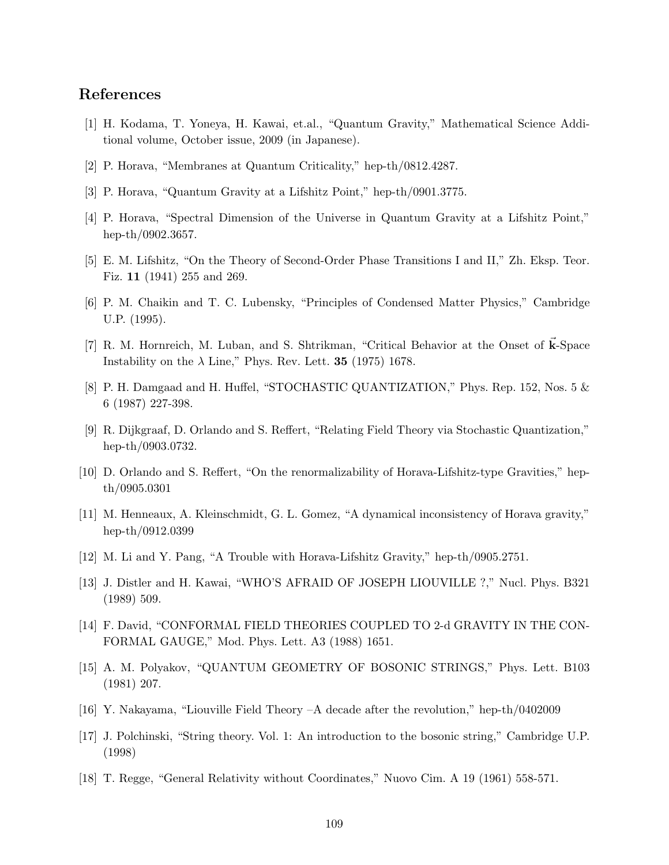## References

- [1] H. Kodama, T. Yoneya, H. Kawai, et.al., "Quantum Gravity," Mathematical Science Additional volume, October issue, 2009 (in Japanese).
- [2] P. Horava, "Membranes at Quantum Criticality," hep-th/0812.4287.
- [3] P. Horava, "Quantum Gravity at a Lifshitz Point," hep-th/0901.3775.
- [4] P. Horava, "Spectral Dimension of the Universe in Quantum Gravity at a Lifshitz Point," hep-th/0902.3657.
- [5] E. M. Lifshitz, "On the Theory of Second-Order Phase Transitions I and II," Zh. Eksp. Teor. Fiz. 11 (1941) 255 and 269.
- [6] P. M. Chaikin and T. C. Lubensky, "Principles of Condensed Matter Physics," Cambridge U.P. (1995).
- [7] R. M. Hornreich, M. Luban, and S. Shtrikman, "Critical Behavior at the Onset of  $\bf{k}$ -Space Instability on the  $\lambda$  Line," Phys. Rev. Lett. **35** (1975) 1678.
- [8] P. H. Damgaad and H. Huffel, "STOCHASTIC QUANTIZATION," Phys. Rep. 152, Nos. 5 & 6 (1987) 227-398.
- [9] R. Dijkgraaf, D. Orlando and S. Reffert, "Relating Field Theory via Stochastic Quantization," hep-th/0903.0732.
- [10] D. Orlando and S. Reffert, "On the renormalizability of Horava-Lifshitz-type Gravities," hepth/0905.0301
- [11] M. Henneaux, A. Kleinschmidt, G. L. Gomez, "A dynamical inconsistency of Horava gravity," hep-th/0912.0399
- [12] M. Li and Y. Pang, "A Trouble with Horava-Lifshitz Gravity," hep-th/0905.2751.
- [13] J. Distler and H. Kawai, "WHO'S AFRAID OF JOSEPH LIOUVILLE ?," Nucl. Phys. B321 (1989) 509.
- [14] F. David, "CONFORMAL FIELD THEORIES COUPLED TO 2-d GRAVITY IN THE CON-FORMAL GAUGE," Mod. Phys. Lett. A3 (1988) 1651.
- [15] A. M. Polyakov, "QUANTUM GEOMETRY OF BOSONIC STRINGS," Phys. Lett. B103 (1981) 207.
- [16] Y. Nakayama, "Liouville Field Theory –A decade after the revolution," hep-th/0402009
- [17] J. Polchinski, "String theory. Vol. 1: An introduction to the bosonic string," Cambridge U.P. (1998)
- [18] T. Regge, "General Relativity without Coordinates," Nuovo Cim. A 19 (1961) 558-571.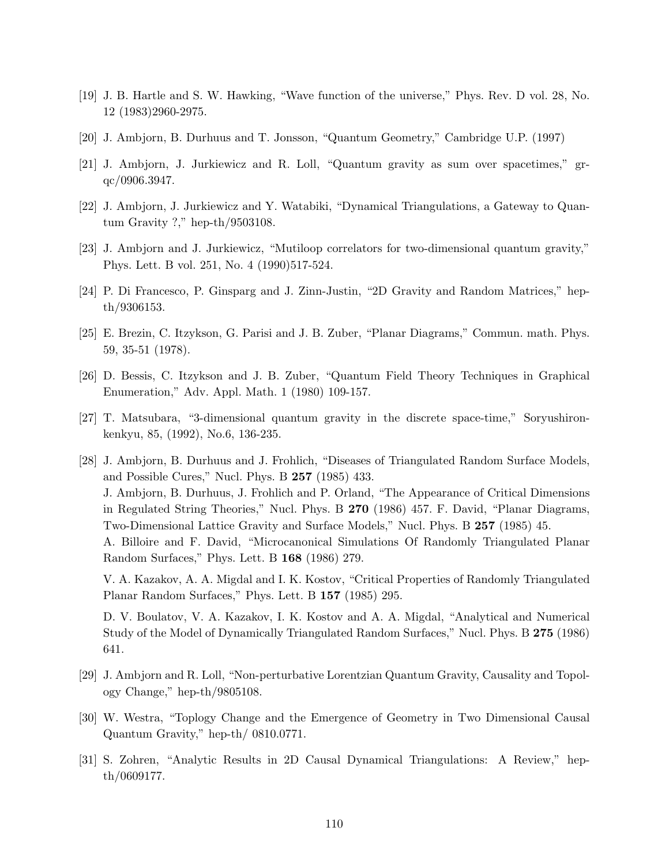- [19] J. B. Hartle and S. W. Hawking, "Wave function of the universe," Phys. Rev. D vol. 28, No. 12 (1983)2960-2975.
- [20] J. Ambjorn, B. Durhuus and T. Jonsson, "Quantum Geometry," Cambridge U.P. (1997)
- [21] J. Ambjorn, J. Jurkiewicz and R. Loll, "Quantum gravity as sum over spacetimes," grqc/0906.3947.
- [22] J. Ambjorn, J. Jurkiewicz and Y. Watabiki, "Dynamical Triangulations, a Gateway to Quantum Gravity ?," hep-th/9503108.
- [23] J. Ambjorn and J. Jurkiewicz, "Mutiloop correlators for two-dimensional quantum gravity," Phys. Lett. B vol. 251, No. 4 (1990)517-524.
- [24] P. Di Francesco, P. Ginsparg and J. Zinn-Justin, "2D Gravity and Random Matrices," hepth/9306153.
- [25] E. Brezin, C. Itzykson, G. Parisi and J. B. Zuber, "Planar Diagrams," Commun. math. Phys. 59, 35-51 (1978).
- [26] D. Bessis, C. Itzykson and J. B. Zuber, "Quantum Field Theory Techniques in Graphical Enumeration," Adv. Appl. Math. 1 (1980) 109-157.
- [27] T. Matsubara, "3-dimensional quantum gravity in the discrete space-time," Soryushironkenkyu, 85, (1992), No.6, 136-235.
- [28] J. Ambjorn, B. Durhuus and J. Frohlich, "Diseases of Triangulated Random Surface Models, and Possible Cures," Nucl. Phys. B 257 (1985) 433. J. Ambjorn, B. Durhuus, J. Frohlich and P. Orland, "The Appearance of Critical Dimensions in Regulated String Theories," Nucl. Phys. B 270 (1986) 457. F. David, "Planar Diagrams, Two-Dimensional Lattice Gravity and Surface Models," Nucl. Phys. B 257 (1985) 45. A. Billoire and F. David, "Microcanonical Simulations Of Randomly Triangulated Planar Random Surfaces," Phys. Lett. B 168 (1986) 279.

V. A. Kazakov, A. A. Migdal and I. K. Kostov, "Critical Properties of Randomly Triangulated Planar Random Surfaces," Phys. Lett. B 157 (1985) 295.

D. V. Boulatov, V. A. Kazakov, I. K. Kostov and A. A. Migdal, "Analytical and Numerical Study of the Model of Dynamically Triangulated Random Surfaces," Nucl. Phys. B 275 (1986) 641.

- [29] J. Ambjorn and R. Loll, "Non-perturbative Lorentzian Quantum Gravity, Causality and Topology Change," hep-th/9805108.
- [30] W. Westra, "Toplogy Change and the Emergence of Geometry in Two Dimensional Causal Quantum Gravity," hep-th/ 0810.0771.
- [31] S. Zohren, "Analytic Results in 2D Causal Dynamical Triangulations: A Review," hepth/0609177.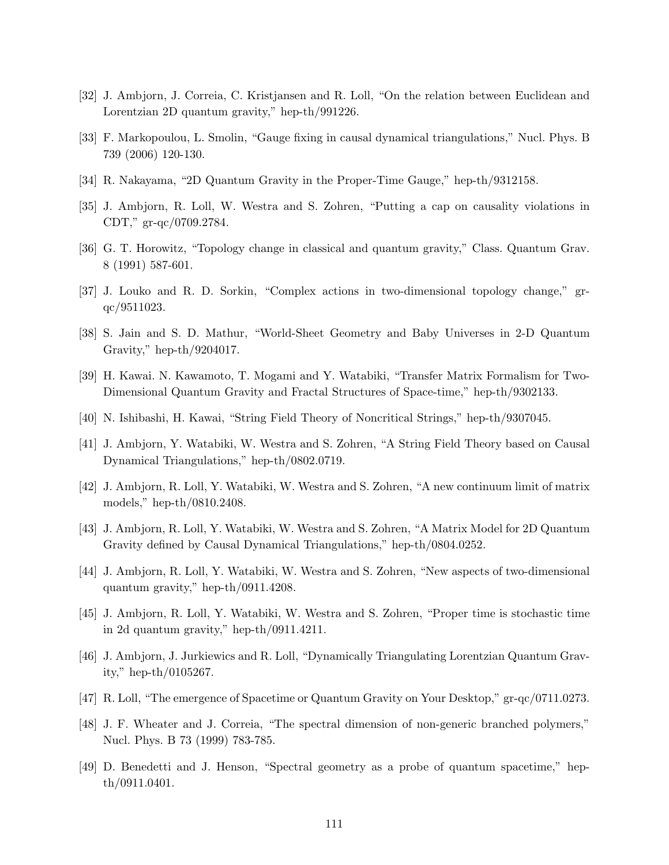- [32] J. Ambjorn, J. Correia, C. Kristjansen and R. Loll, "On the relation between Euclidean and Lorentzian 2D quantum gravity," hep-th/991226.
- [33] F. Markopoulou, L. Smolin, "Gauge fixing in causal dynamical triangulations," Nucl. Phys. B 739 (2006) 120-130.
- [34] R. Nakayama, "2D Quantum Gravity in the Proper-Time Gauge," hep-th/9312158.
- [35] J. Ambjorn, R. Loll, W. Westra and S. Zohren, "Putting a cap on causality violations in CDT," gr-qc/0709.2784.
- [36] G. T. Horowitz, "Topology change in classical and quantum gravity," Class. Quantum Grav. 8 (1991) 587-601.
- [37] J. Louko and R. D. Sorkin, "Complex actions in two-dimensional topology change," grqc/9511023.
- [38] S. Jain and S. D. Mathur, "World-Sheet Geometry and Baby Universes in 2-D Quantum Gravity," hep-th/9204017.
- [39] H. Kawai. N. Kawamoto, T. Mogami and Y. Watabiki, "Transfer Matrix Formalism for Two-Dimensional Quantum Gravity and Fractal Structures of Space-time," hep-th/9302133.
- [40] N. Ishibashi, H. Kawai, "String Field Theory of Noncritical Strings," hep-th/9307045.
- [41] J. Ambjorn, Y. Watabiki, W. Westra and S. Zohren, "A String Field Theory based on Causal Dynamical Triangulations," hep-th/0802.0719.
- [42] J. Ambjorn, R. Loll, Y. Watabiki, W. Westra and S. Zohren, "A new continuum limit of matrix models," hep-th/0810.2408.
- [43] J. Ambjorn, R. Loll, Y. Watabiki, W. Westra and S. Zohren, "A Matrix Model for 2D Quantum Gravity defined by Causal Dynamical Triangulations," hep-th/0804.0252.
- [44] J. Ambjorn, R. Loll, Y. Watabiki, W. Westra and S. Zohren, "New aspects of two-dimensional quantum gravity," hep-th/0911.4208.
- [45] J. Ambjorn, R. Loll, Y. Watabiki, W. Westra and S. Zohren, "Proper time is stochastic time in 2d quantum gravity," hep-th/0911.4211.
- [46] J. Ambjorn, J. Jurkiewics and R. Loll, "Dynamically Triangulating Lorentzian Quantum Gravity," hep-th/0105267.
- [47] R. Loll, "The emergence of Spacetime or Quantum Gravity on Your Desktop," gr-qc/0711.0273.
- [48] J. F. Wheater and J. Correia, "The spectral dimension of non-generic branched polymers," Nucl. Phys. B 73 (1999) 783-785.
- [49] D. Benedetti and J. Henson, "Spectral geometry as a probe of quantum spacetime," hepth/0911.0401.